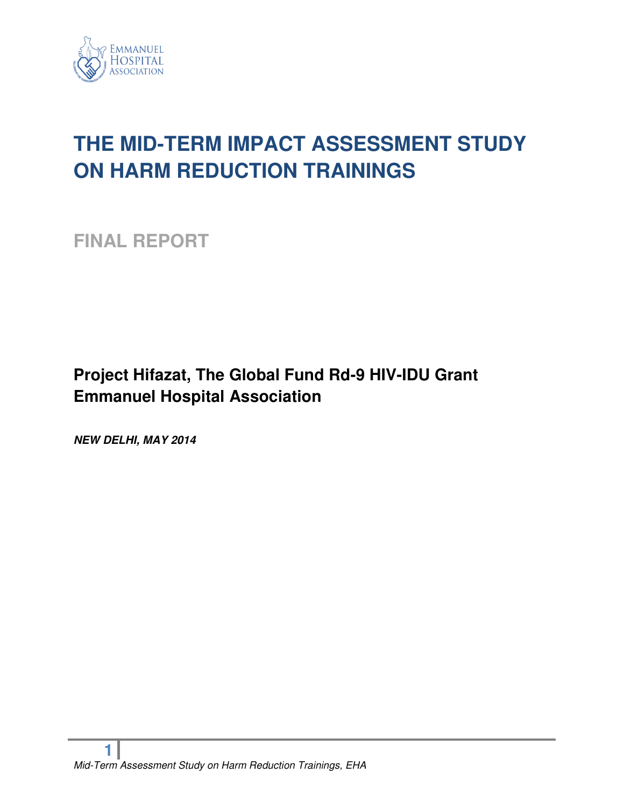

# **THE MID-TERM IMPACT ASSESSMENT STUDY ON HARM REDUCTION TRAININGS**

**FINAL REPORT** 

### **Project Hifazat, The Global Fund Rd-9 HIV-IDU Grant Emmanuel Hospital Association**

*NEW DELHI, MAY 2014*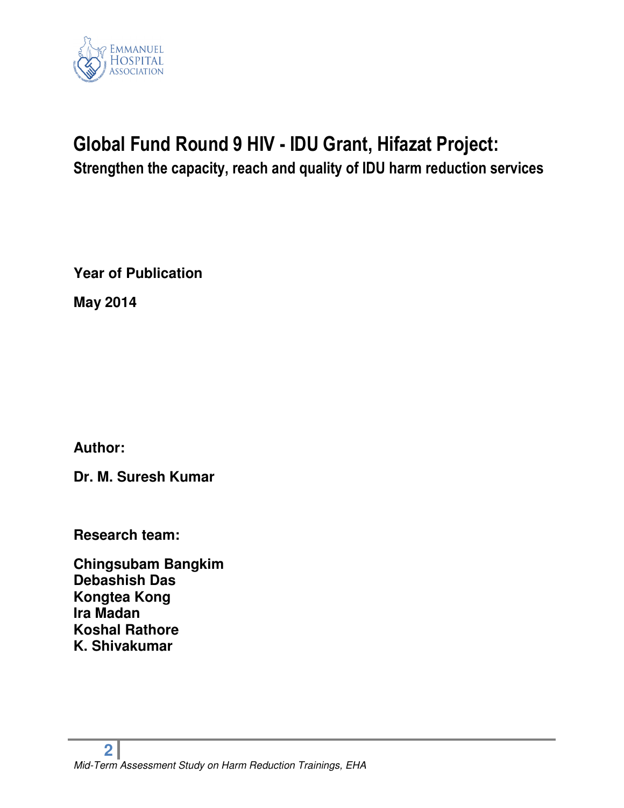

# **Global Fund Round 9 HIV - IDU Grant, Hifazat Project: Strengthen the capacity, reach and quality of IDU harm reduction services**

**Year of Publication** 

**May 2014** 

**Author:** 

**Dr. M. Suresh Kumar** 

**Research team:** 

**Chingsubam Bangkim Debashish Das Kongtea Kong Ira Madan Koshal Rathore K. Shivakumar**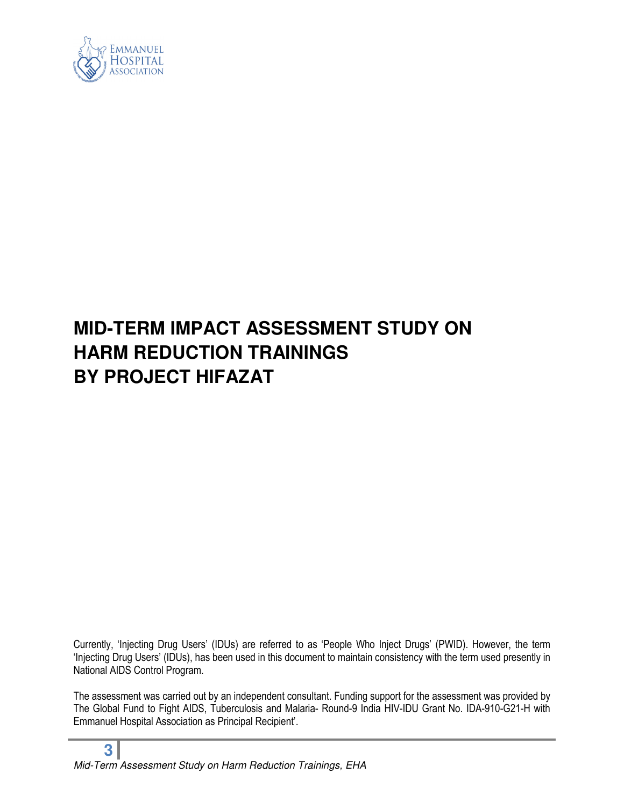

# **MID-TERM IMPACT ASSESSMENT STUDY ON HARM REDUCTION TRAININGS BY PROJECT HIFAZAT**

Currently, 'Injecting Drug Users' (IDUs) are referred to as 'People Who Inject Drugs' (PWID). However, the term 'Injecting Drug Users' (IDUs), has been used in this document to maintain consistency with the term used presently in National AIDS Control Program.

The assessment was carried out by an independent consultant. Funding support for the assessment was provided by The Global Fund to Fight AIDS, Tuberculosis and Malaria- Round-9 India HIV-IDU Grant No. IDA-910-G21-H with Emmanuel Hospital Association as Principal Recipient'.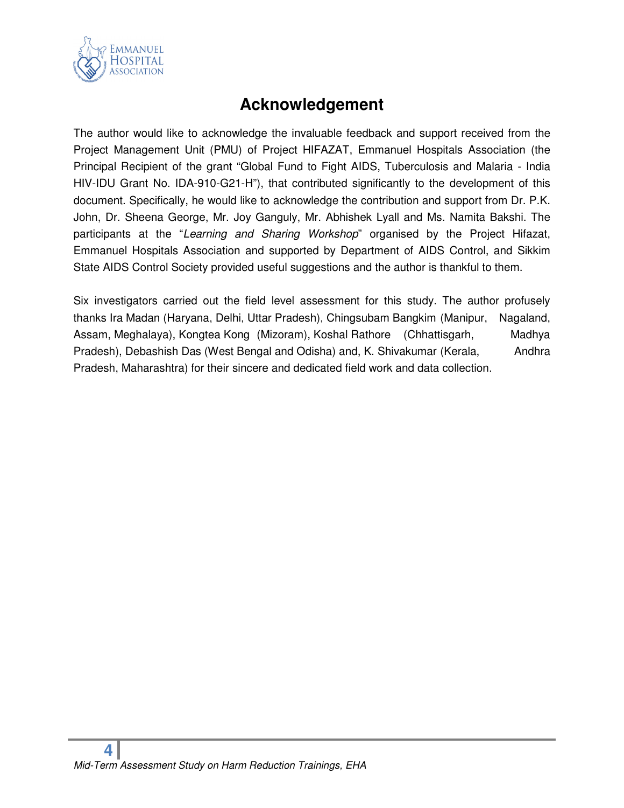

### **Acknowledgement**

The author would like to acknowledge the invaluable feedback and support received from the Project Management Unit (PMU) of Project HIFAZAT, Emmanuel Hospitals Association (the Principal Recipient of the grant "Global Fund to Fight AIDS, Tuberculosis and Malaria - India HIV-IDU Grant No. IDA-910-G21-H"), that contributed significantly to the development of this document. Specifically, he would like to acknowledge the contribution and support from Dr. P.K. John, Dr. Sheena George, Mr. Joy Ganguly, Mr. Abhishek Lyall and Ms. Namita Bakshi. The participants at the "Learning and Sharing Workshop" organised by the Project Hifazat, Emmanuel Hospitals Association and supported by Department of AIDS Control, and Sikkim State AIDS Control Society provided useful suggestions and the author is thankful to them.

Six investigators carried out the field level assessment for this study. The author profusely thanks Ira Madan (Haryana, Delhi, Uttar Pradesh), Chingsubam Bangkim (Manipur, Nagaland, Assam, Meghalaya), Kongtea Kong (Mizoram), Koshal Rathore (Chhattisgarh, Madhya Pradesh), Debashish Das (West Bengal and Odisha) and, K. Shivakumar (Kerala, Andhra Pradesh, Maharashtra) for their sincere and dedicated field work and data collection.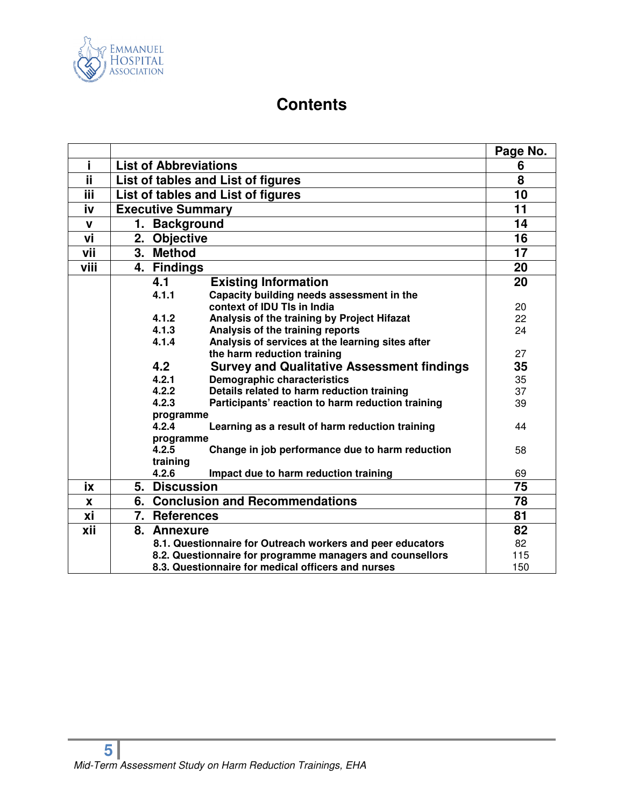

### **Contents**

|             |                                                          |                              |                                                            | Page No. |
|-------------|----------------------------------------------------------|------------------------------|------------------------------------------------------------|----------|
| i           |                                                          | <b>List of Abbreviations</b> |                                                            | 6        |
| Ϊİ          |                                                          |                              | List of tables and List of figures                         | 8        |
| ΪiΪ         |                                                          |                              | List of tables and List of figures                         | 10       |
| iv          |                                                          | <b>Executive Summary</b>     |                                                            | 11       |
| $\mathbf v$ |                                                          | 1. Background                |                                                            | 14       |
| vi          |                                                          | 2. Objective                 |                                                            | 16       |
| vii         |                                                          | 3. Method                    |                                                            | 17       |
| viii        |                                                          | 4. Findings                  |                                                            | 20       |
|             |                                                          | 4.1                          | <b>Existing Information</b>                                | 20       |
|             |                                                          | 4.1.1                        | Capacity building needs assessment in the                  |          |
|             |                                                          |                              | context of IDU TIs in India                                | 20       |
|             |                                                          | 4.1.2                        | Analysis of the training by Project Hifazat                | 22       |
|             |                                                          | 4.1.3                        | Analysis of the training reports                           | 24       |
|             |                                                          | 4.1.4                        | Analysis of services at the learning sites after           |          |
|             | the harm reduction training                              |                              | 27                                                         |          |
|             | 4.2<br><b>Survey and Qualitative Assessment findings</b> |                              | 35                                                         |          |
|             |                                                          | 4.2.1                        | <b>Demographic characteristics</b>                         | 35       |
|             |                                                          | 4.2.2                        | Details related to harm reduction training                 | 37       |
|             |                                                          | 4.2.3                        | Participants' reaction to harm reduction training          | 39       |
|             | programme                                                |                              |                                                            |          |
|             | 4.2.4<br>Learning as a result of harm reduction training |                              | 44                                                         |          |
|             |                                                          | programme                    |                                                            |          |
|             |                                                          | 4.2.5                        | Change in job performance due to harm reduction            | 58       |
|             |                                                          | training                     |                                                            |          |
|             |                                                          | 4.2.6                        | Impact due to harm reduction training                      | 69       |
| ix          |                                                          | 5. Discussion                |                                                            | 75       |
| X           |                                                          |                              | 6. Conclusion and Recommendations                          | 78       |
| хi          |                                                          | 7. References                |                                                            | 81       |
| xii         |                                                          | 8. Annexure                  |                                                            | 82       |
|             |                                                          |                              | 8.1. Questionnaire for Outreach workers and peer educators | 82       |
|             |                                                          |                              | 8.2. Questionnaire for programme managers and counsellors  | 115      |
|             |                                                          |                              | 8.3. Questionnaire for medical officers and nurses         | 150      |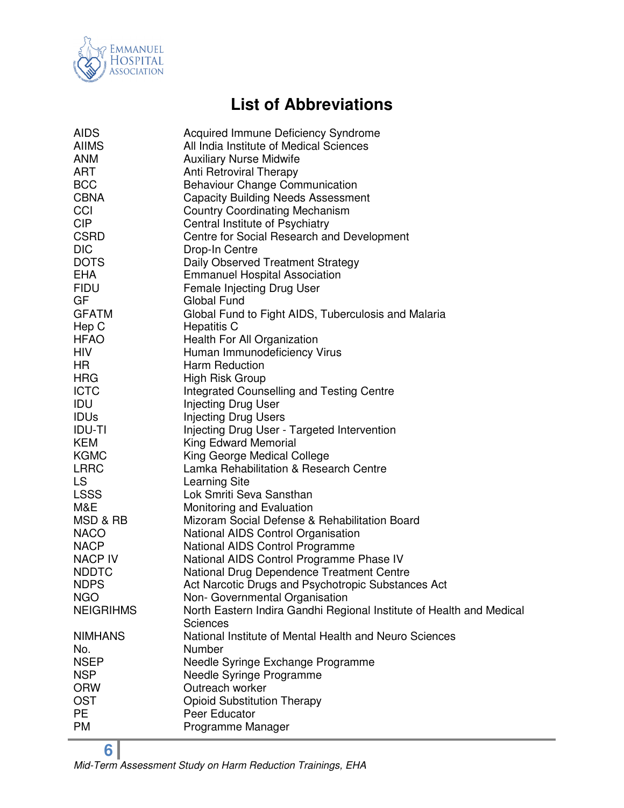

## **List of Abbreviations**

| <b>AIDS</b>      | Acquired Immune Deficiency Syndrome                                  |
|------------------|----------------------------------------------------------------------|
| <b>AIIMS</b>     | All India Institute of Medical Sciences                              |
| <b>ANM</b>       | <b>Auxiliary Nurse Midwife</b>                                       |
| <b>ART</b>       | Anti Retroviral Therapy                                              |
| <b>BCC</b>       | <b>Behaviour Change Communication</b>                                |
| <b>CBNA</b>      | <b>Capacity Building Needs Assessment</b>                            |
| CCI              | <b>Country Coordinating Mechanism</b>                                |
| <b>CIP</b>       | Central Institute of Psychiatry                                      |
| <b>CSRD</b>      | Centre for Social Research and Development                           |
| <b>DIC</b>       | Drop-In Centre                                                       |
| <b>DOTS</b>      | Daily Observed Treatment Strategy                                    |
| <b>EHA</b>       | <b>Emmanuel Hospital Association</b>                                 |
| <b>FIDU</b>      | Female Injecting Drug User                                           |
| <b>GF</b>        | Global Fund                                                          |
| <b>GFATM</b>     | Global Fund to Fight AIDS, Tuberculosis and Malaria                  |
| Hep C            | <b>Hepatitis C</b>                                                   |
| <b>HFAO</b>      | Health For All Organization                                          |
| <b>HIV</b>       | Human Immunodeficiency Virus                                         |
| HR               | Harm Reduction                                                       |
| <b>HRG</b>       | High Risk Group                                                      |
| <b>ICTC</b>      | <b>Integrated Counselling and Testing Centre</b>                     |
| <b>IDU</b>       | <b>Injecting Drug User</b>                                           |
| <b>IDUs</b>      | <b>Injecting Drug Users</b>                                          |
| <b>IDU-TI</b>    | Injecting Drug User - Targeted Intervention                          |
| <b>KEM</b>       | King Edward Memorial                                                 |
| <b>KGMC</b>      | King George Medical College                                          |
| <b>LRRC</b>      | Lamka Rehabilitation & Research Centre                               |
| <b>LS</b>        | <b>Learning Site</b>                                                 |
| <b>LSSS</b>      | Lok Smriti Seva Sansthan                                             |
| M&E              | Monitoring and Evaluation                                            |
| MSD & RB         | Mizoram Social Defense & Rehabilitation Board                        |
| <b>NACO</b>      | National AIDS Control Organisation                                   |
| <b>NACP</b>      | National AIDS Control Programme                                      |
| NACP IV          | National AIDS Control Programme Phase IV                             |
| <b>NDDTC</b>     | National Drug Dependence Treatment Centre                            |
| <b>NDPS</b>      | Act Narcotic Drugs and Psychotropic Substances Act                   |
| <b>NGO</b>       | Non- Governmental Organisation                                       |
| <b>NEIGRIHMS</b> | North Eastern Indira Gandhi Regional Institute of Health and Medical |
|                  | <b>Sciences</b>                                                      |
| <b>NIMHANS</b>   | National Institute of Mental Health and Neuro Sciences               |
| No.              | Number                                                               |
| <b>NSEP</b>      | Needle Syringe Exchange Programme                                    |
| <b>NSP</b>       | Needle Syringe Programme                                             |
| <b>ORW</b>       | Outreach worker                                                      |
| <b>OST</b>       | <b>Opioid Substitution Therapy</b>                                   |
| PE               | Peer Educator                                                        |
| <b>PM</b>        | Programme Manager                                                    |
|                  |                                                                      |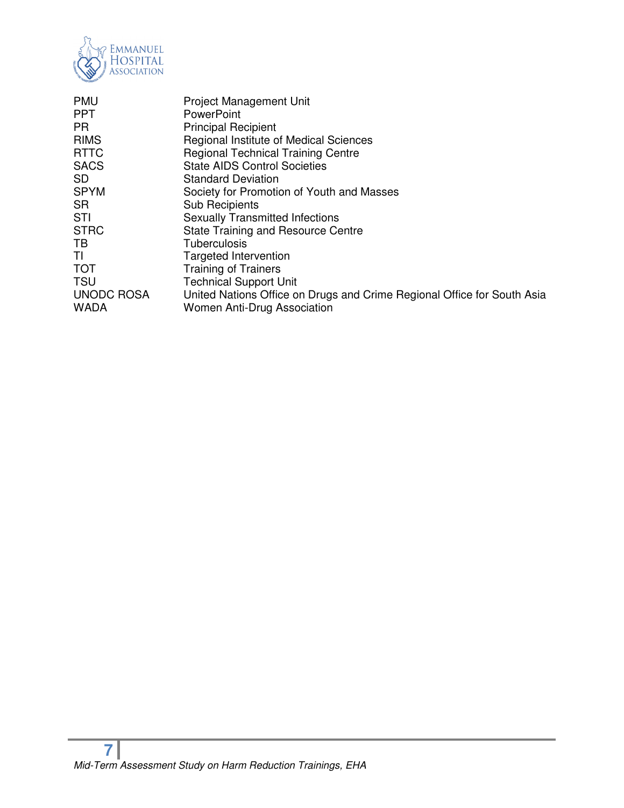

| <b>PMU</b><br><b>PPT</b>         | <b>Project Management Unit</b><br><b>PowerPoint</b>                                                    |
|----------------------------------|--------------------------------------------------------------------------------------------------------|
| <b>PR</b>                        | <b>Principal Recipient</b>                                                                             |
| <b>RIMS</b>                      | Regional Institute of Medical Sciences                                                                 |
| <b>RTTC</b>                      | <b>Regional Technical Training Centre</b>                                                              |
| <b>SACS</b>                      | <b>State AIDS Control Societies</b>                                                                    |
| <b>SD</b>                        | <b>Standard Deviation</b>                                                                              |
| <b>SPYM</b>                      | Society for Promotion of Youth and Masses                                                              |
| <b>SR</b>                        | <b>Sub Recipients</b>                                                                                  |
| <b>STI</b>                       | <b>Sexually Transmitted Infections</b>                                                                 |
| <b>STRC</b>                      | State Training and Resource Centre                                                                     |
| TB                               | <b>Tuberculosis</b>                                                                                    |
| ΤI                               | Targeted Intervention                                                                                  |
| <b>TOT</b>                       | <b>Training of Trainers</b>                                                                            |
| <b>TSU</b>                       | <b>Technical Support Unit</b>                                                                          |
| <b>UNODC ROSA</b><br><b>WADA</b> | United Nations Office on Drugs and Crime Regional Office for South Asia<br>Women Anti-Drug Association |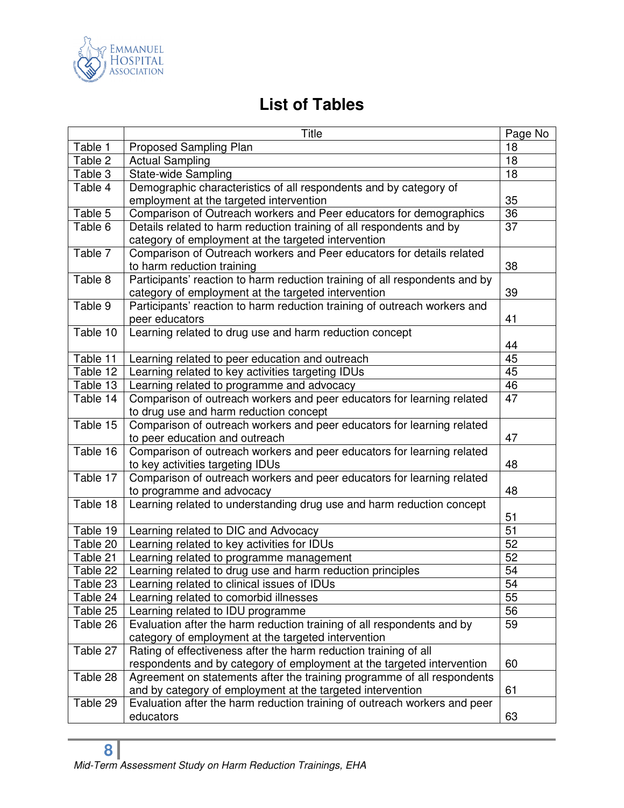

### **List of Tables**

|          | Title                                                                                              | Page No         |
|----------|----------------------------------------------------------------------------------------------------|-----------------|
| Table 1  | <b>Proposed Sampling Plan</b>                                                                      | 18              |
| Table 2  | <b>Actual Sampling</b>                                                                             | 18              |
| Table 3  | State-wide Sampling                                                                                | 18              |
| Table 4  | Demographic characteristics of all respondents and by category of                                  |                 |
|          | employment at the targeted intervention                                                            | 35              |
| Table 5  | Comparison of Outreach workers and Peer educators for demographics                                 | 36              |
| Table 6  | Details related to harm reduction training of all respondents and by                               | 37              |
|          | category of employment at the targeted intervention                                                |                 |
| Table 7  | Comparison of Outreach workers and Peer educators for details related                              |                 |
|          | to harm reduction training                                                                         | 38              |
| Table 8  | Participants' reaction to harm reduction training of all respondents and by                        |                 |
|          | category of employment at the targeted intervention                                                | 39              |
| Table 9  | Participants' reaction to harm reduction training of outreach workers and                          |                 |
|          | peer educators                                                                                     | 41              |
| Table 10 | Learning related to drug use and harm reduction concept                                            |                 |
|          |                                                                                                    | 44              |
| Table 11 | Learning related to peer education and outreach                                                    | 45              |
| Table 12 | Learning related to key activities targeting IDUs                                                  | 45              |
| Table 13 | Learning related to programme and advocacy                                                         | 46<br>47        |
| Table 14 | Comparison of outreach workers and peer educators for learning related                             |                 |
|          | to drug use and harm reduction concept                                                             |                 |
| Table 15 | Comparison of outreach workers and peer educators for learning related                             |                 |
|          | to peer education and outreach                                                                     | 47              |
| Table 16 | Comparison of outreach workers and peer educators for learning related                             |                 |
|          | to key activities targeting IDUs                                                                   | 48              |
| Table 17 | Comparison of outreach workers and peer educators for learning related                             | 48              |
| Table 18 | to programme and advocacy<br>Learning related to understanding drug use and harm reduction concept |                 |
|          |                                                                                                    | 51              |
| Table 19 | Learning related to DIC and Advocacy                                                               | $\overline{51}$ |
| Table 20 | Learning related to key activities for IDUs                                                        | 52              |
| Table 21 | Learning related to programme management                                                           | 52              |
| Table 22 | Learning related to drug use and harm reduction principles                                         | 54              |
| Table 23 | Learning related to clinical issues of IDUs                                                        | 54              |
| Table 24 | Learning related to comorbid illnesses                                                             | 55              |
| Table 25 | Learning related to IDU programme                                                                  | 56              |
| Table 26 | Evaluation after the harm reduction training of all respondents and by                             | 59              |
|          | category of employment at the targeted intervention                                                |                 |
| Table 27 | Rating of effectiveness after the harm reduction training of all                                   |                 |
|          | respondents and by category of employment at the targeted intervention                             | 60              |
| Table 28 | Agreement on statements after the training programme of all respondents                            |                 |
|          | and by category of employment at the targeted intervention                                         | 61              |
| Table 29 | Evaluation after the harm reduction training of outreach workers and peer                          |                 |
|          | educators                                                                                          | 63              |
|          |                                                                                                    |                 |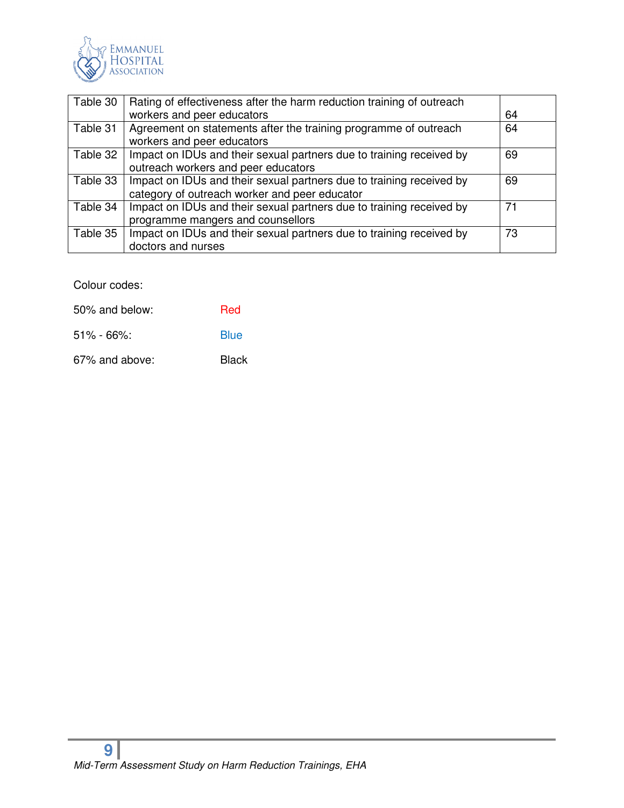

| Table 30 | Rating of effectiveness after the harm reduction training of outreach |    |
|----------|-----------------------------------------------------------------------|----|
|          | workers and peer educators                                            | 64 |
| Table 31 | Agreement on statements after the training programme of outreach      | 64 |
|          | workers and peer educators                                            |    |
| Table 32 | Impact on IDUs and their sexual partners due to training received by  | 69 |
|          | outreach workers and peer educators                                   |    |
| Table 33 | Impact on IDUs and their sexual partners due to training received by  | 69 |
|          | category of outreach worker and peer educator                         |    |
| Table 34 | Impact on IDUs and their sexual partners due to training received by  | 71 |
|          | programme mangers and counsellors                                     |    |
| Table 35 | Impact on IDUs and their sexual partners due to training received by  | 73 |
|          | doctors and nurses                                                    |    |

Colour codes:

| 50% and below: | <b>Red</b>  |
|----------------|-------------|
| $51\% - 66\%$  | <b>Blue</b> |

67% and above: Black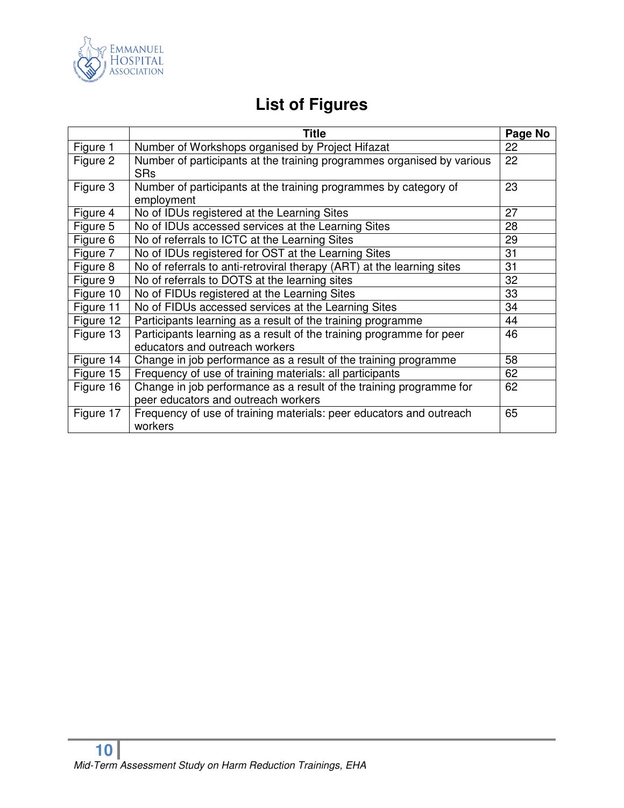

## **List of Figures**

|           | <b>Title</b>                                                                                               | Page No |
|-----------|------------------------------------------------------------------------------------------------------------|---------|
| Figure 1  | Number of Workshops organised by Project Hifazat                                                           | 22      |
| Figure 2  | Number of participants at the training programmes organised by various<br><b>SRs</b>                       | 22      |
| Figure 3  | Number of participants at the training programmes by category of<br>employment                             | 23      |
| Figure 4  | No of IDUs registered at the Learning Sites                                                                | 27      |
| Figure 5  | No of IDUs accessed services at the Learning Sites                                                         | 28      |
| Figure 6  | No of referrals to ICTC at the Learning Sites                                                              | 29      |
| Figure 7  | No of IDUs registered for OST at the Learning Sites                                                        | 31      |
| Figure 8  | No of referrals to anti-retroviral therapy (ART) at the learning sites                                     | 31      |
| Figure 9  | No of referrals to DOTS at the learning sites                                                              | 32      |
| Figure 10 | No of FIDUs registered at the Learning Sites                                                               | 33      |
| Figure 11 | No of FIDUs accessed services at the Learning Sites                                                        | 34      |
| Figure 12 | Participants learning as a result of the training programme                                                | 44      |
| Figure 13 | Participants learning as a result of the training programme for peer<br>educators and outreach workers     | 46      |
| Figure 14 | Change in job performance as a result of the training programme                                            | 58      |
| Figure 15 | Frequency of use of training materials: all participants                                                   | 62      |
| Figure 16 | Change in job performance as a result of the training programme for<br>peer educators and outreach workers | 62      |
| Figure 17 | Frequency of use of training materials: peer educators and outreach<br>workers                             | 65      |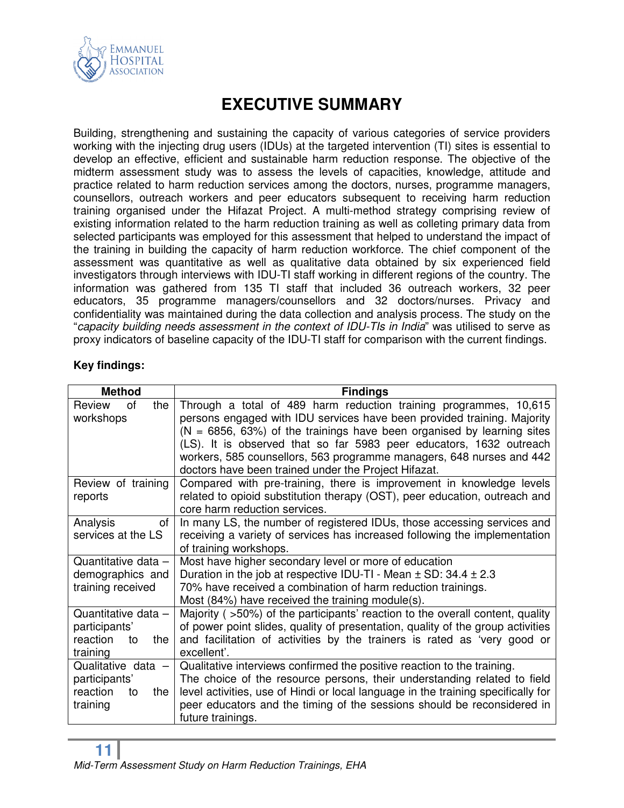

### **EXECUTIVE SUMMARY**

Building, strengthening and sustaining the capacity of various categories of service providers working with the injecting drug users (IDUs) at the targeted intervention (TI) sites is essential to develop an effective, efficient and sustainable harm reduction response. The objective of the midterm assessment study was to assess the levels of capacities, knowledge, attitude and practice related to harm reduction services among the doctors, nurses, programme managers, counsellors, outreach workers and peer educators subsequent to receiving harm reduction training organised under the Hifazat Project. A multi-method strategy comprising review of existing information related to the harm reduction training as well as colleting primary data from selected participants was employed for this assessment that helped to understand the impact of the training in building the capacity of harm reduction workforce. The chief component of the assessment was quantitative as well as qualitative data obtained by six experienced field investigators through interviews with IDU-TI staff working in different regions of the country. The information was gathered from 135 TI staff that included 36 outreach workers, 32 peer educators, 35 programme managers/counsellors and 32 doctors/nurses. Privacy and confidentiality was maintained during the data collection and analysis process. The study on the "capacity building needs assessment in the context of IDU-TIs in India" was utilised to serve as proxy indicators of baseline capacity of the IDU-TI staff for comparison with the current findings.

#### **Key findings:**

| <b>Method</b>                                                              | <b>Findings</b>                                                                                                                                                                                                                                                                                                                                                                                                                 |  |  |
|----------------------------------------------------------------------------|---------------------------------------------------------------------------------------------------------------------------------------------------------------------------------------------------------------------------------------------------------------------------------------------------------------------------------------------------------------------------------------------------------------------------------|--|--|
| Review<br>of<br>the<br>workshops                                           | Through a total of 489 harm reduction training programmes, 10,615<br>persons engaged with IDU services have been provided training. Majority<br>$(N = 6856, 63%)$ of the trainings have been organised by learning sites<br>(LS). It is observed that so far 5983 peer educators, 1632 outreach<br>workers, 585 counsellors, 563 programme managers, 648 nurses and 442<br>doctors have been trained under the Project Hifazat. |  |  |
| Review of training<br>reports                                              | Compared with pre-training, there is improvement in knowledge levels<br>related to opioid substitution therapy (OST), peer education, outreach and<br>core harm reduction services.                                                                                                                                                                                                                                             |  |  |
| Analysis<br>of<br>services at the LS                                       | In many LS, the number of registered IDUs, those accessing services and<br>receiving a variety of services has increased following the implementation<br>of training workshops.                                                                                                                                                                                                                                                 |  |  |
| Quantitative data -<br>demographics and<br>training received               | Most have higher secondary level or more of education<br>Duration in the job at respective IDU-TI - Mean $\pm$ SD: 34.4 $\pm$ 2.3<br>70% have received a combination of harm reduction trainings.<br>Most (84%) have received the training module(s).                                                                                                                                                                           |  |  |
| Quantitative data -<br>participants'<br>reaction<br>the<br>to<br>training  | Majority (>50%) of the participants' reaction to the overall content, quality<br>of power point slides, quality of presentation, quality of the group activities<br>and facilitation of activities by the trainers is rated as 'very good or<br>excellent'.                                                                                                                                                                     |  |  |
| Qualitative data $-$<br>participants'<br>reaction<br>the<br>to<br>training | Qualitative interviews confirmed the positive reaction to the training.<br>The choice of the resource persons, their understanding related to field<br>level activities, use of Hindi or local language in the training specifically for<br>peer educators and the timing of the sessions should be reconsidered in<br>future trainings.                                                                                        |  |  |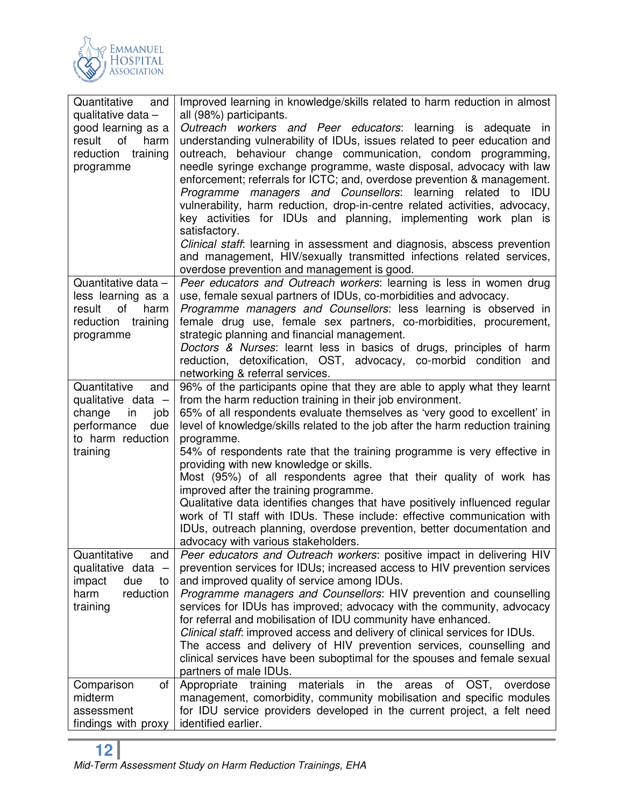

| Quantitative<br>and   | Improved learning in knowledge/skills related to harm reduction in almost              |
|-----------------------|----------------------------------------------------------------------------------------|
| qualitative data -    | all (98%) participants.                                                                |
| good learning as a    | Outreach workers and Peer educators: learning is adequate in                           |
| harm<br>result<br>of  | understanding vulnerability of IDUs, issues related to peer education and              |
| reduction<br>training | outreach, behaviour change communication, condom programming,                          |
| programme             | needle syringe exchange programme, waste disposal, advocacy with law                   |
|                       | enforcement; referrals for ICTC; and, overdose prevention & management.                |
|                       | Programme managers and Counsellors: learning related to IDU                            |
|                       | vulnerability, harm reduction, drop-in-centre related activities, advocacy,            |
|                       | key activities for IDUs and planning, implementing work plan is                        |
|                       | satisfactory.                                                                          |
|                       | Clinical staff: learning in assessment and diagnosis, abscess prevention               |
|                       | and management, HIV/sexually transmitted infections related services,                  |
|                       | overdose prevention and management is good.                                            |
| Quantitative data -   | Peer educators and Outreach workers: learning is less in women drug                    |
| less learning as a    | use, female sexual partners of IDUs, co-morbidities and advocacy.                      |
| result<br>of<br>harm  | Programme managers and Counsellors: less learning is observed in                       |
| reduction training    | female drug use, female sex partners, co-morbidities, procurement,                     |
| programme             | strategic planning and financial management.                                           |
|                       | Doctors & Nurses: learnt less in basics of drugs, principles of harm                   |
|                       | reduction, detoxification, OST, advocacy, co-morbid condition and                      |
|                       | networking & referral services.                                                        |
| Quantitative<br>and   | 96% of the participants opine that they are able to apply what they learnt             |
| qualitative data $-$  | from the harm reduction training in their job environment.                             |
| in<br>change<br>job   | 65% of all respondents evaluate themselves as 'very good to excellent' in              |
| due<br>performance    | level of knowledge/skills related to the job after the harm reduction training         |
| to harm reduction     | programme.<br>54% of respondents rate that the training programme is very effective in |
| training              | providing with new knowledge or skills.                                                |
|                       | Most (95%) of all respondents agree that their quality of work has                     |
|                       | improved after the training programme.                                                 |
|                       | Qualitative data identifies changes that have positively influenced regular            |
|                       | work of TI staff with IDUs. These include: effective communication with                |
|                       | IDUs, outreach planning, overdose prevention, better documentation and                 |
|                       | advocacy with various stakeholders.                                                    |
| Quantitative<br>and   | Peer educators and Outreach workers: positive impact in delivering HIV                 |
| qualitative data -    | prevention services for IDUs; increased access to HIV prevention services              |
| impact<br>due<br>to   | and improved quality of service among IDUs.                                            |
| harm<br>reduction     | Programme managers and Counsellors: HIV prevention and counselling                     |
| training              | services for IDUs has improved; advocacy with the community, advocacy                  |
|                       | for referral and mobilisation of IDU community have enhanced.                          |
|                       | Clinical staff: improved access and delivery of clinical services for IDUs.            |
|                       | The access and delivery of HIV prevention services, counselling and                    |
|                       | clinical services have been suboptimal for the spouses and female sexual               |
|                       | partners of male IDUs.                                                                 |
| of<br>Comparison      | materials<br>Appropriate<br>training<br>OST,<br>in<br>the<br>areas<br>overdose<br>οf   |
| midterm               | management, comorbidity, community mobilisation and specific modules                   |
| assessment            | for IDU service providers developed in the current project, a felt need                |
| findings with proxy   | identified earlier.                                                                    |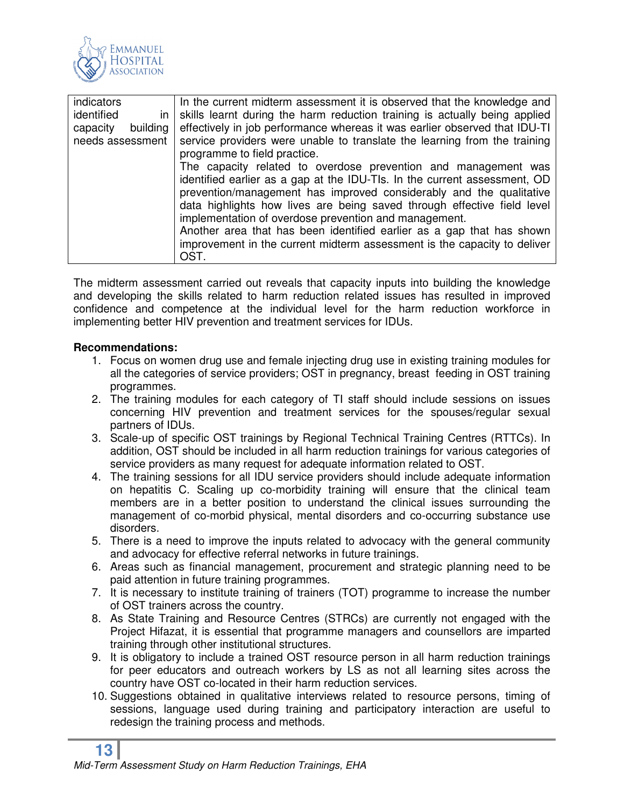

| indicators<br>identified<br>in. | In the current midterm assessment it is observed that the knowledge and<br>skills learnt during the harm reduction training is actually being applied |  |  |  |
|---------------------------------|-------------------------------------------------------------------------------------------------------------------------------------------------------|--|--|--|
| building<br>capacity            | effectively in job performance whereas it was earlier observed that IDU-TI                                                                            |  |  |  |
|                                 |                                                                                                                                                       |  |  |  |
| needs assessment                | service providers were unable to translate the learning from the training                                                                             |  |  |  |
|                                 | programme to field practice.                                                                                                                          |  |  |  |
|                                 | The capacity related to overdose prevention and management was                                                                                        |  |  |  |
|                                 | identified earlier as a gap at the IDU-TIs. In the current assessment, OD                                                                             |  |  |  |
|                                 | prevention/management has improved considerably and the qualitative                                                                                   |  |  |  |
|                                 | data highlights how lives are being saved through effective field level                                                                               |  |  |  |
|                                 | implementation of overdose prevention and management.                                                                                                 |  |  |  |
|                                 | Another area that has been identified earlier as a gap that has shown                                                                                 |  |  |  |
|                                 | improvement in the current midterm assessment is the capacity to deliver                                                                              |  |  |  |
|                                 | OST.                                                                                                                                                  |  |  |  |

The midterm assessment carried out reveals that capacity inputs into building the knowledge and developing the skills related to harm reduction related issues has resulted in improved confidence and competence at the individual level for the harm reduction workforce in implementing better HIV prevention and treatment services for IDUs.

#### **Recommendations:**

- 1. Focus on women drug use and female injecting drug use in existing training modules for all the categories of service providers; OST in pregnancy, breast feeding in OST training programmes.
- 2. The training modules for each category of TI staff should include sessions on issues concerning HIV prevention and treatment services for the spouses/regular sexual partners of IDUs.
- 3. Scale-up of specific OST trainings by Regional Technical Training Centres (RTTCs). In addition, OST should be included in all harm reduction trainings for various categories of service providers as many request for adequate information related to OST.
- 4. The training sessions for all IDU service providers should include adequate information on hepatitis C. Scaling up co-morbidity training will ensure that the clinical team members are in a better position to understand the clinical issues surrounding the management of co-morbid physical, mental disorders and co-occurring substance use disorders.
- 5. There is a need to improve the inputs related to advocacy with the general community and advocacy for effective referral networks in future trainings.
- 6. Areas such as financial management, procurement and strategic planning need to be paid attention in future training programmes.
- 7. It is necessary to institute training of trainers (TOT) programme to increase the number of OST trainers across the country.
- 8. As State Training and Resource Centres (STRCs) are currently not engaged with the Project Hifazat, it is essential that programme managers and counsellors are imparted training through other institutional structures.
- 9. It is obligatory to include a trained OST resource person in all harm reduction trainings for peer educators and outreach workers by LS as not all learning sites across the country have OST co-located in their harm reduction services.
- 10. Suggestions obtained in qualitative interviews related to resource persons, timing of sessions, language used during training and participatory interaction are useful to redesign the training process and methods.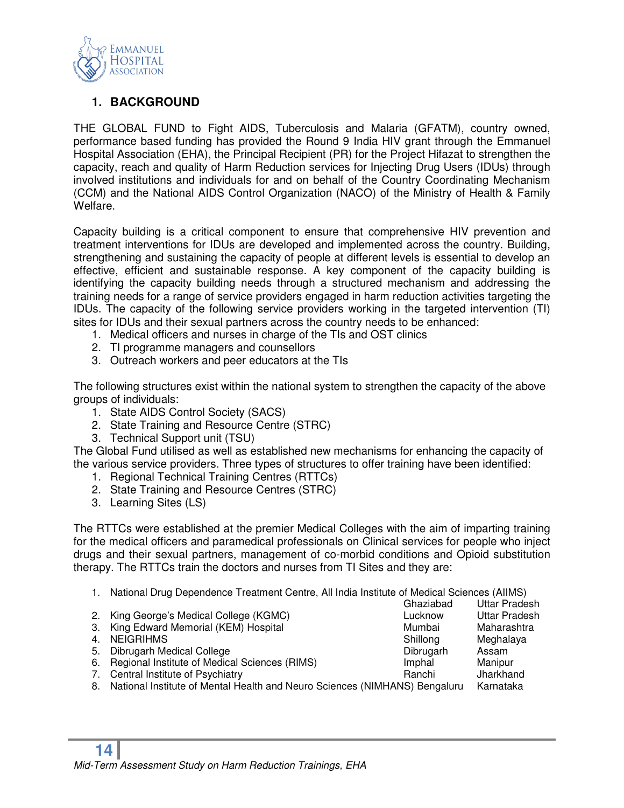

#### **1. BACKGROUND**

THE GLOBAL FUND to Fight AIDS, Tuberculosis and Malaria (GFATM), country owned, performance based funding has provided the Round 9 India HIV grant through the Emmanuel Hospital Association (EHA), the Principal Recipient (PR) for the Project Hifazat to strengthen the capacity, reach and quality of Harm Reduction services for Injecting Drug Users (IDUs) through involved institutions and individuals for and on behalf of the Country Coordinating Mechanism (CCM) and the National AIDS Control Organization (NACO) of the Ministry of Health & Family Welfare.

Capacity building is a critical component to ensure that comprehensive HIV prevention and treatment interventions for IDUs are developed and implemented across the country. Building, strengthening and sustaining the capacity of people at different levels is essential to develop an effective, efficient and sustainable response. A key component of the capacity building is identifying the capacity building needs through a structured mechanism and addressing the training needs for a range of service providers engaged in harm reduction activities targeting the IDUs. The capacity of the following service providers working in the targeted intervention (TI) sites for IDUs and their sexual partners across the country needs to be enhanced:

- 1. Medical officers and nurses in charge of the TIs and OST clinics
- 2. TI programme managers and counsellors
- 3. Outreach workers and peer educators at the TIs

The following structures exist within the national system to strengthen the capacity of the above groups of individuals:

- 1. State AIDS Control Society (SACS)
- 2. State Training and Resource Centre (STRC)
- 3. Technical Support unit (TSU)

The Global Fund utilised as well as established new mechanisms for enhancing the capacity of the various service providers. Three types of structures to offer training have been identified:

- 1. Regional Technical Training Centres (RTTCs)
- 2. State Training and Resource Centres (STRC)
- 3. Learning Sites (LS)

The RTTCs were established at the premier Medical Colleges with the aim of imparting training for the medical officers and paramedical professionals on Clinical services for people who inject drugs and their sexual partners, management of co-morbid conditions and Opioid substitution therapy. The RTTCs train the doctors and nurses from TI Sites and they are:

1. National Drug Dependence Treatment Centre, All India Institute of Medical Sciences (AIIMS)

Ghaziabad Uttar Pradesh<br>Lucknow Uttar Pradesh 2. King George's Medical College (KGMC) Contained the Lucknow 3. King Edward Memorial (KEM) Hospital Mumbai Mumbai Maharashtra 4. NEIGRIHMS Shillong Meghalaya<br>5. Dibrugarh Medical College Shillong Shillong Meghalaya 5. Dibrugarh Medical College Dibrugarh Assam 6. Regional Institute of Medical Sciences (RIMS) **Imphal** Manipur 7. Central Institute of Psychiatry **Ranchi** Banchi Jharkhand 8. National Institute of Mental Health and Neuro Sciences (NIMHANS) Bengaluru Karnataka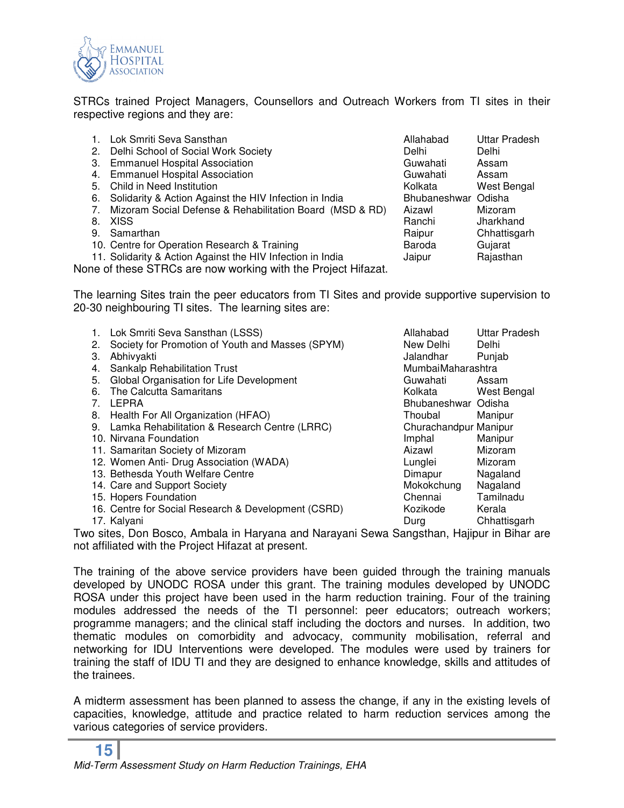

STRCs trained Project Managers, Counsellors and Outreach Workers from TI sites in their respective regions and they are:

| $\mathbf{1}$ . | Lok Smriti Seva Sansthan                                                                 | Allahabad           | Uttar Pradesh |
|----------------|------------------------------------------------------------------------------------------|---------------------|---------------|
|                | 2. Delhi School of Social Work Society                                                   | Delhi               | Delhi         |
|                | 3. Emmanuel Hospital Association                                                         | Guwahati            | Assam         |
|                | 4. Emmanuel Hospital Association                                                         | Guwahati            | Assam         |
| 5.             | Child in Need Institution                                                                | Kolkata             | West Bengal   |
| 6.             | Solidarity & Action Against the HIV Infection in India                                   | Bhubaneshwar Odisha |               |
| 7.             | Mizoram Social Defense & Rehabilitation Board (MSD & RD)                                 | Aizawl              | Mizoram       |
| 8.             | XISS                                                                                     | Ranchi              | Jharkhand     |
|                | 9. Samarthan                                                                             | Raipur              | Chhattisgarh  |
|                | 10. Centre for Operation Research & Training                                             | Baroda              | Gujarat       |
|                | 11. Solidarity & Action Against the HIV Infection in India                               | Jaipur              | Rajasthan     |
|                | $\sim$ . If the experiment $\cap$ is a second considered with the interest of the second |                     |               |

None of these STRCs are now working with the Project Hifazat.

The learning Sites train the peer educators from TI Sites and provide supportive supervision to 20-30 neighbouring TI sites. The learning sites are:

|    | Lok Smriti Seva Sansthan (LSSS)                     | Allahabad             | <b>Uttar Pradesh</b> |
|----|-----------------------------------------------------|-----------------------|----------------------|
| 2. | Society for Promotion of Youth and Masses (SPYM)    | New Delhi             | Delhi                |
| З. | Abhivyakti                                          | Jalandhar             | Punjab               |
| 4. | <b>Sankalp Rehabilitation Trust</b>                 | MumbaiMaharashtra     |                      |
| 5. | Global Organisation for Life Development            | Guwahati              | Assam                |
| 6. | The Calcutta Samaritans                             | Kolkata               | West Bengal          |
| 7. | LEPRA                                               | Bhubaneshwar Odisha   |                      |
|    | 8. Health For All Organization (HFAO)               | Thoubal               | Manipur              |
|    | 9. Lamka Rehabilitation & Research Centre (LRRC)    | Churachandpur Manipur |                      |
|    | 10. Nirvana Foundation                              | Imphal                | Manipur              |
|    | 11. Samaritan Society of Mizoram                    | Aizawl                | Mizoram              |
|    | 12. Women Anti- Drug Association (WADA)             | Lunglei               | Mizoram              |
|    | 13. Bethesda Youth Welfare Centre                   | Dimapur               | Nagaland             |
|    | 14. Care and Support Society                        | Mokokchung            | Nagaland             |
|    | 15. Hopers Foundation                               | Chennai               | Tamilnadu            |
|    | 16. Centre for Social Research & Development (CSRD) | Kozikode              | Kerala               |
|    | 17. Kalyani                                         | Durg                  | Chhattisgarh         |
|    | $\mathbf{r}$<br>.                                   |                       |                      |

Two sites, Don Bosco, Ambala in Haryana and Narayani Sewa Sangsthan, Hajipur in Bihar are not affiliated with the Project Hifazat at present.

The training of the above service providers have been guided through the training manuals developed by UNODC ROSA under this grant. The training modules developed by UNODC ROSA under this project have been used in the harm reduction training. Four of the training modules addressed the needs of the TI personnel: peer educators; outreach workers; programme managers; and the clinical staff including the doctors and nurses. In addition, two thematic modules on comorbidity and advocacy, community mobilisation, referral and networking for IDU Interventions were developed. The modules were used by trainers for training the staff of IDU TI and they are designed to enhance knowledge, skills and attitudes of the trainees.

A midterm assessment has been planned to assess the change, if any in the existing levels of capacities, knowledge, attitude and practice related to harm reduction services among the various categories of service providers.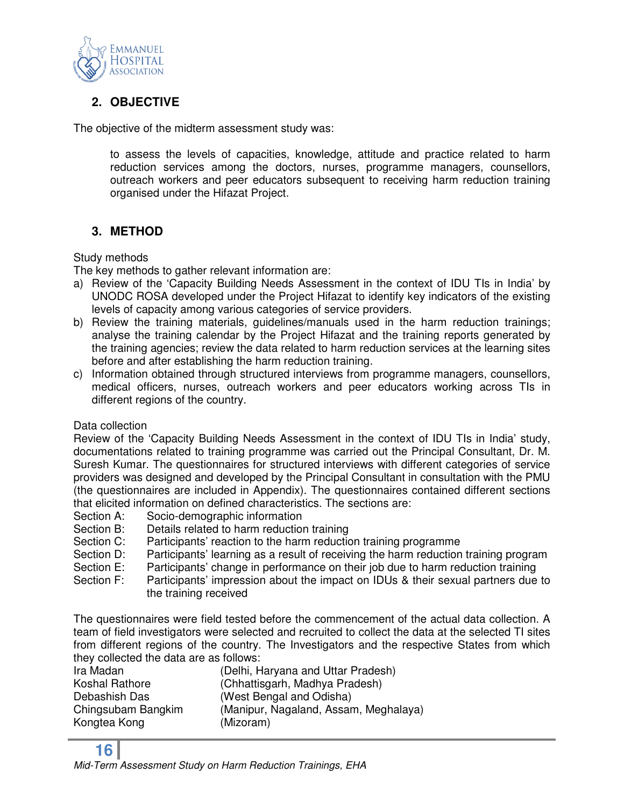

#### **2. OBJECTIVE**

The objective of the midterm assessment study was:

to assess the levels of capacities, knowledge, attitude and practice related to harm reduction services among the doctors, nurses, programme managers, counsellors, outreach workers and peer educators subsequent to receiving harm reduction training organised under the Hifazat Project.

#### **3. METHOD**

#### Study methods

The key methods to gather relevant information are:

- a) Review of the 'Capacity Building Needs Assessment in the context of IDU TIs in India' by UNODC ROSA developed under the Project Hifazat to identify key indicators of the existing levels of capacity among various categories of service providers.
- b) Review the training materials, guidelines/manuals used in the harm reduction trainings; analyse the training calendar by the Project Hifazat and the training reports generated by the training agencies; review the data related to harm reduction services at the learning sites before and after establishing the harm reduction training.
- c) Information obtained through structured interviews from programme managers, counsellors, medical officers, nurses, outreach workers and peer educators working across TIs in different regions of the country.

#### Data collection

Review of the 'Capacity Building Needs Assessment in the context of IDU TIs in India' study, documentations related to training programme was carried out the Principal Consultant, Dr. M. Suresh Kumar. The questionnaires for structured interviews with different categories of service providers was designed and developed by the Principal Consultant in consultation with the PMU (the questionnaires are included in Appendix). The questionnaires contained different sections that elicited information on defined characteristics. The sections are:

- Section A: Socio-demographic information
- Section B: Details related to harm reduction training
- Section C: Participants' reaction to the harm reduction training programme
- Section D: Participants' learning as a result of receiving the harm reduction training program
- Section E: Participants' change in performance on their job due to harm reduction training
- Section F: Participants' impression about the impact on IDUs & their sexual partners due to the training received

The questionnaires were field tested before the commencement of the actual data collection. A team of field investigators were selected and recruited to collect the data at the selected TI sites from different regions of the country. The Investigators and the respective States from which they collected the data are as follows:

| Ira Madan          | (Delhi, Haryana and Uttar Pradesh)    |
|--------------------|---------------------------------------|
| Koshal Rathore     | (Chhattisgarh, Madhya Pradesh)        |
| Debashish Das      | (West Bengal and Odisha)              |
| Chingsubam Bangkim | (Manipur, Nagaland, Assam, Meghalaya) |
| Kongtea Kong       | (Mizoram)                             |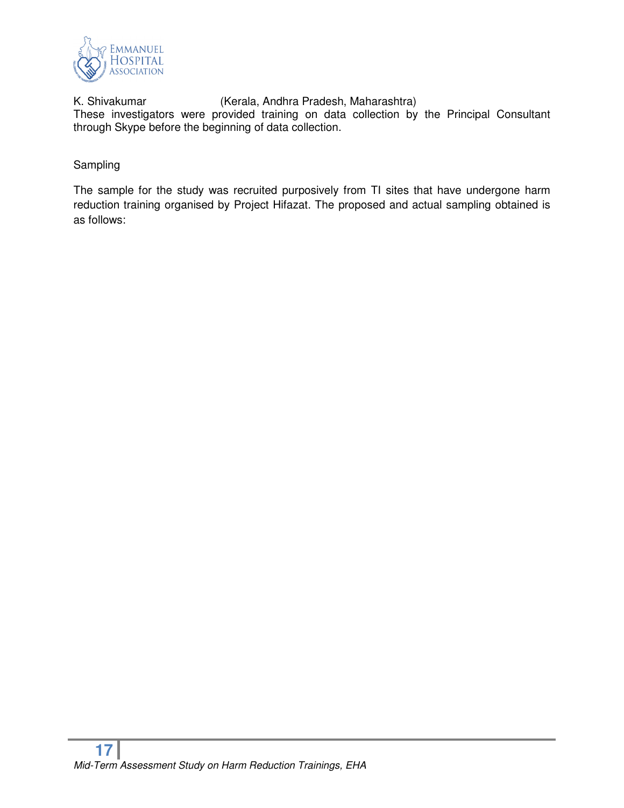

K. Shivakumar (Kerala, Andhra Pradesh, Maharashtra) These investigators were provided training on data collection by the Principal Consultant through Skype before the beginning of data collection.

#### Sampling

The sample for the study was recruited purposively from TI sites that have undergone harm reduction training organised by Project Hifazat. The proposed and actual sampling obtained is as follows: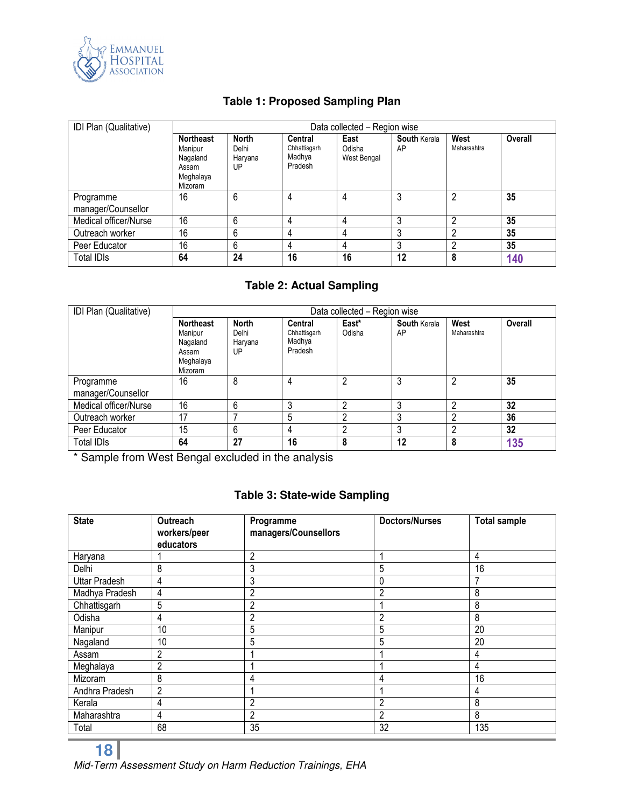

#### **Table 1: Proposed Sampling Plan**

| IDI Plan (Qualitative)          |                                                                          | Data collected - Region wise           |                                              |                               |                           |                     |         |
|---------------------------------|--------------------------------------------------------------------------|----------------------------------------|----------------------------------------------|-------------------------------|---------------------------|---------------------|---------|
|                                 | <b>Northeast</b><br>Manipur<br>Nagaland<br>Assam<br>Meghalaya<br>Mizoram | <b>North</b><br>Delhi<br>Haryana<br>UP | Central<br>Chhattisgarh<br>Madhya<br>Pradesh | East<br>Odisha<br>West Bengal | <b>South Kerala</b><br>AP | West<br>Maharashtra | Overall |
| Programme<br>manager/Counsellor | 16                                                                       | 6                                      | 4                                            | 4                             |                           | າ                   | 35      |
| Medical officer/Nurse           | 16                                                                       | 6                                      | 4                                            | 4                             | 3                         | റ                   | 35      |
| Outreach worker                 | 16                                                                       | 6                                      | 4                                            | 4                             | າ                         | n                   | 35      |
| Peer Educator                   | 16                                                                       | 6                                      | 4                                            | 4                             | 3                         | າ                   | 35      |
| <b>Total IDIs</b>               | 64                                                                       | 24                                     | 16                                           | 16                            | 12                        | 8                   | 140     |

#### **Table 2: Actual Sampling**

| IDI Plan (Qualitative)          | Data collected - Region wise                                             |                                        |                                              |                 |                           |                     |         |
|---------------------------------|--------------------------------------------------------------------------|----------------------------------------|----------------------------------------------|-----------------|---------------------------|---------------------|---------|
|                                 | <b>Northeast</b><br>Manipur<br>Nagaland<br>Assam<br>Meghalaya<br>Mizoram | <b>North</b><br>Delhi<br>Haryana<br>UP | Central<br>Chhattisgarh<br>Madhya<br>Pradesh | East*<br>Odisha | <b>South Kerala</b><br>AP | West<br>Maharashtra | Overall |
| Programme<br>manager/Counsellor | 16                                                                       | 8                                      | 4                                            | 2               | 3                         | າ                   | 35      |
| Medical officer/Nurse           | 16                                                                       | 6                                      | ◠                                            | 2               | 3                         | ŋ                   | 32      |
| Outreach worker                 | 17                                                                       |                                        | 5                                            | 2               | 3                         | ŋ                   | 36      |
| Peer Educator                   | 15                                                                       | 6                                      | 4                                            | $\mathfrak{p}$  | ົ<br>C,                   |                     | 32      |
| Total IDIs                      | 64                                                                       | 27                                     | 16                                           | 8               | 12                        | 8                   | 135     |

\* Sample from West Bengal excluded in the analysis

#### **Table 3: State-wide Sampling**

| <b>State</b>         | Outreach<br>workers/peer<br>educators | Programme<br>managers/Counsellors | <b>Doctors/Nurses</b> | <b>Total sample</b> |
|----------------------|---------------------------------------|-----------------------------------|-----------------------|---------------------|
| Haryana              |                                       | $\overline{c}$                    | 1                     | 4                   |
| Delhi                | 8                                     | 3                                 | 5                     | 16                  |
| <b>Uttar Pradesh</b> | 4                                     | 3                                 | 0                     |                     |
| Madhya Pradesh       | 4                                     | 2                                 | 2                     | 8                   |
| Chhattisgarh         | 5                                     | 2                                 |                       | 8                   |
| Odisha               | 4                                     | 2                                 | 2                     | 8                   |
| Manipur              | 10                                    | 5                                 | 5                     | 20                  |
| Nagaland             | 10                                    | 5                                 | 5                     | 20                  |
| Assam                | 2                                     |                                   |                       | 4                   |
| Meghalaya            | $\overline{c}$                        |                                   |                       | 4                   |
| Mizoram              | 8                                     | 4                                 | 4                     | 16                  |
| Andhra Pradesh       | $\overline{2}$                        |                                   |                       | 4                   |
| Kerala               | 4                                     | $\overline{2}$                    | $\overline{2}$        | 8                   |
| Maharashtra          | 4                                     | $\overline{c}$                    | $\overline{2}$        | 8                   |
| Total                | 68                                    | 35                                | 32                    | 135                 |

Mid-Term Assessment Study on Harm Reduction Trainings, EHA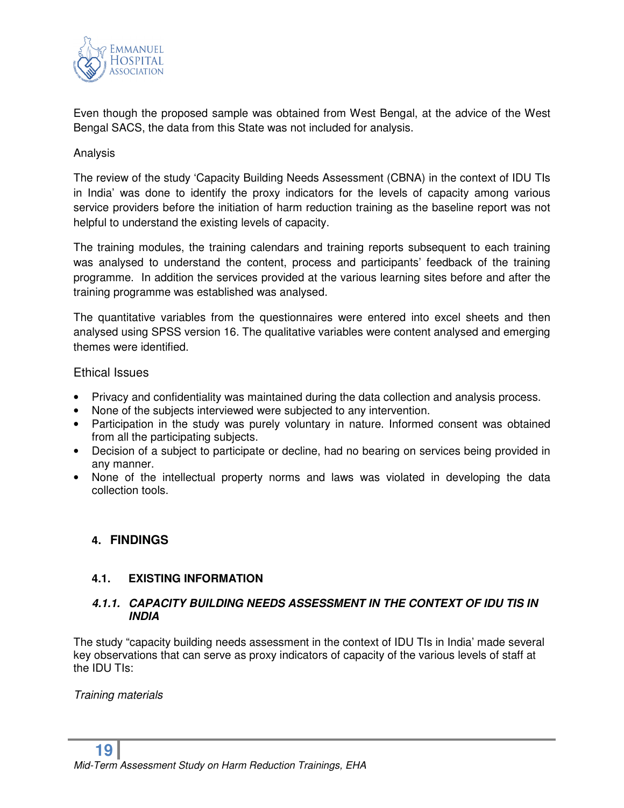

Even though the proposed sample was obtained from West Bengal, at the advice of the West Bengal SACS, the data from this State was not included for analysis.

#### Analysis

The review of the study 'Capacity Building Needs Assessment (CBNA) in the context of IDU TIs in India' was done to identify the proxy indicators for the levels of capacity among various service providers before the initiation of harm reduction training as the baseline report was not helpful to understand the existing levels of capacity.

The training modules, the training calendars and training reports subsequent to each training was analysed to understand the content, process and participants' feedback of the training programme. In addition the services provided at the various learning sites before and after the training programme was established was analysed.

The quantitative variables from the questionnaires were entered into excel sheets and then analysed using SPSS version 16. The qualitative variables were content analysed and emerging themes were identified.

#### Ethical Issues

- Privacy and confidentiality was maintained during the data collection and analysis process.
- None of the subjects interviewed were subjected to any intervention.
- Participation in the study was purely voluntary in nature. Informed consent was obtained from all the participating subjects.
- Decision of a subject to participate or decline, had no bearing on services being provided in any manner.
- None of the intellectual property norms and laws was violated in developing the data collection tools.

#### **4. FINDINGS**

#### **4.1. EXISTING INFORMATION**

#### *4.1.1. CAPACITY BUILDING NEEDS ASSESSMENT IN THE CONTEXT OF IDU TIS IN INDIA*

The study "capacity building needs assessment in the context of IDU TIs in India' made several key observations that can serve as proxy indicators of capacity of the various levels of staff at the IDU TIs:

Training materials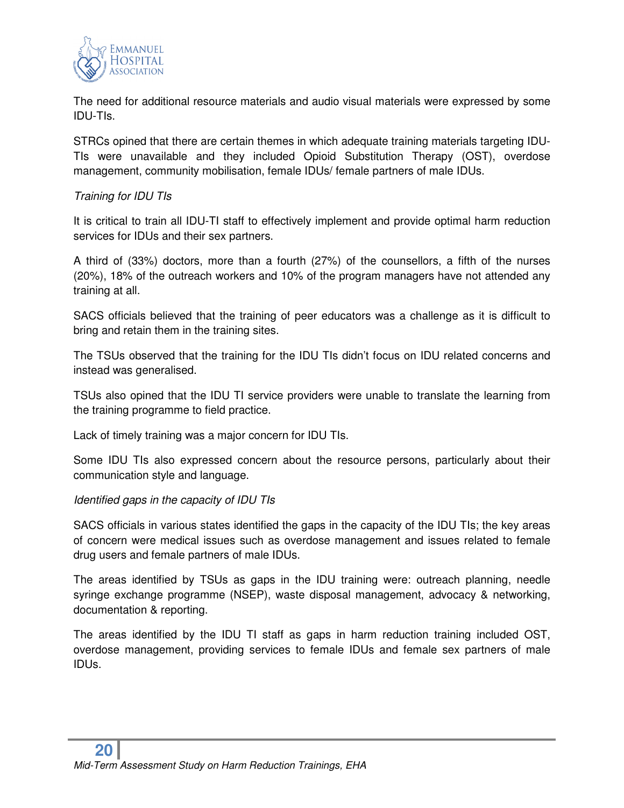

The need for additional resource materials and audio visual materials were expressed by some IDU-TIs.

STRCs opined that there are certain themes in which adequate training materials targeting IDU-TIs were unavailable and they included Opioid Substitution Therapy (OST), overdose management, community mobilisation, female IDUs/ female partners of male IDUs.

#### Training for IDU TIs

It is critical to train all IDU-TI staff to effectively implement and provide optimal harm reduction services for IDUs and their sex partners.

A third of (33%) doctors, more than a fourth (27%) of the counsellors, a fifth of the nurses (20%), 18% of the outreach workers and 10% of the program managers have not attended any training at all.

SACS officials believed that the training of peer educators was a challenge as it is difficult to bring and retain them in the training sites.

The TSUs observed that the training for the IDU TIs didn't focus on IDU related concerns and instead was generalised.

TSUs also opined that the IDU TI service providers were unable to translate the learning from the training programme to field practice.

Lack of timely training was a major concern for IDU TIs.

Some IDU TIs also expressed concern about the resource persons, particularly about their communication style and language.

#### Identified gaps in the capacity of IDU TIs

SACS officials in various states identified the gaps in the capacity of the IDU TIs; the key areas of concern were medical issues such as overdose management and issues related to female drug users and female partners of male IDUs.

The areas identified by TSUs as gaps in the IDU training were: outreach planning, needle syringe exchange programme (NSEP), waste disposal management, advocacy & networking, documentation & reporting.

The areas identified by the IDU TI staff as gaps in harm reduction training included OST, overdose management, providing services to female IDUs and female sex partners of male IDUs.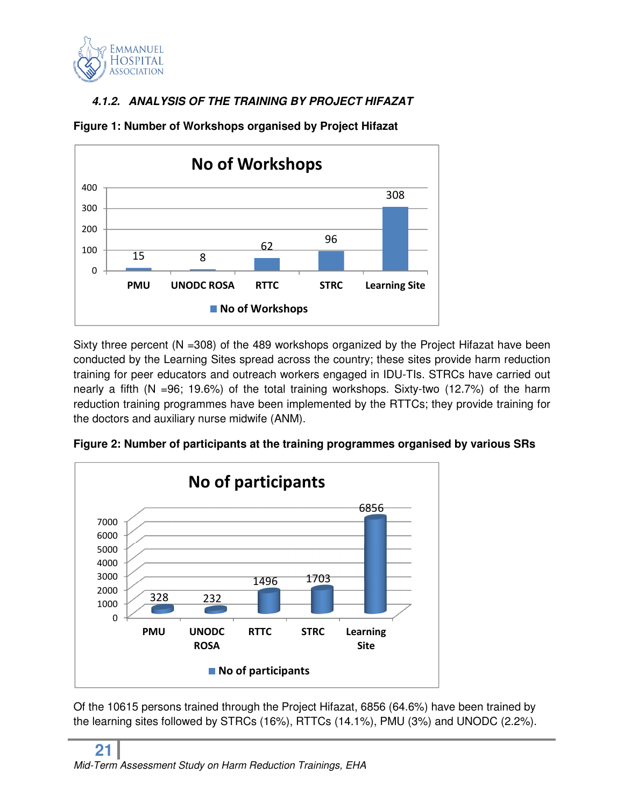

#### *4.1.2. ANALYSIS OF THE TRAINING BY PROJECT HIFAZAT*



**Figure 1: Number of Workshops organised by Project Hifazat** 

Sixty three percent ( $N = 308$ ) of the 489 workshops organized by the Project Hifazat have been conducted by the Learning Sites spread across the country; these sites provide harm reduction training for peer educators and outreach workers engaged in IDU-TIs. STRCs have carried out nearly a fifth (N =96; 19.6%) of the total training workshops. Sixty-two (12.7%) of the harm reduction training programmes have been implemented by the RTTCs; they provide training for the doctors and auxiliary nurse midwife (ANM).





Of the 10615 persons trained through the Project Hifazat, 6856 (64.6%) have been trained by the learning sites followed by STRCs (16%), RTTCs (14.1%), PMU (3%) and UNODC (2.2%).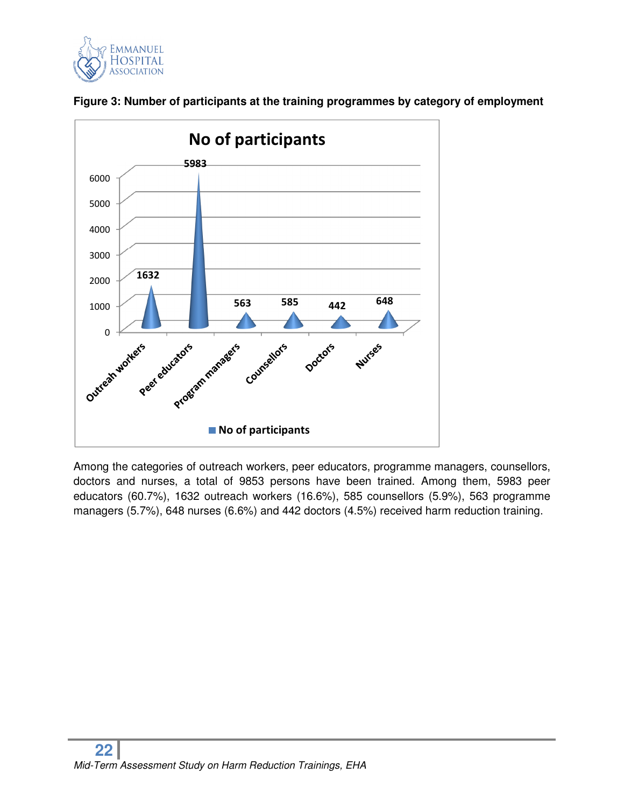





Among the categories of outreach workers, peer educators, programme managers, counsellors, doctors and nurses, a total of 9853 persons have been trained. Among them, 5983 peer educators (60.7%), 1632 outreach workers (16.6%), 585 counsellors (5.9%), 563 programme managers (5.7%), 648 nurses (6.6%) and 442 doctors (4.5%) received harm reduction training.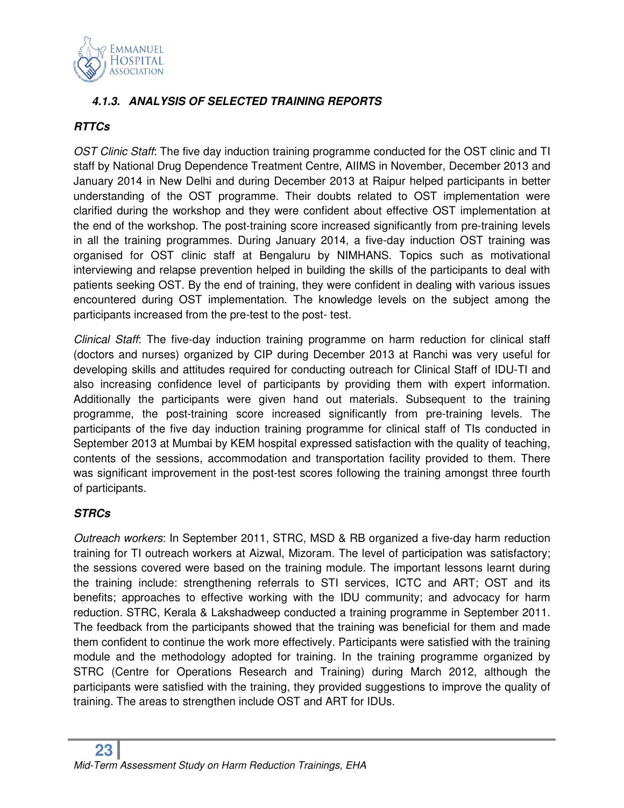

#### *4.1.3. ANALYSIS OF SELECTED TRAINING REPORTS*

#### *RTTCs*

OST Clinic Staff: The five day induction training programme conducted for the OST clinic and TI staff by National Drug Dependence Treatment Centre, AIIMS in November, December 2013 and January 2014 in New Delhi and during December 2013 at Raipur helped participants in better understanding of the OST programme. Their doubts related to OST implementation were clarified during the workshop and they were confident about effective OST implementation at the end of the workshop. The post-training score increased significantly from pre-training levels in all the training programmes. During January 2014, a five-day induction OST training was organised for OST clinic staff at Bengaluru by NIMHANS. Topics such as motivational interviewing and relapse prevention helped in building the skills of the participants to deal with patients seeking OST. By the end of training, they were confident in dealing with various issues encountered during OST implementation. The knowledge levels on the subject among the participants increased from the pre-test to the post- test.

Clinical Staff: The five-day induction training programme on harm reduction for clinical staff (doctors and nurses) organized by CIP during December 2013 at Ranchi was very useful for developing skills and attitudes required for conducting outreach for Clinical Staff of IDU-TI and also increasing confidence level of participants by providing them with expert information. Additionally the participants were given hand out materials. Subsequent to the training programme, the post-training score increased significantly from pre-training levels. The participants of the five day induction training programme for clinical staff of TIs conducted in September 2013 at Mumbai by KEM hospital expressed satisfaction with the quality of teaching, contents of the sessions, accommodation and transportation facility provided to them. There was significant improvement in the post-test scores following the training amongst three fourth of participants.

#### *STRCs*

Outreach workers: In September 2011, STRC, MSD & RB organized a five-day harm reduction training for TI outreach workers at Aizwal, Mizoram. The level of participation was satisfactory; the sessions covered were based on the training module. The important lessons learnt during the training include: strengthening referrals to STI services, ICTC and ART; OST and its benefits; approaches to effective working with the IDU community; and advocacy for harm reduction. STRC, Kerala & Lakshadweep conducted a training programme in September 2011. The feedback from the participants showed that the training was beneficial for them and made them confident to continue the work more effectively. Participants were satisfied with the training module and the methodology adopted for training. In the training programme organized by STRC (Centre for Operations Research and Training) during March 2012, although the participants were satisfied with the training, they provided suggestions to improve the quality of training. The areas to strengthen include OST and ART for IDUs.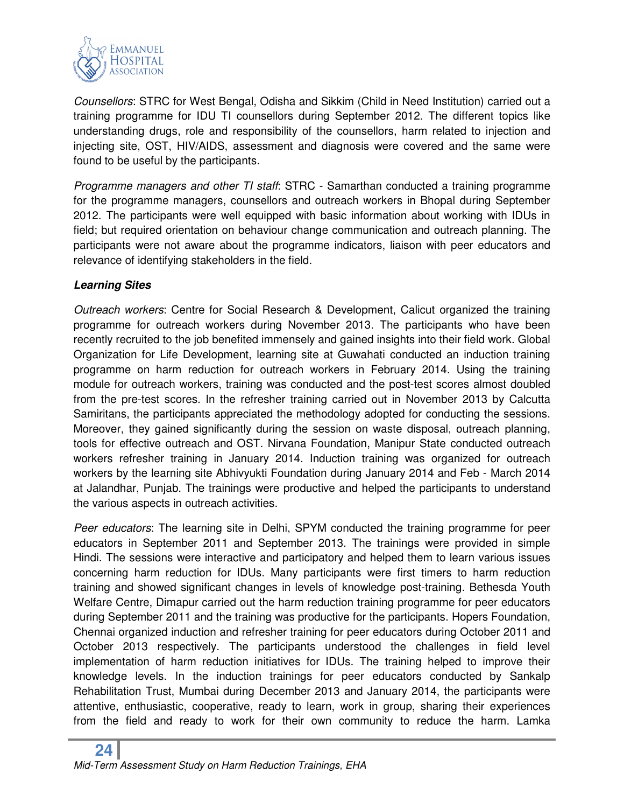

Counsellors: STRC for West Bengal, Odisha and Sikkim (Child in Need Institution) carried out a training programme for IDU TI counsellors during September 2012. The different topics like understanding drugs, role and responsibility of the counsellors, harm related to injection and injecting site, OST, HIV/AIDS, assessment and diagnosis were covered and the same were found to be useful by the participants.

Programme managers and other TI staff: STRC - Samarthan conducted a training programme for the programme managers, counsellors and outreach workers in Bhopal during September 2012. The participants were well equipped with basic information about working with IDUs in field; but required orientation on behaviour change communication and outreach planning. The participants were not aware about the programme indicators, liaison with peer educators and relevance of identifying stakeholders in the field.

#### *Learning Sites*

Outreach workers: Centre for Social Research & Development, Calicut organized the training programme for outreach workers during November 2013. The participants who have been recently recruited to the job benefited immensely and gained insights into their field work. Global Organization for Life Development, learning site at Guwahati conducted an induction training programme on harm reduction for outreach workers in February 2014. Using the training module for outreach workers, training was conducted and the post-test scores almost doubled from the pre-test scores. In the refresher training carried out in November 2013 by Calcutta Samiritans, the participants appreciated the methodology adopted for conducting the sessions. Moreover, they gained significantly during the session on waste disposal, outreach planning, tools for effective outreach and OST. Nirvana Foundation, Manipur State conducted outreach workers refresher training in January 2014. Induction training was organized for outreach workers by the learning site Abhivyukti Foundation during January 2014 and Feb - March 2014 at Jalandhar, Punjab. The trainings were productive and helped the participants to understand the various aspects in outreach activities.

Peer educators: The learning site in Delhi, SPYM conducted the training programme for peer educators in September 2011 and September 2013. The trainings were provided in simple Hindi. The sessions were interactive and participatory and helped them to learn various issues concerning harm reduction for IDUs. Many participants were first timers to harm reduction training and showed significant changes in levels of knowledge post-training. Bethesda Youth Welfare Centre, Dimapur carried out the harm reduction training programme for peer educators during September 2011 and the training was productive for the participants. Hopers Foundation, Chennai organized induction and refresher training for peer educators during October 2011 and October 2013 respectively. The participants understood the challenges in field level implementation of harm reduction initiatives for IDUs. The training helped to improve their knowledge levels. In the induction trainings for peer educators conducted by Sankalp Rehabilitation Trust, Mumbai during December 2013 and January 2014, the participants were attentive, enthusiastic, cooperative, ready to learn, work in group, sharing their experiences from the field and ready to work for their own community to reduce the harm. Lamka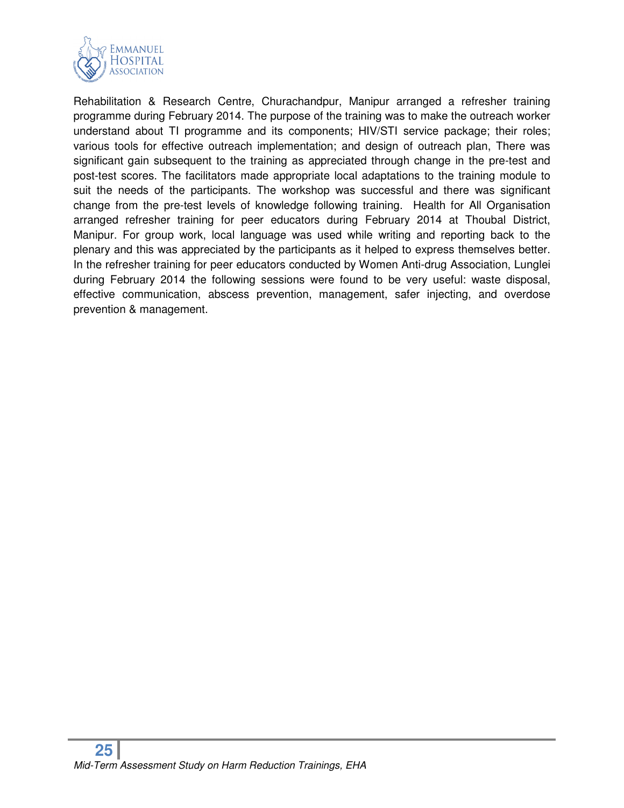

Rehabilitation & Research Centre, Churachandpur, Manipur arranged a refresher training programme during February 2014. The purpose of the training was to make the outreach worker understand about TI programme and its components; HIV/STI service package; their roles; various tools for effective outreach implementation; and design of outreach plan, There was significant gain subsequent to the training as appreciated through change in the pre-test and post-test scores. The facilitators made appropriate local adaptations to the training module to suit the needs of the participants. The workshop was successful and there was significant change from the pre-test levels of knowledge following training. Health for All Organisation arranged refresher training for peer educators during February 2014 at Thoubal District, Manipur. For group work, local language was used while writing and reporting back to the plenary and this was appreciated by the participants as it helped to express themselves better. In the refresher training for peer educators conducted by Women Anti-drug Association, Lunglei during February 2014 the following sessions were found to be very useful: waste disposal, effective communication, abscess prevention, management, safer injecting, and overdose prevention & management.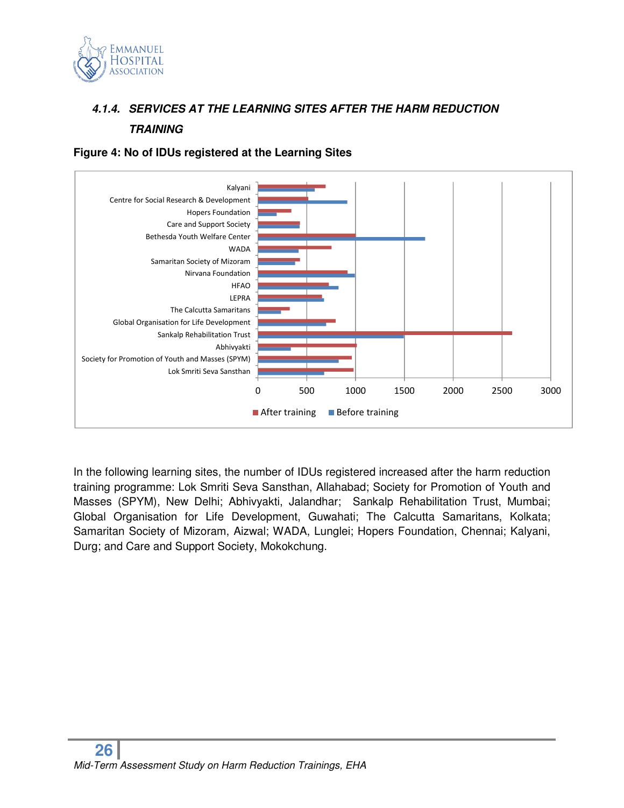

### *4.1.4. SERVICES AT THE LEARNING SITES AFTER THE HARM REDUCTION TRAINING*



**Figure 4: No of IDUs registered at the Learning Sites** 

In the following learning sites, the number of IDUs registered increased after the harm reduction training programme: Lok Smriti Seva Sansthan, Allahabad; Society for Promotion of Youth and Masses (SPYM), New Delhi; Abhivyakti, Jalandhar; Sankalp Rehabilitation Trust, Mumbai; Global Organisation for Life Development, Guwahati; The Calcutta Samaritans, Kolkata; Samaritan Society of Mizoram, Aizwal; WADA, Lunglei; Hopers Foundation, Chennai; Kalyani, Durg; and Care and Support Society, Mokokchung.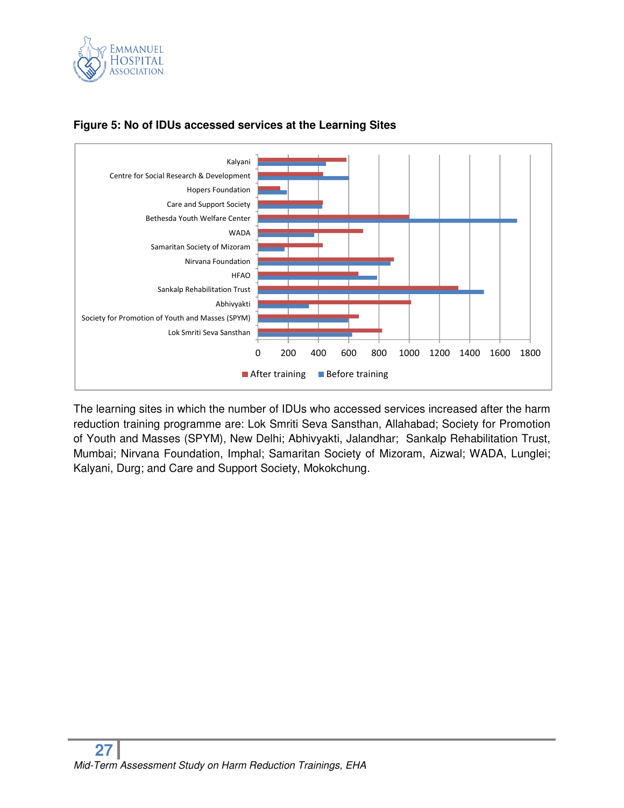



#### **Figure 5: No of IDUs accessed services at the Learning Sites**

The learning sites in which the number of IDUs who accessed services increased after the harm reduction training programme are: Lok Smriti Seva Sansthan, Allahabad; Society for Promotion of Youth and Masses (SPYM), New Delhi; Abhivyakti, Jalandhar; Sankalp Rehabilitation Trust, Mumbai; Nirvana Foundation, Imphal; Samaritan Society of Mizoram, Aizwal; WADA, Lunglei; Kalyani, Durg; and Care and Support Society, Mokokchung.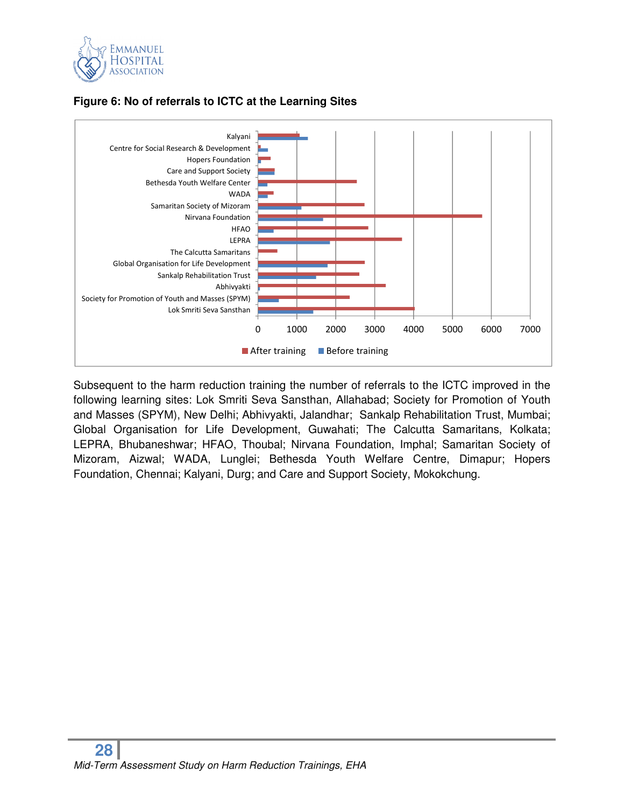

#### **Figure 6: No of referrals to ICTC at the Learning Sites**



Subsequent to the harm reduction training the number of referrals to the ICTC improved in the following learning sites: Lok Smriti Seva Sansthan, Allahabad; Society for Promotion of Youth and Masses (SPYM), New Delhi; Abhivyakti, Jalandhar; Sankalp Rehabilitation Trust, Mumbai; Global Organisation for Life Development, Guwahati; The Calcutta Samaritans, Kolkata; LEPRA, Bhubaneshwar; HFAO, Thoubal; Nirvana Foundation, Imphal; Samaritan Society of Mizoram, Aizwal; WADA, Lunglei; Bethesda Youth Welfare Centre, Dimapur; Hopers Foundation, Chennai; Kalyani, Durg; and Care and Support Society, Mokokchung.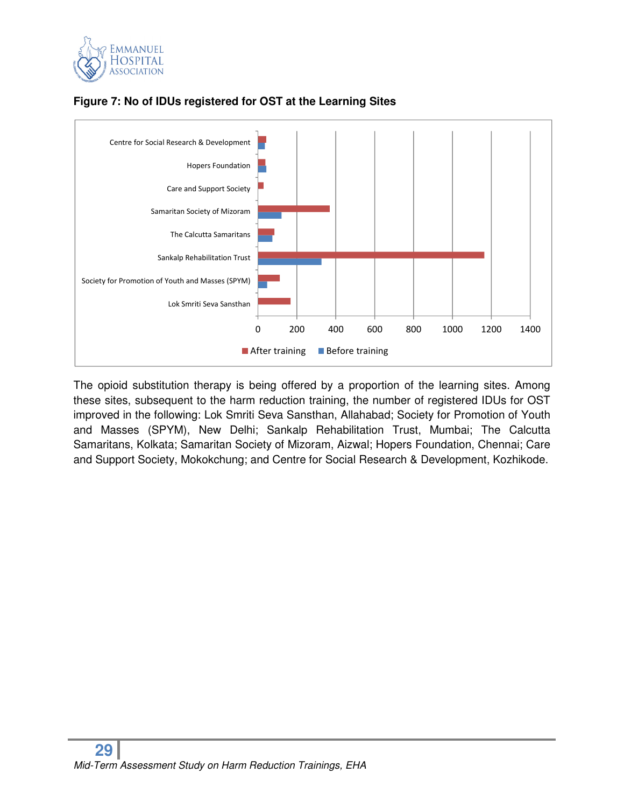



#### **Figure 7: No of IDUs registered for OST at the Learning Sites**

The opioid substitution therapy is being offered by a proportion of the learning sites. Among these sites, subsequent to the harm reduction training, the number of registered IDUs for OST improved in the following: Lok Smriti Seva Sansthan, Allahabad; Society for Promotion of Youth and Masses (SPYM), New Delhi; Sankalp Rehabilitation Trust, Mumbai; The Calcutta Samaritans, Kolkata; Samaritan Society of Mizoram, Aizwal; Hopers Foundation, Chennai; Care and Support Society, Mokokchung; and Centre for Social Research & Development, Kozhikode.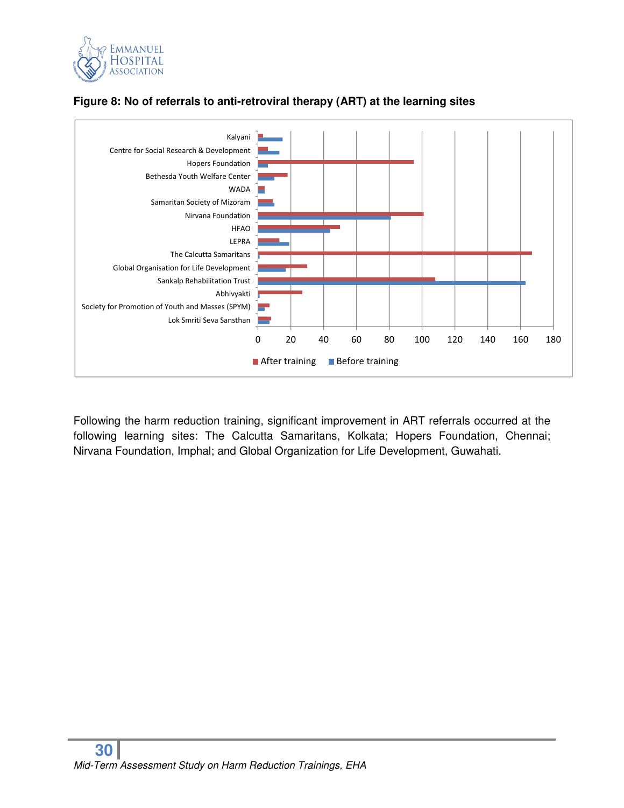



#### **Figure 8: No of referrals to anti-retroviral therapy (ART) at the learning sites**

Following the harm reduction training, significant improvement in ART referrals occurred at the following learning sites: The Calcutta Samaritans, Kolkata; Hopers Foundation, Chennai; Nirvana Foundation, Imphal; and Global Organization for Life Development, Guwahati.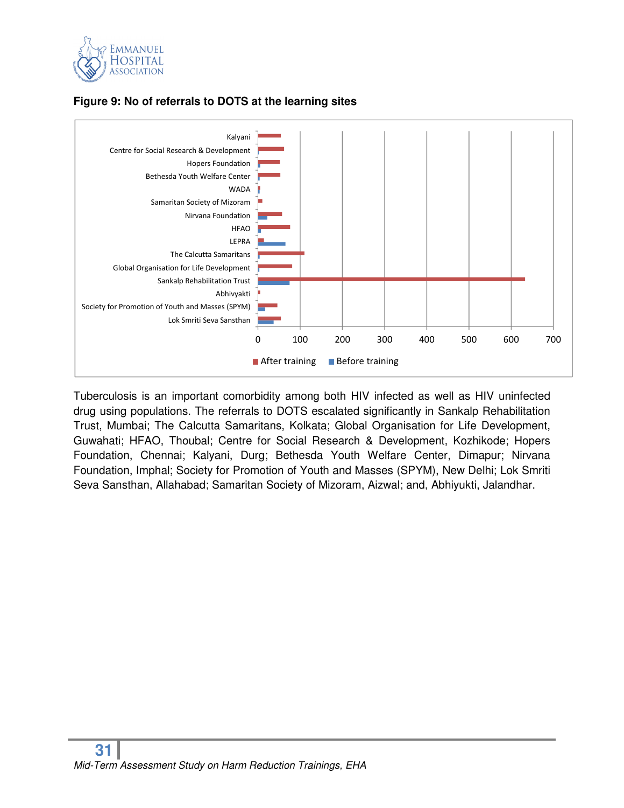



#### **Figure 9: No of referrals to DOTS at the learning sites**

Tuberculosis is an important comorbidity among both HIV infected as well as HIV uninfected drug using populations. The referrals to DOTS escalated significantly in Sankalp Rehabilitation Trust, Mumbai; The Calcutta Samaritans, Kolkata; Global Organisation for Life Development, Guwahati; HFAO, Thoubal; Centre for Social Research & Development, Kozhikode; Hopers Foundation, Chennai; Kalyani, Durg; Bethesda Youth Welfare Center, Dimapur; Nirvana Foundation, Imphal; Society for Promotion of Youth and Masses (SPYM), New Delhi; Lok Smriti Seva Sansthan, Allahabad; Samaritan Society of Mizoram, Aizwal; and, Abhiyukti, Jalandhar.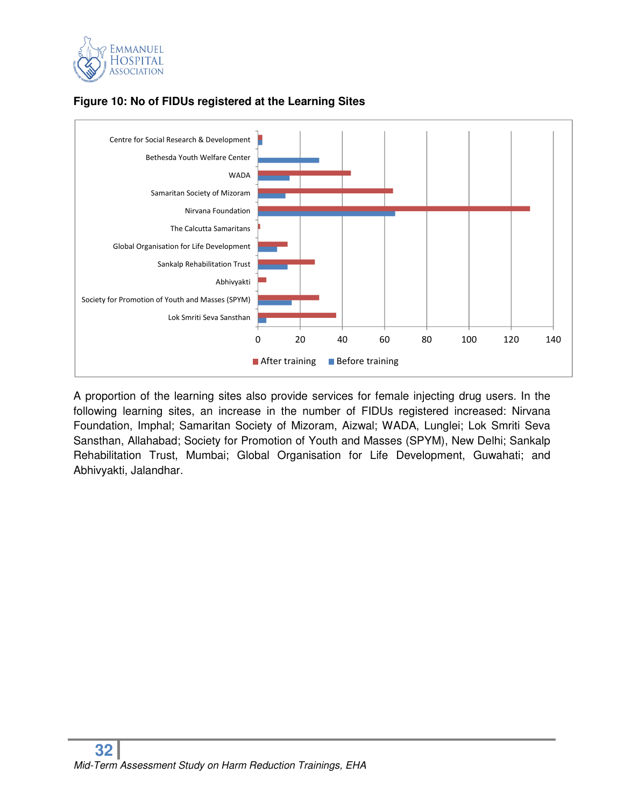



#### **Figure 10: No of FIDUs registered at the Learning Sites**

A proportion of the learning sites also provide services for female injecting drug users. In the following learning sites, an increase in the number of FIDUs registered increased: Nirvana Foundation, Imphal; Samaritan Society of Mizoram, Aizwal; WADA, Lunglei; Lok Smriti Seva Sansthan, Allahabad; Society for Promotion of Youth and Masses (SPYM), New Delhi; Sankalp Rehabilitation Trust, Mumbai; Global Organisation for Life Development, Guwahati; and Abhivyakti, Jalandhar.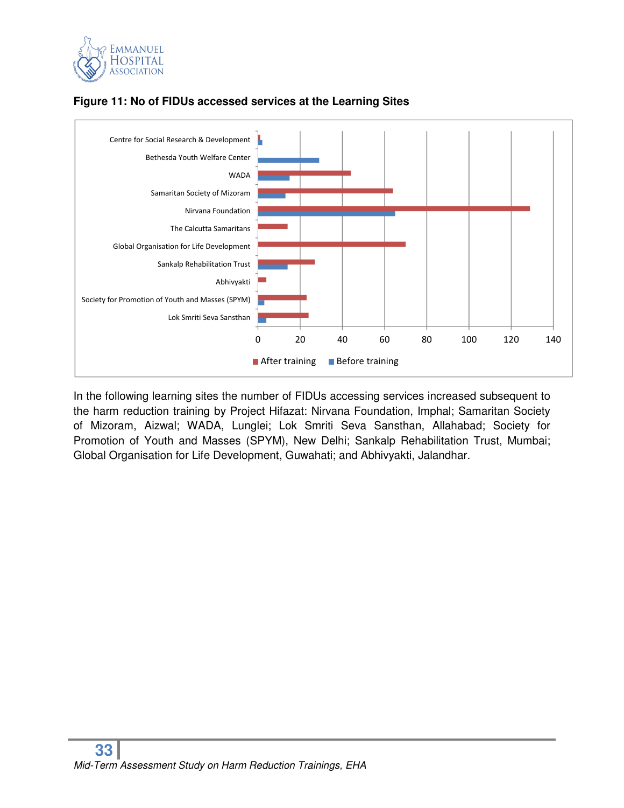



#### **Figure 11: No of FIDUs accessed services at the Learning Sites**

In the following learning sites the number of FIDUs accessing services increased subsequent to the harm reduction training by Project Hifazat: Nirvana Foundation, Imphal; Samaritan Society of Mizoram, Aizwal; WADA, Lunglei; Lok Smriti Seva Sansthan, Allahabad; Society for Promotion of Youth and Masses (SPYM), New Delhi; Sankalp Rehabilitation Trust, Mumbai; Global Organisation for Life Development, Guwahati; and Abhivyakti, Jalandhar.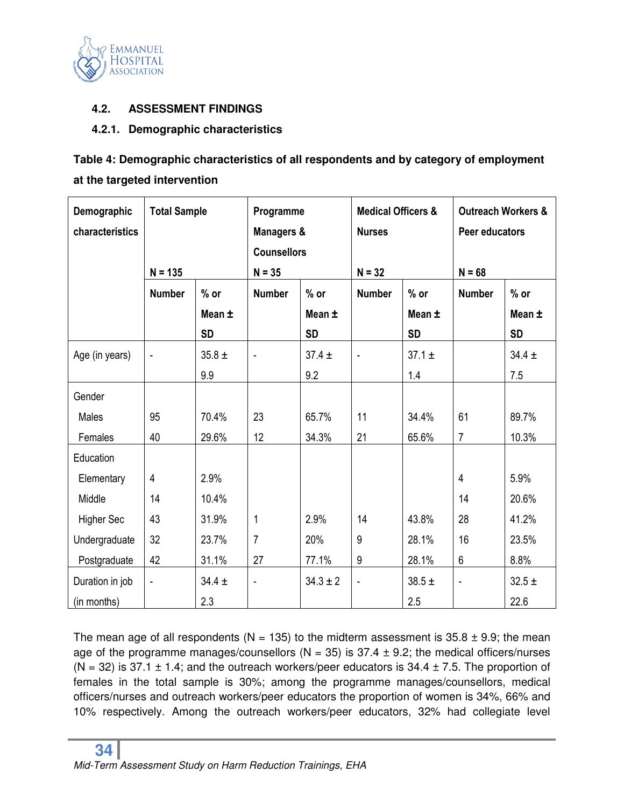

#### **4.2. ASSESSMENT FINDINGS**

#### **4.2.1. Demographic characteristics**

### **Table 4: Demographic characteristics of all respondents and by category of employment at the targeted intervention**

| Demographic<br>characteristics | <b>Total Sample</b> |            |                | Programme<br><b>Managers &amp;</b><br><b>Counsellors</b> |                | <b>Medical Officers &amp;</b><br><b>Nurses</b> |                              | <b>Outreach Workers &amp;</b><br>Peer educators |  |
|--------------------------------|---------------------|------------|----------------|----------------------------------------------------------|----------------|------------------------------------------------|------------------------------|-------------------------------------------------|--|
|                                | $N = 135$           |            | $N = 35$       |                                                          | $N = 32$       |                                                | $N = 68$                     |                                                 |  |
|                                | <b>Number</b>       | $%$ or     | <b>Number</b>  | $%$ or                                                   | <b>Number</b>  | $%$ or                                         | <b>Number</b>                | $%$ or                                          |  |
|                                |                     | Mean ±     |                | Mean ±                                                   |                | Mean ±                                         |                              | Mean ±                                          |  |
|                                |                     | <b>SD</b>  |                | <b>SD</b>                                                |                | <b>SD</b>                                      |                              | <b>SD</b>                                       |  |
| Age (in years)                 | $\overline{a}$      | $35.8 \pm$ | ÷,             | $37.4 \pm$                                               | $\blacksquare$ | $37.1 \pm$                                     |                              | $34.4 \pm$                                      |  |
|                                |                     | 9.9        |                | 9.2                                                      |                | 1.4                                            |                              | 7.5                                             |  |
| Gender                         |                     |            |                |                                                          |                |                                                |                              |                                                 |  |
| Males                          | 95                  | 70.4%      | 23             | 65.7%                                                    | 11             | 34.4%                                          | 61                           | 89.7%                                           |  |
| Females                        | 40                  | 29.6%      | 12             | 34.3%                                                    | 21             | 65.6%                                          | $\overline{7}$               | 10.3%                                           |  |
| Education                      |                     |            |                |                                                          |                |                                                |                              |                                                 |  |
| Elementary                     | 4                   | 2.9%       |                |                                                          |                |                                                | $\overline{4}$               | 5.9%                                            |  |
| Middle                         | 14                  | 10.4%      |                |                                                          |                |                                                | 14                           | 20.6%                                           |  |
| <b>Higher Sec</b>              | 43                  | 31.9%      | 1              | 2.9%                                                     | 14             | 43.8%                                          | 28                           | 41.2%                                           |  |
| Undergraduate                  | 32                  | 23.7%      | $\overline{7}$ | 20%                                                      | 9              | 28.1%                                          | 16                           | 23.5%                                           |  |
| Postgraduate                   | 42                  | 31.1%      | 27             | 77.1%                                                    | 9              | 28.1%                                          | $6\,$                        | 8.8%                                            |  |
| Duration in job                | $\blacksquare$      | $34.4 \pm$ | $\blacksquare$ | $34.3 \pm 2$                                             | $\blacksquare$ | $38.5 \pm$                                     | $\qquad \qquad \blacksquare$ | $32.5 \pm$                                      |  |
| (in months)                    |                     | 2.3        |                |                                                          |                | 2.5                                            |                              | 22.6                                            |  |

The mean age of all respondents (N = 135) to the midterm assessment is  $35.8 \pm 9.9$ ; the mean age of the programme manages/counsellors ( $N = 35$ ) is 37.4  $\pm$  9.2; the medical officers/nurses (N = 32) is 37.1  $\pm$  1.4; and the outreach workers/peer educators is 34.4  $\pm$  7.5. The proportion of females in the total sample is 30%; among the programme manages/counsellors, medical officers/nurses and outreach workers/peer educators the proportion of women is 34%, 66% and 10% respectively. Among the outreach workers/peer educators, 32% had collegiate level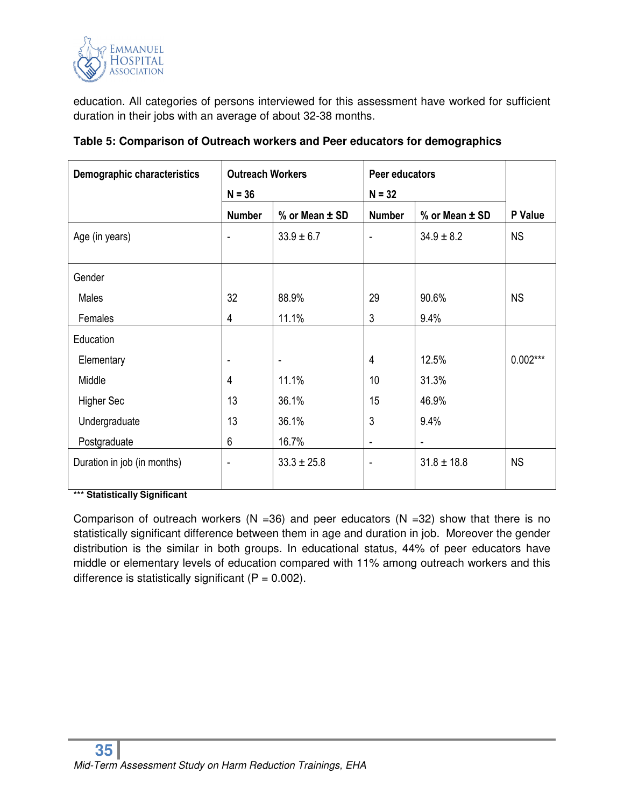

education. All categories of persons interviewed for this assessment have worked for sufficient duration in their jobs with an average of about 32-38 months.

| <b>Demographic characteristics</b> | <b>Outreach Workers</b>  |                          | Peer educators           |                 |            |
|------------------------------------|--------------------------|--------------------------|--------------------------|-----------------|------------|
|                                    | $N = 36$                 |                          | $N = 32$                 |                 |            |
|                                    | <b>Number</b>            | % or Mean ± SD           | <b>Number</b>            | % or Mean ± SD  | P Value    |
| Age (in years)                     | $\overline{\phantom{a}}$ | $33.9 \pm 6.7$           | $\overline{\phantom{a}}$ | $34.9 \pm 8.2$  | <b>NS</b>  |
|                                    |                          |                          |                          |                 |            |
| Gender                             |                          |                          |                          |                 |            |
| Males                              | 32                       | 88.9%                    | 29                       | 90.6%           | <b>NS</b>  |
| Females                            | 4                        | 11.1%                    | 3                        | 9.4%            |            |
| Education                          |                          |                          |                          |                 |            |
| Elementary                         |                          | $\overline{\phantom{a}}$ | 4                        | 12.5%           | $0.002***$ |
| Middle                             | 4                        | 11.1%                    | 10                       | 31.3%           |            |
| <b>Higher Sec</b>                  | 13                       | 36.1%                    | 15                       | 46.9%           |            |
| Undergraduate                      | 13                       | 36.1%                    | 3                        | 9.4%            |            |
| Postgraduate                       | 6                        | 16.7%                    | $\overline{\phantom{a}}$ | ٠               |            |
| Duration in job (in months)        |                          | $33.3 \pm 25.8$          | ۰                        | $31.8 \pm 18.8$ | <b>NS</b>  |
| $1 + 4 + 6 + 11 + 11 + 6 + 11$     |                          |                          |                          |                 |            |

**Table 5: Comparison of Outreach workers and Peer educators for demographics** 

**\*\*\* Statistically Significant** 

Comparison of outreach workers (N =36) and peer educators (N =32) show that there is no statistically significant difference between them in age and duration in job. Moreover the gender distribution is the similar in both groups. In educational status, 44% of peer educators have middle or elementary levels of education compared with 11% among outreach workers and this difference is statistically significant ( $P = 0.002$ ).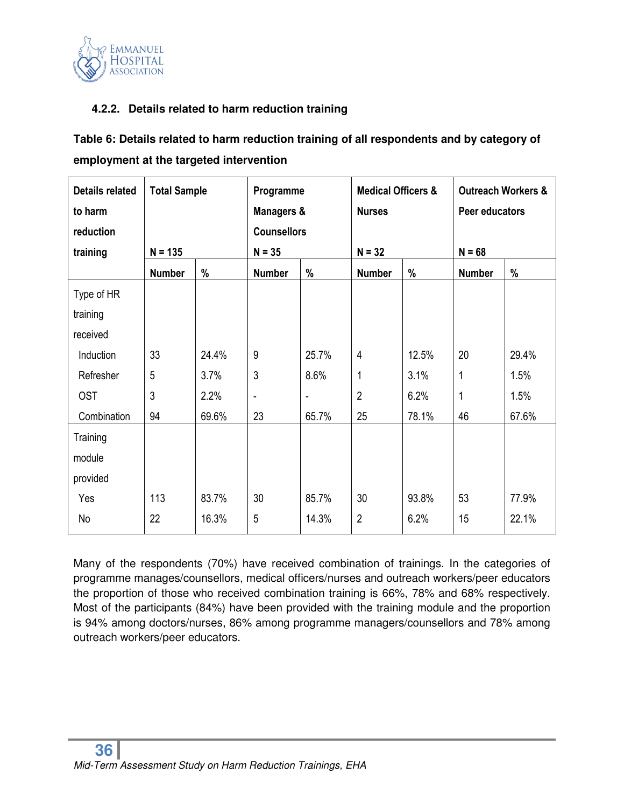

#### **4.2.2. Details related to harm reduction training**

| Table 6: Details related to harm reduction training of all respondents and by category of |
|-------------------------------------------------------------------------------------------|
| employment at the targeted intervention                                                   |

| <b>Details related</b> | <b>Total Sample</b> |       | Programme                |                | <b>Medical Officers &amp;</b> |       | <b>Outreach Workers &amp;</b> |       |
|------------------------|---------------------|-------|--------------------------|----------------|-------------------------------|-------|-------------------------------|-------|
| to harm                |                     |       | Managers &               |                | <b>Nurses</b>                 |       | Peer educators                |       |
| reduction              |                     |       | <b>Counsellors</b>       |                |                               |       |                               |       |
| training               | $N = 135$           |       | $N = 35$                 |                | $N = 32$                      |       | $N = 68$                      |       |
|                        | <b>Number</b>       | %     | <b>Number</b>            | %              | <b>Number</b>                 | $\%$  | <b>Number</b>                 | %     |
| Type of HR             |                     |       |                          |                |                               |       |                               |       |
| training               |                     |       |                          |                |                               |       |                               |       |
| received               |                     |       |                          |                |                               |       |                               |       |
| Induction              | 33                  | 24.4% | 9                        | 25.7%          | $\overline{4}$                | 12.5% | 20                            | 29.4% |
| Refresher              | 5                   | 3.7%  | 3                        | 8.6%           | 1                             | 3.1%  | 1                             | 1.5%  |
| <b>OST</b>             | 3                   | 2.2%  | $\overline{\phantom{a}}$ | $\overline{a}$ | $\overline{2}$                | 6.2%  | 1                             | 1.5%  |
| Combination            | 94                  | 69.6% | 23                       | 65.7%          | 25                            | 78.1% | 46                            | 67.6% |
| Training               |                     |       |                          |                |                               |       |                               |       |
| module                 |                     |       |                          |                |                               |       |                               |       |
| provided               |                     |       |                          |                |                               |       |                               |       |
| Yes                    | 113                 | 83.7% | 30                       | 85.7%          | 30                            | 93.8% | 53                            | 77.9% |
| No                     | 22                  | 16.3% | 5                        | 14.3%          | $\overline{2}$                | 6.2%  | 15                            | 22.1% |

Many of the respondents (70%) have received combination of trainings. In the categories of programme manages/counsellors, medical officers/nurses and outreach workers/peer educators the proportion of those who received combination training is 66%, 78% and 68% respectively. Most of the participants (84%) have been provided with the training module and the proportion is 94% among doctors/nurses, 86% among programme managers/counsellors and 78% among outreach workers/peer educators.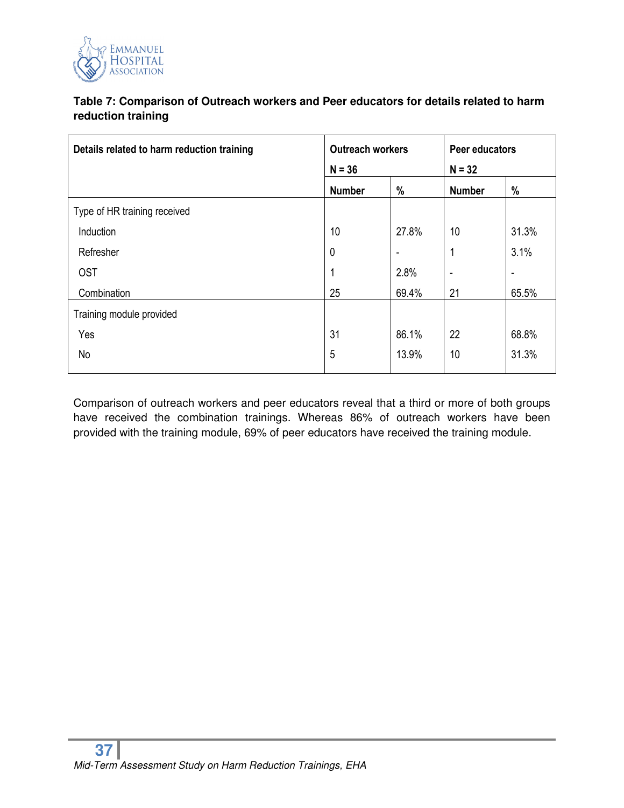

# **Table 7: Comparison of Outreach workers and Peer educators for details related to harm reduction training**

| Details related to harm reduction training | <b>Outreach workers</b> |       | Peer educators           |                          |
|--------------------------------------------|-------------------------|-------|--------------------------|--------------------------|
|                                            | $N = 36$                |       | $N = 32$                 |                          |
|                                            | <b>Number</b>           | %     | <b>Number</b>            | %                        |
| Type of HR training received               |                         |       |                          |                          |
| Induction                                  | 10                      | 27.8% | 10                       | 31.3%                    |
| Refresher                                  | $\mathbf 0$             | ٠     | 1                        | 3.1%                     |
| <b>OST</b>                                 | 1                       | 2.8%  | $\overline{\phantom{a}}$ | $\overline{\phantom{a}}$ |
| Combination                                | 25                      | 69.4% | 21                       | 65.5%                    |
| Training module provided                   |                         |       |                          |                          |
| Yes                                        | 31                      | 86.1% | 22                       | 68.8%                    |
| No                                         | 5                       | 13.9% | 10                       | 31.3%                    |

Comparison of outreach workers and peer educators reveal that a third or more of both groups have received the combination trainings. Whereas 86% of outreach workers have been provided with the training module, 69% of peer educators have received the training module.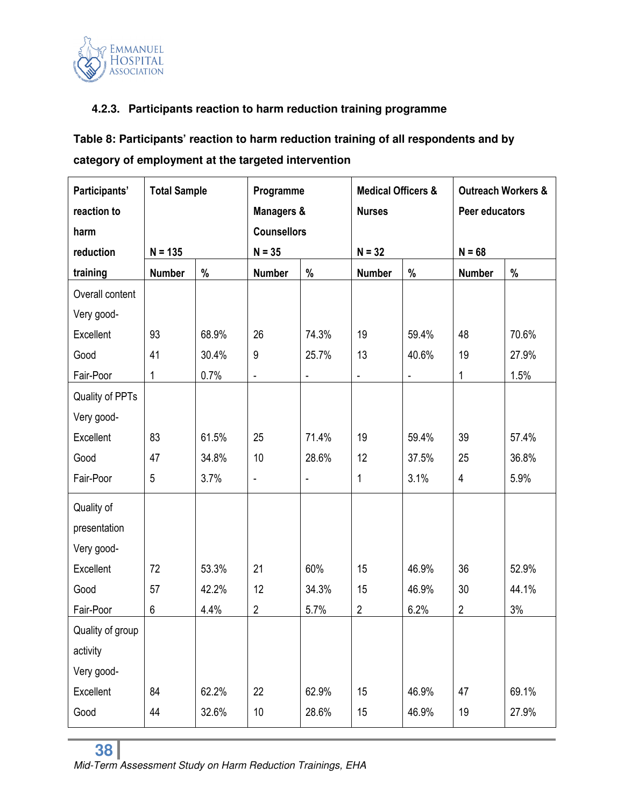

# **4.2.3. Participants reaction to harm reduction training programme**

**Table 8: Participants' reaction to harm reduction training of all respondents and by category of employment at the targeted intervention**

| Participants'    | <b>Total Sample</b> |       | Programme                    |                          | <b>Medical Officers &amp;</b> |                | <b>Outreach Workers &amp;</b> |       |
|------------------|---------------------|-------|------------------------------|--------------------------|-------------------------------|----------------|-------------------------------|-------|
| reaction to      |                     |       | Managers &                   |                          | <b>Nurses</b>                 |                | Peer educators                |       |
| harm             |                     |       | <b>Counsellors</b>           |                          |                               |                |                               |       |
| reduction        | $N = 135$           |       | $N = 35$                     |                          | $N = 32$                      |                | $N = 68$                      |       |
| training         | <b>Number</b>       | $\%$  | <b>Number</b>                | %                        | <b>Number</b>                 | %              | <b>Number</b>                 | %     |
| Overall content  |                     |       |                              |                          |                               |                |                               |       |
| Very good-       |                     |       |                              |                          |                               |                |                               |       |
| Excellent        | 93                  | 68.9% | 26                           | 74.3%                    | 19                            | 59.4%          | 48                            | 70.6% |
| Good             | 41                  | 30.4% | 9                            | 25.7%                    | 13                            | 40.6%          | 19                            | 27.9% |
| Fair-Poor        | 1                   | 0.7%  | $\blacksquare$               | $\blacksquare$           | $\qquad \qquad \blacksquare$  | $\blacksquare$ | 1                             | 1.5%  |
| Quality of PPTs  |                     |       |                              |                          |                               |                |                               |       |
| Very good-       |                     |       |                              |                          |                               |                |                               |       |
| Excellent        | 83                  | 61.5% | 25                           | 71.4%                    | 19                            | 59.4%          | 39                            | 57.4% |
| Good             | 47                  | 34.8% | 10                           | 28.6%                    | 12                            | 37.5%          | 25                            | 36.8% |
| Fair-Poor        | 5                   | 3.7%  | $\qquad \qquad \blacksquare$ | $\overline{\phantom{0}}$ | 1                             | 3.1%           | 4                             | 5.9%  |
| Quality of       |                     |       |                              |                          |                               |                |                               |       |
| presentation     |                     |       |                              |                          |                               |                |                               |       |
| Very good-       |                     |       |                              |                          |                               |                |                               |       |
| Excellent        | 72                  | 53.3% | 21                           | 60%                      | 15                            | 46.9%          | 36                            | 52.9% |
| Good             | 57                  | 42.2% | 12                           | 34.3%                    | 15                            | 46.9%          | 30                            | 44.1% |
| Fair-Poor        | 6                   | 4.4%  | $\sqrt{2}$                   | 5.7%                     | $\overline{2}$                | 6.2%           | $\overline{2}$                | 3%    |
| Quality of group |                     |       |                              |                          |                               |                |                               |       |
| activity         |                     |       |                              |                          |                               |                |                               |       |
| Very good-       |                     |       |                              |                          |                               |                |                               |       |
| Excellent        | 84                  | 62.2% | 22                           | 62.9%                    | 15                            | 46.9%          | 47                            | 69.1% |
| Good             | 44                  | 32.6% | 10                           | 28.6%                    | 15                            | 46.9%          | 19                            | 27.9% |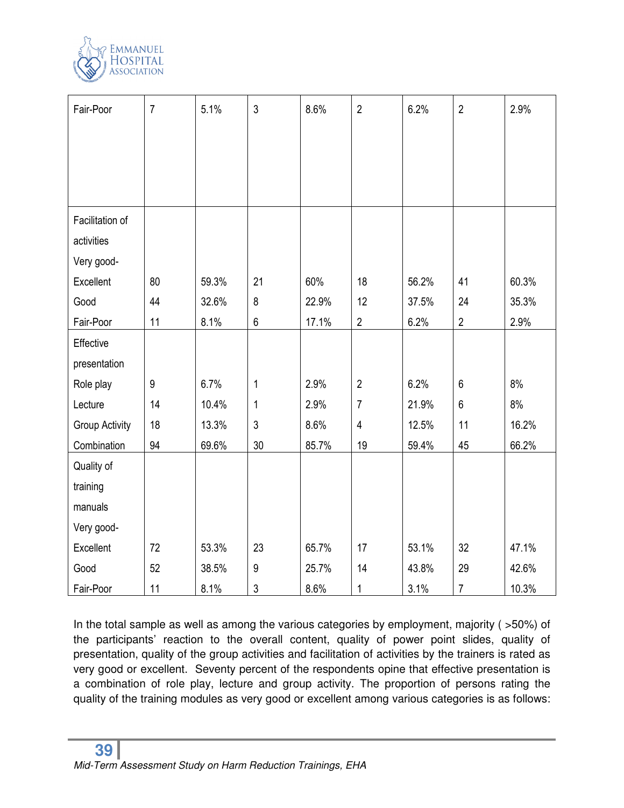

| Fair-Poor             | $\overline{7}$   | 5.1%  | $\mathfrak{Z}$   | 8.6%  | $\overline{2}$ | 6.2%  | $\overline{2}$ | 2.9%  |
|-----------------------|------------------|-------|------------------|-------|----------------|-------|----------------|-------|
|                       |                  |       |                  |       |                |       |                |       |
|                       |                  |       |                  |       |                |       |                |       |
|                       |                  |       |                  |       |                |       |                |       |
|                       |                  |       |                  |       |                |       |                |       |
| Facilitation of       |                  |       |                  |       |                |       |                |       |
| activities            |                  |       |                  |       |                |       |                |       |
| Very good-            |                  |       |                  |       |                |       |                |       |
| Excellent             | 80               | 59.3% | 21               | 60%   | 18             | 56.2% | 41             | 60.3% |
| Good                  | 44               | 32.6% | 8                | 22.9% | 12             | 37.5% | 24             | 35.3% |
| Fair-Poor             | 11               | 8.1%  | $\,6$            | 17.1% | $\overline{2}$ | 6.2%  | $\overline{2}$ | 2.9%  |
| Effective             |                  |       |                  |       |                |       |                |       |
| presentation          |                  |       |                  |       |                |       |                |       |
| Role play             | $\boldsymbol{9}$ | 6.7%  | 1                | 2.9%  | $\overline{2}$ | 6.2%  | $6\phantom{1}$ | 8%    |
| Lecture               | 14               | 10.4% | 1                | 2.9%  | $\overline{7}$ | 21.9% | $\,6\,$        | 8%    |
| <b>Group Activity</b> | 18               | 13.3% | 3                | 8.6%  | $\overline{4}$ | 12.5% | 11             | 16.2% |
| Combination           | 94               | 69.6% | 30               | 85.7% | 19             | 59.4% | 45             | 66.2% |
| Quality of            |                  |       |                  |       |                |       |                |       |
| training              |                  |       |                  |       |                |       |                |       |
| manuals               |                  |       |                  |       |                |       |                |       |
| Very good-            |                  |       |                  |       |                |       |                |       |
| Excellent             | 72               | 53.3% | 23               | 65.7% | 17             | 53.1% | 32             | 47.1% |
| Good                  | 52               | 38.5% | $\boldsymbol{9}$ | 25.7% | 14             | 43.8% | 29             | 42.6% |
| Fair-Poor             | 11               | 8.1%  | 3                | 8.6%  | 1              | 3.1%  | $\overline{7}$ | 10.3% |

In the total sample as well as among the various categories by employment, majority (>50%) of the participants' reaction to the overall content, quality of power point slides, quality of presentation, quality of the group activities and facilitation of activities by the trainers is rated as very good or excellent. Seventy percent of the respondents opine that effective presentation is a combination of role play, lecture and group activity. The proportion of persons rating the quality of the training modules as very good or excellent among various categories is as follows: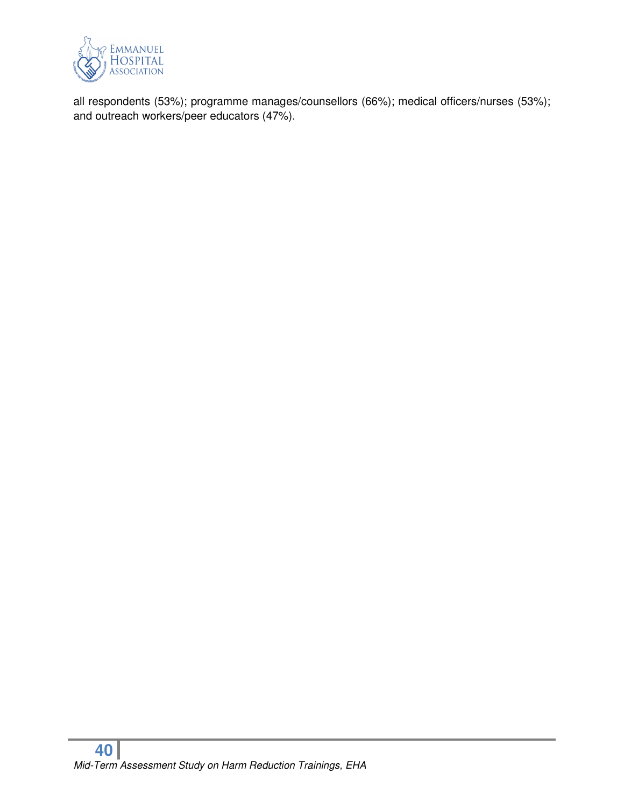

all respondents (53%); programme manages/counsellors (66%); medical officers/nurses (53%); and outreach workers/peer educators (47%).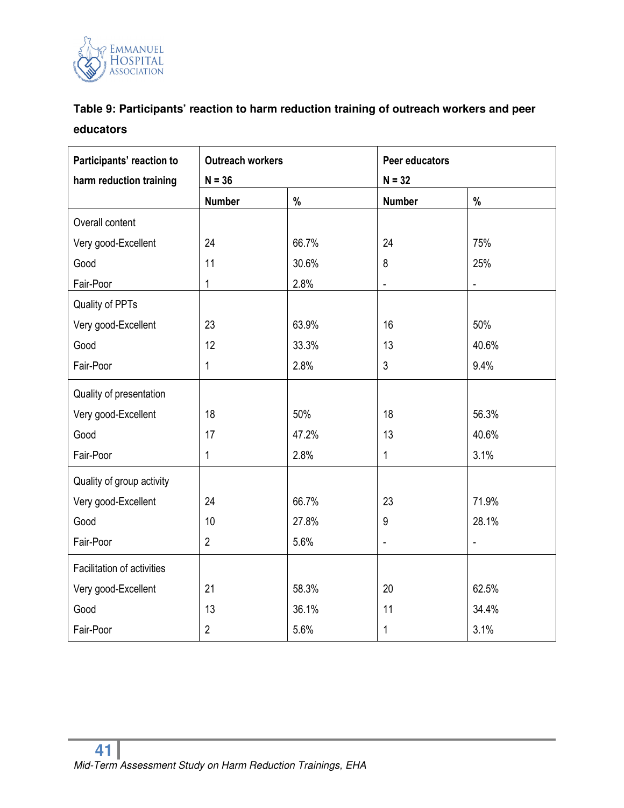

# **Table 9: Participants' reaction to harm reduction training of outreach workers and peer educators**

| Participants' reaction to  | <b>Outreach workers</b> |       | Peer educators |                |  |
|----------------------------|-------------------------|-------|----------------|----------------|--|
| harm reduction training    | $N = 36$                |       | $N = 32$       |                |  |
|                            | <b>Number</b>           | %     | <b>Number</b>  | $\%$           |  |
| Overall content            |                         |       |                |                |  |
| Very good-Excellent        | 24                      | 66.7% | 24             | 75%            |  |
| Good                       | 11                      | 30.6% | 8              | 25%            |  |
| Fair-Poor                  | 1                       | 2.8%  | ÷,             | $\blacksquare$ |  |
| Quality of PPTs            |                         |       |                |                |  |
| Very good-Excellent        | 23                      | 63.9% | 16             | 50%            |  |
| Good                       | 12                      | 33.3% | 13             | 40.6%          |  |
| Fair-Poor                  | 1                       | 2.8%  | 3              | 9.4%           |  |
| Quality of presentation    |                         |       |                |                |  |
| Very good-Excellent        | 18                      | 50%   | 18             | 56.3%          |  |
| Good                       | 17                      | 47.2% | 13             | 40.6%          |  |
| Fair-Poor                  | 1                       | 2.8%  | $\mathbf{1}$   | 3.1%           |  |
| Quality of group activity  |                         |       |                |                |  |
| Very good-Excellent        | 24                      | 66.7% | 23             | 71.9%          |  |
| Good                       | 10                      | 27.8% | 9              | 28.1%          |  |
| Fair-Poor                  | $\overline{2}$          | 5.6%  |                | $\overline{a}$ |  |
| Facilitation of activities |                         |       |                |                |  |
| Very good-Excellent        | 21                      | 58.3% | 20             | 62.5%          |  |
| Good                       | 13                      | 36.1% | 11             | 34.4%          |  |
| Fair-Poor                  | $\overline{2}$          | 5.6%  | $\mathbf{1}$   | 3.1%           |  |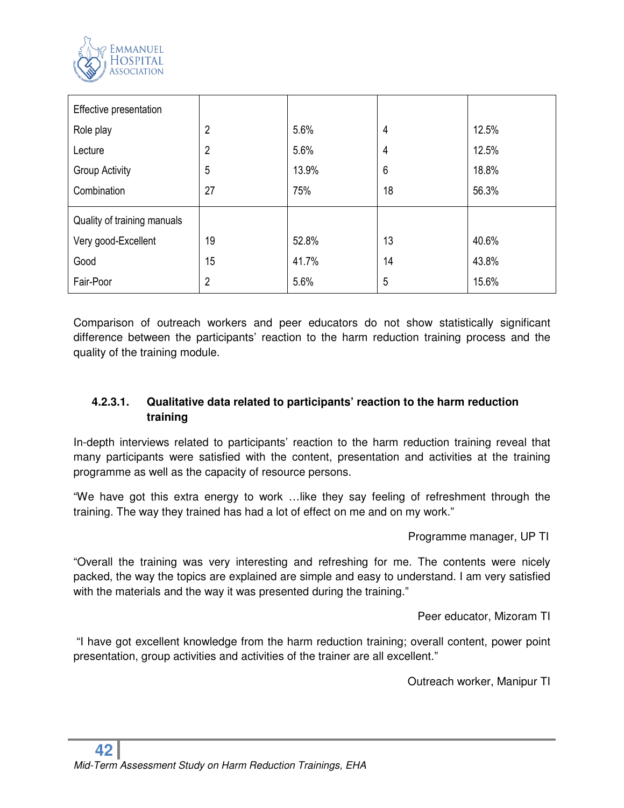

| Effective presentation      |                |       |    |       |
|-----------------------------|----------------|-------|----|-------|
| Role play                   | 2              | 5.6%  | 4  | 12.5% |
| Lecture                     | 2              | 5.6%  | 4  | 12.5% |
| Group Activity              | 5              | 13.9% | 6  | 18.8% |
| Combination                 | 27             | 75%   | 18 | 56.3% |
| Quality of training manuals |                |       |    |       |
| Very good-Excellent         | 19             | 52.8% | 13 | 40.6% |
| Good                        | 15             | 41.7% | 14 | 43.8% |
| Fair-Poor                   | $\overline{2}$ | 5.6%  | 5  | 15.6% |

Comparison of outreach workers and peer educators do not show statistically significant difference between the participants' reaction to the harm reduction training process and the quality of the training module.

# **4.2.3.1. Qualitative data related to participants' reaction to the harm reduction training**

In-depth interviews related to participants' reaction to the harm reduction training reveal that many participants were satisfied with the content, presentation and activities at the training programme as well as the capacity of resource persons.

"We have got this extra energy to work …like they say feeling of refreshment through the training. The way they trained has had a lot of effect on me and on my work."

Programme manager, UP TI

"Overall the training was very interesting and refreshing for me. The contents were nicely packed, the way the topics are explained are simple and easy to understand. I am very satisfied with the materials and the way it was presented during the training."

Peer educator, Mizoram TI

 "I have got excellent knowledge from the harm reduction training; overall content, power point presentation, group activities and activities of the trainer are all excellent."

Outreach worker, Manipur TI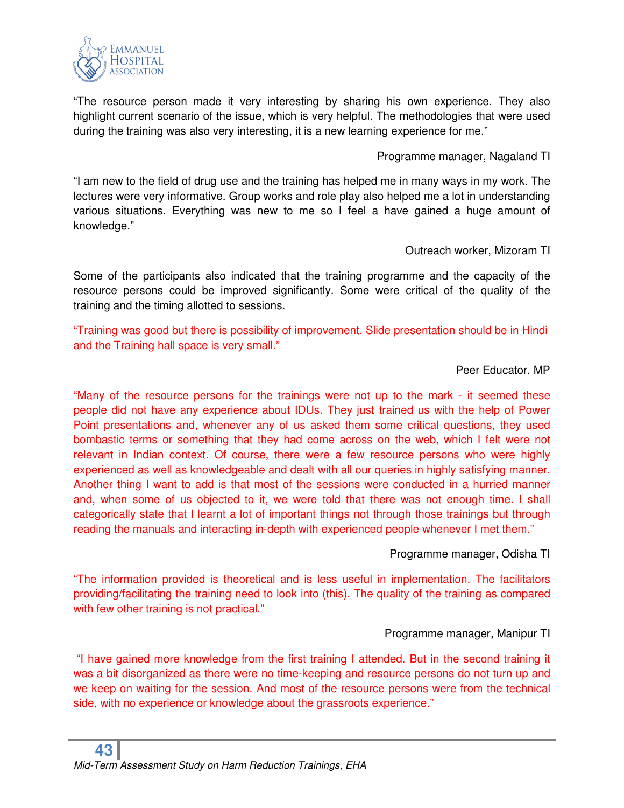

"The resource person made it very interesting by sharing his own experience. They also highlight current scenario of the issue, which is very helpful. The methodologies that were used during the training was also very interesting, it is a new learning experience for me."

Programme manager, Nagaland TI

"I am new to the field of drug use and the training has helped me in many ways in my work. The lectures were very informative. Group works and role play also helped me a lot in understanding various situations. Everything was new to me so I feel a have gained a huge amount of knowledge."

Outreach worker, Mizoram TI

Some of the participants also indicated that the training programme and the capacity of the resource persons could be improved significantly. Some were critical of the quality of the training and the timing allotted to sessions.

"Training was good but there is possibility of improvement. Slide presentation should be in Hindi and the Training hall space is very small."

#### Peer Educator, MP

"Many of the resource persons for the trainings were not up to the mark - it seemed these people did not have any experience about IDUs. They just trained us with the help of Power Point presentations and, whenever any of us asked them some critical questions, they used bombastic terms or something that they had come across on the web, which I felt were not relevant in Indian context. Of course, there were a few resource persons who were highly experienced as well as knowledgeable and dealt with all our queries in highly satisfying manner. Another thing I want to add is that most of the sessions were conducted in a hurried manner and, when some of us objected to it, we were told that there was not enough time. I shall categorically state that I learnt a lot of important things not through those trainings but through reading the manuals and interacting in-depth with experienced people whenever I met them."

Programme manager, Odisha TI

"The information provided is theoretical and is less useful in implementation. The facilitators providing/facilitating the training need to look into (this). The quality of the training as compared with few other training is not practical."

# Programme manager, Manipur TI

"I have gained more knowledge from the first training I attended. But in the second training it was a bit disorganized as there were no time-keeping and resource persons do not turn up and we keep on waiting for the session. And most of the resource persons were from the technical side, with no experience or knowledge about the grassroots experience."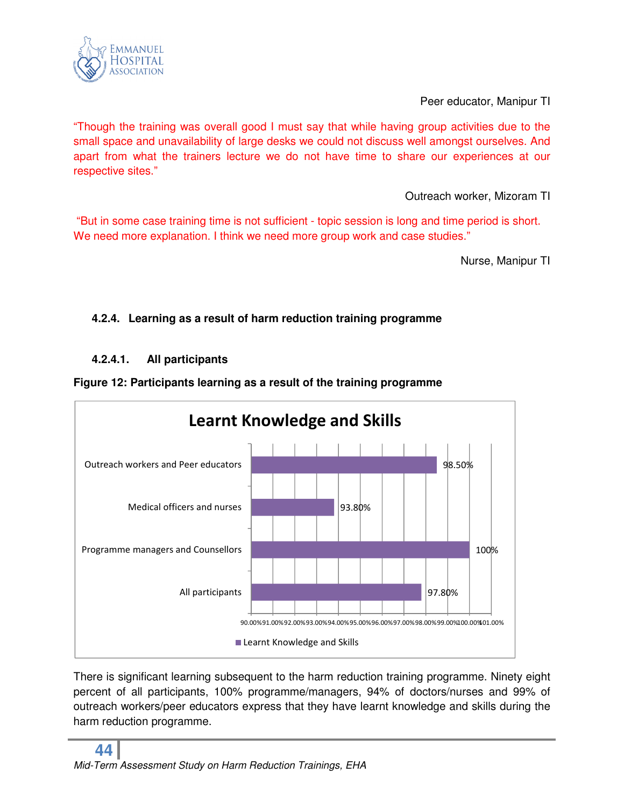

Peer educator, Manipur TI

"Though the training was overall good I must say that while having group activities due to the small space and unavailability of large desks we could not discuss well amongst ourselves. And apart from what the trainers lecture we do not have time to share our experiences at our respective sites."

Outreach worker, Mizoram TI

"But in some case training time is not sufficient - topic session is long and time period is short. We need more explanation. I think we need more group work and case studies."

Nurse, Manipur TI

# **4.2.4. Learning as a result of harm reduction training programme**

# **4.2.4.1. All participants**





There is significant learning subsequent to the harm reduction training programme. Ninety eight percent of all participants, 100% programme/managers, 94% of doctors/nurses and 99% of outreach workers/peer educators express that they have learnt knowledge and skills during the harm reduction programme.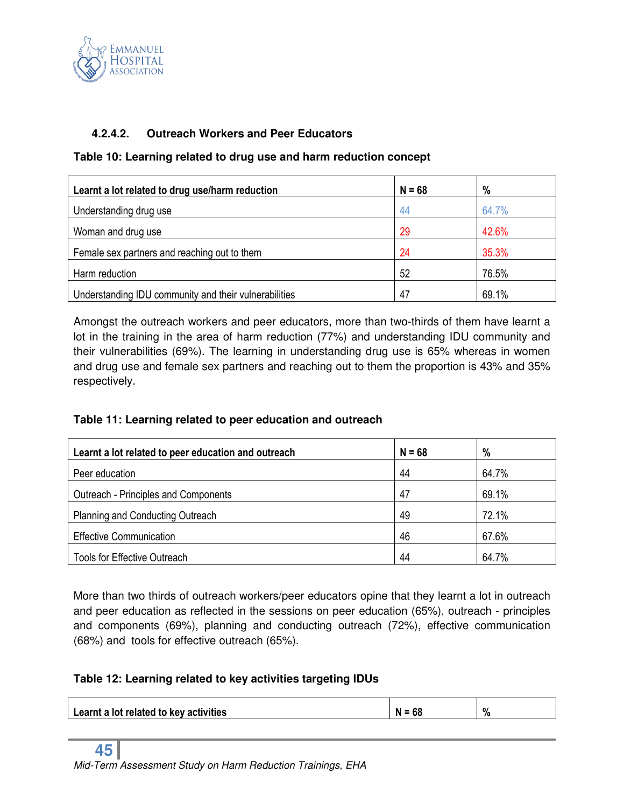

## **4.2.4.2. Outreach Workers and Peer Educators**

#### **Table 10: Learning related to drug use and harm reduction concept**

| Learnt a lot related to drug use/harm reduction       | $N = 68$ | %     |
|-------------------------------------------------------|----------|-------|
| Understanding drug use                                | 44       | 64.7% |
| Woman and drug use                                    | 29       | 42.6% |
| Female sex partners and reaching out to them          | 24       | 35.3% |
| Harm reduction                                        | 52       | 76.5% |
| Understanding IDU community and their vulnerabilities | 47       | 69.1% |

Amongst the outreach workers and peer educators, more than two-thirds of them have learnt a lot in the training in the area of harm reduction (77%) and understanding IDU community and their vulnerabilities (69%). The learning in understanding drug use is 65% whereas in women and drug use and female sex partners and reaching out to them the proportion is 43% and 35% respectively.

#### **Table 11: Learning related to peer education and outreach**

| Learnt a lot related to peer education and outreach | $N = 68$ | $\%$  |
|-----------------------------------------------------|----------|-------|
| Peer education                                      | 44       | 64.7% |
| Outreach - Principles and Components                | 47       | 69.1% |
| <b>Planning and Conducting Outreach</b>             | 49       | 72.1% |
| <b>Effective Communication</b>                      | 46       | 67.6% |
| <b>Tools for Effective Outreach</b>                 | 44       | 64.7% |

More than two thirds of outreach workers/peer educators opine that they learnt a lot in outreach and peer education as reflected in the sessions on peer education (65%), outreach - principles and components (69%), planning and conducting outreach (72%), effective communication (68%) and tools for effective outreach (65%).

#### **Table 12: Learning related to key activities targeting IDUs**

| Learnt a lot related to key activities | OC | % |
|----------------------------------------|----|---|
|                                        |    |   |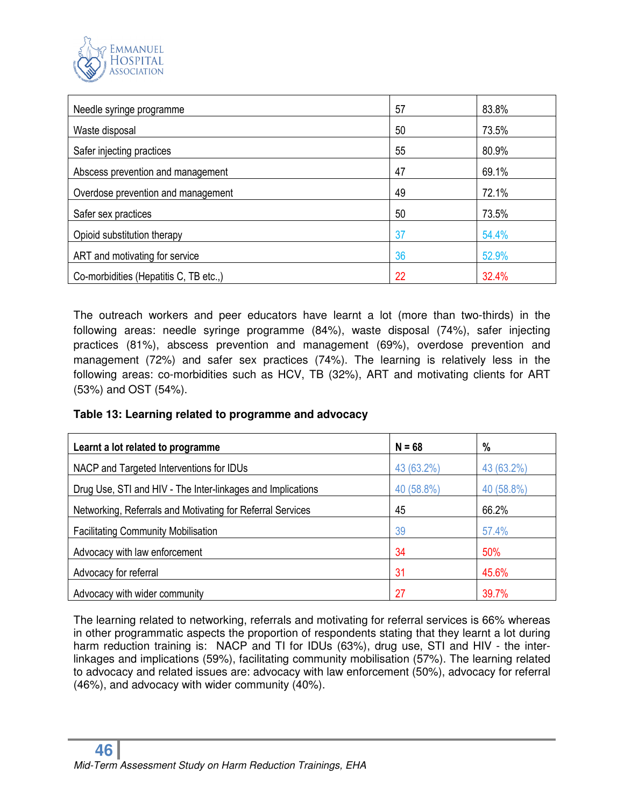

| Needle syringe programme               | 57 | 83.8% |
|----------------------------------------|----|-------|
| Waste disposal                         | 50 | 73.5% |
| Safer injecting practices              | 55 | 80.9% |
| Abscess prevention and management      | 47 | 69.1% |
| Overdose prevention and management     | 49 | 72.1% |
| Safer sex practices                    | 50 | 73.5% |
| Opioid substitution therapy            | 37 | 54.4% |
| ART and motivating for service         | 36 | 52.9% |
| Co-morbidities (Hepatitis C, TB etc.,) | 22 | 32.4% |

The outreach workers and peer educators have learnt a lot (more than two-thirds) in the following areas: needle syringe programme (84%), waste disposal (74%), safer injecting practices (81%), abscess prevention and management (69%), overdose prevention and management (72%) and safer sex practices (74%). The learning is relatively less in the following areas: co-morbidities such as HCV, TB (32%), ART and motivating clients for ART (53%) and OST (54%).

#### **Table 13: Learning related to programme and advocacy**

| Learnt a lot related to programme                           | $N = 68$   | %          |
|-------------------------------------------------------------|------------|------------|
| NACP and Targeted Interventions for IDUs                    | 43 (63.2%) | 43 (63.2%) |
| Drug Use, STI and HIV - The Inter-linkages and Implications | 40 (58.8%) | 40 (58.8%) |
| Networking, Referrals and Motivating for Referral Services  | 45         | 66.2%      |
| <b>Facilitating Community Mobilisation</b>                  | 39         | 57.4%      |
| Advocacy with law enforcement                               | 34         | 50%        |
| Advocacy for referral                                       | 31         | 45.6%      |
| Advocacy with wider community                               | 27         | 39.7%      |

The learning related to networking, referrals and motivating for referral services is 66% whereas in other programmatic aspects the proportion of respondents stating that they learnt a lot during harm reduction training is: NACP and TI for IDUs (63%), drug use, STI and HIV - the interlinkages and implications (59%), facilitating community mobilisation (57%). The learning related to advocacy and related issues are: advocacy with law enforcement (50%), advocacy for referral (46%), and advocacy with wider community (40%).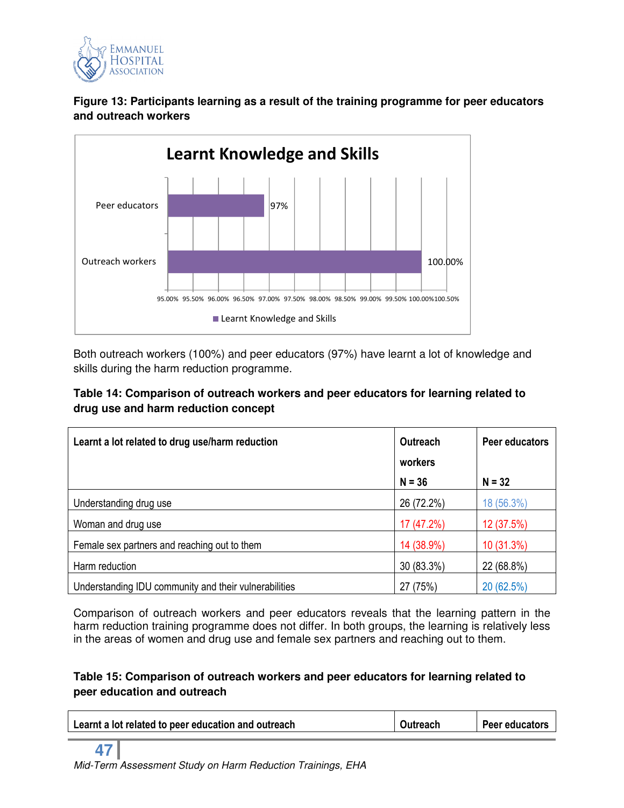

**Figure 13: Participants learning as a result of the training programme for peer educators and outreach workers** 



Both outreach workers (100%) and peer educators (97%) have learnt a lot of knowledge and skills during the harm reduction programme.

# **Table 14: Comparison of outreach workers and peer educators for learning related to drug use and harm reduction concept**

| Learnt a lot related to drug use/harm reduction       | <b>Outreach</b> | Peer educators |
|-------------------------------------------------------|-----------------|----------------|
|                                                       | workers         |                |
|                                                       | $N = 36$        | $N = 32$       |
| Understanding drug use                                | 26 (72.2%)      | 18 (56.3%)     |
| Woman and drug use                                    | 17 (47.2%)      | 12 (37.5%)     |
| Female sex partners and reaching out to them          | 14 (38.9%)      | 10 (31.3%)     |
| Harm reduction                                        | 30 (83.3%)      | 22 (68.8%)     |
| Understanding IDU community and their vulnerabilities | 27 (75%)        | 20 (62.5%)     |

Comparison of outreach workers and peer educators reveals that the learning pattern in the harm reduction training programme does not differ. In both groups, the learning is relatively less in the areas of women and drug use and female sex partners and reaching out to them.

# **Table 15: Comparison of outreach workers and peer educators for learning related to peer education and outreach**

| Learnt a lot related to peer education and outreach | Outreach | Peer educators |
|-----------------------------------------------------|----------|----------------|
|                                                     |          |                |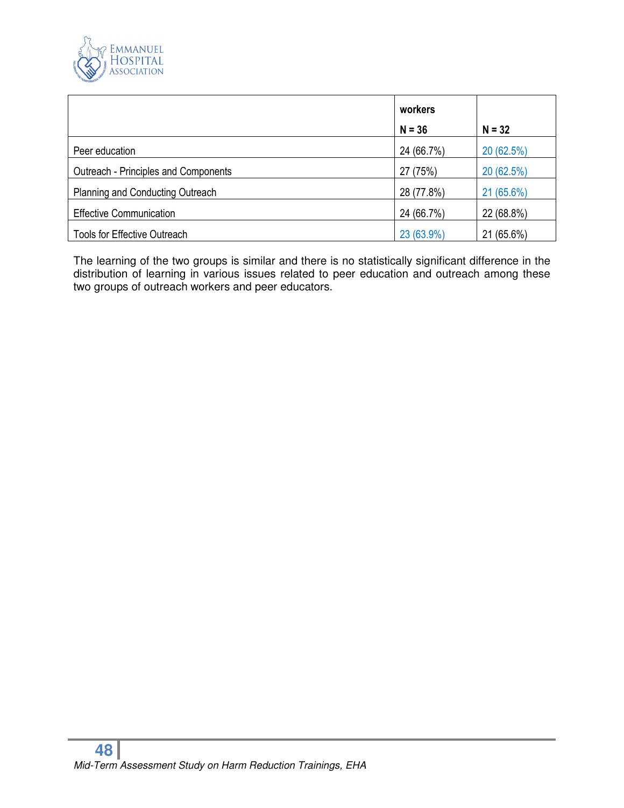

|                                      | workers    |            |
|--------------------------------------|------------|------------|
|                                      | $N = 36$   | $N = 32$   |
| Peer education                       | 24 (66.7%) | 20 (62.5%) |
| Outreach - Principles and Components | 27 (75%)   | 20 (62.5%) |
| Planning and Conducting Outreach     | 28 (77.8%) | 21 (65.6%) |
| <b>Effective Communication</b>       | 24 (66.7%) | 22 (68.8%) |
| <b>Tools for Effective Outreach</b>  | 23 (63.9%) | 21 (65.6%) |

The learning of the two groups is similar and there is no statistically significant difference in the distribution of learning in various issues related to peer education and outreach among these two groups of outreach workers and peer educators.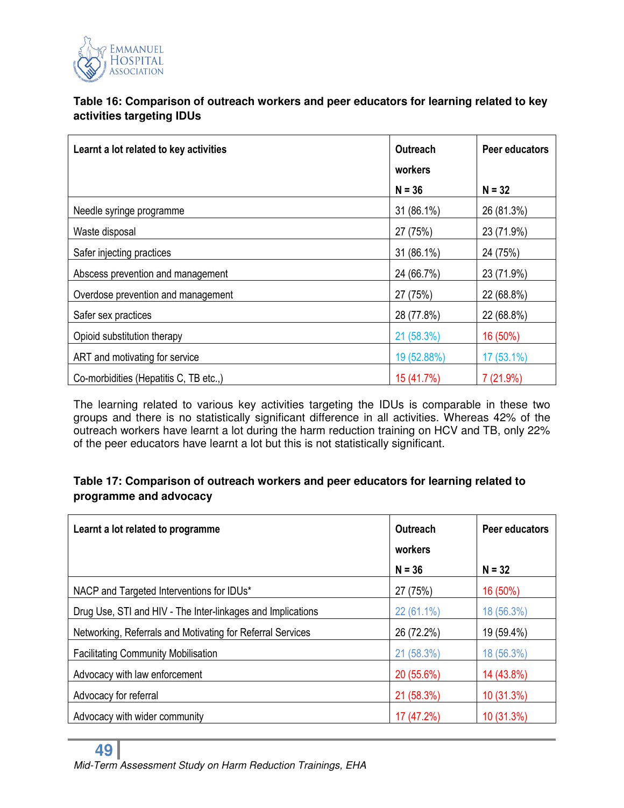

# **Table 16: Comparison of outreach workers and peer educators for learning related to key activities targeting IDUs**

| Learnt a lot related to key activities | <b>Outreach</b> | Peer educators |
|----------------------------------------|-----------------|----------------|
|                                        | workers         |                |
|                                        | $N = 36$        | $N = 32$       |
| Needle syringe programme               | 31 (86.1%)      | 26 (81.3%)     |
| Waste disposal                         | 27 (75%)        | 23 (71.9%)     |
| Safer injecting practices              | 31 (86.1%)      | 24 (75%)       |
| Abscess prevention and management      | 24 (66.7%)      | 23 (71.9%)     |
| Overdose prevention and management     | 27 (75%)        | 22 (68.8%)     |
| Safer sex practices                    | 28 (77.8%)      | 22 (68.8%)     |
| Opioid substitution therapy            | 21 (58.3%)      | 16 (50%)       |
| ART and motivating for service         | 19 (52.88%)     | $17(53.1\%)$   |
| Co-morbidities (Hepatitis C, TB etc.,) | 15 (41.7%)      | 7(21.9%)       |

The learning related to various key activities targeting the IDUs is comparable in these two groups and there is no statistically significant difference in all activities. Whereas 42% of the outreach workers have learnt a lot during the harm reduction training on HCV and TB, only 22% of the peer educators have learnt a lot but this is not statistically significant.

# **Table 17: Comparison of outreach workers and peer educators for learning related to programme and advocacy**

| Learnt a lot related to programme                           | Outreach   | Peer educators |
|-------------------------------------------------------------|------------|----------------|
|                                                             | workers    |                |
|                                                             | $N = 36$   | $N = 32$       |
| NACP and Targeted Interventions for IDUs*                   | 27 (75%)   | 16 (50%)       |
| Drug Use, STI and HIV - The Inter-linkages and Implications | 22 (61.1%) | 18 (56.3%)     |
| Networking, Referrals and Motivating for Referral Services  | 26 (72.2%) | 19 (59.4%)     |
| <b>Facilitating Community Mobilisation</b>                  | 21 (58.3%) | 18 (56.3%)     |
| Advocacy with law enforcement                               | 20 (55.6%) | 14 (43.8%)     |
| Advocacy for referral                                       | 21 (58.3%) | 10 (31.3%)     |
| Advocacy with wider community                               | 17 (47.2%) | 10 (31.3%)     |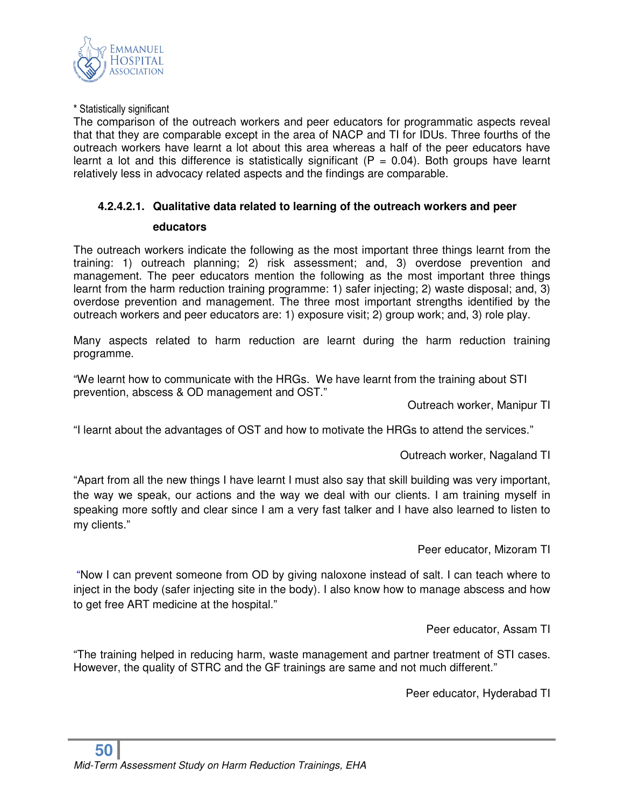

\* Statistically significant

The comparison of the outreach workers and peer educators for programmatic aspects reveal that that they are comparable except in the area of NACP and TI for IDUs. Three fourths of the outreach workers have learnt a lot about this area whereas a half of the peer educators have learnt a lot and this difference is statistically significant ( $P = 0.04$ ). Both groups have learnt relatively less in advocacy related aspects and the findings are comparable.

#### **4.2.4.2.1. Qualitative data related to learning of the outreach workers and peer**

#### **educators**

The outreach workers indicate the following as the most important three things learnt from the training: 1) outreach planning; 2) risk assessment; and, 3) overdose prevention and management. The peer educators mention the following as the most important three things learnt from the harm reduction training programme: 1) safer injecting; 2) waste disposal; and, 3) overdose prevention and management. The three most important strengths identified by the outreach workers and peer educators are: 1) exposure visit; 2) group work; and, 3) role play.

Many aspects related to harm reduction are learnt during the harm reduction training programme.

"We learnt how to communicate with the HRGs. We have learnt from the training about STI prevention, abscess & OD management and OST."

Outreach worker, Manipur TI

"I learnt about the advantages of OST and how to motivate the HRGs to attend the services."

Outreach worker, Nagaland TI

"Apart from all the new things I have learnt I must also say that skill building was very important, the way we speak, our actions and the way we deal with our clients. I am training myself in speaking more softly and clear since I am a very fast talker and I have also learned to listen to my clients."

Peer educator, Mizoram TI

 "Now I can prevent someone from OD by giving naloxone instead of salt. I can teach where to inject in the body (safer injecting site in the body). I also know how to manage abscess and how to get free ART medicine at the hospital."

Peer educator, Assam TI

"The training helped in reducing harm, waste management and partner treatment of STI cases. However, the quality of STRC and the GF trainings are same and not much different."

Peer educator, Hyderabad TI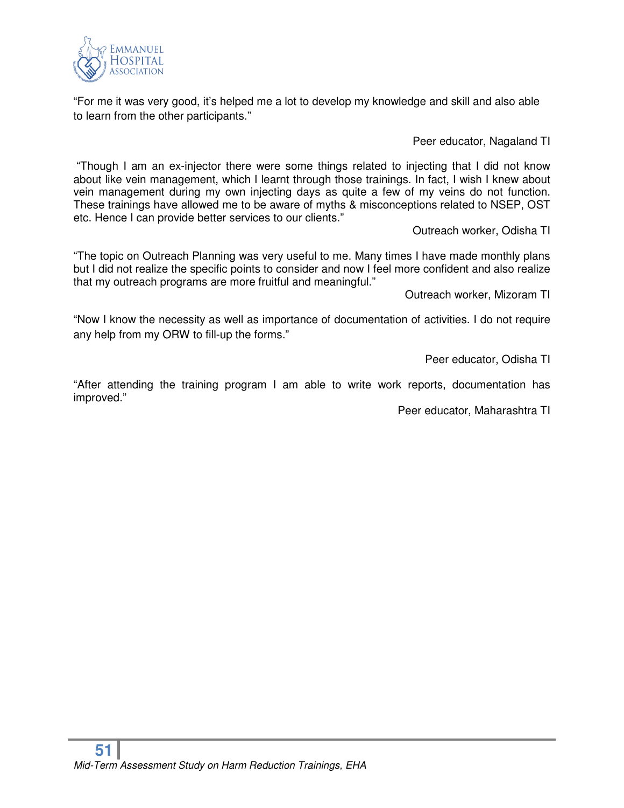

"For me it was very good, it's helped me a lot to develop my knowledge and skill and also able to learn from the other participants."

Peer educator, Nagaland TI

 "Though I am an ex-injector there were some things related to injecting that I did not know about like vein management, which I learnt through those trainings. In fact, I wish I knew about vein management during my own injecting days as quite a few of my veins do not function. These trainings have allowed me to be aware of myths & misconceptions related to NSEP, OST etc. Hence I can provide better services to our clients."

Outreach worker, Odisha TI

"The topic on Outreach Planning was very useful to me. Many times I have made monthly plans but I did not realize the specific points to consider and now I feel more confident and also realize that my outreach programs are more fruitful and meaningful."

Outreach worker, Mizoram TI

"Now I know the necessity as well as importance of documentation of activities. I do not require any help from my ORW to fill-up the forms."

Peer educator, Odisha TI

"After attending the training program I am able to write work reports, documentation has improved."

Peer educator, Maharashtra TI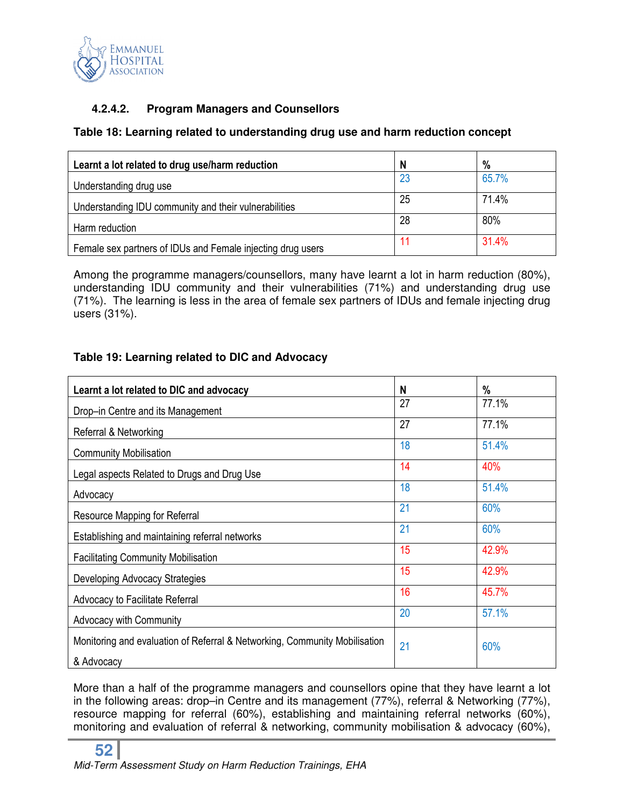

# **4.2.4.2. Program Managers and Counsellors**

## **Table 18: Learning related to understanding drug use and harm reduction concept**

| Learnt a lot related to drug use/harm reduction             | N  | $\%$  |
|-------------------------------------------------------------|----|-------|
| Understanding drug use                                      | 23 | 65.7% |
| Understanding IDU community and their vulnerabilities       | 25 | 71.4% |
| Harm reduction                                              | 28 | 80%   |
| Female sex partners of IDUs and Female injecting drug users | 11 | 31.4% |

Among the programme managers/counsellors, many have learnt a lot in harm reduction (80%), understanding IDU community and their vulnerabilities (71%) and understanding drug use (71%). The learning is less in the area of female sex partners of IDUs and female injecting drug users (31%).

# **Table 19: Learning related to DIC and Advocacy**

| Learnt a lot related to DIC and advocacy                                   | N  | $\%$  |
|----------------------------------------------------------------------------|----|-------|
| Drop-in Centre and its Management                                          | 27 | 77.1% |
| Referral & Networking                                                      | 27 | 77.1% |
| <b>Community Mobilisation</b>                                              | 18 | 51.4% |
| Legal aspects Related to Drugs and Drug Use                                | 14 | 40%   |
| Advocacy                                                                   | 18 | 51.4% |
| Resource Mapping for Referral                                              | 21 | 60%   |
| Establishing and maintaining referral networks                             | 21 | 60%   |
| <b>Facilitating Community Mobilisation</b>                                 | 15 | 42.9% |
| Developing Advocacy Strategies                                             | 15 | 42.9% |
| Advocacy to Facilitate Referral                                            | 16 | 45.7% |
| <b>Advocacy with Community</b>                                             | 20 | 57.1% |
| Monitoring and evaluation of Referral & Networking, Community Mobilisation | 21 | 60%   |
| & Advocacy                                                                 |    |       |

More than a half of the programme managers and counsellors opine that they have learnt a lot in the following areas: drop–in Centre and its management (77%), referral & Networking (77%), resource mapping for referral (60%), establishing and maintaining referral networks (60%), monitoring and evaluation of referral & networking, community mobilisation & advocacy (60%),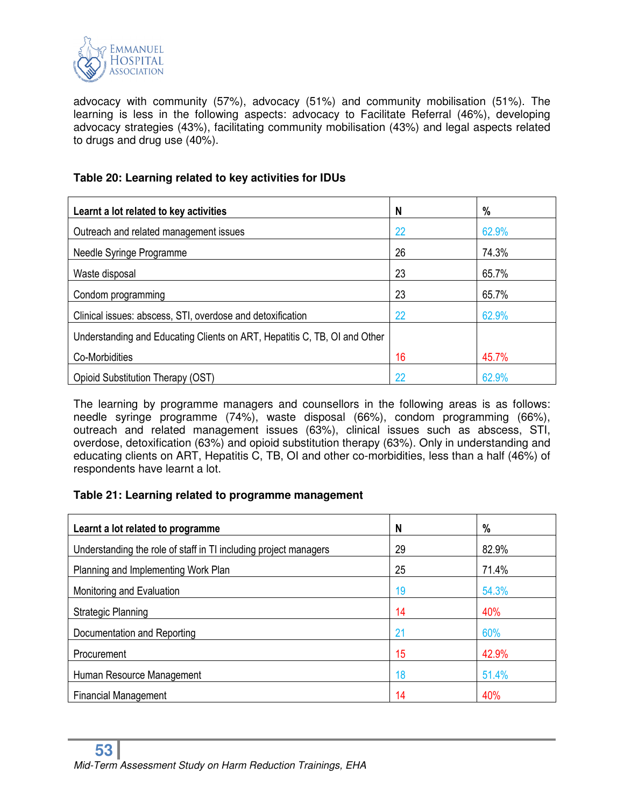

advocacy with community (57%), advocacy (51%) and community mobilisation (51%). The learning is less in the following aspects: advocacy to Facilitate Referral (46%), developing advocacy strategies (43%), facilitating community mobilisation (43%) and legal aspects related to drugs and drug use (40%).

#### **Table 20: Learning related to key activities for IDUs**

| Learnt a lot related to key activities                                    | N  | %     |
|---------------------------------------------------------------------------|----|-------|
| Outreach and related management issues                                    | 22 | 62.9% |
| Needle Syringe Programme                                                  | 26 | 74.3% |
| Waste disposal                                                            | 23 | 65.7% |
| Condom programming                                                        | 23 | 65.7% |
| Clinical issues: abscess, STI, overdose and detoxification                | 22 | 62.9% |
| Understanding and Educating Clients on ART, Hepatitis C, TB, OI and Other |    |       |
| Co-Morbidities                                                            | 16 | 45.7% |
| Opioid Substitution Therapy (OST)                                         | 22 | 62.9% |

The learning by programme managers and counsellors in the following areas is as follows: needle syringe programme (74%), waste disposal (66%), condom programming (66%), outreach and related management issues (63%), clinical issues such as abscess, STI, overdose, detoxification (63%) and opioid substitution therapy (63%). Only in understanding and educating clients on ART, Hepatitis C, TB, OI and other co-morbidities, less than a half (46%) of respondents have learnt a lot.

#### **Table 21: Learning related to programme management**

| Learnt a lot related to programme                                | N  | $\%$  |
|------------------------------------------------------------------|----|-------|
| Understanding the role of staff in TI including project managers | 29 | 82.9% |
| Planning and Implementing Work Plan                              | 25 | 71.4% |
| Monitoring and Evaluation                                        | 19 | 54.3% |
| Strategic Planning                                               | 14 | 40%   |
| Documentation and Reporting                                      | 21 | 60%   |
| Procurement                                                      | 15 | 42.9% |
| Human Resource Management                                        | 18 | 51.4% |
| <b>Financial Management</b>                                      | 14 | 40%   |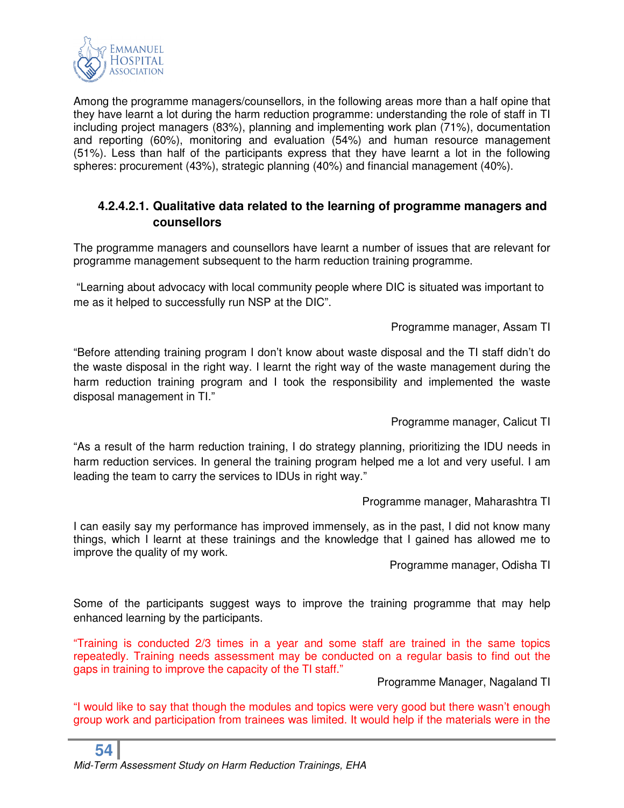

Among the programme managers/counsellors, in the following areas more than a half opine that they have learnt a lot during the harm reduction programme: understanding the role of staff in TI including project managers (83%), planning and implementing work plan (71%), documentation and reporting (60%), monitoring and evaluation (54%) and human resource management (51%). Less than half of the participants express that they have learnt a lot in the following spheres: procurement (43%), strategic planning (40%) and financial management (40%).

# **4.2.4.2.1. Qualitative data related to the learning of programme managers and counsellors**

The programme managers and counsellors have learnt a number of issues that are relevant for programme management subsequent to the harm reduction training programme.

 "Learning about advocacy with local community people where DIC is situated was important to me as it helped to successfully run NSP at the DIC".

#### Programme manager, Assam TI

"Before attending training program I don't know about waste disposal and the TI staff didn't do the waste disposal in the right way. I learnt the right way of the waste management during the harm reduction training program and I took the responsibility and implemented the waste disposal management in TI."

Programme manager, Calicut TI

"As a result of the harm reduction training, I do strategy planning, prioritizing the IDU needs in harm reduction services. In general the training program helped me a lot and very useful. I am leading the team to carry the services to IDUs in right way."

Programme manager, Maharashtra TI

I can easily say my performance has improved immensely, as in the past, I did not know many things, which I learnt at these trainings and the knowledge that I gained has allowed me to improve the quality of my work.

Programme manager, Odisha TI

Some of the participants suggest ways to improve the training programme that may help enhanced learning by the participants.

"Training is conducted 2/3 times in a year and some staff are trained in the same topics repeatedly. Training needs assessment may be conducted on a regular basis to find out the gaps in training to improve the capacity of the TI staff."

Programme Manager, Nagaland TI

"I would like to say that though the modules and topics were very good but there wasn't enough group work and participation from trainees was limited. It would help if the materials were in the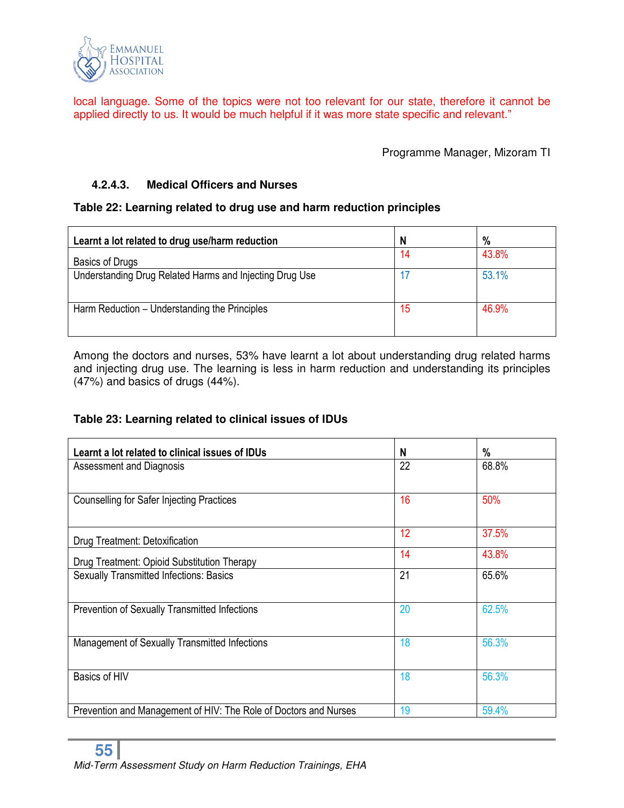

local language. Some of the topics were not too relevant for our state, therefore it cannot be applied directly to us. It would be much helpful if it was more state specific and relevant."

Programme Manager, Mizoram TI

## **4.2.4.3. Medical Officers and Nurses**

#### **Table 22: Learning related to drug use and harm reduction principles**

| Learnt a lot related to drug use/harm reduction         | N  | $\%$  |
|---------------------------------------------------------|----|-------|
| Basics of Drugs                                         | 14 | 43.8% |
| Understanding Drug Related Harms and Injecting Drug Use |    | 53.1% |
|                                                         |    |       |
| Harm Reduction – Understanding the Principles           | 15 | 46.9% |
|                                                         |    |       |

Among the doctors and nurses, 53% have learnt a lot about understanding drug related harms and injecting drug use. The learning is less in harm reduction and understanding its principles (47%) and basics of drugs (44%).

#### **Table 23: Learning related to clinical issues of IDUs**

| Learnt a lot related to clinical issues of IDUs                  | N  | %     |
|------------------------------------------------------------------|----|-------|
| Assessment and Diagnosis                                         | 22 | 68.8% |
| <b>Counselling for Safer Injecting Practices</b>                 | 16 | 50%   |
| Drug Treatment: Detoxification                                   | 12 | 37.5% |
| Drug Treatment: Opioid Substitution Therapy                      | 14 | 43.8% |
| <b>Sexually Transmitted Infections: Basics</b>                   | 21 | 65.6% |
| Prevention of Sexually Transmitted Infections                    | 20 | 62.5% |
| Management of Sexually Transmitted Infections                    | 18 | 56.3% |
| Basics of HIV                                                    | 18 | 56.3% |
| Prevention and Management of HIV: The Role of Doctors and Nurses | 19 | 59.4% |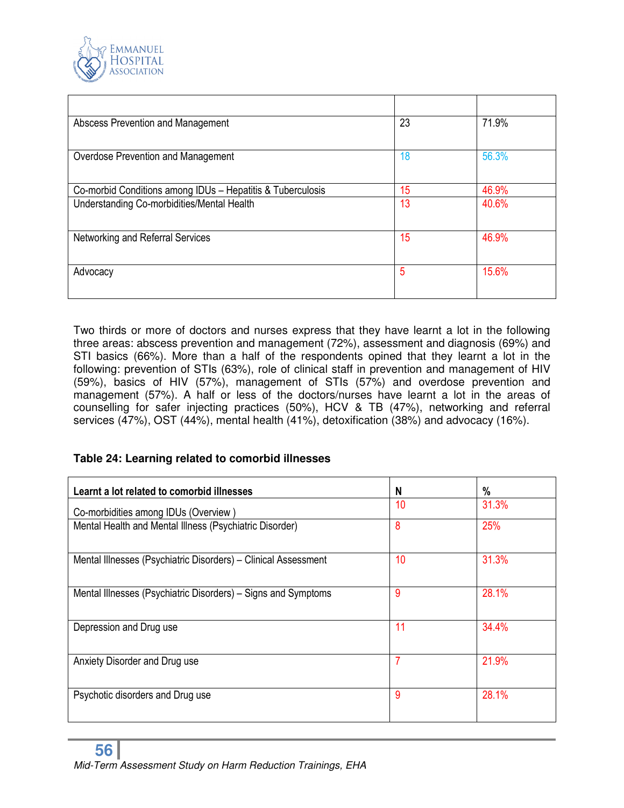

| Abscess Prevention and Management                          | 23 | 71.9% |
|------------------------------------------------------------|----|-------|
| Overdose Prevention and Management                         | 18 | 56.3% |
| Co-morbid Conditions among IDUs - Hepatitis & Tuberculosis | 15 | 46.9% |
| Understanding Co-morbidities/Mental Health                 | 13 | 40.6% |
| Networking and Referral Services                           | 15 | 46.9% |
| Advocacy                                                   | 5  | 15.6% |

Two thirds or more of doctors and nurses express that they have learnt a lot in the following three areas: abscess prevention and management (72%), assessment and diagnosis (69%) and STI basics (66%). More than a half of the respondents opined that they learnt a lot in the following: prevention of STIs (63%), role of clinical staff in prevention and management of HIV (59%), basics of HIV (57%), management of STIs (57%) and overdose prevention and management (57%). A half or less of the doctors/nurses have learnt a lot in the areas of counselling for safer injecting practices (50%), HCV & TB (47%), networking and referral services (47%), OST (44%), mental health (41%), detoxification (38%) and advocacy (16%).

# **Table 24: Learning related to comorbid illnesses**

| Learnt a lot related to comorbid illnesses                     | N  | %     |
|----------------------------------------------------------------|----|-------|
| Co-morbidities among IDUs (Overview)                           | 10 | 31.3% |
| Mental Health and Mental Illness (Psychiatric Disorder)        | 8  | 25%   |
| Mental Illnesses (Psychiatric Disorders) – Clinical Assessment | 10 | 31.3% |
| Mental Illnesses (Psychiatric Disorders) – Signs and Symptoms  | 9  | 28.1% |
| Depression and Drug use                                        | 11 | 34.4% |
| Anxiety Disorder and Drug use                                  | 7  | 21.9% |
| Psychotic disorders and Drug use                               | 9  | 28.1% |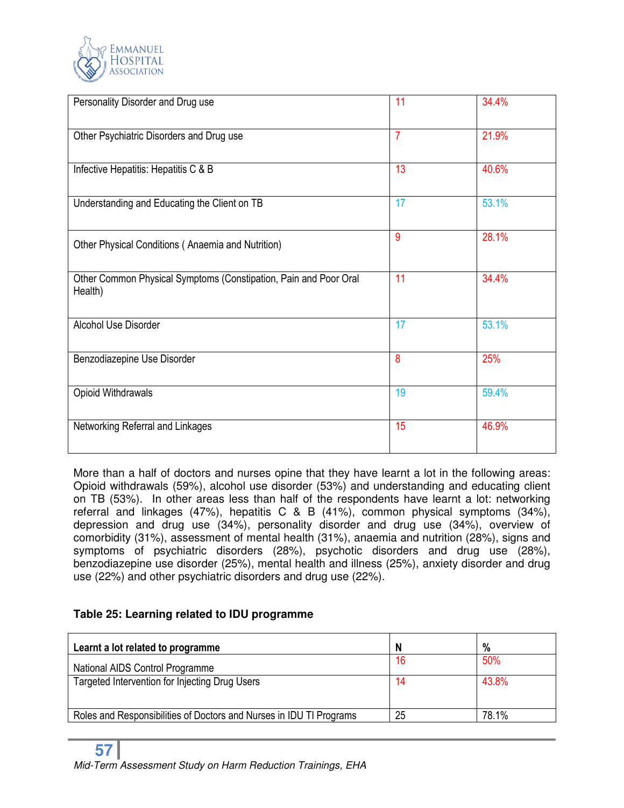

| Personality Disorder and Drug use                                           | 11             | 34.4% |
|-----------------------------------------------------------------------------|----------------|-------|
| Other Psychiatric Disorders and Drug use                                    | $\overline{7}$ | 21.9% |
| Infective Hepatitis: Hepatitis C & B                                        | 13             | 40.6% |
| Understanding and Educating the Client on TB                                | 17             | 53.1% |
| Other Physical Conditions (Anaemia and Nutrition)                           | 9              | 28.1% |
| Other Common Physical Symptoms (Constipation, Pain and Poor Oral<br>Health) | 11             | 34.4% |
| Alcohol Use Disorder                                                        | 17             | 53.1% |
| Benzodiazepine Use Disorder                                                 | 8              | 25%   |
| Opioid Withdrawals                                                          | 19             | 59.4% |
| Networking Referral and Linkages                                            | 15             | 46.9% |

More than a half of doctors and nurses opine that they have learnt a lot in the following areas: Opioid withdrawals (59%), alcohol use disorder (53%) and understanding and educating client on TB (53%). In other areas less than half of the respondents have learnt a lot: networking referral and linkages (47%), hepatitis C & B (41%), common physical symptoms (34%), depression and drug use (34%), personality disorder and drug use (34%), overview of comorbidity (31%), assessment of mental health (31%), anaemia and nutrition (28%), signs and symptoms of psychiatric disorders (28%), psychotic disorders and drug use (28%), benzodiazepine use disorder (25%), mental health and illness (25%), anxiety disorder and drug use (22%) and other psychiatric disorders and drug use (22%).

# **Table 25: Learning related to IDU programme**

| Learnt a lot related to programme                                   | N  | %     |
|---------------------------------------------------------------------|----|-------|
| National AIDS Control Programme                                     | 16 | 50%   |
| Targeted Intervention for Injecting Drug Users                      | 14 | 43.8% |
|                                                                     |    |       |
| Roles and Responsibilities of Doctors and Nurses in IDU TI Programs | 25 | 78.1% |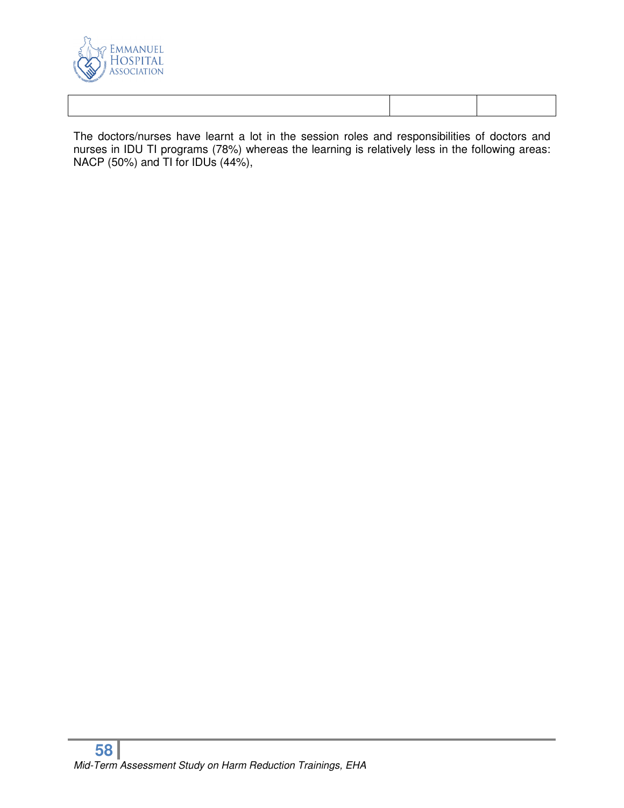

The doctors/nurses have learnt a lot in the session roles and responsibilities of doctors and nurses in IDU TI programs (78%) whereas the learning is relatively less in the following areas: NACP (50%) and TI for IDUs (44%),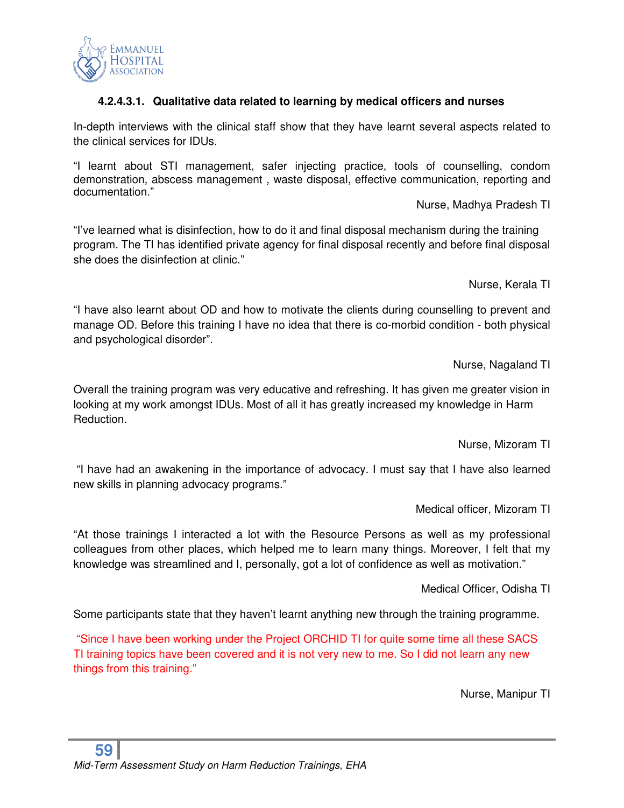

# **4.2.4.3.1. Qualitative data related to learning by medical officers and nurses**

In-depth interviews with the clinical staff show that they have learnt several aspects related to the clinical services for IDUs.

"I learnt about STI management, safer injecting practice, tools of counselling, condom demonstration, abscess management , waste disposal, effective communication, reporting and documentation."

Nurse, Madhya Pradesh TI

"I've learned what is disinfection, how to do it and final disposal mechanism during the training program. The TI has identified private agency for final disposal recently and before final disposal she does the disinfection at clinic."

Nurse, Kerala TI

"I have also learnt about OD and how to motivate the clients during counselling to prevent and manage OD. Before this training I have no idea that there is co-morbid condition - both physical and psychological disorder".

Nurse, Nagaland TI

Overall the training program was very educative and refreshing. It has given me greater vision in looking at my work amongst IDUs. Most of all it has greatly increased my knowledge in Harm Reduction.

Nurse, Mizoram TI

 "I have had an awakening in the importance of advocacy. I must say that I have also learned new skills in planning advocacy programs."

Medical officer, Mizoram TI

"At those trainings I interacted a lot with the Resource Persons as well as my professional colleagues from other places, which helped me to learn many things. Moreover, I felt that my knowledge was streamlined and I, personally, got a lot of confidence as well as motivation."

Medical Officer, Odisha TI

Some participants state that they haven't learnt anything new through the training programme.

 "Since I have been working under the Project ORCHID TI for quite some time all these SACS TI training topics have been covered and it is not very new to me. So I did not learn any new things from this training."

Nurse, Manipur TI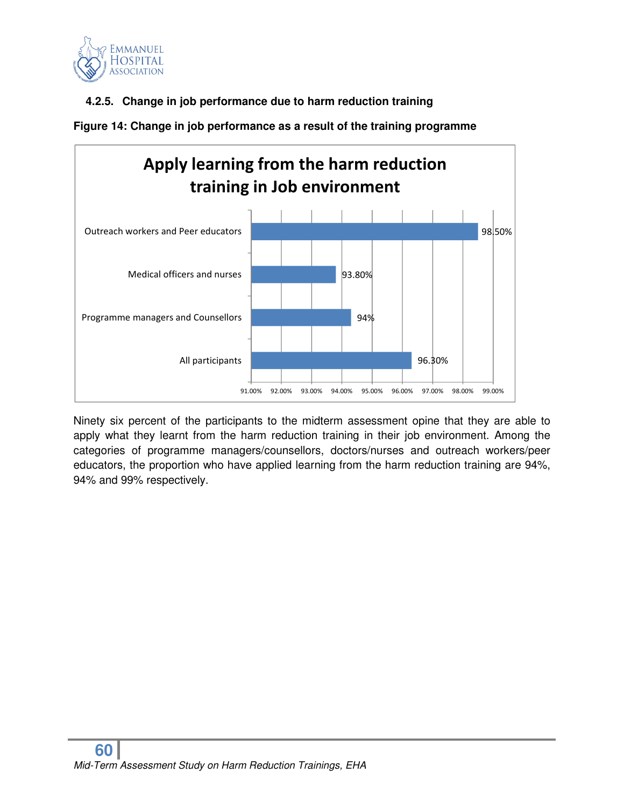

# **4.2.5. Change in job performance due to harm reduction training**



**Figure 14: Change in job performance as a result of the training programme** 

Ninety six percent of the participants to the midterm assessment opine that they are able to apply what they learnt from the harm reduction training in their job environment. Among the categories of programme managers/counsellors, doctors/nurses and outreach workers/peer educators, the proportion who have applied learning from the harm reduction training are 94%, 94% and 99% respectively.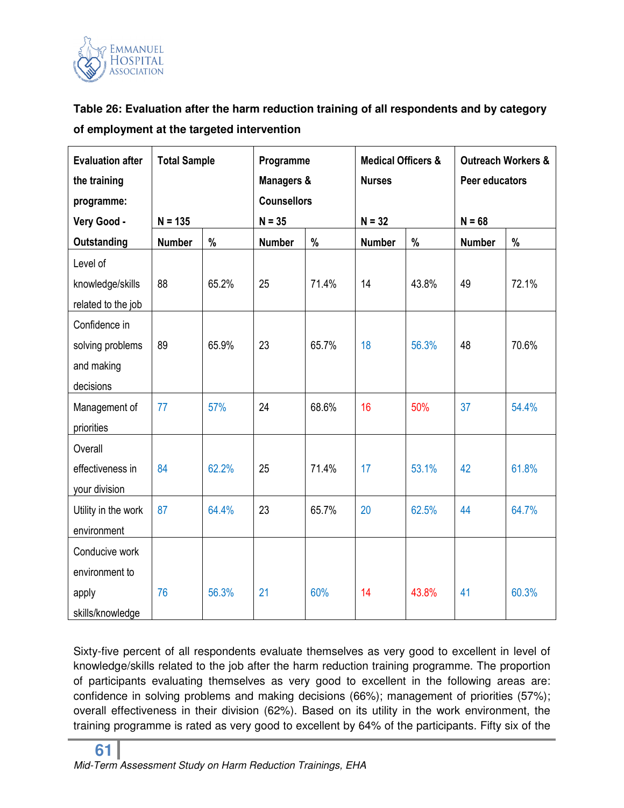

**Table 26: Evaluation after the harm reduction training of all respondents and by category of employment at the targeted intervention** 

| <b>Evaluation after</b><br>the training | <b>Total Sample</b> |       | Programme<br><b>Managers &amp;</b> |       | <b>Medical Officers &amp;</b><br><b>Nurses</b> |       | <b>Outreach Workers &amp;</b><br>Peer educators |       |
|-----------------------------------------|---------------------|-------|------------------------------------|-------|------------------------------------------------|-------|-------------------------------------------------|-------|
| programme:                              |                     |       | <b>Counsellors</b>                 |       |                                                |       |                                                 |       |
| Very Good -                             | $N = 135$           |       | $N = 35$                           |       | $N = 32$                                       |       | $N = 68$                                        |       |
| <b>Outstanding</b>                      | <b>Number</b>       | %     | <b>Number</b>                      | $\%$  | <b>Number</b>                                  | %     | <b>Number</b>                                   | $\%$  |
| Level of                                |                     |       |                                    |       |                                                |       |                                                 |       |
| knowledge/skills                        | 88                  | 65.2% | 25                                 | 71.4% | 14                                             | 43.8% | 49                                              | 72.1% |
| related to the job                      |                     |       |                                    |       |                                                |       |                                                 |       |
| Confidence in                           |                     |       |                                    |       |                                                |       |                                                 |       |
| solving problems                        | 89                  | 65.9% | 23                                 | 65.7% | 18                                             | 56.3% | 48                                              | 70.6% |
| and making                              |                     |       |                                    |       |                                                |       |                                                 |       |
| decisions                               |                     |       |                                    |       |                                                |       |                                                 |       |
| Management of                           | 77                  | 57%   | 24                                 | 68.6% | 16                                             | 50%   | 37                                              | 54.4% |
| priorities                              |                     |       |                                    |       |                                                |       |                                                 |       |
| Overall                                 |                     |       |                                    |       |                                                |       |                                                 |       |
| effectiveness in                        | 84                  | 62.2% | 25                                 | 71.4% | 17                                             | 53.1% | 42                                              | 61.8% |
| your division                           |                     |       |                                    |       |                                                |       |                                                 |       |
| Utility in the work                     | 87                  | 64.4% | 23                                 | 65.7% | 20                                             | 62.5% | 44                                              | 64.7% |
| environment                             |                     |       |                                    |       |                                                |       |                                                 |       |
| Conducive work                          |                     |       |                                    |       |                                                |       |                                                 |       |
| environment to                          |                     |       |                                    |       |                                                |       |                                                 |       |
| apply                                   | 76                  | 56.3% | 21                                 | 60%   | 14                                             | 43.8% | 41                                              | 60.3% |
| skills/knowledge                        |                     |       |                                    |       |                                                |       |                                                 |       |

Sixty-five percent of all respondents evaluate themselves as very good to excellent in level of knowledge/skills related to the job after the harm reduction training programme. The proportion of participants evaluating themselves as very good to excellent in the following areas are: confidence in solving problems and making decisions (66%); management of priorities (57%); overall effectiveness in their division (62%). Based on its utility in the work environment, the training programme is rated as very good to excellent by 64% of the participants. Fifty six of the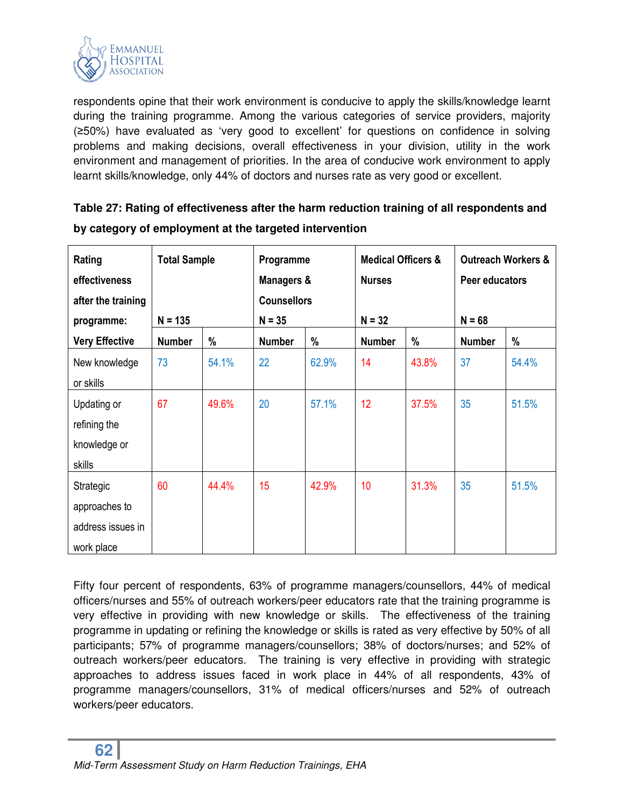

respondents opine that their work environment is conducive to apply the skills/knowledge learnt during the training programme. Among the various categories of service providers, majority (≥50%) have evaluated as 'very good to excellent' for questions on confidence in solving problems and making decisions, overall effectiveness in your division, utility in the work environment and management of priorities. In the area of conducive work environment to apply learnt skills/knowledge, only 44% of doctors and nurses rate as very good or excellent.

| Table 27: Rating of effectiveness after the narm reduction training of all respondents and |  |  |  |  |  |  |  |
|--------------------------------------------------------------------------------------------|--|--|--|--|--|--|--|
| by category of employment at the targeted intervention                                     |  |  |  |  |  |  |  |
|                                                                                            |  |  |  |  |  |  |  |

**Table 27: Rating of effectiveness after the harm reduction training of all respondents and** 

| Rating<br>effectiveness<br>after the training<br>programme:   | <b>Total Sample</b><br>$N = 135$ |       | Programme<br><b>Managers &amp;</b><br><b>Counsellors</b><br>$N = 35$ |       | <b>Medical Officers &amp;</b><br><b>Nurses</b><br>$N = 32$ |       | Peer educators<br>$N = 68$ | <b>Outreach Workers &amp;</b> |
|---------------------------------------------------------------|----------------------------------|-------|----------------------------------------------------------------------|-------|------------------------------------------------------------|-------|----------------------------|-------------------------------|
| <b>Very Effective</b>                                         | <b>Number</b>                    | %     | <b>Number</b>                                                        | %     | <b>Number</b>                                              | %     | <b>Number</b>              | %                             |
| New knowledge<br>or skills                                    | 73                               | 54.1% | 22                                                                   | 62.9% | 14                                                         | 43.8% | 37                         | 54.4%                         |
| Updating or<br>refining the<br>knowledge or<br>skills         | 67                               | 49.6% | 20                                                                   | 57.1% | 12                                                         | 37.5% | 35                         | 51.5%                         |
| Strategic<br>approaches to<br>address issues in<br>work place | 60                               | 44.4% | 15                                                                   | 42.9% | 10                                                         | 31.3% | 35                         | 51.5%                         |

Fifty four percent of respondents, 63% of programme managers/counsellors, 44% of medical officers/nurses and 55% of outreach workers/peer educators rate that the training programme is very effective in providing with new knowledge or skills. The effectiveness of the training programme in updating or refining the knowledge or skills is rated as very effective by 50% of all participants; 57% of programme managers/counsellors; 38% of doctors/nurses; and 52% of outreach workers/peer educators. The training is very effective in providing with strategic approaches to address issues faced in work place in 44% of all respondents, 43% of programme managers/counsellors, 31% of medical officers/nurses and 52% of outreach workers/peer educators.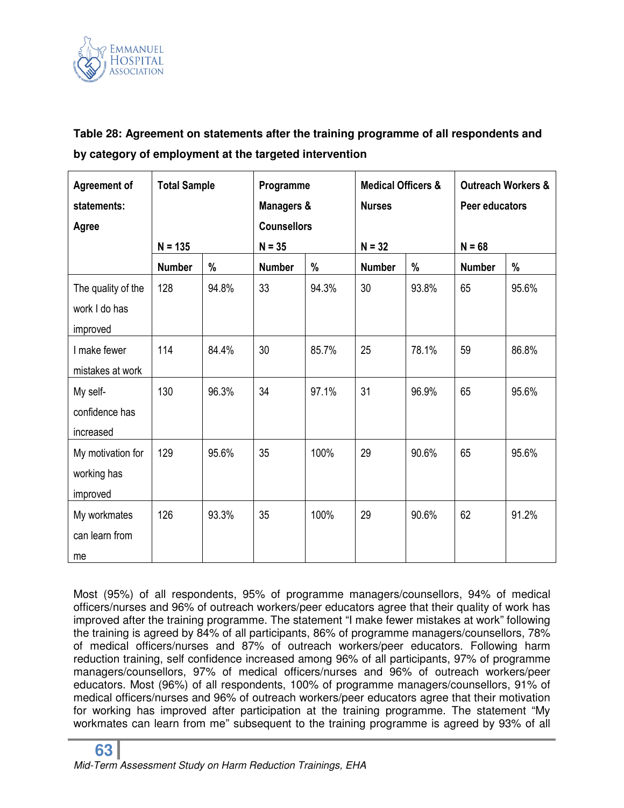

**Table 28: Agreement on statements after the training programme of all respondents and by category of employment at the targeted intervention** 

| <b>Agreement of</b><br>statements:<br>Agree     | <b>Total Sample</b> |       | Programme<br><b>Managers &amp;</b><br><b>Counsellors</b> |       | <b>Medical Officers &amp;</b><br><b>Nurses</b> |       | <b>Outreach Workers &amp;</b><br>Peer educators |       |
|-------------------------------------------------|---------------------|-------|----------------------------------------------------------|-------|------------------------------------------------|-------|-------------------------------------------------|-------|
|                                                 | $N = 135$           |       | $N = 35$                                                 |       | $N = 32$                                       |       | $N = 68$                                        |       |
|                                                 | <b>Number</b>       | %     | <b>Number</b>                                            | %     | <b>Number</b>                                  | %     | <b>Number</b>                                   | %     |
| The quality of the<br>work I do has<br>improved | 128                 | 94.8% | 33                                                       | 94.3% | 30                                             | 93.8% | 65                                              | 95.6% |
| I make fewer<br>mistakes at work                | 114                 | 84.4% | 30                                                       | 85.7% | 25                                             | 78.1% | 59                                              | 86.8% |
| My self-<br>confidence has<br>increased         | 130                 | 96.3% | 34                                                       | 97.1% | 31                                             | 96.9% | 65                                              | 95.6% |
| My motivation for<br>working has<br>improved    | 129                 | 95.6% | 35                                                       | 100%  | 29                                             | 90.6% | 65                                              | 95.6% |
| My workmates<br>can learn from<br>me            | 126                 | 93.3% | 35                                                       | 100%  | 29                                             | 90.6% | 62                                              | 91.2% |

Most (95%) of all respondents, 95% of programme managers/counsellors, 94% of medical officers/nurses and 96% of outreach workers/peer educators agree that their quality of work has improved after the training programme. The statement "I make fewer mistakes at work" following the training is agreed by 84% of all participants, 86% of programme managers/counsellors, 78% of medical officers/nurses and 87% of outreach workers/peer educators. Following harm reduction training, self confidence increased among 96% of all participants, 97% of programme managers/counsellors, 97% of medical officers/nurses and 96% of outreach workers/peer educators. Most (96%) of all respondents, 100% of programme managers/counsellors, 91% of medical officers/nurses and 96% of outreach workers/peer educators agree that their motivation for working has improved after participation at the training programme. The statement "My workmates can learn from me" subsequent to the training programme is agreed by 93% of all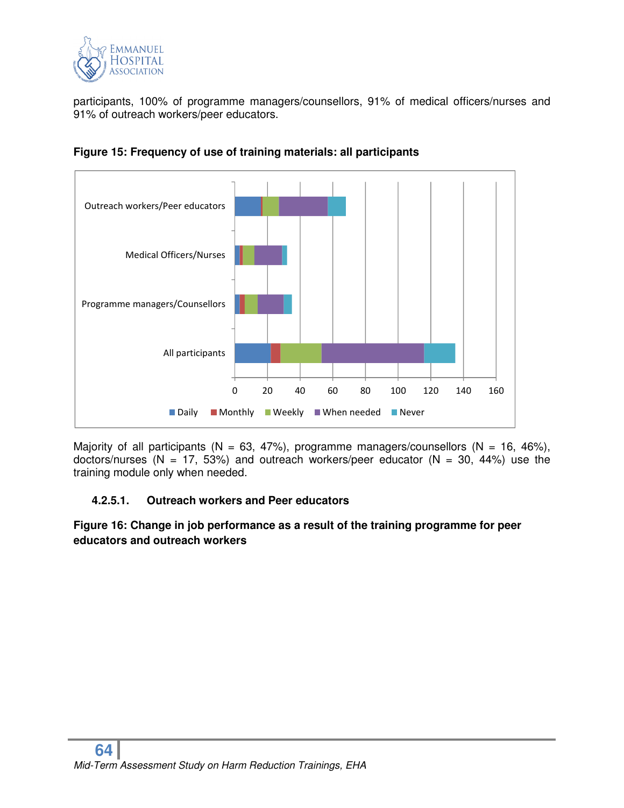

participants, 100% of programme managers/counsellors, 91% of medical officers/nurses and 91% of outreach workers/peer educators.





Majority of all participants (N = 63, 47%), programme managers/counsellors (N = 16, 46%), doctors/nurses (N = 17, 53%) and outreach workers/peer educator (N = 30, 44%) use the training module only when needed.

# **4.2.5.1. Outreach workers and Peer educators**

**Figure 16: Change in job performance as a result of the training programme for peer educators and outreach workers**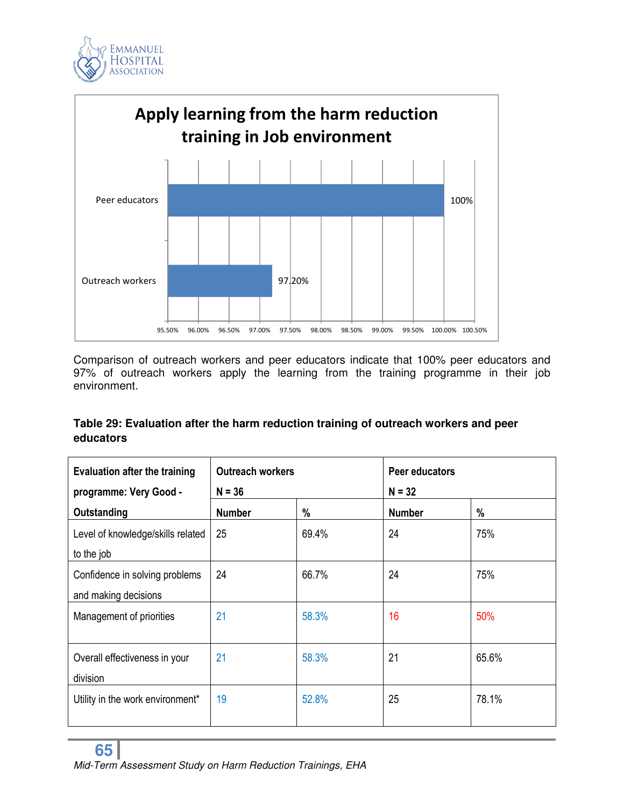



Comparison of outreach workers and peer educators indicate that 100% peer educators and 97% of outreach workers apply the learning from the training programme in their job environment.

# **Table 29: Evaluation after the harm reduction training of outreach workers and peer educators**

| <b>Evaluation after the training</b> | <b>Outreach workers</b> |       | Peer educators |       |
|--------------------------------------|-------------------------|-------|----------------|-------|
| programme: Very Good -               | $N = 36$                |       | $N = 32$       |       |
| Outstanding                          | <b>Number</b>           | %     | <b>Number</b>  | %     |
| Level of knowledge/skills related    | 25                      | 69.4% | 24             | 75%   |
| to the job                           |                         |       |                |       |
| Confidence in solving problems       | 24                      | 66.7% | 24             | 75%   |
| and making decisions                 |                         |       |                |       |
| Management of priorities             | 21                      | 58.3% | 16             | 50%   |
|                                      |                         |       |                |       |
| Overall effectiveness in your        | 21                      | 58.3% | 21             | 65.6% |
| division                             |                         |       |                |       |
| Utility in the work environment*     | 19                      | 52.8% | 25             | 78.1% |
|                                      |                         |       |                |       |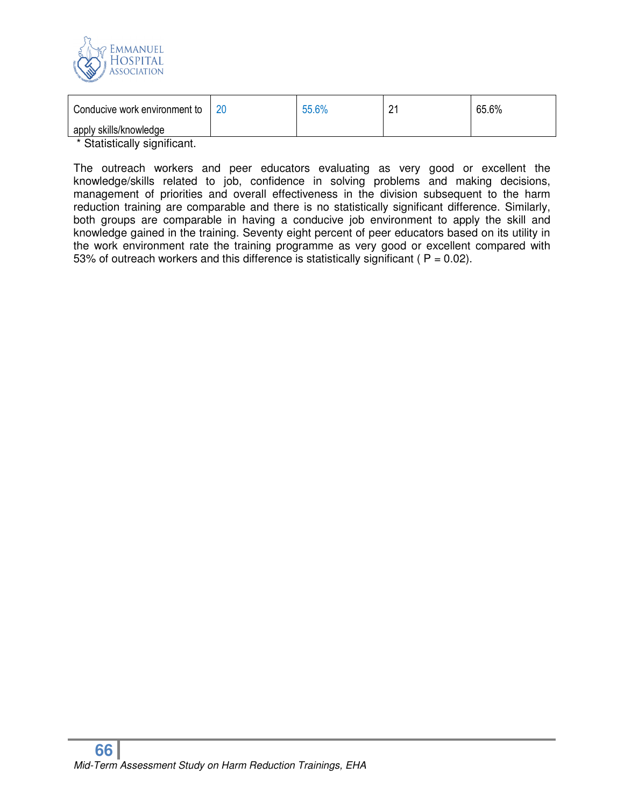

| Conducive work environment to                                         | 20 | 55.6% | <u>.</u> | 65.6% |
|-----------------------------------------------------------------------|----|-------|----------|-------|
| apply skills/knowledge                                                |    |       |          |       |
| $\star$ Original contract the set of $\Omega$ is contracted to $\sim$ |    |       |          |       |

Statistically significant.

The outreach workers and peer educators evaluating as very good or excellent the knowledge/skills related to job, confidence in solving problems and making decisions, management of priorities and overall effectiveness in the division subsequent to the harm reduction training are comparable and there is no statistically significant difference. Similarly, both groups are comparable in having a conducive job environment to apply the skill and knowledge gained in the training. Seventy eight percent of peer educators based on its utility in the work environment rate the training programme as very good or excellent compared with 53% of outreach workers and this difference is statistically significant ( $P = 0.02$ ).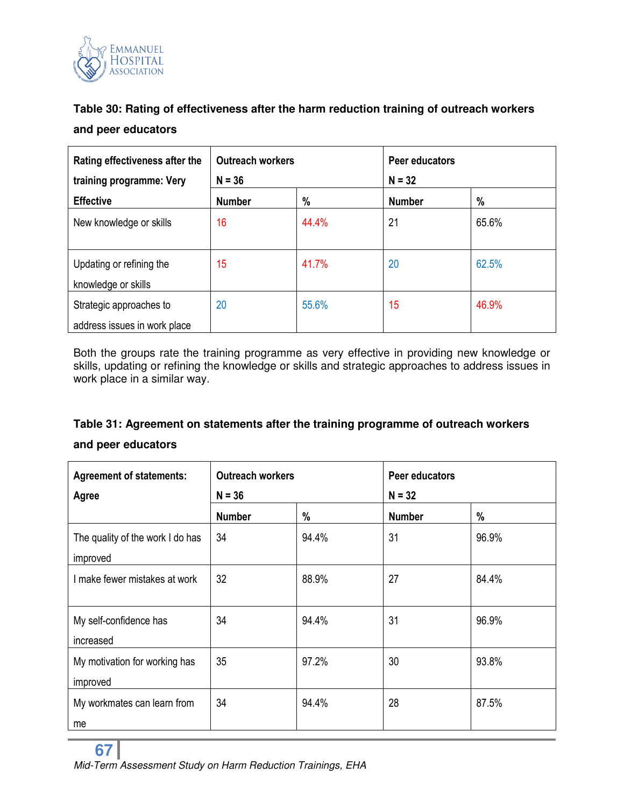

# **Table 30: Rating of effectiveness after the harm reduction training of outreach workers and peer educators**

| Rating effectiveness after the                          | <b>Outreach workers</b> |       | Peer educators |       |  |
|---------------------------------------------------------|-------------------------|-------|----------------|-------|--|
| training programme: Very                                | $N = 36$                |       | $N = 32$       |       |  |
| <b>Effective</b>                                        | <b>Number</b>           | $\%$  | <b>Number</b>  | %     |  |
| New knowledge or skills                                 | 16                      | 44.4% | 21             | 65.6% |  |
| Updating or refining the<br>knowledge or skills         | 15                      | 41.7% | 20             | 62.5% |  |
| Strategic approaches to<br>address issues in work place | 20                      | 55.6% | 15             | 46.9% |  |

Both the groups rate the training programme as very effective in providing new knowledge or skills, updating or refining the knowledge or skills and strategic approaches to address issues in work place in a similar way.

# **Table 31: Agreement on statements after the training programme of outreach workers and peer educators**

| <b>Agreement of statements:</b><br>Agree     | <b>Outreach workers</b><br>$N = 36$ |       | Peer educators<br>$N = 32$ |       |  |
|----------------------------------------------|-------------------------------------|-------|----------------------------|-------|--|
|                                              | <b>Number</b>                       | %     | <b>Number</b>              | %     |  |
| The quality of the work I do has<br>improved | 34                                  | 94.4% | 31                         | 96.9% |  |
| I make fewer mistakes at work                | 32                                  | 88.9% | 27                         | 84.4% |  |
| My self-confidence has<br>increased          | 34                                  | 94.4% | 31                         | 96.9% |  |
| My motivation for working has<br>improved    | 35                                  | 97.2% | 30                         | 93.8% |  |
| My workmates can learn from<br>me            | 34                                  | 94.4% | 28                         | 87.5% |  |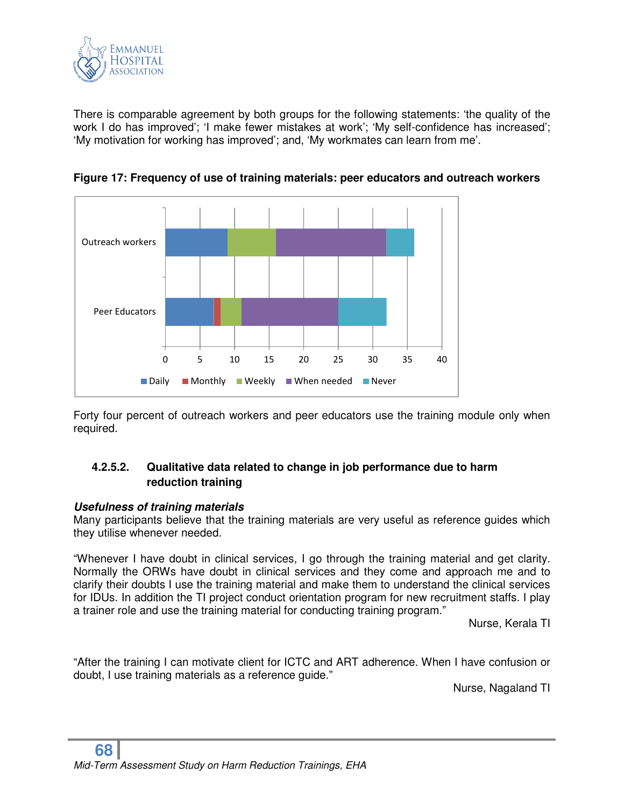

There is comparable agreement by both groups for the following statements: 'the quality of the work I do has improved'; 'I make fewer mistakes at work'; 'My self-confidence has increased'; 'My motivation for working has improved'; and, 'My workmates can learn from me'.



**Figure 17: Frequency of use of training materials: peer educators and outreach workers** 

Forty four percent of outreach workers and peer educators use the training module only when required.

# **4.2.5.2. Qualitative data related to change in job performance due to harm reduction training**

#### *Usefulness of training materials*

Many participants believe that the training materials are very useful as reference guides which they utilise whenever needed.

"Whenever I have doubt in clinical services, I go through the training material and get clarity. Normally the ORWs have doubt in clinical services and they come and approach me and to clarify their doubts I use the training material and make them to understand the clinical services for IDUs. In addition the TI project conduct orientation program for new recruitment staffs. I play a trainer role and use the training material for conducting training program."

Nurse, Kerala TI

"After the training I can motivate client for ICTC and ART adherence. When I have confusion or doubt, I use training materials as a reference guide."

Nurse, Nagaland TI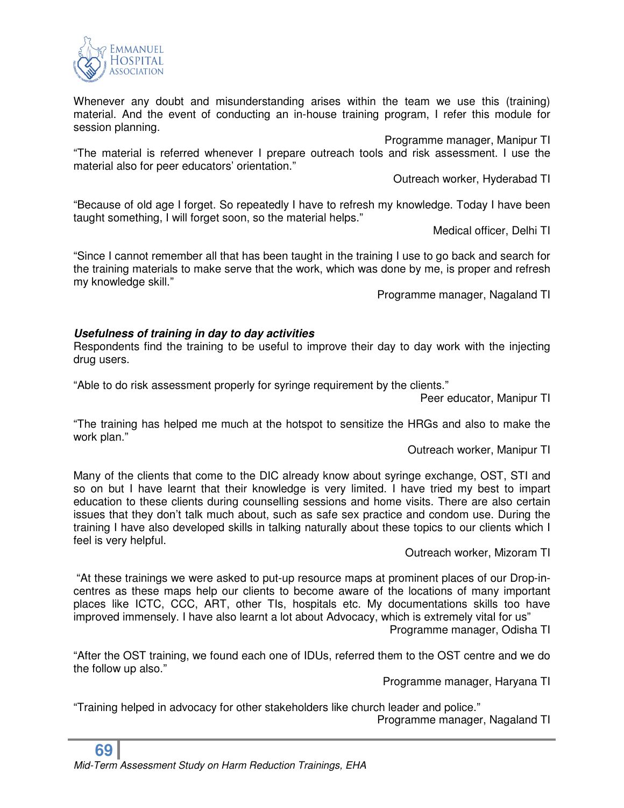

Whenever any doubt and misunderstanding arises within the team we use this (training) material. And the event of conducting an in-house training program, I refer this module for session planning.

Programme manager, Manipur TI

"The material is referred whenever I prepare outreach tools and risk assessment. I use the material also for peer educators' orientation."

Outreach worker, Hyderabad TI

"Because of old age I forget. So repeatedly I have to refresh my knowledge. Today I have been taught something, I will forget soon, so the material helps."

Medical officer, Delhi TI

"Since I cannot remember all that has been taught in the training I use to go back and search for the training materials to make serve that the work, which was done by me, is proper and refresh my knowledge skill."

Programme manager, Nagaland TI

#### *Usefulness of training in day to day activities*

Respondents find the training to be useful to improve their day to day work with the injecting drug users.

"Able to do risk assessment properly for syringe requirement by the clients."

Peer educator, Manipur TI

"The training has helped me much at the hotspot to sensitize the HRGs and also to make the work plan."

Outreach worker, Manipur TI

Many of the clients that come to the DIC already know about syringe exchange, OST, STI and so on but I have learnt that their knowledge is very limited. I have tried my best to impart education to these clients during counselling sessions and home visits. There are also certain issues that they don't talk much about, such as safe sex practice and condom use. During the training I have also developed skills in talking naturally about these topics to our clients which I feel is very helpful.

Outreach worker, Mizoram TI

 "At these trainings we were asked to put-up resource maps at prominent places of our Drop-incentres as these maps help our clients to become aware of the locations of many important places like ICTC, CCC, ART, other TIs, hospitals etc. My documentations skills too have improved immensely. I have also learnt a lot about Advocacy, which is extremely vital for us" Programme manager, Odisha TI

"After the OST training, we found each one of IDUs, referred them to the OST centre and we do the follow up also."

Programme manager, Haryana TI

"Training helped in advocacy for other stakeholders like church leader and police." Programme manager, Nagaland TI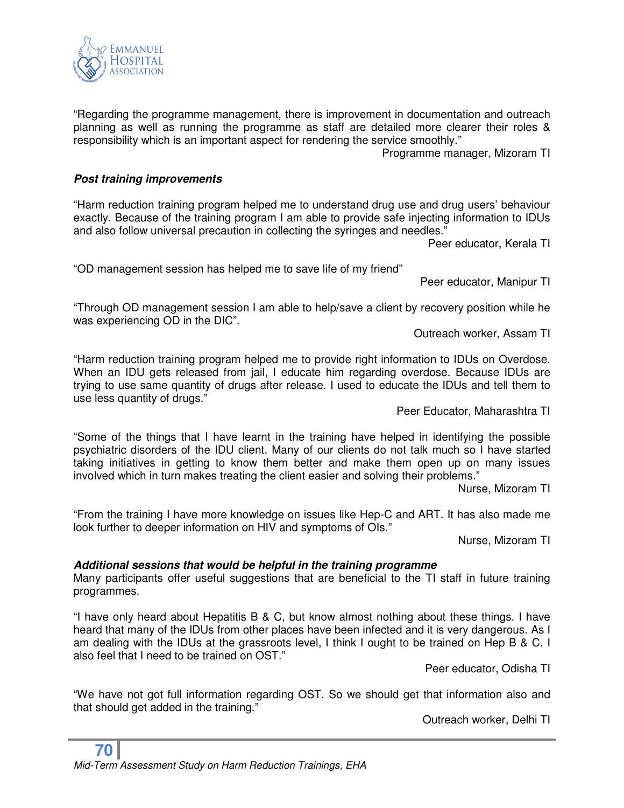"Regarding the programme management, there is improvement in documentation and outreach planning as well as running the programme as staff are detailed more clearer their roles & responsibility which is an important aspect for rendering the service smoothly."

Programme manager, Mizoram TI

# *Post training improvements*

"Harm reduction training program helped me to understand drug use and drug users' behaviour exactly. Because of the training program I am able to provide safe injecting information to IDUs and also follow universal precaution in collecting the syringes and needles."

Peer educator, Kerala TI

"OD management session has helped me to save life of my friend"

Peer educator, Manipur TI

"Through OD management session I am able to help/save a client by recovery position while he was experiencing OD in the DIC".

Outreach worker, Assam TI

"Harm reduction training program helped me to provide right information to IDUs on Overdose. When an IDU gets released from jail, I educate him regarding overdose. Because IDUs are trying to use same quantity of drugs after release. I used to educate the IDUs and tell them to use less quantity of drugs."

Peer Educator, Maharashtra TI

"Some of the things that I have learnt in the training have helped in identifying the possible psychiatric disorders of the IDU client. Many of our clients do not talk much so I have started taking initiatives in getting to know them better and make them open up on many issues involved which in turn makes treating the client easier and solving their problems."

Nurse, Mizoram TI

"From the training I have more knowledge on issues like Hep-C and ART. It has also made me look further to deeper information on HIV and symptoms of OIs."

Nurse, Mizoram TI

#### *Additional sessions that would be helpful in the training programme*

Many participants offer useful suggestions that are beneficial to the TI staff in future training programmes.

"I have only heard about Hepatitis B & C, but know almost nothing about these things. I have heard that many of the IDUs from other places have been infected and it is very dangerous. As I am dealing with the IDUs at the grassroots level, I think I ought to be trained on Hep B & C. I also feel that I need to be trained on OST."

Peer educator, Odisha TI

"We have not got full information regarding OST. So we should get that information also and that should get added in the training."

Outreach worker, Delhi TI

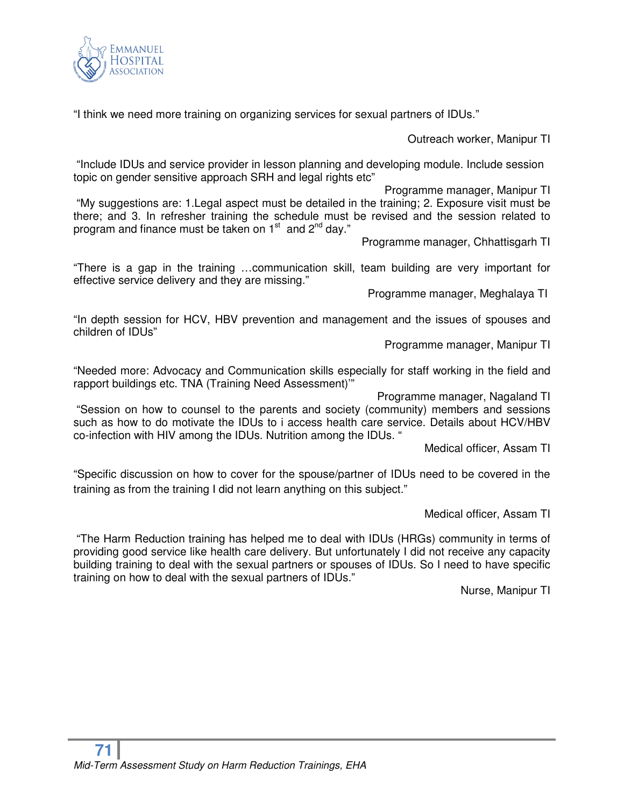

"I think we need more training on organizing services for sexual partners of IDUs."

Outreach worker, Manipur TI

 "Include IDUs and service provider in lesson planning and developing module. Include session topic on gender sensitive approach SRH and legal rights etc"

Programme manager, Manipur TI "My suggestions are: 1.Legal aspect must be detailed in the training; 2. Exposure visit must be there; and 3. In refresher training the schedule must be revised and the session related to program and finance must be taken on 1<sup>st</sup> and 2<sup>nd</sup> day."

Programme manager, Chhattisgarh TI

"There is a gap in the training …communication skill, team building are very important for effective service delivery and they are missing."

Programme manager, Meghalaya TI

"In depth session for HCV, HBV prevention and management and the issues of spouses and children of IDUs"

Programme manager, Manipur TI

"Needed more: Advocacy and Communication skills especially for staff working in the field and rapport buildings etc. TNA (Training Need Assessment)'"

Programme manager, Nagaland TI

 "Session on how to counsel to the parents and society (community) members and sessions such as how to do motivate the IDUs to i access health care service. Details about HCV/HBV co-infection with HIV among the IDUs. Nutrition among the IDUs. "

Medical officer, Assam TI

"Specific discussion on how to cover for the spouse/partner of IDUs need to be covered in the training as from the training I did not learn anything on this subject."

Medical officer, Assam TI

 "The Harm Reduction training has helped me to deal with IDUs (HRGs) community in terms of providing good service like health care delivery. But unfortunately I did not receive any capacity building training to deal with the sexual partners or spouses of IDUs. So I need to have specific training on how to deal with the sexual partners of IDUs."

Nurse, Manipur TI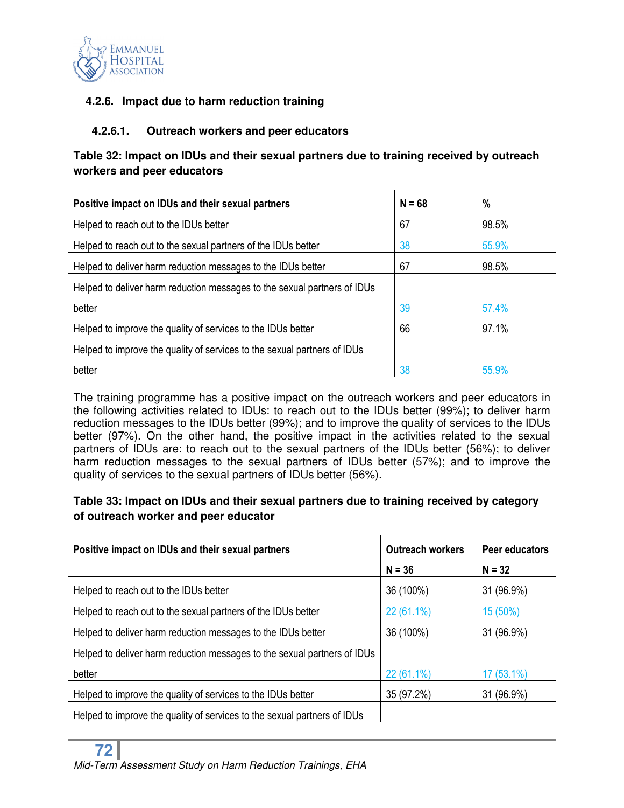

# **4.2.6. Impact due to harm reduction training**

#### **4.2.6.1. Outreach workers and peer educators**

# **Table 32: Impact on IDUs and their sexual partners due to training received by outreach workers and peer educators**

| Positive impact on IDUs and their sexual partners                        | $N = 68$ | %     |
|--------------------------------------------------------------------------|----------|-------|
| Helped to reach out to the IDUs better                                   | 67       | 98.5% |
| Helped to reach out to the sexual partners of the IDUs better            | 38       | 55.9% |
| Helped to deliver harm reduction messages to the IDUs better             | 67       | 98.5% |
| Helped to deliver harm reduction messages to the sexual partners of IDUs |          |       |
| better                                                                   | 39       | 57.4% |
| Helped to improve the quality of services to the IDUs better             | 66       | 97.1% |
| Helped to improve the quality of services to the sexual partners of IDUs |          |       |
| better                                                                   | 38       | 55.9% |

The training programme has a positive impact on the outreach workers and peer educators in the following activities related to IDUs: to reach out to the IDUs better (99%); to deliver harm reduction messages to the IDUs better (99%); and to improve the quality of services to the IDUs better (97%). On the other hand, the positive impact in the activities related to the sexual partners of IDUs are: to reach out to the sexual partners of the IDUs better (56%); to deliver harm reduction messages to the sexual partners of IDUs better (57%); and to improve the quality of services to the sexual partners of IDUs better (56%).

# **Table 33: Impact on IDUs and their sexual partners due to training received by category of outreach worker and peer educator**

| Positive impact on IDUs and their sexual partners                        | <b>Outreach workers</b> | Peer educators |  |
|--------------------------------------------------------------------------|-------------------------|----------------|--|
|                                                                          | $N = 36$                | $N = 32$       |  |
| Helped to reach out to the IDUs better                                   | 36 (100%)               | 31 (96.9%)     |  |
| Helped to reach out to the sexual partners of the IDUs better            | 22 (61.1%)              | 15 (50%)       |  |
| Helped to deliver harm reduction messages to the IDUs better             | 36 (100%)               | 31 (96.9%)     |  |
| Helped to deliver harm reduction messages to the sexual partners of IDUs |                         |                |  |
| better                                                                   | $22(61.1\%)$            | $17(53.1\%)$   |  |
| Helped to improve the quality of services to the IDUs better             | 35 (97.2%)              | 31 (96.9%)     |  |
| Helped to improve the quality of services to the sexual partners of IDUs |                         |                |  |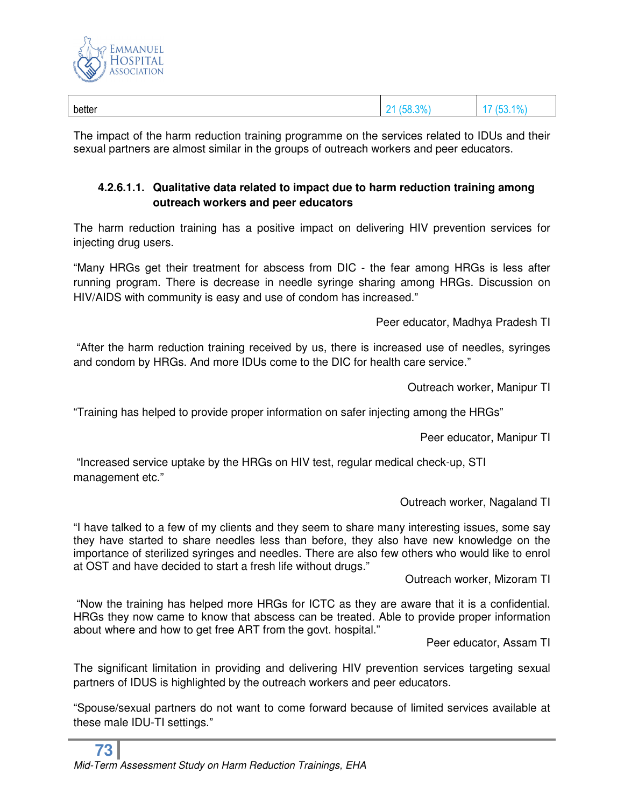

| better | 20/<br>, ,<br>- | $\cdots$<br><br>70 |
|--------|-----------------|--------------------|
|        |                 |                    |

The impact of the harm reduction training programme on the services related to IDUs and their sexual partners are almost similar in the groups of outreach workers and peer educators.

# **4.2.6.1.1. Qualitative data related to impact due to harm reduction training among outreach workers and peer educators**

The harm reduction training has a positive impact on delivering HIV prevention services for injecting drug users.

"Many HRGs get their treatment for abscess from DIC - the fear among HRGs is less after running program. There is decrease in needle syringe sharing among HRGs. Discussion on HIV/AIDS with community is easy and use of condom has increased."

Peer educator, Madhya Pradesh TI

 "After the harm reduction training received by us, there is increased use of needles, syringes and condom by HRGs. And more IDUs come to the DIC for health care service."

Outreach worker, Manipur TI

"Training has helped to provide proper information on safer injecting among the HRGs"

Peer educator, Manipur TI

 "Increased service uptake by the HRGs on HIV test, regular medical check-up, STI management etc."

Outreach worker, Nagaland TI

"I have talked to a few of my clients and they seem to share many interesting issues, some say they have started to share needles less than before, they also have new knowledge on the importance of sterilized syringes and needles. There are also few others who would like to enrol at OST and have decided to start a fresh life without drugs."

Outreach worker, Mizoram TI

 "Now the training has helped more HRGs for ICTC as they are aware that it is a confidential. HRGs they now came to know that abscess can be treated. Able to provide proper information about where and how to get free ART from the govt. hospital."

Peer educator, Assam TI

The significant limitation in providing and delivering HIV prevention services targeting sexual partners of IDUS is highlighted by the outreach workers and peer educators.

"Spouse/sexual partners do not want to come forward because of limited services available at these male IDU-TI settings."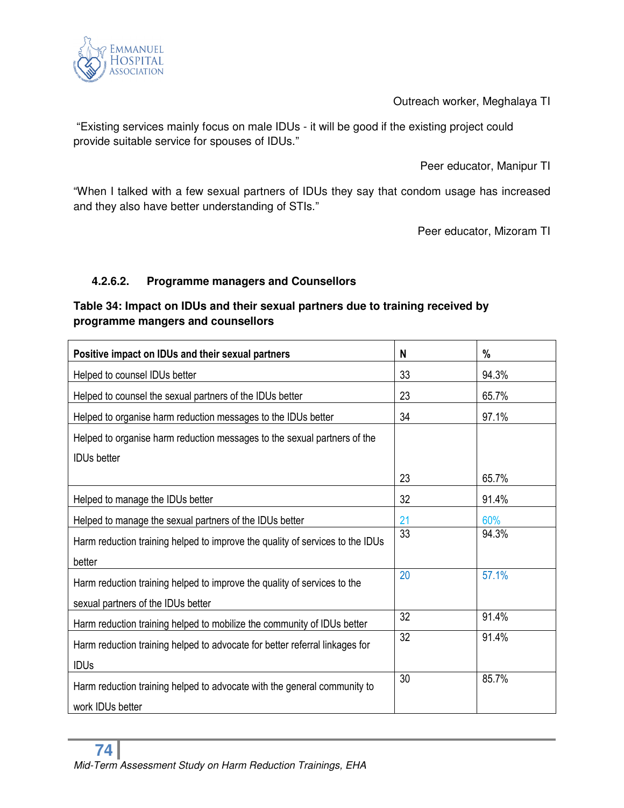

Outreach worker, Meghalaya TI

 "Existing services mainly focus on male IDUs - it will be good if the existing project could provide suitable service for spouses of IDUs."

Peer educator, Manipur TI

"When I talked with a few sexual partners of IDUs they say that condom usage has increased and they also have better understanding of STIs."

Peer educator, Mizoram TI

# **4.2.6.2. Programme managers and Counsellors**

# **Table 34: Impact on IDUs and their sexual partners due to training received by programme mangers and counsellors**

| Positive impact on IDUs and their sexual partners                             | N  | %     |
|-------------------------------------------------------------------------------|----|-------|
| Helped to counsel IDUs better                                                 | 33 | 94.3% |
| Helped to counsel the sexual partners of the IDUs better                      | 23 | 65.7% |
| Helped to organise harm reduction messages to the IDUs better                 | 34 | 97.1% |
| Helped to organise harm reduction messages to the sexual partners of the      |    |       |
| <b>IDUs better</b>                                                            |    |       |
|                                                                               | 23 | 65.7% |
| Helped to manage the IDUs better                                              | 32 | 91.4% |
| Helped to manage the sexual partners of the IDUs better                       | 21 | 60%   |
| Harm reduction training helped to improve the quality of services to the IDUs | 33 | 94.3% |
| better                                                                        |    |       |
| Harm reduction training helped to improve the quality of services to the      | 20 | 57.1% |
| sexual partners of the IDUs better                                            |    |       |
| Harm reduction training helped to mobilize the community of IDUs better       | 32 | 91.4% |
| Harm reduction training helped to advocate for better referral linkages for   | 32 | 91.4% |
| <b>IDUs</b>                                                                   |    |       |
| Harm reduction training helped to advocate with the general community to      | 30 | 85.7% |
| work IDUs better                                                              |    |       |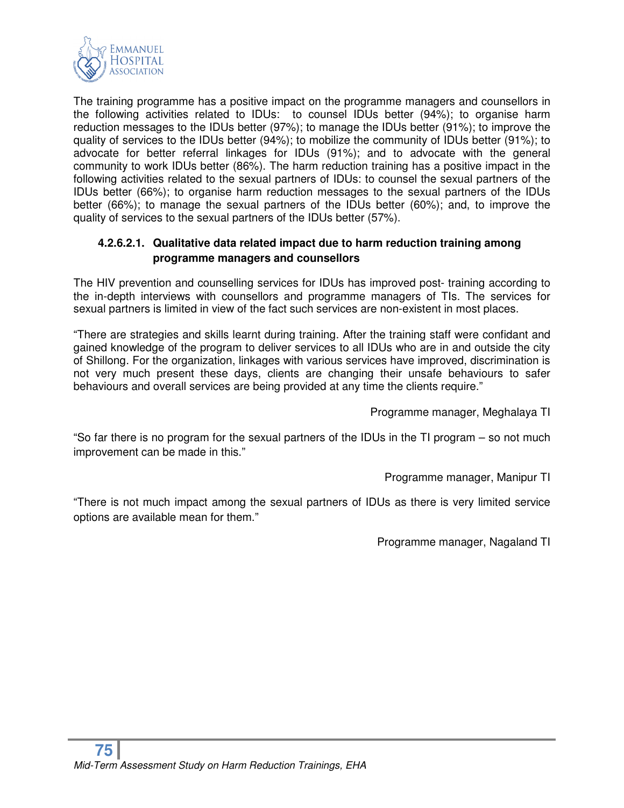

The training programme has a positive impact on the programme managers and counsellors in the following activities related to IDUs: to counsel IDUs better (94%); to organise harm reduction messages to the IDUs better (97%); to manage the IDUs better (91%); to improve the quality of services to the IDUs better (94%); to mobilize the community of IDUs better (91%); to advocate for better referral linkages for IDUs (91%); and to advocate with the general community to work IDUs better (86%). The harm reduction training has a positive impact in the following activities related to the sexual partners of IDUs: to counsel the sexual partners of the IDUs better (66%); to organise harm reduction messages to the sexual partners of the IDUs better (66%); to manage the sexual partners of the IDUs better (60%); and, to improve the quality of services to the sexual partners of the IDUs better (57%).

## **4.2.6.2.1. Qualitative data related impact due to harm reduction training among programme managers and counsellors**

The HIV prevention and counselling services for IDUs has improved post- training according to the in-depth interviews with counsellors and programme managers of TIs. The services for sexual partners is limited in view of the fact such services are non-existent in most places.

"There are strategies and skills learnt during training. After the training staff were confidant and gained knowledge of the program to deliver services to all IDUs who are in and outside the city of Shillong. For the organization, linkages with various services have improved, discrimination is not very much present these days, clients are changing their unsafe behaviours to safer behaviours and overall services are being provided at any time the clients require."

Programme manager, Meghalaya TI

"So far there is no program for the sexual partners of the IDUs in the TI program – so not much improvement can be made in this."

Programme manager, Manipur TI

"There is not much impact among the sexual partners of IDUs as there is very limited service options are available mean for them."

Programme manager, Nagaland TI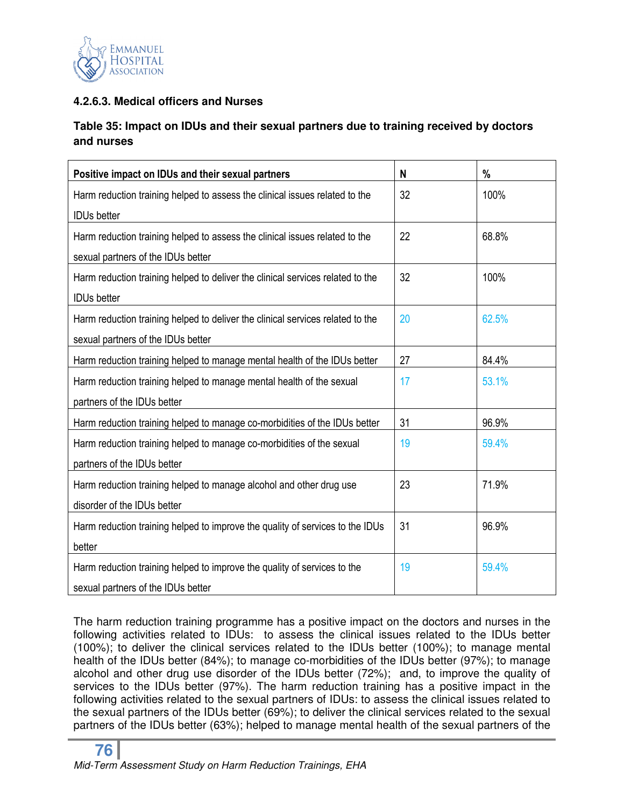

# **4.2.6.3. Medical officers and Nurses**

# **Table 35: Impact on IDUs and their sexual partners due to training received by doctors and nurses**

| Positive impact on IDUs and their sexual partners                              | N  | %     |
|--------------------------------------------------------------------------------|----|-------|
| Harm reduction training helped to assess the clinical issues related to the    | 32 | 100%  |
| <b>IDUs better</b>                                                             |    |       |
| Harm reduction training helped to assess the clinical issues related to the    | 22 | 68.8% |
| sexual partners of the IDUs better                                             |    |       |
| Harm reduction training helped to deliver the clinical services related to the | 32 | 100%  |
| <b>IDUs better</b>                                                             |    |       |
| Harm reduction training helped to deliver the clinical services related to the | 20 | 62.5% |
| sexual partners of the IDUs better                                             |    |       |
| Harm reduction training helped to manage mental health of the IDUs better      | 27 | 84.4% |
| Harm reduction training helped to manage mental health of the sexual           | 17 | 53.1% |
| partners of the IDUs better                                                    |    |       |
| Harm reduction training helped to manage co-morbidities of the IDUs better     | 31 | 96.9% |
| Harm reduction training helped to manage co-morbidities of the sexual          | 19 | 59.4% |
| partners of the IDUs better                                                    |    |       |
| Harm reduction training helped to manage alcohol and other drug use            | 23 | 71.9% |
| disorder of the IDUs better                                                    |    |       |
| Harm reduction training helped to improve the quality of services to the IDUs  | 31 | 96.9% |
| better                                                                         |    |       |
| Harm reduction training helped to improve the quality of services to the       | 19 | 59.4% |
| sexual partners of the IDUs better                                             |    |       |

The harm reduction training programme has a positive impact on the doctors and nurses in the following activities related to IDUs: to assess the clinical issues related to the IDUs better (100%); to deliver the clinical services related to the IDUs better (100%); to manage mental health of the IDUs better (84%); to manage co-morbidities of the IDUs better (97%); to manage alcohol and other drug use disorder of the IDUs better (72%); and, to improve the quality of services to the IDUs better (97%). The harm reduction training has a positive impact in the following activities related to the sexual partners of IDUs: to assess the clinical issues related to the sexual partners of the IDUs better (69%); to deliver the clinical services related to the sexual partners of the IDUs better (63%); helped to manage mental health of the sexual partners of the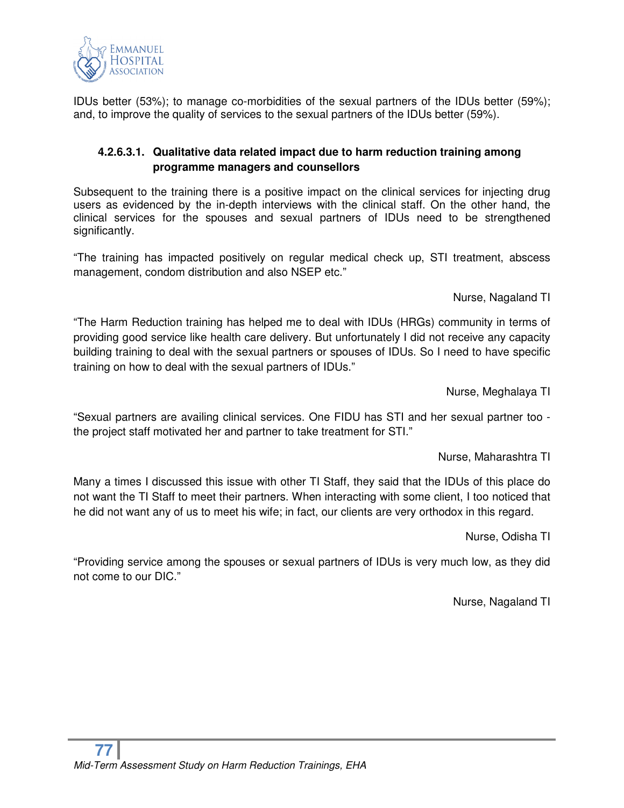

IDUs better (53%); to manage co-morbidities of the sexual partners of the IDUs better (59%); and, to improve the quality of services to the sexual partners of the IDUs better (59%).

## **4.2.6.3.1. Qualitative data related impact due to harm reduction training among programme managers and counsellors**

Subsequent to the training there is a positive impact on the clinical services for injecting drug users as evidenced by the in-depth interviews with the clinical staff. On the other hand, the clinical services for the spouses and sexual partners of IDUs need to be strengthened significantly.

"The training has impacted positively on regular medical check up, STI treatment, abscess management, condom distribution and also NSEP etc."

Nurse, Nagaland TI

"The Harm Reduction training has helped me to deal with IDUs (HRGs) community in terms of providing good service like health care delivery. But unfortunately I did not receive any capacity building training to deal with the sexual partners or spouses of IDUs. So I need to have specific training on how to deal with the sexual partners of IDUs."

Nurse, Meghalaya TI

"Sexual partners are availing clinical services. One FIDU has STI and her sexual partner too the project staff motivated her and partner to take treatment for STI."

Nurse, Maharashtra TI

Many a times I discussed this issue with other TI Staff, they said that the IDUs of this place do not want the TI Staff to meet their partners. When interacting with some client, I too noticed that he did not want any of us to meet his wife; in fact, our clients are very orthodox in this regard.

Nurse, Odisha TI

"Providing service among the spouses or sexual partners of IDUs is very much low, as they did not come to our DIC."

Nurse, Nagaland TI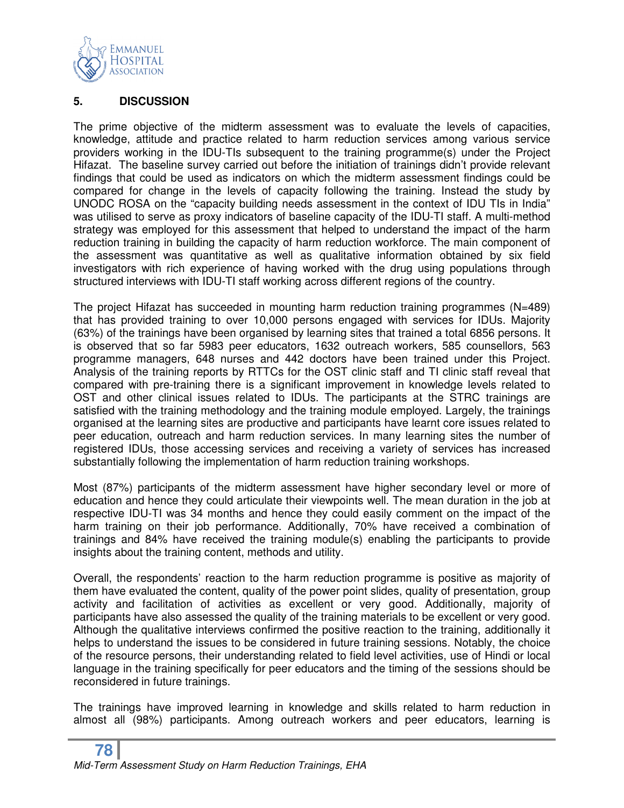

#### **5. DISCUSSION**

The prime objective of the midterm assessment was to evaluate the levels of capacities, knowledge, attitude and practice related to harm reduction services among various service providers working in the IDU-TIs subsequent to the training programme(s) under the Project Hifazat. The baseline survey carried out before the initiation of trainings didn't provide relevant findings that could be used as indicators on which the midterm assessment findings could be compared for change in the levels of capacity following the training. Instead the study by UNODC ROSA on the "capacity building needs assessment in the context of IDU TIs in India" was utilised to serve as proxy indicators of baseline capacity of the IDU-TI staff. A multi-method strategy was employed for this assessment that helped to understand the impact of the harm reduction training in building the capacity of harm reduction workforce. The main component of the assessment was quantitative as well as qualitative information obtained by six field investigators with rich experience of having worked with the drug using populations through structured interviews with IDU-TI staff working across different regions of the country.

The project Hifazat has succeeded in mounting harm reduction training programmes (N=489) that has provided training to over 10,000 persons engaged with services for IDUs. Majority (63%) of the trainings have been organised by learning sites that trained a total 6856 persons. It is observed that so far 5983 peer educators, 1632 outreach workers, 585 counsellors, 563 programme managers, 648 nurses and 442 doctors have been trained under this Project. Analysis of the training reports by RTTCs for the OST clinic staff and TI clinic staff reveal that compared with pre-training there is a significant improvement in knowledge levels related to OST and other clinical issues related to IDUs. The participants at the STRC trainings are satisfied with the training methodology and the training module employed. Largely, the trainings organised at the learning sites are productive and participants have learnt core issues related to peer education, outreach and harm reduction services. In many learning sites the number of registered IDUs, those accessing services and receiving a variety of services has increased substantially following the implementation of harm reduction training workshops.

Most (87%) participants of the midterm assessment have higher secondary level or more of education and hence they could articulate their viewpoints well. The mean duration in the job at respective IDU-TI was 34 months and hence they could easily comment on the impact of the harm training on their job performance. Additionally, 70% have received a combination of trainings and 84% have received the training module(s) enabling the participants to provide insights about the training content, methods and utility.

Overall, the respondents' reaction to the harm reduction programme is positive as majority of them have evaluated the content, quality of the power point slides, quality of presentation, group activity and facilitation of activities as excellent or very good. Additionally, majority of participants have also assessed the quality of the training materials to be excellent or very good. Although the qualitative interviews confirmed the positive reaction to the training, additionally it helps to understand the issues to be considered in future training sessions. Notably, the choice of the resource persons, their understanding related to field level activities, use of Hindi or local language in the training specifically for peer educators and the timing of the sessions should be reconsidered in future trainings.

The trainings have improved learning in knowledge and skills related to harm reduction in almost all (98%) participants. Among outreach workers and peer educators, learning is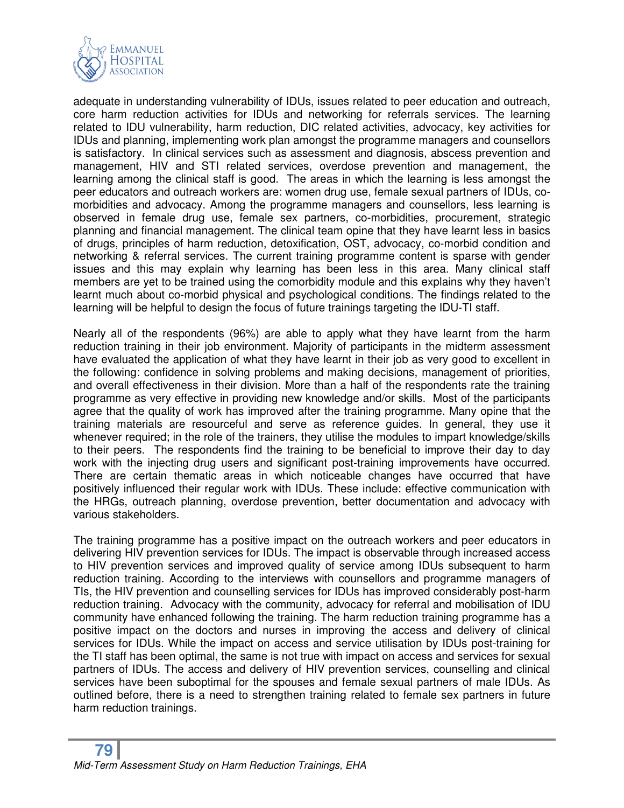

adequate in understanding vulnerability of IDUs, issues related to peer education and outreach, core harm reduction activities for IDUs and networking for referrals services. The learning related to IDU vulnerability, harm reduction, DIC related activities, advocacy, key activities for IDUs and planning, implementing work plan amongst the programme managers and counsellors is satisfactory. In clinical services such as assessment and diagnosis, abscess prevention and management, HIV and STI related services, overdose prevention and management, the learning among the clinical staff is good. The areas in which the learning is less amongst the peer educators and outreach workers are: women drug use, female sexual partners of IDUs, comorbidities and advocacy. Among the programme managers and counsellors, less learning is observed in female drug use, female sex partners, co-morbidities, procurement, strategic planning and financial management. The clinical team opine that they have learnt less in basics of drugs, principles of harm reduction, detoxification, OST, advocacy, co-morbid condition and networking & referral services. The current training programme content is sparse with gender issues and this may explain why learning has been less in this area. Many clinical staff members are yet to be trained using the comorbidity module and this explains why they haven't learnt much about co-morbid physical and psychological conditions. The findings related to the learning will be helpful to design the focus of future trainings targeting the IDU-TI staff.

Nearly all of the respondents (96%) are able to apply what they have learnt from the harm reduction training in their job environment. Majority of participants in the midterm assessment have evaluated the application of what they have learnt in their job as very good to excellent in the following: confidence in solving problems and making decisions, management of priorities, and overall effectiveness in their division. More than a half of the respondents rate the training programme as very effective in providing new knowledge and/or skills. Most of the participants agree that the quality of work has improved after the training programme. Many opine that the training materials are resourceful and serve as reference guides. In general, they use it whenever required; in the role of the trainers, they utilise the modules to impart knowledge/skills to their peers. The respondents find the training to be beneficial to improve their day to day work with the injecting drug users and significant post-training improvements have occurred. There are certain thematic areas in which noticeable changes have occurred that have positively influenced their regular work with IDUs. These include: effective communication with the HRGs, outreach planning, overdose prevention, better documentation and advocacy with various stakeholders.

The training programme has a positive impact on the outreach workers and peer educators in delivering HIV prevention services for IDUs. The impact is observable through increased access to HIV prevention services and improved quality of service among IDUs subsequent to harm reduction training. According to the interviews with counsellors and programme managers of TIs, the HIV prevention and counselling services for IDUs has improved considerably post-harm reduction training. Advocacy with the community, advocacy for referral and mobilisation of IDU community have enhanced following the training. The harm reduction training programme has a positive impact on the doctors and nurses in improving the access and delivery of clinical services for IDUs. While the impact on access and service utilisation by IDUs post-training for the TI staff has been optimal, the same is not true with impact on access and services for sexual partners of IDUs. The access and delivery of HIV prevention services, counselling and clinical services have been suboptimal for the spouses and female sexual partners of male IDUs. As outlined before, there is a need to strengthen training related to female sex partners in future harm reduction trainings.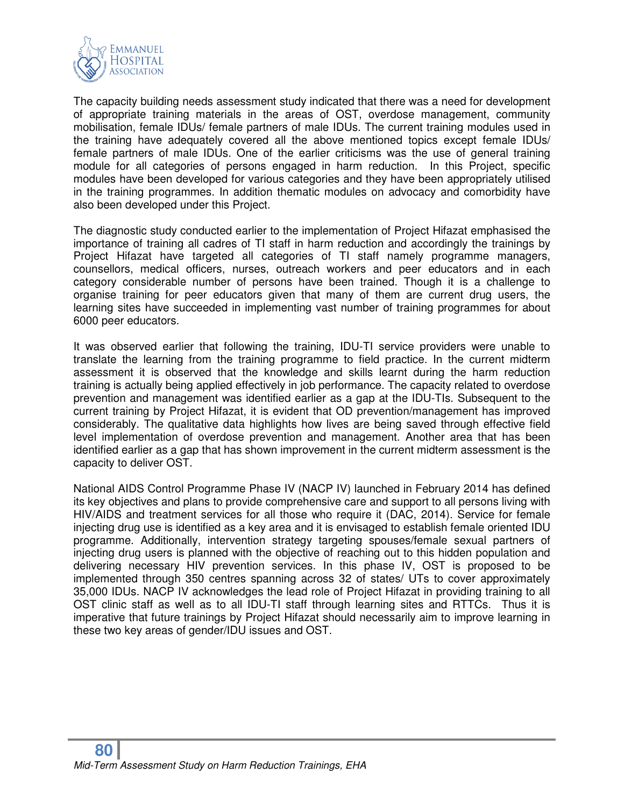

The capacity building needs assessment study indicated that there was a need for development of appropriate training materials in the areas of OST, overdose management, community mobilisation, female IDUs/ female partners of male IDUs. The current training modules used in the training have adequately covered all the above mentioned topics except female IDUs/ female partners of male IDUs. One of the earlier criticisms was the use of general training module for all categories of persons engaged in harm reduction. In this Project, specific modules have been developed for various categories and they have been appropriately utilised in the training programmes. In addition thematic modules on advocacy and comorbidity have also been developed under this Project.

The diagnostic study conducted earlier to the implementation of Project Hifazat emphasised the importance of training all cadres of TI staff in harm reduction and accordingly the trainings by Project Hifazat have targeted all categories of TI staff namely programme managers, counsellors, medical officers, nurses, outreach workers and peer educators and in each category considerable number of persons have been trained. Though it is a challenge to organise training for peer educators given that many of them are current drug users, the learning sites have succeeded in implementing vast number of training programmes for about 6000 peer educators.

It was observed earlier that following the training, IDU-TI service providers were unable to translate the learning from the training programme to field practice. In the current midterm assessment it is observed that the knowledge and skills learnt during the harm reduction training is actually being applied effectively in job performance. The capacity related to overdose prevention and management was identified earlier as a gap at the IDU-TIs. Subsequent to the current training by Project Hifazat, it is evident that OD prevention/management has improved considerably. The qualitative data highlights how lives are being saved through effective field level implementation of overdose prevention and management. Another area that has been identified earlier as a gap that has shown improvement in the current midterm assessment is the capacity to deliver OST.

National AIDS Control Programme Phase IV (NACP IV) launched in February 2014 has defined its key objectives and plans to provide comprehensive care and support to all persons living with HIV/AIDS and treatment services for all those who require it (DAC, 2014). Service for female injecting drug use is identified as a key area and it is envisaged to establish female oriented IDU programme. Additionally, intervention strategy targeting spouses/female sexual partners of injecting drug users is planned with the objective of reaching out to this hidden population and delivering necessary HIV prevention services. In this phase IV, OST is proposed to be implemented through 350 centres spanning across 32 of states/ UTs to cover approximately 35,000 IDUs. NACP IV acknowledges the lead role of Project Hifazat in providing training to all OST clinic staff as well as to all IDU-TI staff through learning sites and RTTCs. Thus it is imperative that future trainings by Project Hifazat should necessarily aim to improve learning in these two key areas of gender/IDU issues and OST.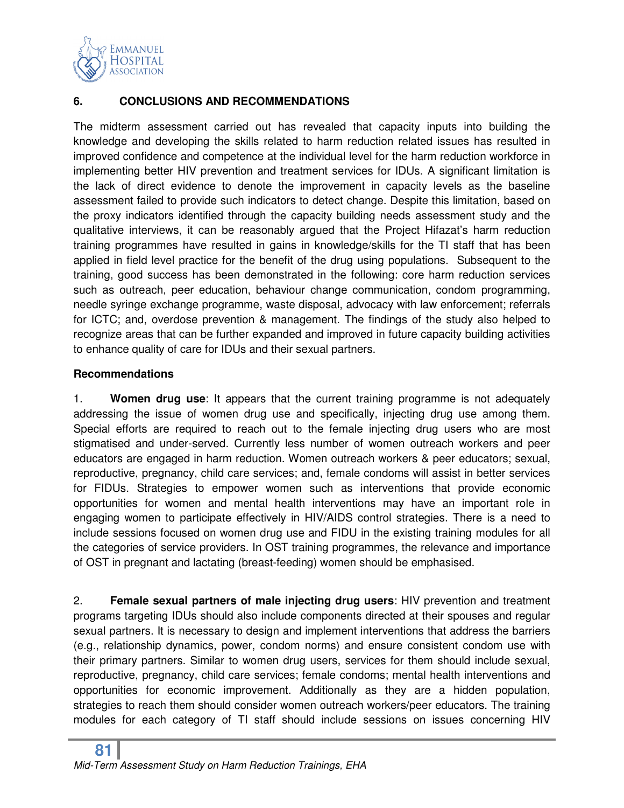

# **6. CONCLUSIONS AND RECOMMENDATIONS**

The midterm assessment carried out has revealed that capacity inputs into building the knowledge and developing the skills related to harm reduction related issues has resulted in improved confidence and competence at the individual level for the harm reduction workforce in implementing better HIV prevention and treatment services for IDUs. A significant limitation is the lack of direct evidence to denote the improvement in capacity levels as the baseline assessment failed to provide such indicators to detect change. Despite this limitation, based on the proxy indicators identified through the capacity building needs assessment study and the qualitative interviews, it can be reasonably argued that the Project Hifazat's harm reduction training programmes have resulted in gains in knowledge/skills for the TI staff that has been applied in field level practice for the benefit of the drug using populations. Subsequent to the training, good success has been demonstrated in the following: core harm reduction services such as outreach, peer education, behaviour change communication, condom programming, needle syringe exchange programme, waste disposal, advocacy with law enforcement; referrals for ICTC; and, overdose prevention & management. The findings of the study also helped to recognize areas that can be further expanded and improved in future capacity building activities to enhance quality of care for IDUs and their sexual partners.

#### **Recommendations**

1. **Women drug use**: It appears that the current training programme is not adequately addressing the issue of women drug use and specifically, injecting drug use among them. Special efforts are required to reach out to the female injecting drug users who are most stigmatised and under-served. Currently less number of women outreach workers and peer educators are engaged in harm reduction. Women outreach workers & peer educators; sexual, reproductive, pregnancy, child care services; and, female condoms will assist in better services for FIDUs. Strategies to empower women such as interventions that provide economic opportunities for women and mental health interventions may have an important role in engaging women to participate effectively in HIV/AIDS control strategies. There is a need to include sessions focused on women drug use and FIDU in the existing training modules for all the categories of service providers. In OST training programmes, the relevance and importance of OST in pregnant and lactating (breast-feeding) women should be emphasised.

2. **Female sexual partners of male injecting drug users**: HIV prevention and treatment programs targeting IDUs should also include components directed at their spouses and regular sexual partners. It is necessary to design and implement interventions that address the barriers (e.g., relationship dynamics, power, condom norms) and ensure consistent condom use with their primary partners. Similar to women drug users, services for them should include sexual, reproductive, pregnancy, child care services; female condoms; mental health interventions and opportunities for economic improvement. Additionally as they are a hidden population, strategies to reach them should consider women outreach workers/peer educators. The training modules for each category of TI staff should include sessions on issues concerning HIV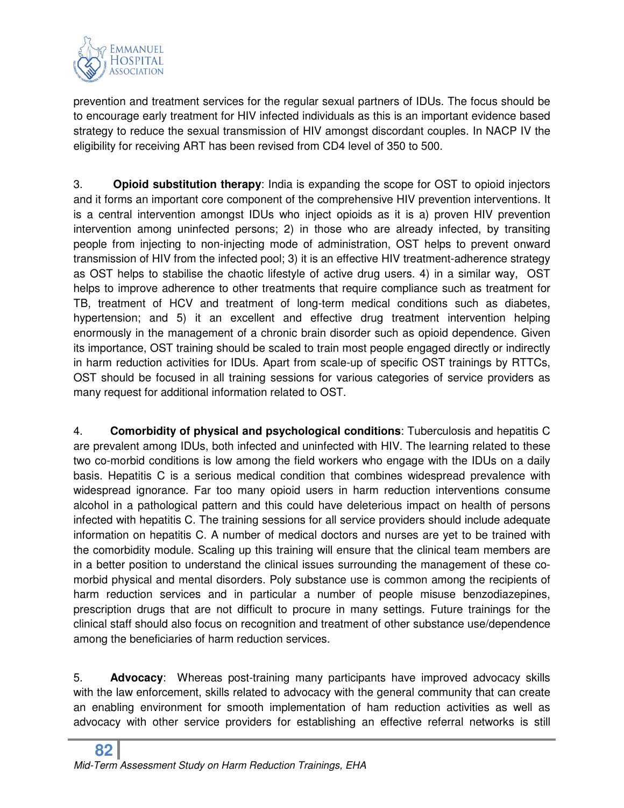

prevention and treatment services for the regular sexual partners of IDUs. The focus should be to encourage early treatment for HIV infected individuals as this is an important evidence based strategy to reduce the sexual transmission of HIV amongst discordant couples. In NACP IV the eligibility for receiving ART has been revised from CD4 level of 350 to 500.

3. **Opioid substitution therapy**: India is expanding the scope for OST to opioid injectors and it forms an important core component of the comprehensive HIV prevention interventions. It is a central intervention amongst IDUs who inject opioids as it is a) proven HIV prevention intervention among uninfected persons; 2) in those who are already infected, by transiting people from injecting to non-injecting mode of administration, OST helps to prevent onward transmission of HIV from the infected pool; 3) it is an effective HIV treatment-adherence strategy as OST helps to stabilise the chaotic lifestyle of active drug users. 4) in a similar way, OST helps to improve adherence to other treatments that require compliance such as treatment for TB, treatment of HCV and treatment of long-term medical conditions such as diabetes, hypertension; and 5) it an excellent and effective drug treatment intervention helping enormously in the management of a chronic brain disorder such as opioid dependence. Given its importance, OST training should be scaled to train most people engaged directly or indirectly in harm reduction activities for IDUs. Apart from scale-up of specific OST trainings by RTTCs, OST should be focused in all training sessions for various categories of service providers as many request for additional information related to OST.

4. **Comorbidity of physical and psychological conditions**: Tuberculosis and hepatitis C are prevalent among IDUs, both infected and uninfected with HIV. The learning related to these two co-morbid conditions is low among the field workers who engage with the IDUs on a daily basis. Hepatitis C is a serious medical condition that combines widespread prevalence with widespread ignorance. Far too many opioid users in harm reduction interventions consume alcohol in a pathological pattern and this could have deleterious impact on health of persons infected with hepatitis C. The training sessions for all service providers should include adequate information on hepatitis C. A number of medical doctors and nurses are yet to be trained with the comorbidity module. Scaling up this training will ensure that the clinical team members are in a better position to understand the clinical issues surrounding the management of these comorbid physical and mental disorders. Poly substance use is common among the recipients of harm reduction services and in particular a number of people misuse benzodiazepines, prescription drugs that are not difficult to procure in many settings. Future trainings for the clinical staff should also focus on recognition and treatment of other substance use/dependence among the beneficiaries of harm reduction services.

5. **Advocacy**: Whereas post-training many participants have improved advocacy skills with the law enforcement, skills related to advocacy with the general community that can create an enabling environment for smooth implementation of ham reduction activities as well as advocacy with other service providers for establishing an effective referral networks is still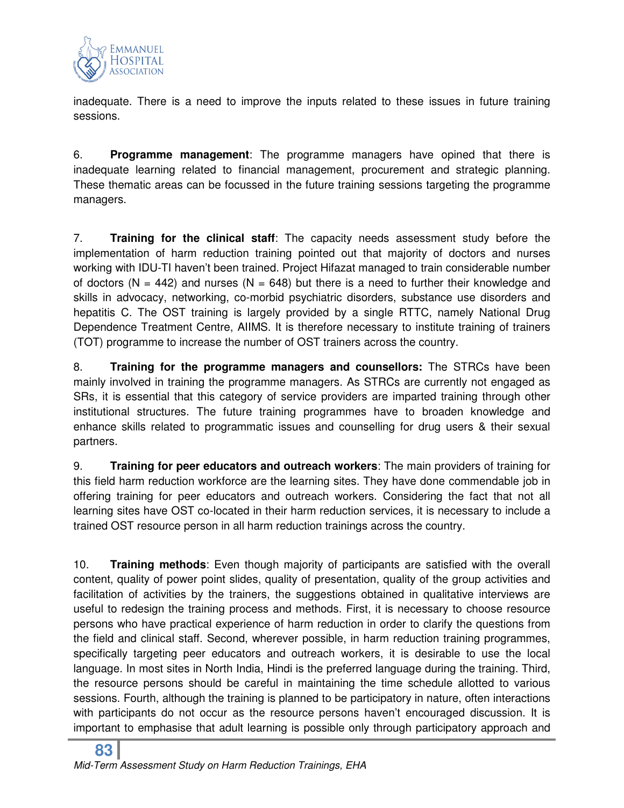

inadequate. There is a need to improve the inputs related to these issues in future training sessions.

6. **Programme management**: The programme managers have opined that there is inadequate learning related to financial management, procurement and strategic planning. These thematic areas can be focussed in the future training sessions targeting the programme managers.

7. **Training for the clinical staff**: The capacity needs assessment study before the implementation of harm reduction training pointed out that majority of doctors and nurses working with IDU-TI haven't been trained. Project Hifazat managed to train considerable number of doctors ( $N = 442$ ) and nurses ( $N = 648$ ) but there is a need to further their knowledge and skills in advocacy, networking, co-morbid psychiatric disorders, substance use disorders and hepatitis C. The OST training is largely provided by a single RTTC, namely National Drug Dependence Treatment Centre, AIIMS. It is therefore necessary to institute training of trainers (TOT) programme to increase the number of OST trainers across the country.

8. **Training for the programme managers and counsellors:** The STRCs have been mainly involved in training the programme managers. As STRCs are currently not engaged as SRs, it is essential that this category of service providers are imparted training through other institutional structures. The future training programmes have to broaden knowledge and enhance skills related to programmatic issues and counselling for drug users & their sexual partners.

9. **Training for peer educators and outreach workers**: The main providers of training for this field harm reduction workforce are the learning sites. They have done commendable job in offering training for peer educators and outreach workers. Considering the fact that not all learning sites have OST co-located in their harm reduction services, it is necessary to include a trained OST resource person in all harm reduction trainings across the country.

10. **Training methods**: Even though majority of participants are satisfied with the overall content, quality of power point slides, quality of presentation, quality of the group activities and facilitation of activities by the trainers, the suggestions obtained in qualitative interviews are useful to redesign the training process and methods. First, it is necessary to choose resource persons who have practical experience of harm reduction in order to clarify the questions from the field and clinical staff. Second, wherever possible, in harm reduction training programmes, specifically targeting peer educators and outreach workers, it is desirable to use the local language. In most sites in North India, Hindi is the preferred language during the training. Third, the resource persons should be careful in maintaining the time schedule allotted to various sessions. Fourth, although the training is planned to be participatory in nature, often interactions with participants do not occur as the resource persons haven't encouraged discussion. It is important to emphasise that adult learning is possible only through participatory approach and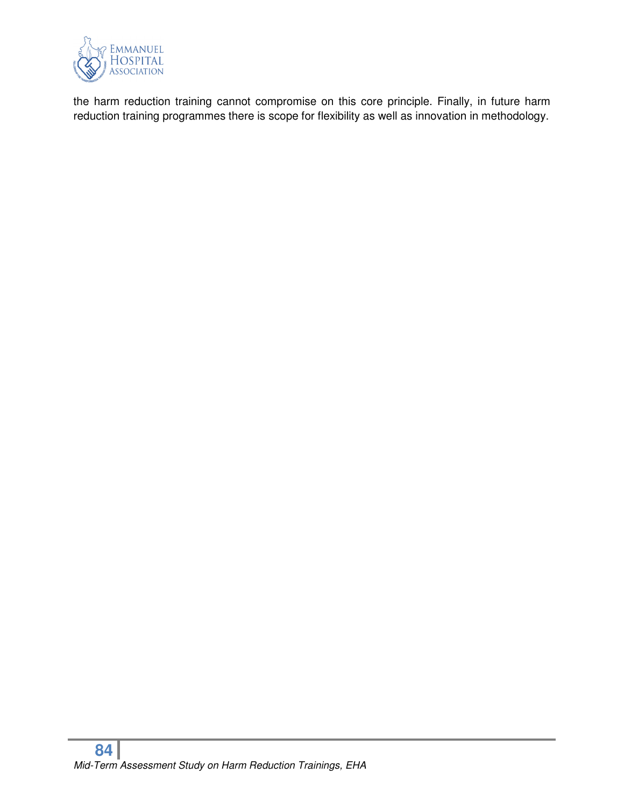

the harm reduction training cannot compromise on this core principle. Finally, in future harm reduction training programmes there is scope for flexibility as well as innovation in methodology.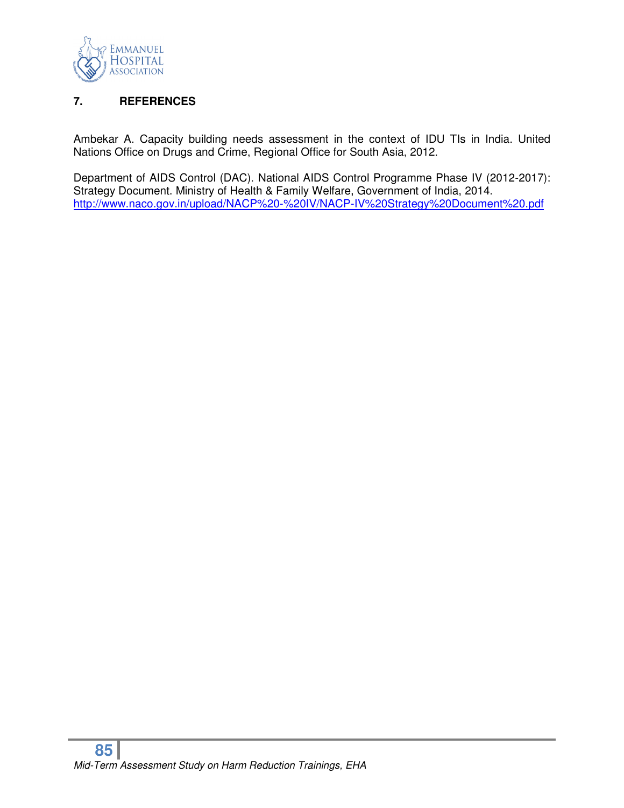

# **7. REFERENCES**

Ambekar A. Capacity building needs assessment in the context of IDU TIs in India. United Nations Office on Drugs and Crime, Regional Office for South Asia, 2012.

Department of AIDS Control (DAC). National AIDS Control Programme Phase IV (2012-2017): Strategy Document. Ministry of Health & Family Welfare, Government of India, 2014. http://www.naco.gov.in/upload/NACP%20-%20IV/NACP-IV%20Strategy%20Document%20.pdf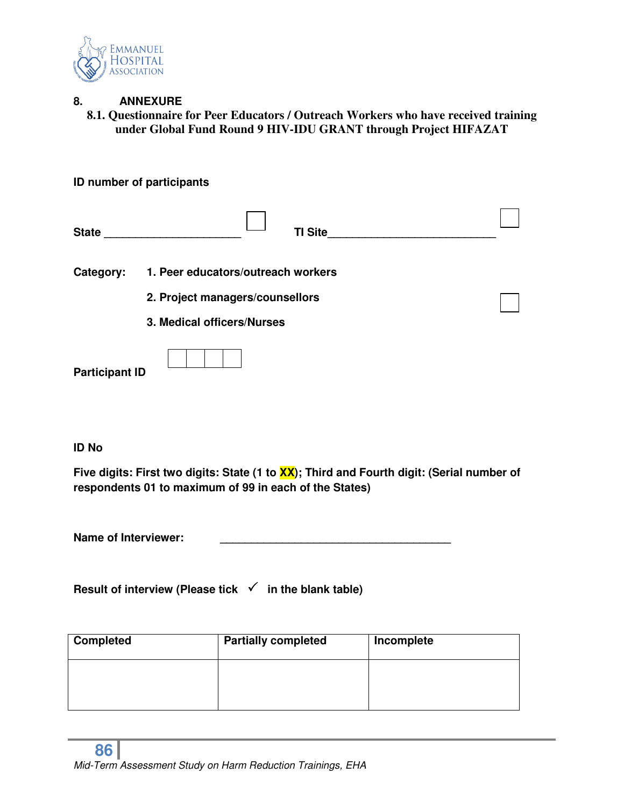

# **8. ANNEXURE**

**8.1. Questionnaire for Peer Educators / Outreach Workers who have received training under Global Fund Round 9 HIV-IDU GRANT through Project HIFAZAT** 

|                       | <b>ID number of participants</b>   |  |
|-----------------------|------------------------------------|--|
| State                 | <b>TI Site</b>                     |  |
| Category:             | 1. Peer educators/outreach workers |  |
|                       | 2. Project managers/counsellors    |  |
|                       | 3. Medical officers/Nurses         |  |
| <b>Participant ID</b> |                                    |  |

#### **ID No**

**Five digits: First two digits: State (1 to XX); Third and Fourth digit: (Serial number of respondents 01 to maximum of 99 in each of the States)** 

Name of Interviewer:

**Result of interview (Please tick √ in the blank table)** 

| <b>Completed</b> | <b>Partially completed</b> | Incomplete |
|------------------|----------------------------|------------|
|                  |                            |            |
|                  |                            |            |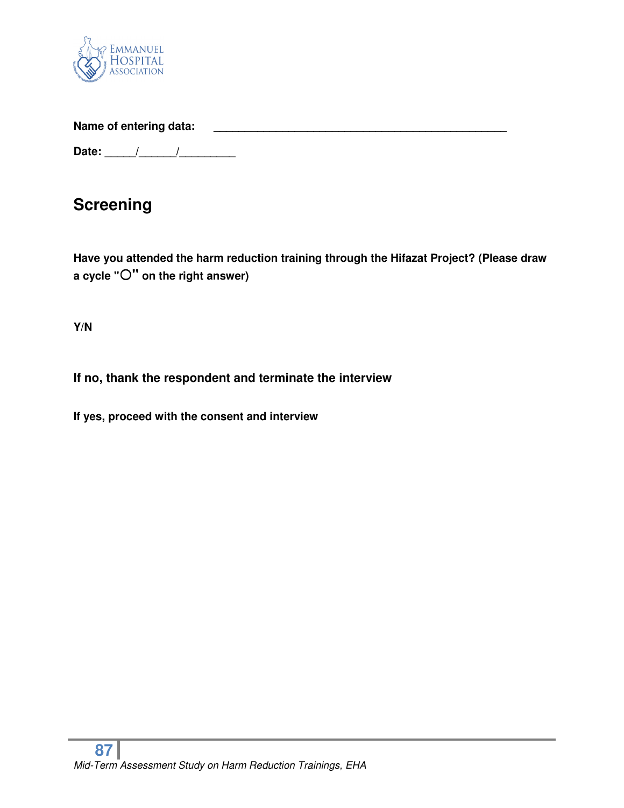

Name of entering data: **With an all of the set of entering data:** 

**Date: \_\_\_\_\_/\_\_\_\_\_\_/\_\_\_\_\_\_\_\_\_** 

# **Screening**

**Have you attended the harm reduction training through the Hifazat Project? (Please draw a cycle "" on the right answer)** 

**Y/N** 

# **If no, thank the respondent and terminate the interview**

**If yes, proceed with the consent and interview**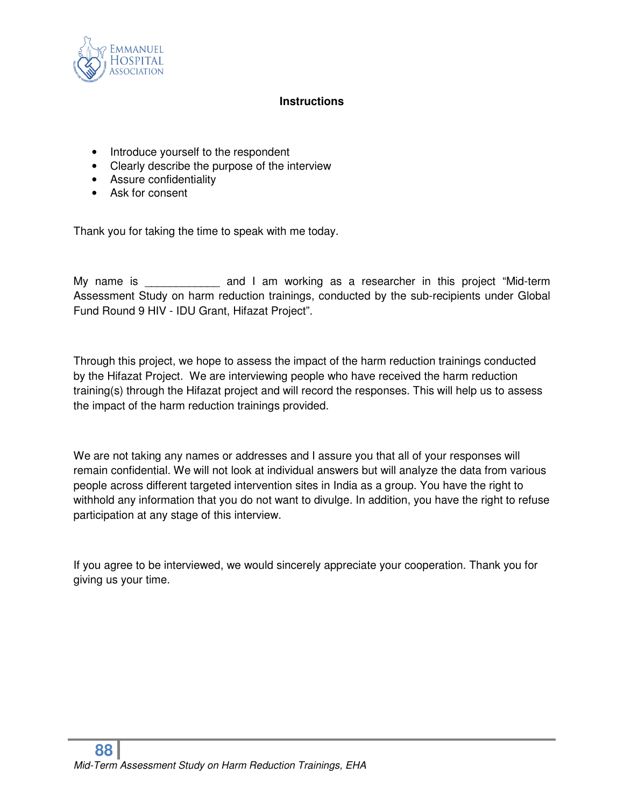

#### **Instructions**

- Introduce yourself to the respondent
- Clearly describe the purpose of the interview
- Assure confidentiality
- Ask for consent

Thank you for taking the time to speak with me today.

My name is The same and I am working as a researcher in this project "Mid-term Assessment Study on harm reduction trainings, conducted by the sub-recipients under Global Fund Round 9 HIV - IDU Grant, Hifazat Project".

Through this project, we hope to assess the impact of the harm reduction trainings conducted by the Hifazat Project. We are interviewing people who have received the harm reduction training(s) through the Hifazat project and will record the responses. This will help us to assess the impact of the harm reduction trainings provided.

We are not taking any names or addresses and I assure you that all of your responses will remain confidential. We will not look at individual answers but will analyze the data from various people across different targeted intervention sites in India as a group. You have the right to withhold any information that you do not want to divulge. In addition, you have the right to refuse participation at any stage of this interview.

If you agree to be interviewed, we would sincerely appreciate your cooperation. Thank you for giving us your time.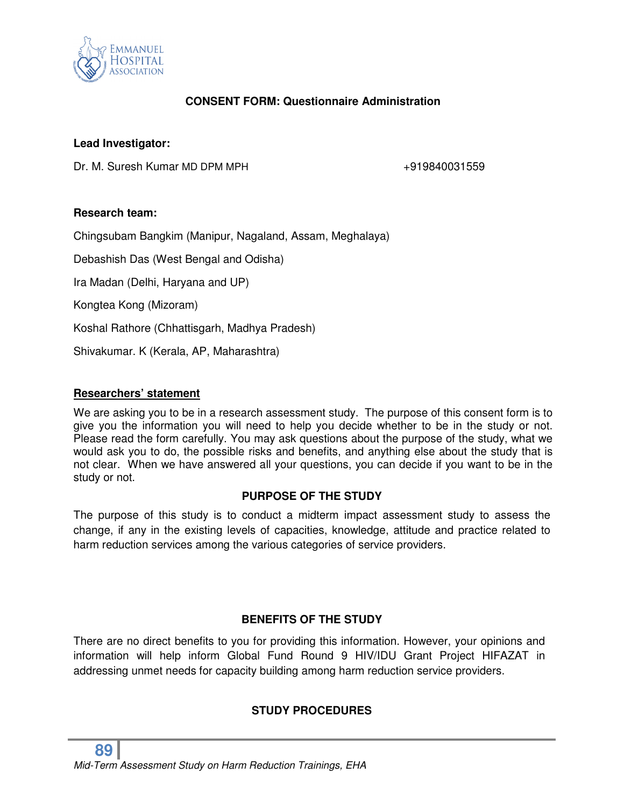

# **CONSENT FORM: Questionnaire Administration**

### **Lead Investigator:**

Dr. M. Suresh Kumar MD DPM MPH  $+919840031559$ 

#### **Research team:**

Chingsubam Bangkim (Manipur, Nagaland, Assam, Meghalaya)

Debashish Das (West Bengal and Odisha)

Ira Madan (Delhi, Haryana and UP)

Kongtea Kong (Mizoram)

Koshal Rathore (Chhattisgarh, Madhya Pradesh)

Shivakumar. K (Kerala, AP, Maharashtra)

#### **Researchers' statement**

We are asking you to be in a research assessment study. The purpose of this consent form is to give you the information you will need to help you decide whether to be in the study or not. Please read the form carefully. You may ask questions about the purpose of the study, what we would ask you to do, the possible risks and benefits, and anything else about the study that is not clear. When we have answered all your questions, you can decide if you want to be in the study or not.

#### **PURPOSE OF THE STUDY**

The purpose of this study is to conduct a midterm impact assessment study to assess the change, if any in the existing levels of capacities, knowledge, attitude and practice related to harm reduction services among the various categories of service providers.

# **BENEFITS OF THE STUDY**

There are no direct benefits to you for providing this information. However, your opinions and information will help inform Global Fund Round 9 HIV/IDU Grant Project HIFAZAT in addressing unmet needs for capacity building among harm reduction service providers.

# **STUDY PROCEDURES**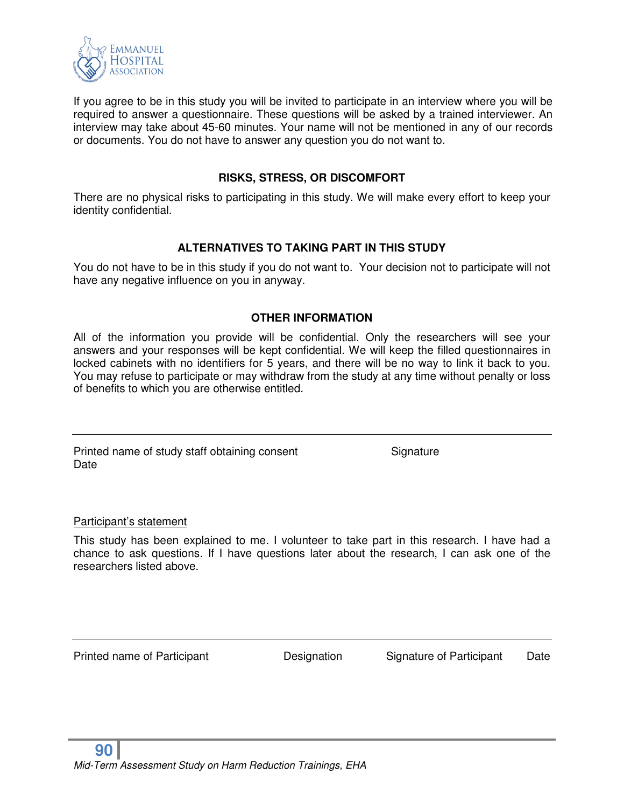

If you agree to be in this study you will be invited to participate in an interview where you will be required to answer a questionnaire. These questions will be asked by a trained interviewer. An interview may take about 45-60 minutes. Your name will not be mentioned in any of our records or documents. You do not have to answer any question you do not want to.

#### **RISKS, STRESS, OR DISCOMFORT**

There are no physical risks to participating in this study. We will make every effort to keep your identity confidential.

# **ALTERNATIVES TO TAKING PART IN THIS STUDY**

You do not have to be in this study if you do not want to. Your decision not to participate will not have any negative influence on you in anyway.

# **OTHER INFORMATION**

All of the information you provide will be confidential. Only the researchers will see your answers and your responses will be kept confidential. We will keep the filled questionnaires in locked cabinets with no identifiers for 5 years, and there will be no way to link it back to you. You may refuse to participate or may withdraw from the study at any time without penalty or loss of benefits to which you are otherwise entitled.

Printed name of study staff obtaining consent Signature **Date** 

Participant's statement

This study has been explained to me. I volunteer to take part in this research. I have had a chance to ask questions. If I have questions later about the research, I can ask one of the researchers listed above.

Printed name of Participant **Designation** Signature of Participant Date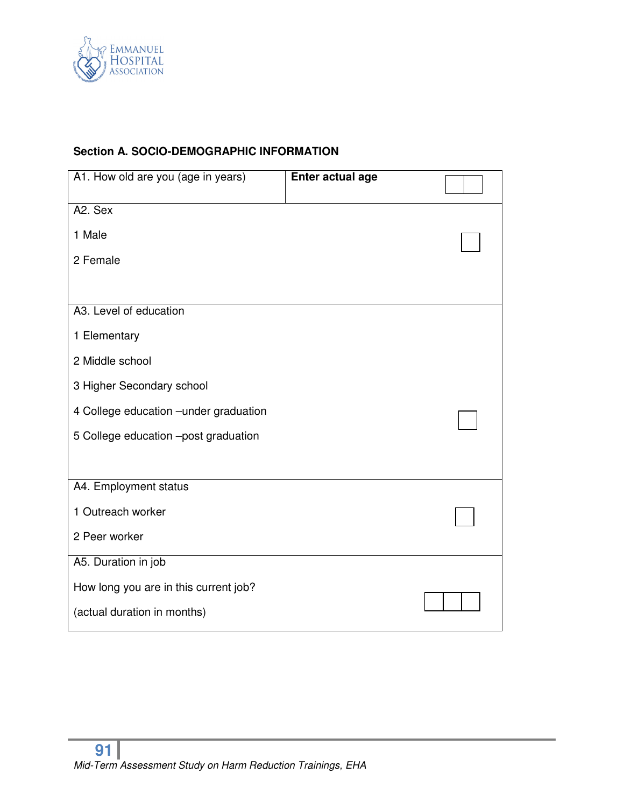

# **Section A. SOCIO-DEMOGRAPHIC INFORMATION**

| A1. How old are you (age in years)     | Enter actual age |  |
|----------------------------------------|------------------|--|
| A2. Sex                                |                  |  |
| 1 Male                                 |                  |  |
| 2 Female                               |                  |  |
|                                        |                  |  |
| A3. Level of education                 |                  |  |
| 1 Elementary                           |                  |  |
| 2 Middle school                        |                  |  |
| 3 Higher Secondary school              |                  |  |
| 4 College education - under graduation |                  |  |
| 5 College education -post graduation   |                  |  |
|                                        |                  |  |
| A4. Employment status                  |                  |  |
| 1 Outreach worker                      |                  |  |
| 2 Peer worker                          |                  |  |
| A5. Duration in job                    |                  |  |
| How long you are in this current job?  |                  |  |
| (actual duration in months)            |                  |  |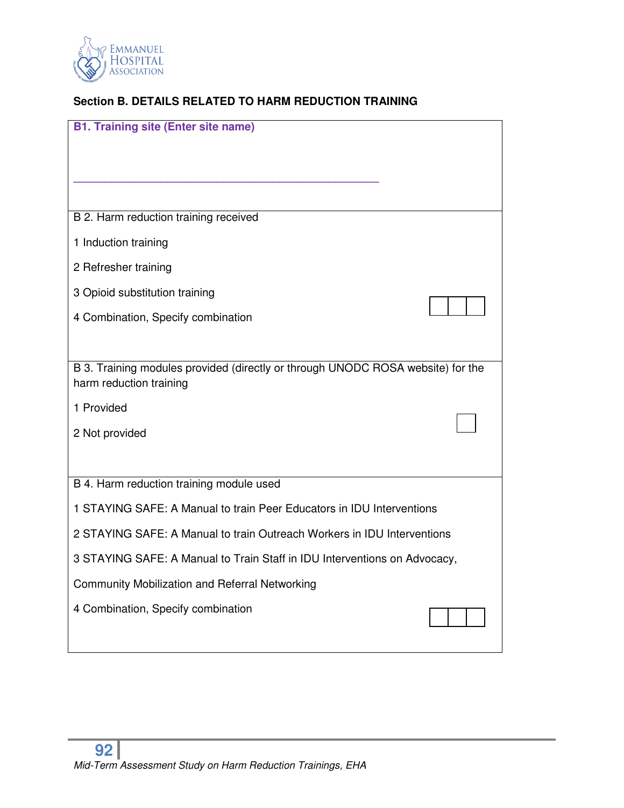

# **Section B. DETAILS RELATED TO HARM REDUCTION TRAINING**

| <b>B1. Training site (Enter site name)</b>                                      |  |
|---------------------------------------------------------------------------------|--|
|                                                                                 |  |
|                                                                                 |  |
|                                                                                 |  |
| B 2. Harm reduction training received                                           |  |
| 1 Induction training                                                            |  |
| 2 Refresher training                                                            |  |
| 3 Opioid substitution training                                                  |  |
| 4 Combination, Specify combination                                              |  |
|                                                                                 |  |
| B 3. Training modules provided (directly or through UNODC ROSA website) for the |  |
| harm reduction training                                                         |  |
| 1 Provided                                                                      |  |
| 2 Not provided                                                                  |  |
|                                                                                 |  |
| B 4. Harm reduction training module used                                        |  |
| 1 STAYING SAFE: A Manual to train Peer Educators in IDU Interventions           |  |
| 2 STAYING SAFE: A Manual to train Outreach Workers in IDU Interventions         |  |
| 3 STAYING SAFE: A Manual to Train Staff in IDU Interventions on Advocacy,       |  |
| <b>Community Mobilization and Referral Networking</b>                           |  |
| 4 Combination, Specify combination                                              |  |
|                                                                                 |  |
|                                                                                 |  |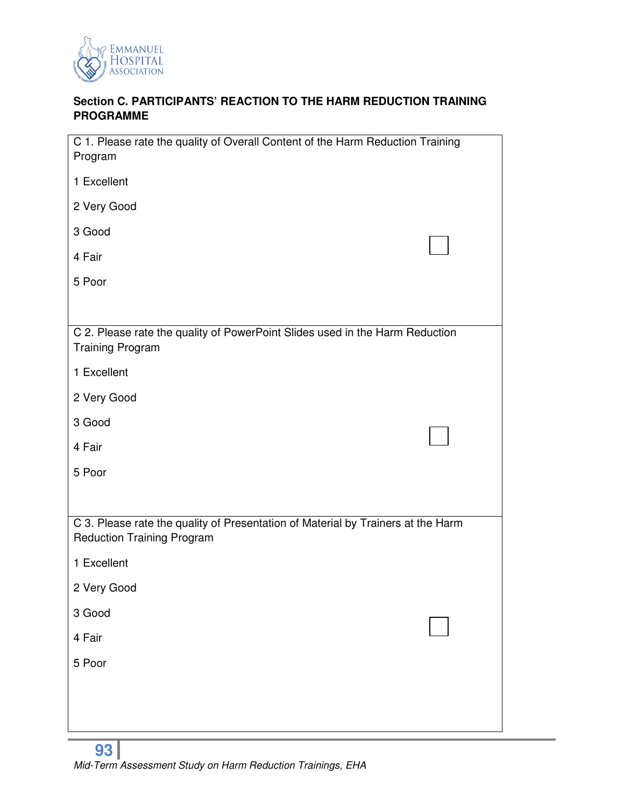

# **Section C. PARTICIPANTS' REACTION TO THE HARM REDUCTION TRAINING PROGRAMME**

| C 1. Please rate the quality of Overall Content of the Harm Reduction Training<br>Program                             |  |
|-----------------------------------------------------------------------------------------------------------------------|--|
| 1 Excellent                                                                                                           |  |
| 2 Very Good                                                                                                           |  |
| 3 Good                                                                                                                |  |
| 4 Fair                                                                                                                |  |
| 5 Poor                                                                                                                |  |
|                                                                                                                       |  |
| C 2. Please rate the quality of PowerPoint Slides used in the Harm Reduction<br><b>Training Program</b>               |  |
| 1 Excellent                                                                                                           |  |
| 2 Very Good                                                                                                           |  |
| 3 Good                                                                                                                |  |
| 4 Fair                                                                                                                |  |
| 5 Poor                                                                                                                |  |
|                                                                                                                       |  |
| C 3. Please rate the quality of Presentation of Material by Trainers at the Harm<br><b>Reduction Training Program</b> |  |
| 1 Excellent                                                                                                           |  |
| 2 Very Good                                                                                                           |  |
| 3 Good                                                                                                                |  |
| 4 Fair                                                                                                                |  |
| 5 Poor                                                                                                                |  |
|                                                                                                                       |  |
|                                                                                                                       |  |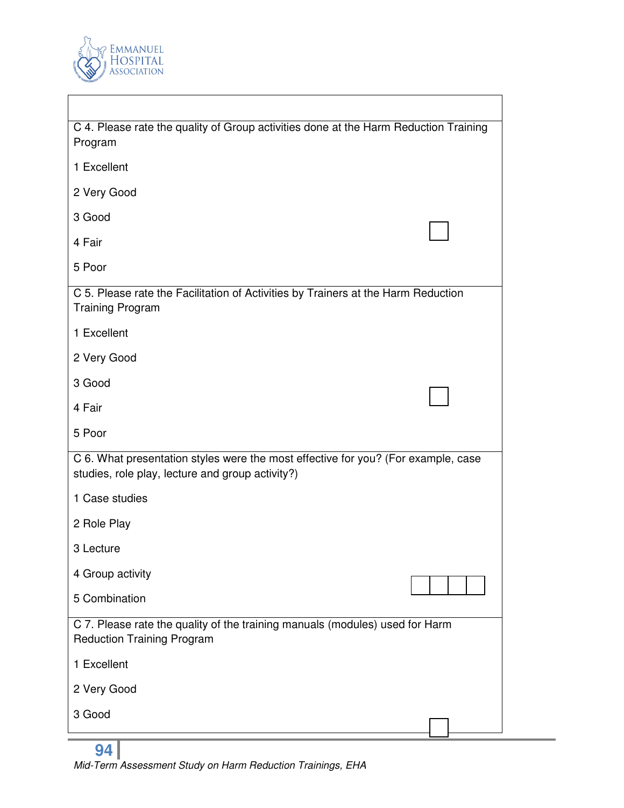

 $\overline{\phantom{a}}$ 

| C 4. Please rate the quality of Group activities done at the Harm Reduction Training<br>Program                                       |  |
|---------------------------------------------------------------------------------------------------------------------------------------|--|
| 1 Excellent                                                                                                                           |  |
| 2 Very Good                                                                                                                           |  |
| 3 Good                                                                                                                                |  |
| 4 Fair                                                                                                                                |  |
| 5 Poor                                                                                                                                |  |
| C 5. Please rate the Facilitation of Activities by Trainers at the Harm Reduction<br><b>Training Program</b>                          |  |
| 1 Excellent                                                                                                                           |  |
| 2 Very Good                                                                                                                           |  |
| 3 Good                                                                                                                                |  |
| 4 Fair                                                                                                                                |  |
| 5 Poor                                                                                                                                |  |
| C 6. What presentation styles were the most effective for you? (For example, case<br>studies, role play, lecture and group activity?) |  |
| 1 Case studies                                                                                                                        |  |
| 2 Role Play                                                                                                                           |  |
| 3 Lecture                                                                                                                             |  |
| 4 Group activity                                                                                                                      |  |
| 5 Combination                                                                                                                         |  |
| C 7. Please rate the quality of the training manuals (modules) used for Harm<br><b>Reduction Training Program</b>                     |  |
| 1 Excellent                                                                                                                           |  |
| 2 Very Good                                                                                                                           |  |
| 3 Good                                                                                                                                |  |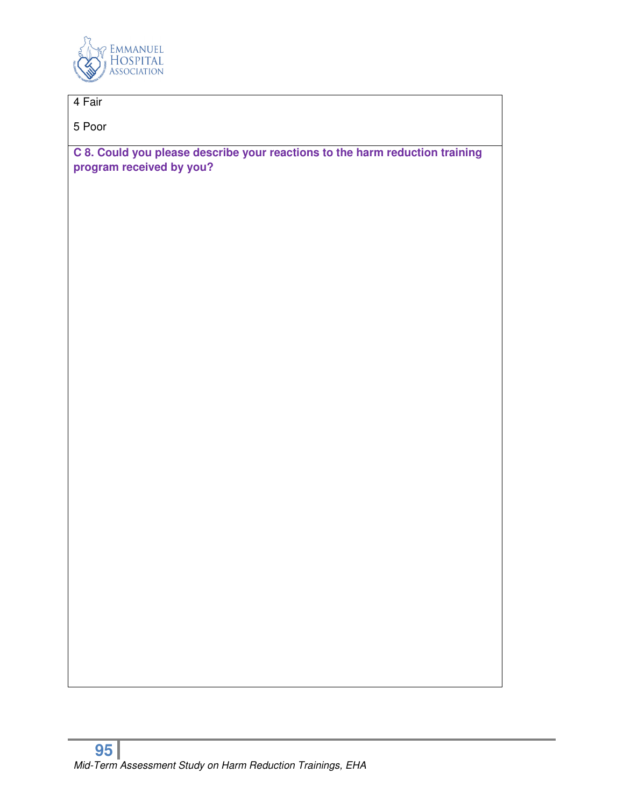

# 4 Fair

5 Poor

**C 8. Could you please describe your reactions to the harm reduction training program received by you?**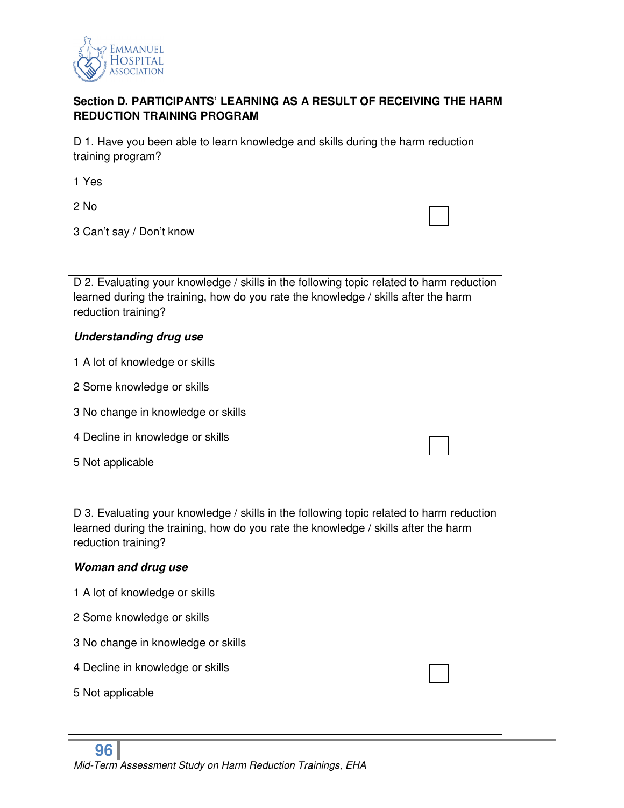

# **Section D. PARTICIPANTS' LEARNING AS A RESULT OF RECEIVING THE HARM REDUCTION TRAINING PROGRAM**

| D 1. Have you been able to learn knowledge and skills during the harm reduction<br>training program?                                                                                                  |  |
|-------------------------------------------------------------------------------------------------------------------------------------------------------------------------------------------------------|--|
| 1 Yes                                                                                                                                                                                                 |  |
| 2 No                                                                                                                                                                                                  |  |
| 3 Can't say / Don't know                                                                                                                                                                              |  |
|                                                                                                                                                                                                       |  |
| D 2. Evaluating your knowledge / skills in the following topic related to harm reduction<br>learned during the training, how do you rate the knowledge / skills after the harm<br>reduction training? |  |
| <b>Understanding drug use</b>                                                                                                                                                                         |  |
| 1 A lot of knowledge or skills                                                                                                                                                                        |  |
| 2 Some knowledge or skills                                                                                                                                                                            |  |
| 3 No change in knowledge or skills                                                                                                                                                                    |  |
| 4 Decline in knowledge or skills                                                                                                                                                                      |  |
| 5 Not applicable                                                                                                                                                                                      |  |
|                                                                                                                                                                                                       |  |
| D 3. Evaluating your knowledge / skills in the following topic related to harm reduction<br>learned during the training, how do you rate the knowledge / skills after the harm<br>reduction training? |  |
| <b>Woman and drug use</b>                                                                                                                                                                             |  |
| 1 A lot of knowledge or skills                                                                                                                                                                        |  |
| 2 Some knowledge or skills                                                                                                                                                                            |  |
| 3 No change in knowledge or skills                                                                                                                                                                    |  |
|                                                                                                                                                                                                       |  |
| 4 Decline in knowledge or skills                                                                                                                                                                      |  |
| 5 Not applicable                                                                                                                                                                                      |  |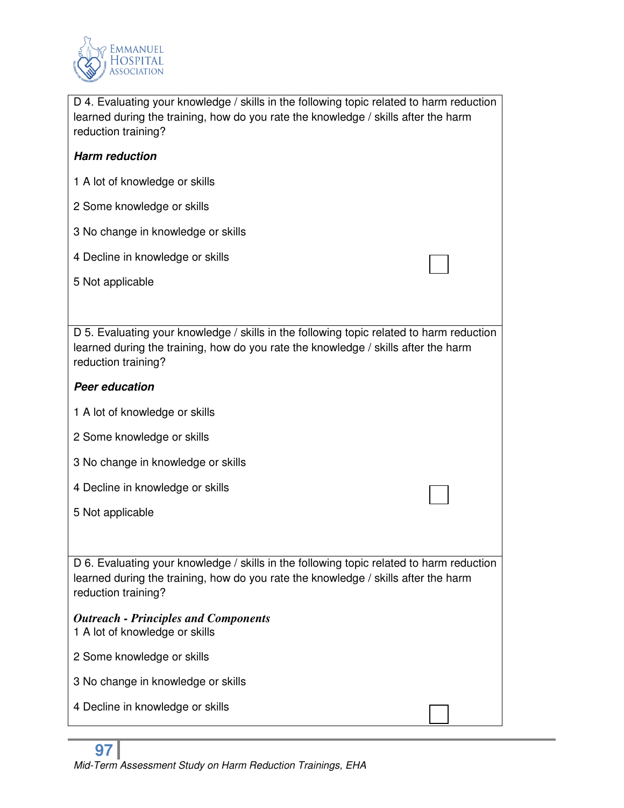

D 4. Evaluating your knowledge / skills in the following topic related to harm reduction learned during the training, how do you rate the knowledge / skills after the harm reduction training?

## *Harm reduction*

- 1 A lot of knowledge or skills
- 2 Some knowledge or skills
- 3 No change in knowledge or skills
- 4 Decline in knowledge or skills
- 5 Not applicable

D 5. Evaluating your knowledge / skills in the following topic related to harm reduction learned during the training, how do you rate the knowledge / skills after the harm reduction training?

#### *Peer education*

- 1 A lot of knowledge or skills
- 2 Some knowledge or skills
- 3 No change in knowledge or skills
- 4 Decline in knowledge or skills
- 5 Not applicable

D 6. Evaluating your knowledge / skills in the following topic related to harm reduction learned during the training, how do you rate the knowledge / skills after the harm reduction training?

# *Outreach - Principles and Components*  1 A lot of knowledge or skills

- 2 Some knowledge or skills
- 3 No change in knowledge or skills
- 4 Decline in knowledge or skills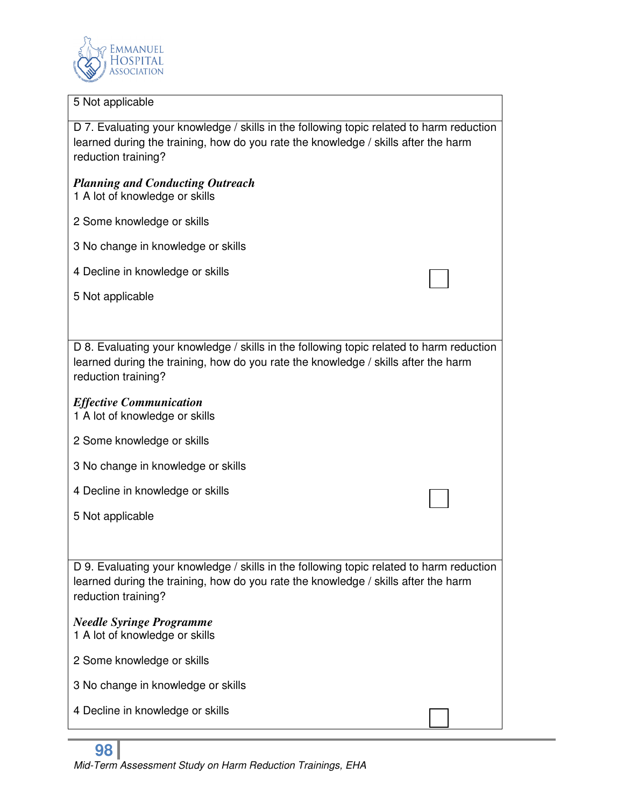

#### 5 Not applicable

D 7. Evaluating your knowledge / skills in the following topic related to harm reduction learned during the training, how do you rate the knowledge / skills after the harm reduction training?

#### *Planning and Conducting Outreach*

- 1 A lot of knowledge or skills
- 2 Some knowledge or skills
- 3 No change in knowledge or skills
- 4 Decline in knowledge or skills
- 5 Not applicable

D 8. Evaluating your knowledge / skills in the following topic related to harm reduction learned during the training, how do you rate the knowledge / skills after the harm reduction training?

#### *Effective Communication*

1 A lot of knowledge or skills

- 2 Some knowledge or skills
- 3 No change in knowledge or skills
- 4 Decline in knowledge or skills
- 5 Not applicable

D 9. Evaluating your knowledge / skills in the following topic related to harm reduction learned during the training, how do you rate the knowledge / skills after the harm reduction training?

# *Needle Syringe Programme*

- 1 A lot of knowledge or skills
- 2 Some knowledge or skills
- 3 No change in knowledge or skills
- 4 Decline in knowledge or skills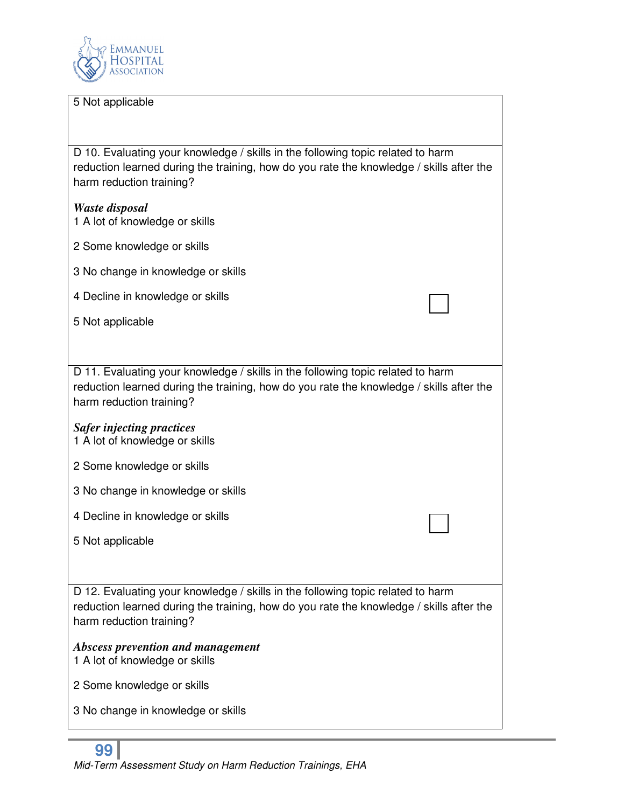

#### 5 Not applicable

D 10. Evaluating your knowledge / skills in the following topic related to harm reduction learned during the training, how do you rate the knowledge / skills after the harm reduction training?

*Waste disposal*  1 A lot of knowledge or skills

- 2 Some knowledge or skills
- 3 No change in knowledge or skills
- 4 Decline in knowledge or skills
- 5 Not applicable

D 11. Evaluating your knowledge / skills in the following topic related to harm reduction learned during the training, how do you rate the knowledge / skills after the harm reduction training?

#### *Safer injecting practices*  1 A lot of knowledge or skills

- 2 Some knowledge or skills
- 3 No change in knowledge or skills
- 4 Decline in knowledge or skills
- 5 Not applicable

D 12. Evaluating your knowledge / skills in the following topic related to harm reduction learned during the training, how do you rate the knowledge / skills after the harm reduction training?

# *Abscess prevention and management*

- 1 A lot of knowledge or skills
- 2 Some knowledge or skills
- 3 No change in knowledge or skills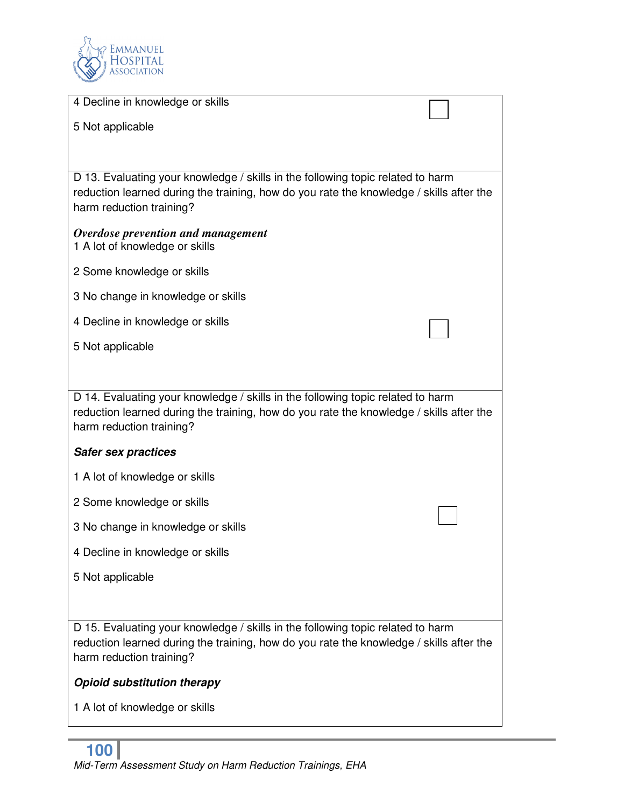

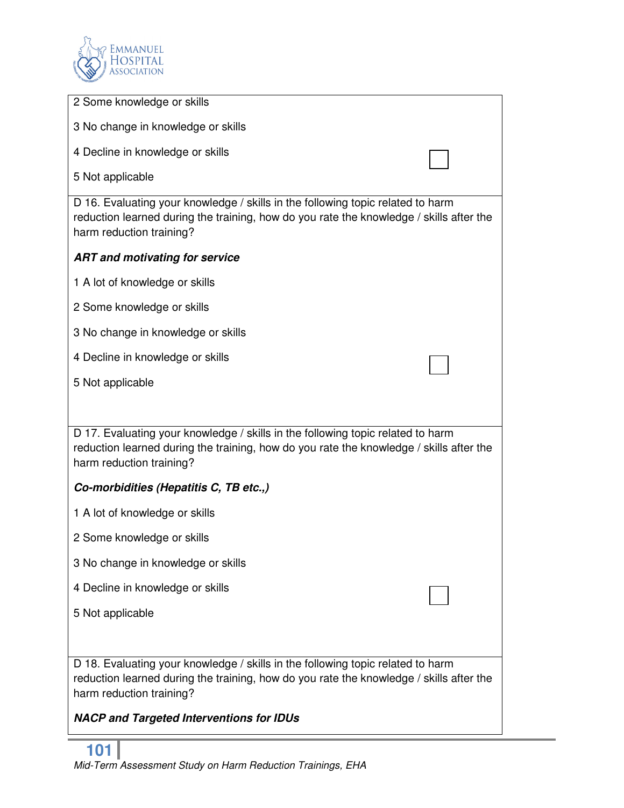

| 2 Some knowledge or skills                                                                                                                                                                             |
|--------------------------------------------------------------------------------------------------------------------------------------------------------------------------------------------------------|
| 3 No change in knowledge or skills                                                                                                                                                                     |
| 4 Decline in knowledge or skills                                                                                                                                                                       |
| 5 Not applicable                                                                                                                                                                                       |
| D 16. Evaluating your knowledge / skills in the following topic related to harm<br>reduction learned during the training, how do you rate the knowledge / skills after the<br>harm reduction training? |
| <b>ART and motivating for service</b>                                                                                                                                                                  |
| 1 A lot of knowledge or skills                                                                                                                                                                         |
| 2 Some knowledge or skills                                                                                                                                                                             |
| 3 No change in knowledge or skills                                                                                                                                                                     |
| 4 Decline in knowledge or skills                                                                                                                                                                       |
| 5 Not applicable                                                                                                                                                                                       |
|                                                                                                                                                                                                        |
| D 17. Evaluating your knowledge / skills in the following topic related to harm<br>reduction learned during the training, how do you rate the knowledge / skills after the<br>harm reduction training? |
| Co-morbidities (Hepatitis C, TB etc.,)                                                                                                                                                                 |
| 1 A lot of knowledge or skills                                                                                                                                                                         |
| 2 Some knowledge or skills                                                                                                                                                                             |
| 3 No change in knowledge or skills                                                                                                                                                                     |
| 4 Decline in knowledge or skills                                                                                                                                                                       |
| 5 Not applicable                                                                                                                                                                                       |
|                                                                                                                                                                                                        |
| D 18. Evaluating your knowledge / skills in the following topic related to harm<br>reduction learned during the training, how do you rate the knowledge / skills after the<br>harm reduction training? |
| <b>NACP and Targeted Interventions for IDUs</b>                                                                                                                                                        |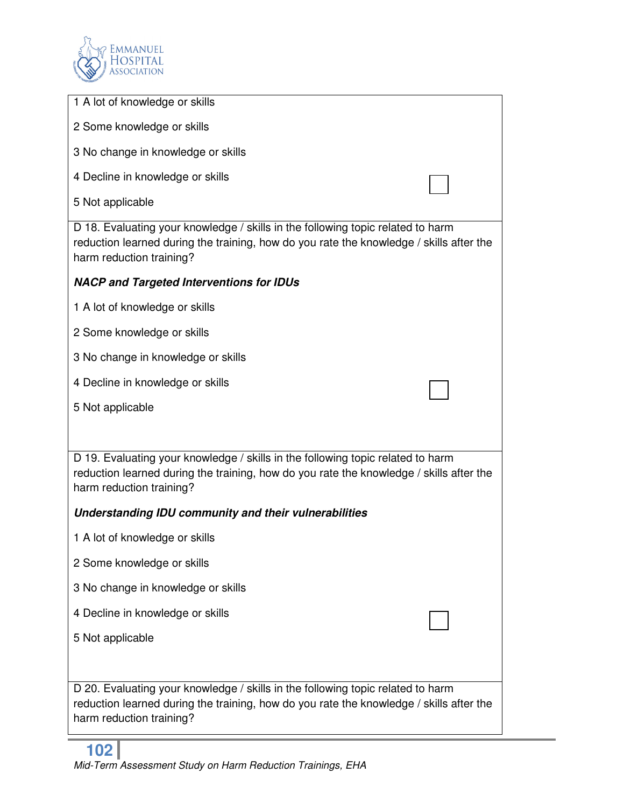

| 1 A lot of knowledge or skills                                                                                                                                                                         |
|--------------------------------------------------------------------------------------------------------------------------------------------------------------------------------------------------------|
| 2 Some knowledge or skills                                                                                                                                                                             |
| 3 No change in knowledge or skills                                                                                                                                                                     |
| 4 Decline in knowledge or skills                                                                                                                                                                       |
| 5 Not applicable                                                                                                                                                                                       |
| D 18. Evaluating your knowledge / skills in the following topic related to harm<br>reduction learned during the training, how do you rate the knowledge / skills after the<br>harm reduction training? |
| <b>NACP and Targeted Interventions for IDUs</b>                                                                                                                                                        |
| 1 A lot of knowledge or skills                                                                                                                                                                         |
| 2 Some knowledge or skills                                                                                                                                                                             |
| 3 No change in knowledge or skills                                                                                                                                                                     |
| 4 Decline in knowledge or skills                                                                                                                                                                       |
| 5 Not applicable                                                                                                                                                                                       |
|                                                                                                                                                                                                        |
| D 19. Evaluating your knowledge / skills in the following topic related to harm<br>reduction learned during the training, how do you rate the knowledge / skills after the<br>harm reduction training? |
| Understanding IDU community and their vulnerabilities                                                                                                                                                  |
| 1 A lot of knowledge or skills                                                                                                                                                                         |
| 2 Some knowledge or skills                                                                                                                                                                             |
| 3 No change in knowledge or skills                                                                                                                                                                     |
| 4 Decline in knowledge or skills                                                                                                                                                                       |
| 5 Not applicable                                                                                                                                                                                       |
|                                                                                                                                                                                                        |
| D 20. Evaluating your knowledge / skills in the following topic related to harm<br>reduction learned during the training, how do you rate the knowledge / skills after the<br>harm reduction training? |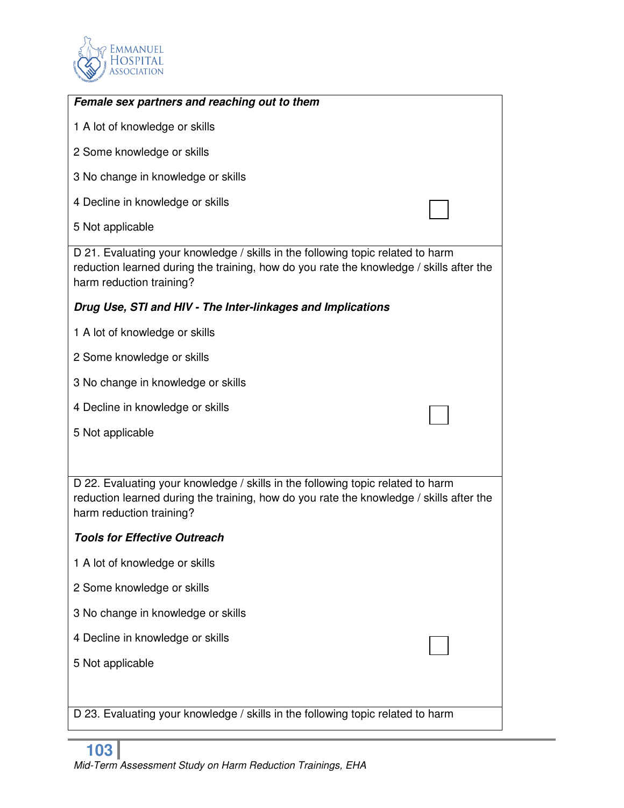

| Female sex partners and reaching out to them                                                                                                                                                           |  |
|--------------------------------------------------------------------------------------------------------------------------------------------------------------------------------------------------------|--|
| 1 A lot of knowledge or skills                                                                                                                                                                         |  |
| 2 Some knowledge or skills                                                                                                                                                                             |  |
| 3 No change in knowledge or skills                                                                                                                                                                     |  |
| 4 Decline in knowledge or skills                                                                                                                                                                       |  |
| 5 Not applicable                                                                                                                                                                                       |  |
| D 21. Evaluating your knowledge / skills in the following topic related to harm<br>reduction learned during the training, how do you rate the knowledge / skills after the<br>harm reduction training? |  |
| Drug Use, STI and HIV - The Inter-linkages and Implications                                                                                                                                            |  |
| 1 A lot of knowledge or skills                                                                                                                                                                         |  |
| 2 Some knowledge or skills                                                                                                                                                                             |  |
| 3 No change in knowledge or skills                                                                                                                                                                     |  |
| 4 Decline in knowledge or skills                                                                                                                                                                       |  |
| 5 Not applicable                                                                                                                                                                                       |  |
|                                                                                                                                                                                                        |  |
| D 22. Evaluating your knowledge / skills in the following topic related to harm<br>reduction learned during the training, how do you rate the knowledge / skills after the<br>harm reduction training? |  |
| <b>Tools for Effective Outreach</b>                                                                                                                                                                    |  |
| 1 A lot of knowledge or skills                                                                                                                                                                         |  |
| 2 Some knowledge or skills                                                                                                                                                                             |  |
| 3 No change in knowledge or skills                                                                                                                                                                     |  |
| 4 Decline in knowledge or skills                                                                                                                                                                       |  |
| 5 Not applicable                                                                                                                                                                                       |  |
|                                                                                                                                                                                                        |  |
| D 23. Evaluating your knowledge / skills in the following topic related to harm                                                                                                                        |  |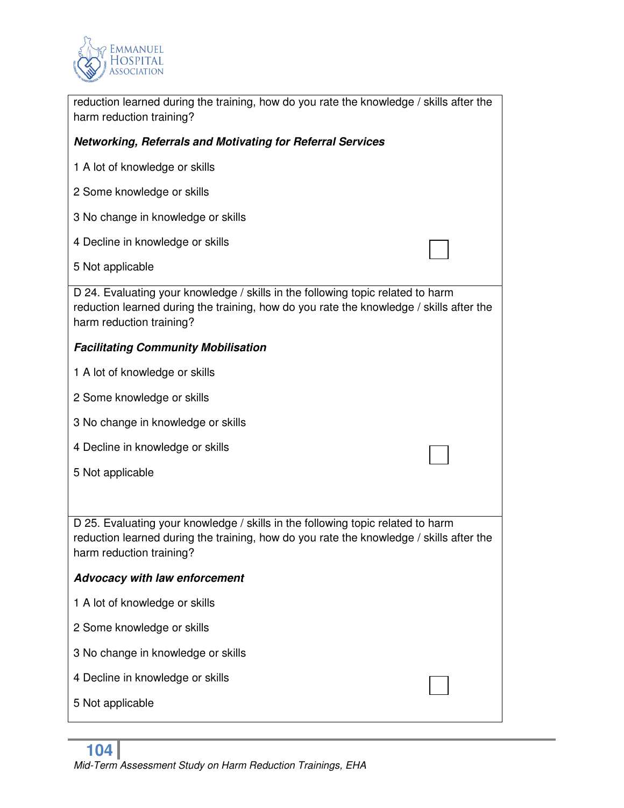

| reduction learned during the training, how do you rate the knowledge / skills after the<br>harm reduction training?                                                                                    |  |  |
|--------------------------------------------------------------------------------------------------------------------------------------------------------------------------------------------------------|--|--|
| <b>Networking, Referrals and Motivating for Referral Services</b>                                                                                                                                      |  |  |
| 1 A lot of knowledge or skills                                                                                                                                                                         |  |  |
| 2 Some knowledge or skills                                                                                                                                                                             |  |  |
| 3 No change in knowledge or skills                                                                                                                                                                     |  |  |
| 4 Decline in knowledge or skills                                                                                                                                                                       |  |  |
| 5 Not applicable                                                                                                                                                                                       |  |  |
| D 24. Evaluating your knowledge / skills in the following topic related to harm<br>reduction learned during the training, how do you rate the knowledge / skills after the<br>harm reduction training? |  |  |
| <b>Facilitating Community Mobilisation</b>                                                                                                                                                             |  |  |
| 1 A lot of knowledge or skills                                                                                                                                                                         |  |  |
| 2 Some knowledge or skills                                                                                                                                                                             |  |  |
| 3 No change in knowledge or skills                                                                                                                                                                     |  |  |
| 4 Decline in knowledge or skills                                                                                                                                                                       |  |  |
| 5 Not applicable                                                                                                                                                                                       |  |  |
|                                                                                                                                                                                                        |  |  |
| D 25. Evaluating your knowledge / skills in the following topic related to harm<br>reduction learned during the training, how do you rate the knowledge / skills after the<br>harm reduction training? |  |  |
| <b>Advocacy with law enforcement</b>                                                                                                                                                                   |  |  |
| 1 A lot of knowledge or skills                                                                                                                                                                         |  |  |
| 2 Some knowledge or skills                                                                                                                                                                             |  |  |
| 3 No change in knowledge or skills                                                                                                                                                                     |  |  |
| 4 Decline in knowledge or skills                                                                                                                                                                       |  |  |
| 5 Not applicable                                                                                                                                                                                       |  |  |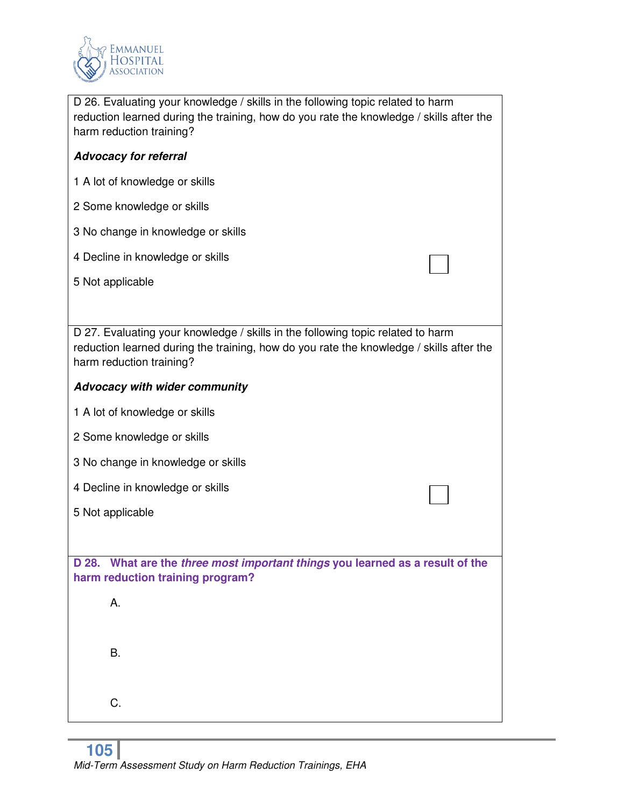

| D 26. Evaluating your knowledge / skills in the following topic related to harm<br>reduction learned during the training, how do you rate the knowledge / skills after the<br>harm reduction training? |  |  |
|--------------------------------------------------------------------------------------------------------------------------------------------------------------------------------------------------------|--|--|
| <b>Advocacy for referral</b>                                                                                                                                                                           |  |  |
| 1 A lot of knowledge or skills                                                                                                                                                                         |  |  |
| 2 Some knowledge or skills                                                                                                                                                                             |  |  |
| 3 No change in knowledge or skills                                                                                                                                                                     |  |  |
| 4 Decline in knowledge or skills                                                                                                                                                                       |  |  |
| 5 Not applicable                                                                                                                                                                                       |  |  |
|                                                                                                                                                                                                        |  |  |
| D 27. Evaluating your knowledge / skills in the following topic related to harm<br>reduction learned during the training, how do you rate the knowledge / skills after the<br>harm reduction training? |  |  |
| <b>Advocacy with wider community</b>                                                                                                                                                                   |  |  |
| 1 A lot of knowledge or skills                                                                                                                                                                         |  |  |
| 2 Some knowledge or skills                                                                                                                                                                             |  |  |
| 3 No change in knowledge or skills                                                                                                                                                                     |  |  |
| 4 Decline in knowledge or skills                                                                                                                                                                       |  |  |
| 5 Not applicable                                                                                                                                                                                       |  |  |
|                                                                                                                                                                                                        |  |  |
| D 28. What are the three most important things you learned as a result of the<br>harm reduction training program?                                                                                      |  |  |
| А.                                                                                                                                                                                                     |  |  |
|                                                                                                                                                                                                        |  |  |
| <b>B.</b>                                                                                                                                                                                              |  |  |
|                                                                                                                                                                                                        |  |  |
| C.                                                                                                                                                                                                     |  |  |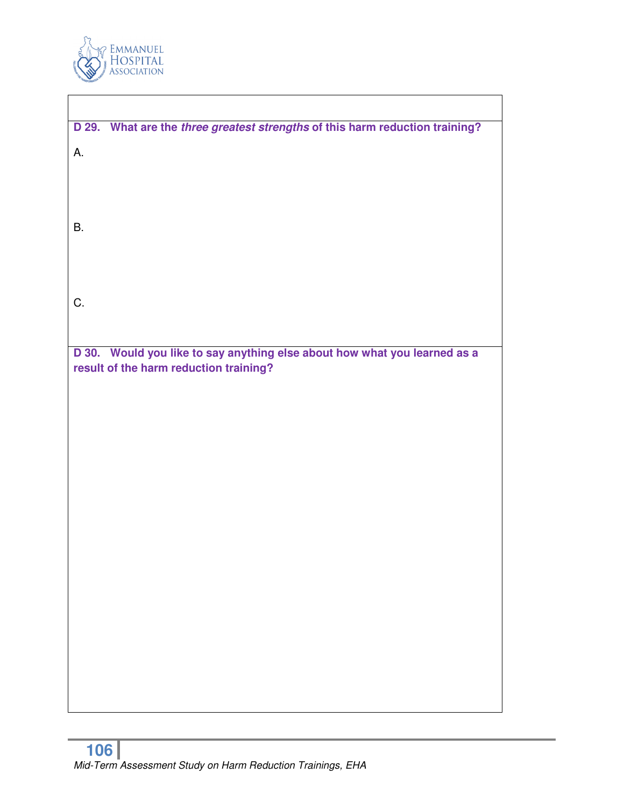

| D 29. What are the three greatest strengths of this harm reduction training? |
|------------------------------------------------------------------------------|
| Α.                                                                           |
|                                                                              |
|                                                                              |
| <b>B.</b>                                                                    |
|                                                                              |
|                                                                              |
|                                                                              |
| C.                                                                           |
|                                                                              |
| D 30. Would you like to say anything else about how what you learned as a    |
| result of the harm reduction training?                                       |
|                                                                              |
|                                                                              |
|                                                                              |
|                                                                              |
|                                                                              |
|                                                                              |
|                                                                              |
|                                                                              |
|                                                                              |
|                                                                              |
|                                                                              |
|                                                                              |
|                                                                              |
|                                                                              |
|                                                                              |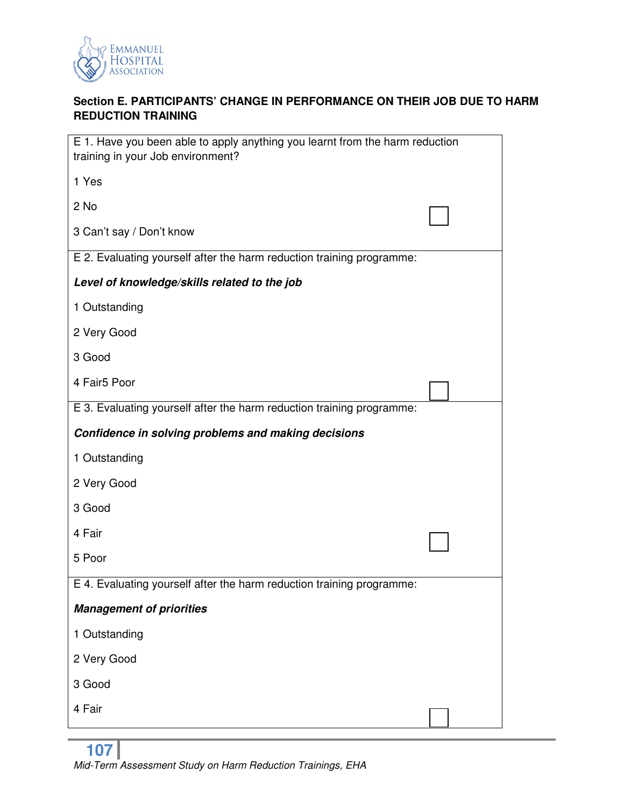

# **Section E. PARTICIPANTS' CHANGE IN PERFORMANCE ON THEIR JOB DUE TO HARM REDUCTION TRAINING**

| E 1. Have you been able to apply anything you learnt from the harm reduction<br>training in your Job environment? |  |
|-------------------------------------------------------------------------------------------------------------------|--|
| 1 Yes                                                                                                             |  |
| 2 No                                                                                                              |  |
| 3 Can't say / Don't know                                                                                          |  |
| E 2. Evaluating yourself after the harm reduction training programme:                                             |  |
| Level of knowledge/skills related to the job                                                                      |  |
| 1 Outstanding                                                                                                     |  |
| 2 Very Good                                                                                                       |  |
| 3 Good                                                                                                            |  |
| 4 Fair5 Poor                                                                                                      |  |
| E 3. Evaluating yourself after the harm reduction training programme:                                             |  |
| Confidence in solving problems and making decisions                                                               |  |
| 1 Outstanding                                                                                                     |  |
| 2 Very Good                                                                                                       |  |
| 3 Good                                                                                                            |  |
| 4 Fair                                                                                                            |  |
| 5 Poor                                                                                                            |  |
| E 4. Evaluating yourself after the harm reduction training programme:                                             |  |
| <b>Management of priorities</b>                                                                                   |  |
| 1 Outstanding                                                                                                     |  |
| 2 Very Good                                                                                                       |  |
| 3 Good                                                                                                            |  |
| 4 Fair                                                                                                            |  |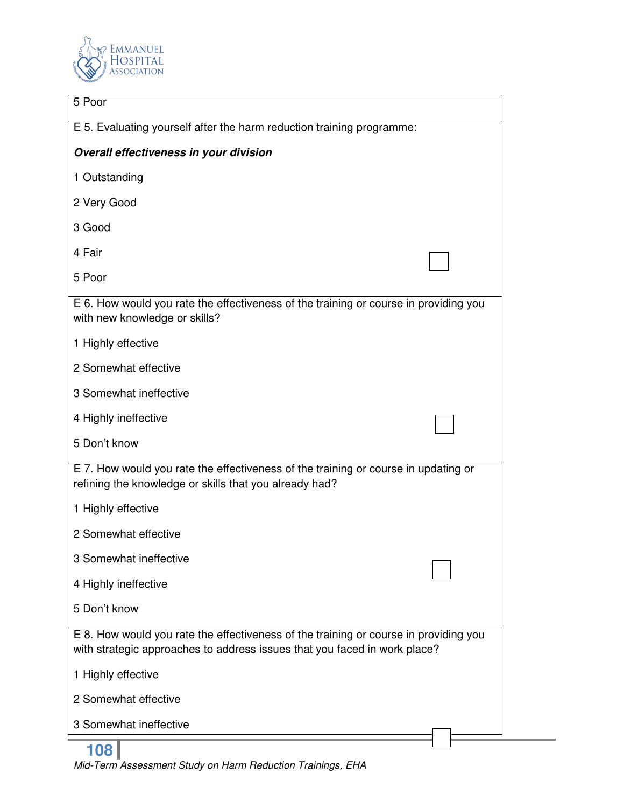

| 5 Poor                                                                                                                                                            |
|-------------------------------------------------------------------------------------------------------------------------------------------------------------------|
| E 5. Evaluating yourself after the harm reduction training programme:                                                                                             |
| Overall effectiveness in your division                                                                                                                            |
| 1 Outstanding                                                                                                                                                     |
| 2 Very Good                                                                                                                                                       |
| 3 Good                                                                                                                                                            |
| 4 Fair                                                                                                                                                            |
| 5 Poor                                                                                                                                                            |
| E 6. How would you rate the effectiveness of the training or course in providing you<br>with new knowledge or skills?                                             |
| 1 Highly effective                                                                                                                                                |
| 2 Somewhat effective                                                                                                                                              |
| 3 Somewhat ineffective                                                                                                                                            |
| 4 Highly ineffective                                                                                                                                              |
| 5 Don't know                                                                                                                                                      |
| E 7. How would you rate the effectiveness of the training or course in updating or<br>refining the knowledge or skills that you already had?                      |
| 1 Highly effective                                                                                                                                                |
| 2 Somewhat effective                                                                                                                                              |
| 3 Somewhat ineffective                                                                                                                                            |
| 4 Highly ineffective                                                                                                                                              |
| 5 Don't know                                                                                                                                                      |
| E 8. How would you rate the effectiveness of the training or course in providing you<br>with strategic approaches to address issues that you faced in work place? |
| 1 Highly effective                                                                                                                                                |
| 2 Somewhat effective                                                                                                                                              |
| 3 Somewhat ineffective                                                                                                                                            |
| 108                                                                                                                                                               |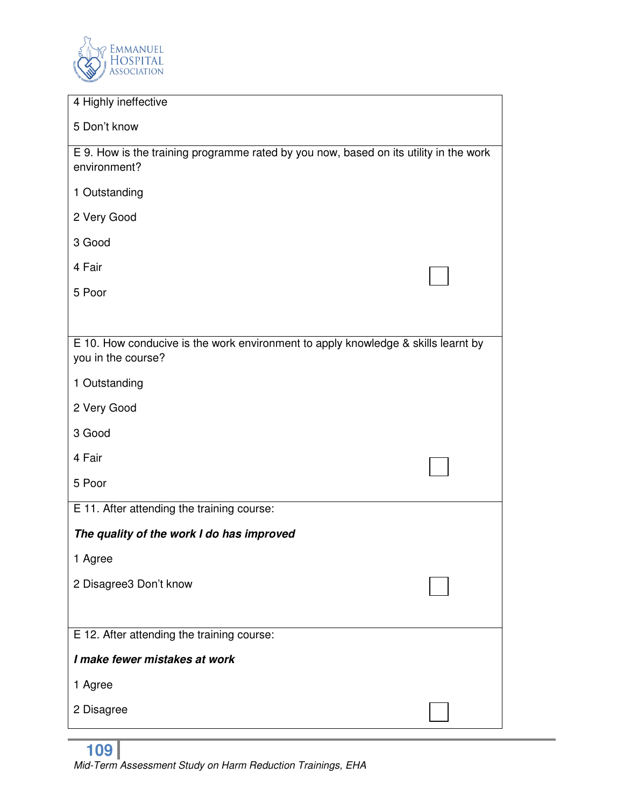

| 4 Highly ineffective                                                                                    |  |
|---------------------------------------------------------------------------------------------------------|--|
|                                                                                                         |  |
| 5 Don't know                                                                                            |  |
| E 9. How is the training programme rated by you now, based on its utility in the work<br>environment?   |  |
| 1 Outstanding                                                                                           |  |
| 2 Very Good                                                                                             |  |
| 3 Good                                                                                                  |  |
| 4 Fair                                                                                                  |  |
| 5 Poor                                                                                                  |  |
|                                                                                                         |  |
| E 10. How conducive is the work environment to apply knowledge & skills learnt by<br>you in the course? |  |
| 1 Outstanding                                                                                           |  |
| 2 Very Good                                                                                             |  |
| 3 Good                                                                                                  |  |
| 4 Fair                                                                                                  |  |
| 5 Poor                                                                                                  |  |
| E 11. After attending the training course:                                                              |  |
| The quality of the work I do has improved                                                               |  |
| 1 Agree                                                                                                 |  |
| 2 Disagree3 Don't know                                                                                  |  |
|                                                                                                         |  |
| E 12. After attending the training course:                                                              |  |
| I make fewer mistakes at work                                                                           |  |
| 1 Agree                                                                                                 |  |
| 2 Disagree                                                                                              |  |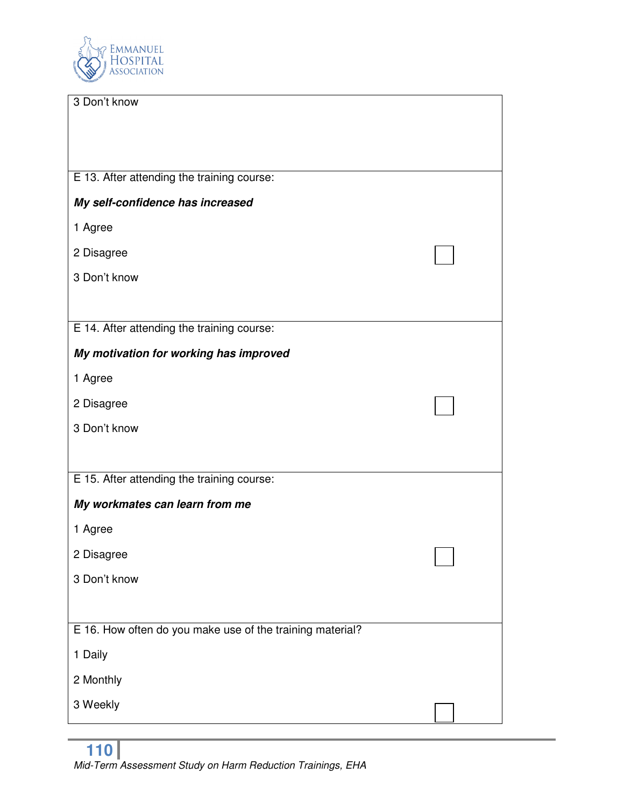

| 3 Don't know                                              |  |
|-----------------------------------------------------------|--|
|                                                           |  |
|                                                           |  |
|                                                           |  |
| E 13. After attending the training course:                |  |
| My self-confidence has increased                          |  |
| 1 Agree                                                   |  |
| 2 Disagree                                                |  |
| 3 Don't know                                              |  |
|                                                           |  |
| E 14. After attending the training course:                |  |
| My motivation for working has improved                    |  |
| 1 Agree                                                   |  |
| 2 Disagree                                                |  |
| 3 Don't know                                              |  |
|                                                           |  |
| E 15. After attending the training course:                |  |
| My workmates can learn from me                            |  |
| 1 Agree                                                   |  |
| 2 Disagree                                                |  |
| 3 Don't know                                              |  |
|                                                           |  |
| E 16. How often do you make use of the training material? |  |
| 1 Daily                                                   |  |
| 2 Monthly                                                 |  |
| 3 Weekly                                                  |  |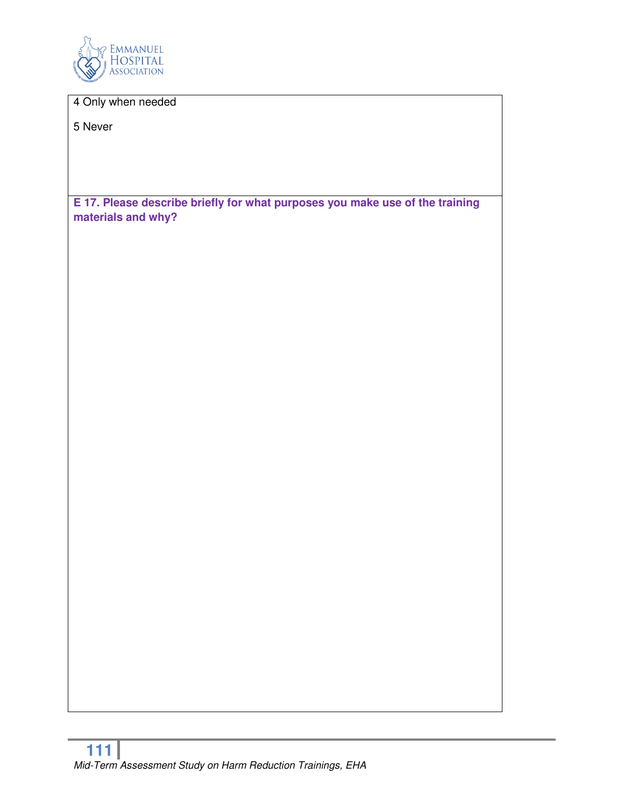

4 Only when needed

5 Never

**E 17. Please describe briefly for what purposes you make use of the training materials and why?**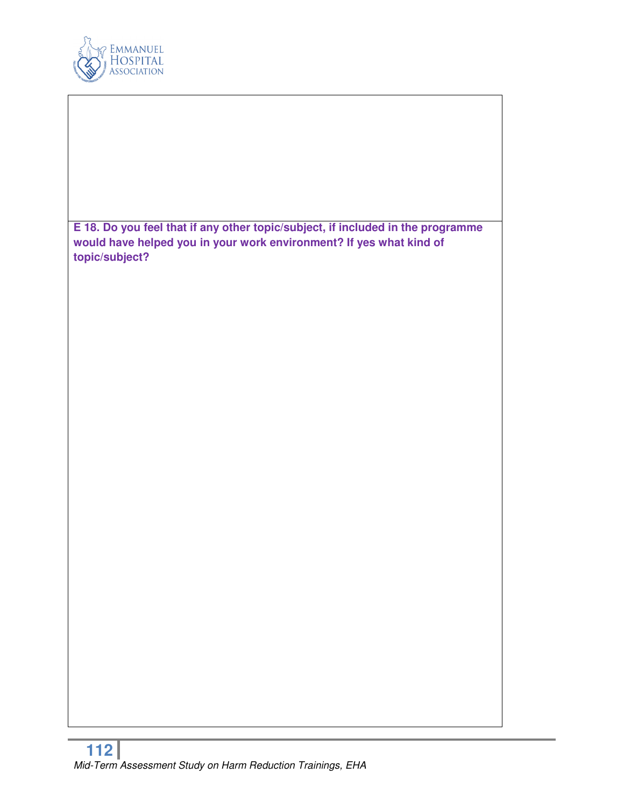

**E 18. Do you feel that if any other topic/subject, if included in the programme would have helped you in your work environment? If yes what kind of topic/subject?**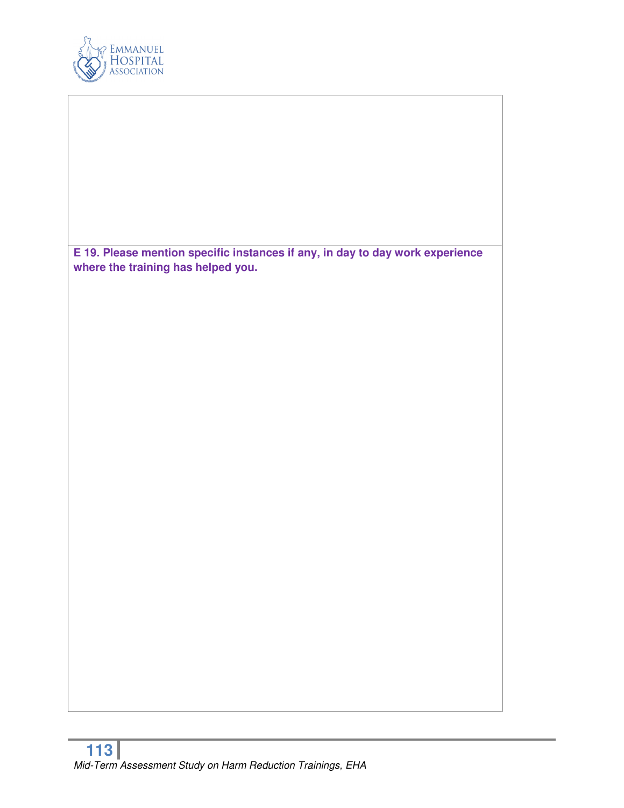

**E 19. Please mention specific instances if any, in day to day work experience where the training has helped you.**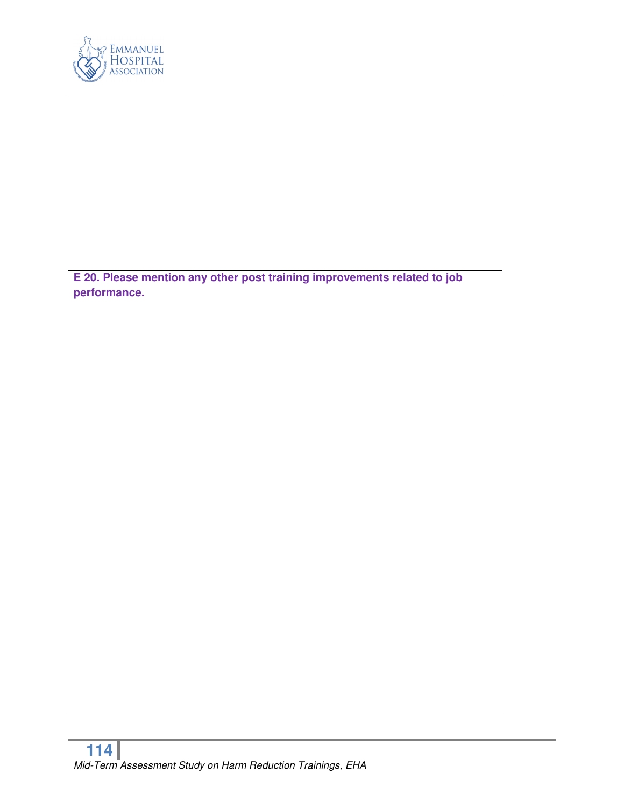

**E 20. Please mention any other post training improvements related to job performance.**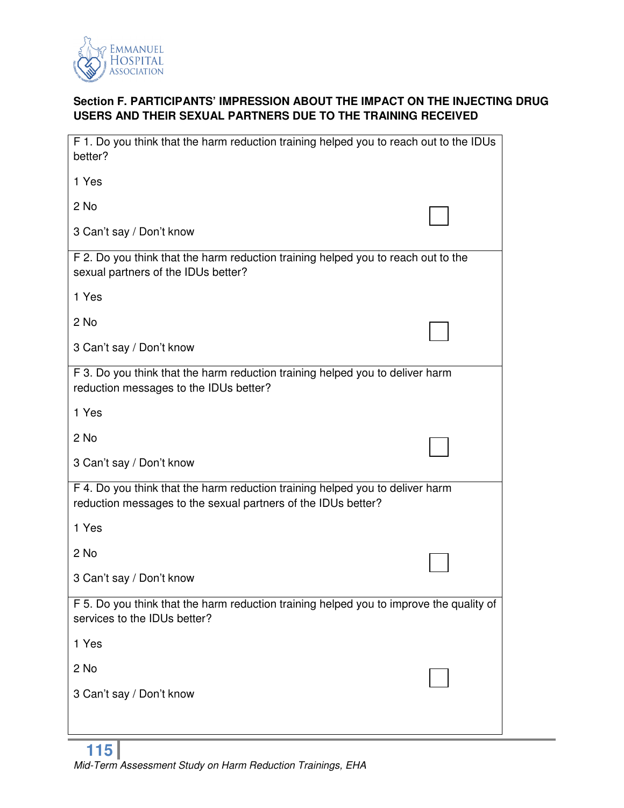

# **Section F. PARTICIPANTS' IMPRESSION ABOUT THE IMPACT ON THE INJECTING DRUG USERS AND THEIR SEXUAL PARTNERS DUE TO THE TRAINING RECEIVED**

| F 1. Do you think that the harm reduction training helped you to reach out to the IDUs<br>better?                                              |  |
|------------------------------------------------------------------------------------------------------------------------------------------------|--|
| 1 Yes                                                                                                                                          |  |
| 2 No                                                                                                                                           |  |
| 3 Can't say / Don't know                                                                                                                       |  |
| F 2. Do you think that the harm reduction training helped you to reach out to the<br>sexual partners of the IDUs better?                       |  |
| 1 Yes                                                                                                                                          |  |
| 2 No                                                                                                                                           |  |
| 3 Can't say / Don't know                                                                                                                       |  |
| F 3. Do you think that the harm reduction training helped you to deliver harm<br>reduction messages to the IDUs better?                        |  |
| 1 Yes                                                                                                                                          |  |
| 2 No                                                                                                                                           |  |
| 3 Can't say / Don't know                                                                                                                       |  |
| F 4. Do you think that the harm reduction training helped you to deliver harm<br>reduction messages to the sexual partners of the IDUs better? |  |
| 1 Yes                                                                                                                                          |  |
| 2 No                                                                                                                                           |  |
| 3 Can't say / Don't know                                                                                                                       |  |
| F 5. Do you think that the harm reduction training helped you to improve the quality of<br>services to the IDUs better?                        |  |
| 1 Yes                                                                                                                                          |  |
| 2 No                                                                                                                                           |  |
| 3 Can't say / Don't know                                                                                                                       |  |
|                                                                                                                                                |  |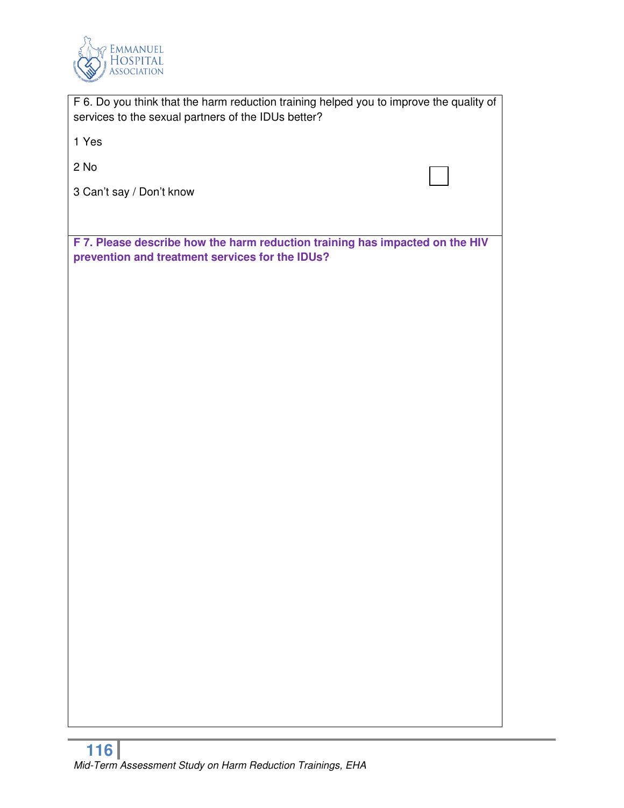

| F 6. Do you think that the harm reduction training helped you to improve the quality of<br>services to the sexual partners of the IDUs better? |
|------------------------------------------------------------------------------------------------------------------------------------------------|
| 1 Yes                                                                                                                                          |
| 2 No                                                                                                                                           |
| 3 Can't say / Don't know                                                                                                                       |
|                                                                                                                                                |
| F 7. Please describe how the harm reduction training has impacted on the HIV<br>prevention and treatment services for the IDUs?                |
|                                                                                                                                                |
|                                                                                                                                                |
|                                                                                                                                                |
|                                                                                                                                                |
|                                                                                                                                                |
|                                                                                                                                                |
|                                                                                                                                                |
|                                                                                                                                                |
|                                                                                                                                                |
|                                                                                                                                                |
|                                                                                                                                                |
|                                                                                                                                                |
|                                                                                                                                                |
|                                                                                                                                                |
|                                                                                                                                                |
|                                                                                                                                                |
|                                                                                                                                                |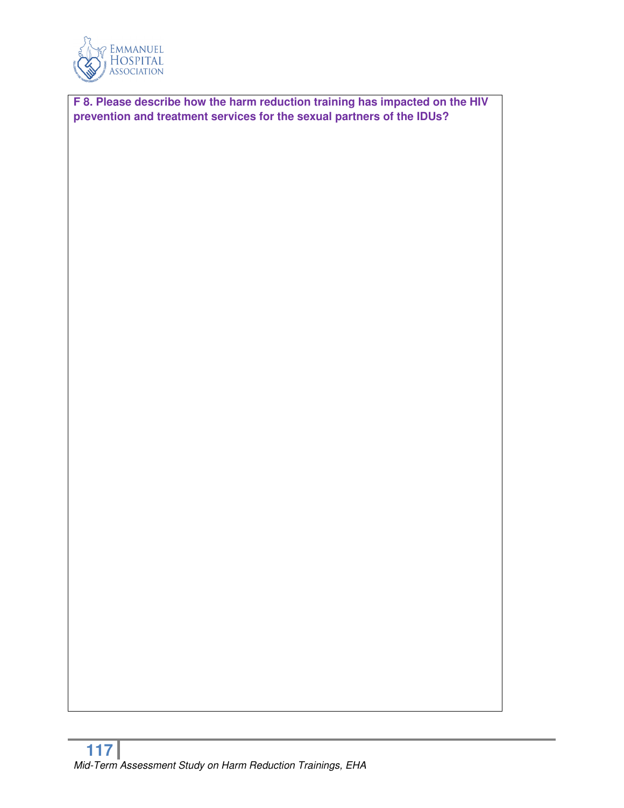

**F 8. Please describe how the harm reduction training has impacted on the HIV prevention and treatment services for the sexual partners of the IDUs?**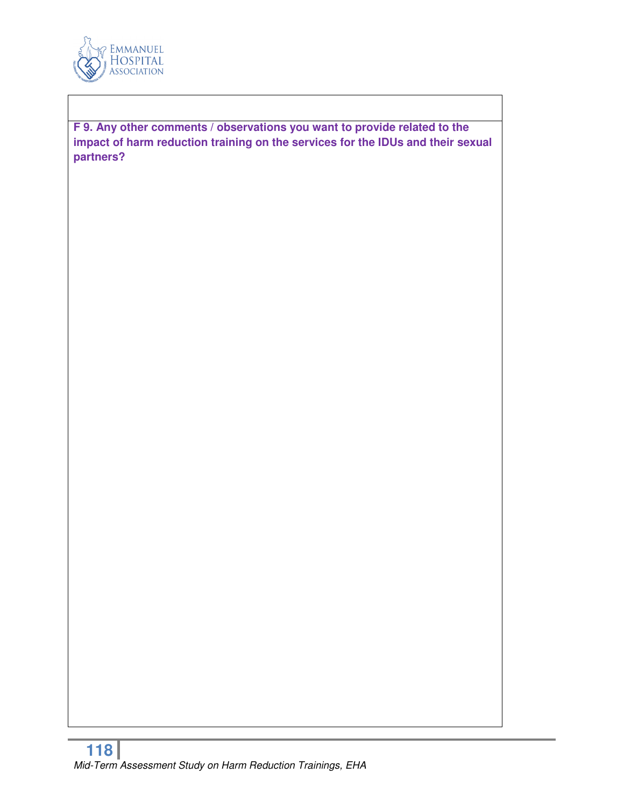

**F 9. Any other comments / observations you want to provide related to the impact of harm reduction training on the services for the IDUs and their sexual partners?**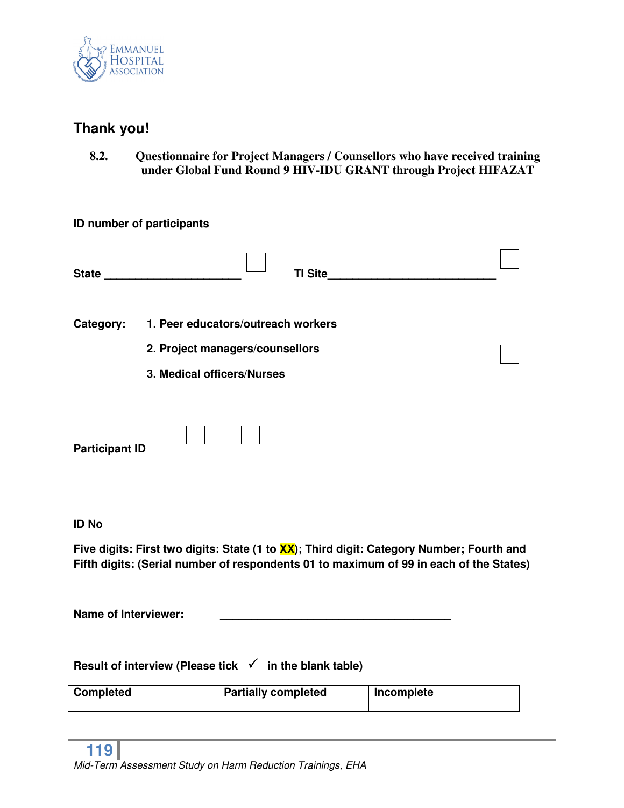

# **Thank you!**

**8.2. Questionnaire for Project Managers / Counsellors who have received training under Global Fund Round 9 HIV-IDU GRANT through Project HIFAZAT** 

| ID number of participants                                         |                                    |                            |                |                                                                                                                                                                                    |  |
|-------------------------------------------------------------------|------------------------------------|----------------------------|----------------|------------------------------------------------------------------------------------------------------------------------------------------------------------------------------------|--|
| State <b>State State</b>                                          |                                    |                            | <b>TI Site</b> |                                                                                                                                                                                    |  |
| Category:                                                         | 1. Peer educators/outreach workers |                            |                |                                                                                                                                                                                    |  |
|                                                                   | 2. Project managers/counsellors    |                            |                |                                                                                                                                                                                    |  |
|                                                                   | 3. Medical officers/Nurses         |                            |                |                                                                                                                                                                                    |  |
| <b>Participant ID</b>                                             |                                    |                            |                |                                                                                                                                                                                    |  |
| <b>ID No</b>                                                      |                                    |                            |                |                                                                                                                                                                                    |  |
|                                                                   |                                    |                            |                | Five digits: First two digits: State (1 to XX); Third digit: Category Number; Fourth and<br>Fifth digits: (Serial number of respondents 01 to maximum of 99 in each of the States) |  |
| <b>Name of Interviewer:</b>                                       |                                    |                            |                |                                                                                                                                                                                    |  |
| Result of interview (Please tick $\checkmark$ in the blank table) |                                    |                            |                |                                                                                                                                                                                    |  |
| <b>Completed</b>                                                  |                                    | <b>Partially completed</b> |                | Incomplete                                                                                                                                                                         |  |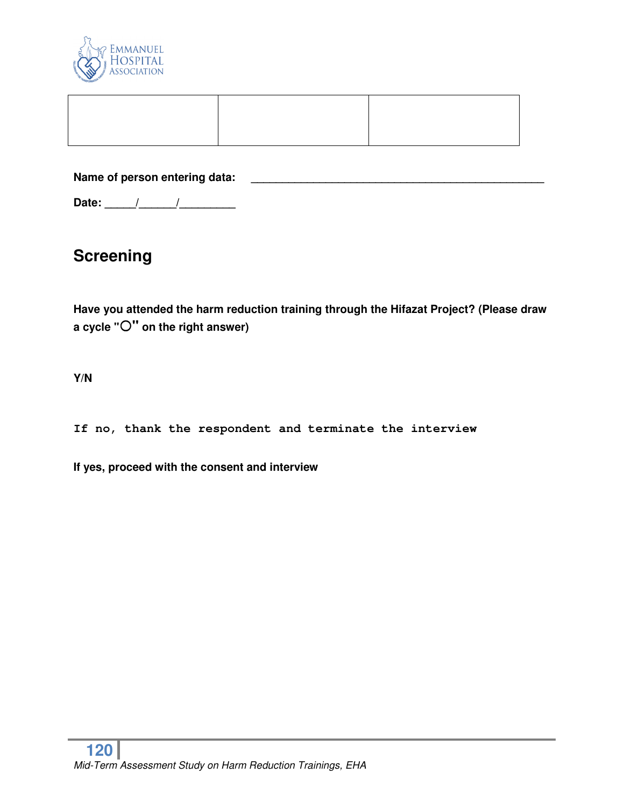

**Name of person entering data: \_\_\_\_\_\_\_\_\_\_\_\_\_\_\_\_\_\_\_\_\_\_\_\_\_\_\_\_\_\_\_\_\_\_\_\_\_\_\_\_\_\_\_\_\_\_\_** 

**Date: \_\_\_\_\_/\_\_\_\_\_\_/\_\_\_\_\_\_\_\_\_** 

# **Screening**

**Have you attended the harm reduction training through the Hifazat Project? (Please draw a cycle "" on the right answer)** 

**Y/N** 

**If no, thank the respondent and terminate the interview** 

**If yes, proceed with the consent and interview**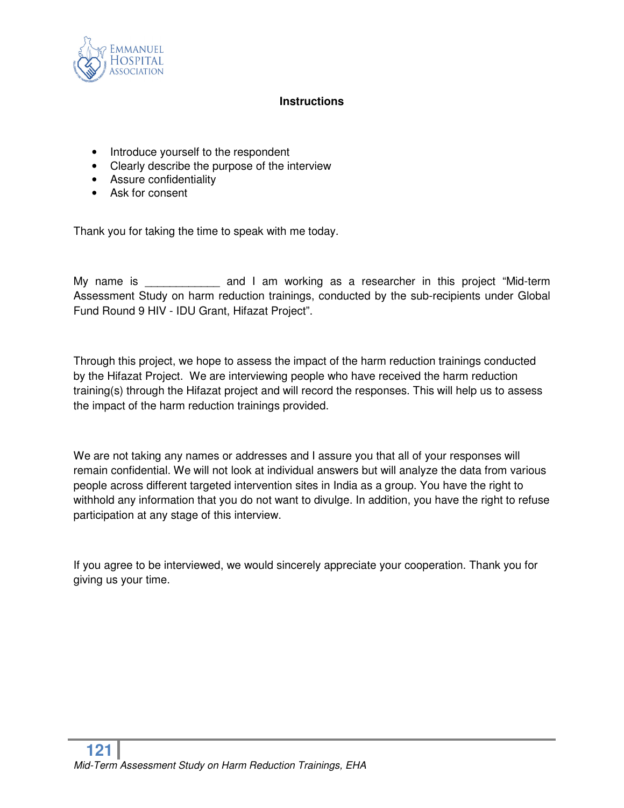

### **Instructions**

- Introduce yourself to the respondent
- Clearly describe the purpose of the interview
- Assure confidentiality
- Ask for consent

Thank you for taking the time to speak with me today.

My name is The same and I am working as a researcher in this project "Mid-term Assessment Study on harm reduction trainings, conducted by the sub-recipients under Global Fund Round 9 HIV - IDU Grant, Hifazat Project".

Through this project, we hope to assess the impact of the harm reduction trainings conducted by the Hifazat Project. We are interviewing people who have received the harm reduction training(s) through the Hifazat project and will record the responses. This will help us to assess the impact of the harm reduction trainings provided.

We are not taking any names or addresses and I assure you that all of your responses will remain confidential. We will not look at individual answers but will analyze the data from various people across different targeted intervention sites in India as a group. You have the right to withhold any information that you do not want to divulge. In addition, you have the right to refuse participation at any stage of this interview.

If you agree to be interviewed, we would sincerely appreciate your cooperation. Thank you for giving us your time.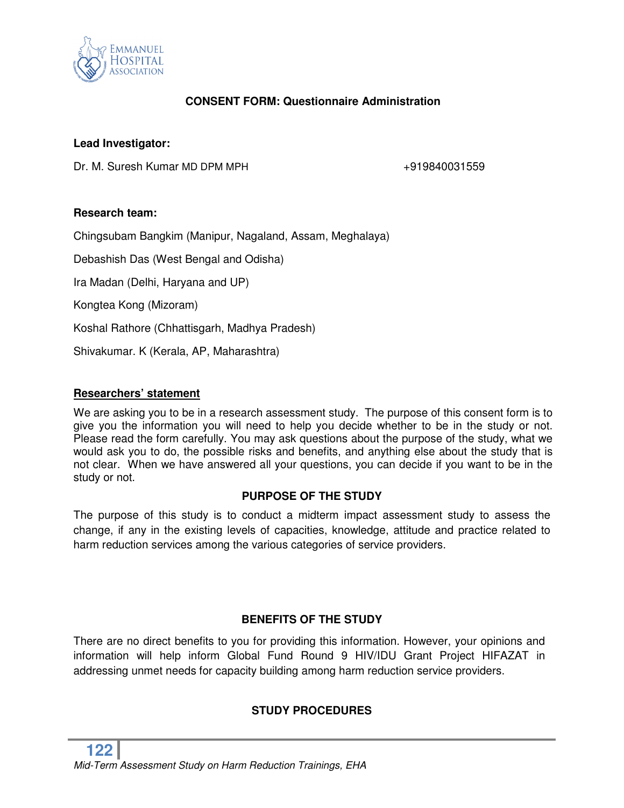

## **CONSENT FORM: Questionnaire Administration**

### **Lead Investigator:**

Dr. M. Suresh Kumar MD DPM MPH  $+919840031559$ 

### **Research team:**

Chingsubam Bangkim (Manipur, Nagaland, Assam, Meghalaya)

Debashish Das (West Bengal and Odisha)

Ira Madan (Delhi, Haryana and UP)

Kongtea Kong (Mizoram)

Koshal Rathore (Chhattisgarh, Madhya Pradesh)

Shivakumar. K (Kerala, AP, Maharashtra)

### **Researchers' statement**

We are asking you to be in a research assessment study. The purpose of this consent form is to give you the information you will need to help you decide whether to be in the study or not. Please read the form carefully. You may ask questions about the purpose of the study, what we would ask you to do, the possible risks and benefits, and anything else about the study that is not clear. When we have answered all your questions, you can decide if you want to be in the study or not.

### **PURPOSE OF THE STUDY**

The purpose of this study is to conduct a midterm impact assessment study to assess the change, if any in the existing levels of capacities, knowledge, attitude and practice related to harm reduction services among the various categories of service providers.

### **BENEFITS OF THE STUDY**

There are no direct benefits to you for providing this information. However, your opinions and information will help inform Global Fund Round 9 HIV/IDU Grant Project HIFAZAT in addressing unmet needs for capacity building among harm reduction service providers.

### **STUDY PROCEDURES**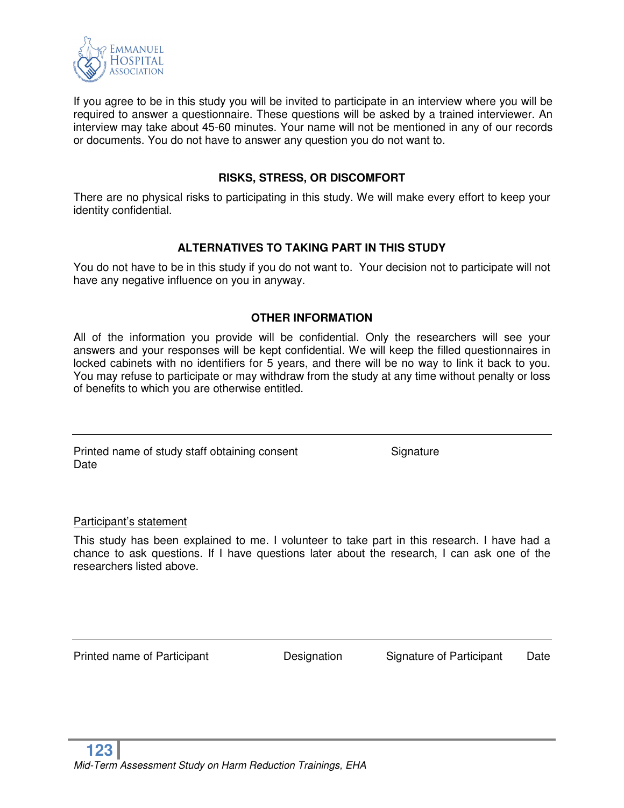

If you agree to be in this study you will be invited to participate in an interview where you will be required to answer a questionnaire. These questions will be asked by a trained interviewer. An interview may take about 45-60 minutes. Your name will not be mentioned in any of our records or documents. You do not have to answer any question you do not want to.

### **RISKS, STRESS, OR DISCOMFORT**

There are no physical risks to participating in this study. We will make every effort to keep your identity confidential.

### **ALTERNATIVES TO TAKING PART IN THIS STUDY**

You do not have to be in this study if you do not want to. Your decision not to participate will not have any negative influence on you in anyway.

### **OTHER INFORMATION**

All of the information you provide will be confidential. Only the researchers will see your answers and your responses will be kept confidential. We will keep the filled questionnaires in locked cabinets with no identifiers for 5 years, and there will be no way to link it back to you. You may refuse to participate or may withdraw from the study at any time without penalty or loss of benefits to which you are otherwise entitled.

Printed name of study staff obtaining consent Signature **Date** 

Participant's statement

This study has been explained to me. I volunteer to take part in this research. I have had a chance to ask questions. If I have questions later about the research, I can ask one of the researchers listed above.

Printed name of Participant **Designation** Signature of Participant Date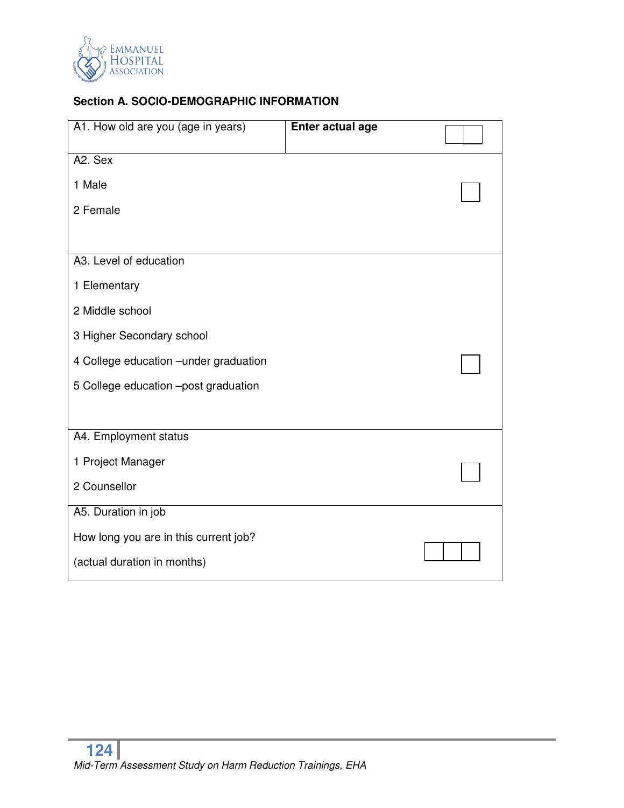

# **Section A. SOCIO-DEMOGRAPHIC INFORMATION**

| A1. How old are you (age in years)     | Enter actual age |  |
|----------------------------------------|------------------|--|
| A2. Sex                                |                  |  |
| 1 Male                                 |                  |  |
| 2 Female                               |                  |  |
|                                        |                  |  |
| A3. Level of education                 |                  |  |
| 1 Elementary                           |                  |  |
| 2 Middle school                        |                  |  |
| 3 Higher Secondary school              |                  |  |
| 4 College education - under graduation |                  |  |
| 5 College education -post graduation   |                  |  |
|                                        |                  |  |
| A4. Employment status                  |                  |  |
| 1 Project Manager                      |                  |  |
| 2 Counsellor                           |                  |  |
| A5. Duration in job                    |                  |  |
| How long you are in this current job?  |                  |  |
| (actual duration in months)            |                  |  |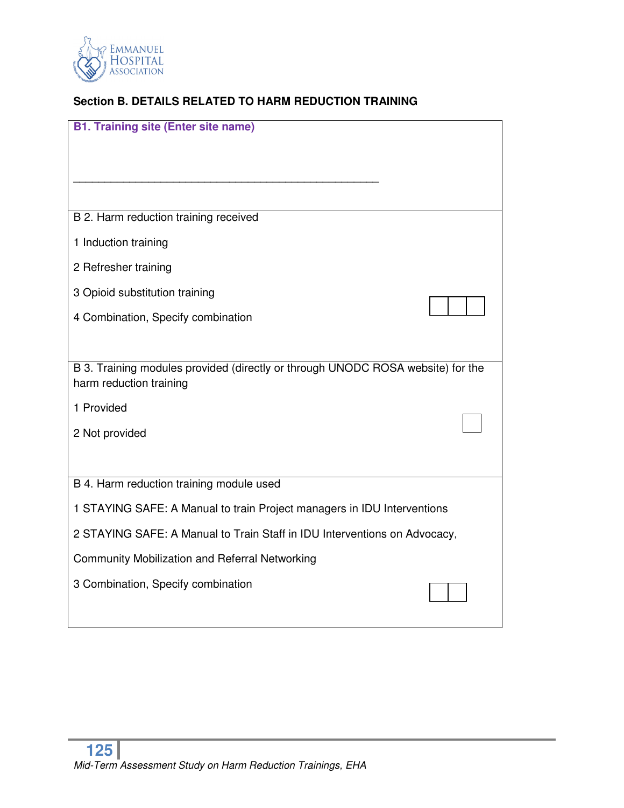

# **Section B. DETAILS RELATED TO HARM REDUCTION TRAINING**

| <b>B1. Training site (Enter site name)</b>                                                                 |
|------------------------------------------------------------------------------------------------------------|
|                                                                                                            |
|                                                                                                            |
| B 2. Harm reduction training received                                                                      |
| 1 Induction training                                                                                       |
| 2 Refresher training                                                                                       |
| 3 Opioid substitution training                                                                             |
| 4 Combination, Specify combination                                                                         |
|                                                                                                            |
|                                                                                                            |
| B 3. Training modules provided (directly or through UNODC ROSA website) for the<br>harm reduction training |
| 1 Provided                                                                                                 |
| 2 Not provided                                                                                             |
|                                                                                                            |
| B 4. Harm reduction training module used                                                                   |
| 1 STAYING SAFE: A Manual to train Project managers in IDU Interventions                                    |
| 2 STAYING SAFE: A Manual to Train Staff in IDU Interventions on Advocacy,                                  |
| <b>Community Mobilization and Referral Networking</b>                                                      |
| 3 Combination, Specify combination                                                                         |
|                                                                                                            |
|                                                                                                            |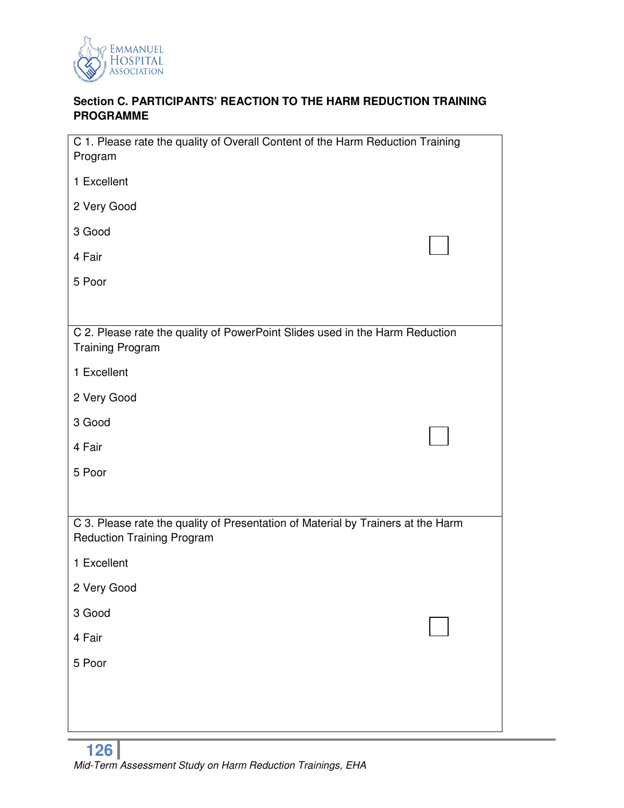

## **Section C. PARTICIPANTS' REACTION TO THE HARM REDUCTION TRAINING PROGRAMME**

| C 1. Please rate the quality of Overall Content of the Harm Reduction Training<br>Program                             |  |  |
|-----------------------------------------------------------------------------------------------------------------------|--|--|
| 1 Excellent                                                                                                           |  |  |
| 2 Very Good                                                                                                           |  |  |
| 3 Good                                                                                                                |  |  |
| 4 Fair                                                                                                                |  |  |
| 5 Poor                                                                                                                |  |  |
|                                                                                                                       |  |  |
| C 2. Please rate the quality of PowerPoint Slides used in the Harm Reduction<br><b>Training Program</b>               |  |  |
| 1 Excellent                                                                                                           |  |  |
| 2 Very Good                                                                                                           |  |  |
| 3 Good                                                                                                                |  |  |
| 4 Fair                                                                                                                |  |  |
| 5 Poor                                                                                                                |  |  |
|                                                                                                                       |  |  |
| C 3. Please rate the quality of Presentation of Material by Trainers at the Harm<br><b>Reduction Training Program</b> |  |  |
| 1 Excellent                                                                                                           |  |  |
| 2 Very Good                                                                                                           |  |  |
| 3 Good                                                                                                                |  |  |
| 4 Fair                                                                                                                |  |  |
| 5 Poor                                                                                                                |  |  |
|                                                                                                                       |  |  |
|                                                                                                                       |  |  |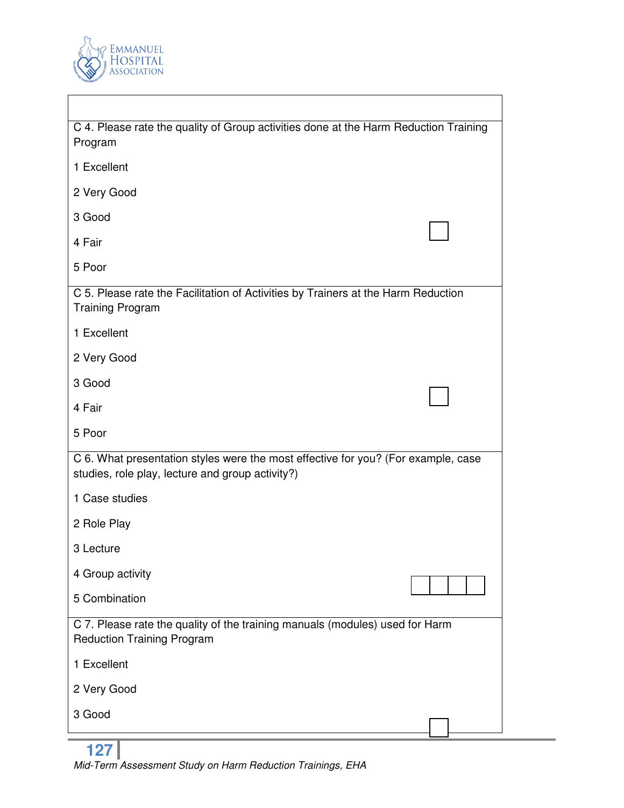

 $\overline{\phantom{a}}$ 

| C 4. Please rate the quality of Group activities done at the Harm Reduction Training<br>Program                                       |  |  |
|---------------------------------------------------------------------------------------------------------------------------------------|--|--|
| 1 Excellent                                                                                                                           |  |  |
| 2 Very Good                                                                                                                           |  |  |
| 3 Good                                                                                                                                |  |  |
| 4 Fair                                                                                                                                |  |  |
| 5 Poor                                                                                                                                |  |  |
| C 5. Please rate the Facilitation of Activities by Trainers at the Harm Reduction<br><b>Training Program</b>                          |  |  |
| 1 Excellent                                                                                                                           |  |  |
| 2 Very Good                                                                                                                           |  |  |
| 3 Good                                                                                                                                |  |  |
| 4 Fair                                                                                                                                |  |  |
| 5 Poor                                                                                                                                |  |  |
| C 6. What presentation styles were the most effective for you? (For example, case<br>studies, role play, lecture and group activity?) |  |  |
| 1 Case studies                                                                                                                        |  |  |
| 2 Role Play                                                                                                                           |  |  |
| 3 Lecture                                                                                                                             |  |  |
| 4 Group activity                                                                                                                      |  |  |
| 5 Combination                                                                                                                         |  |  |
| C 7. Please rate the quality of the training manuals (modules) used for Harm<br><b>Reduction Training Program</b>                     |  |  |
| 1 Excellent                                                                                                                           |  |  |
| 2 Very Good                                                                                                                           |  |  |
| 3 Good                                                                                                                                |  |  |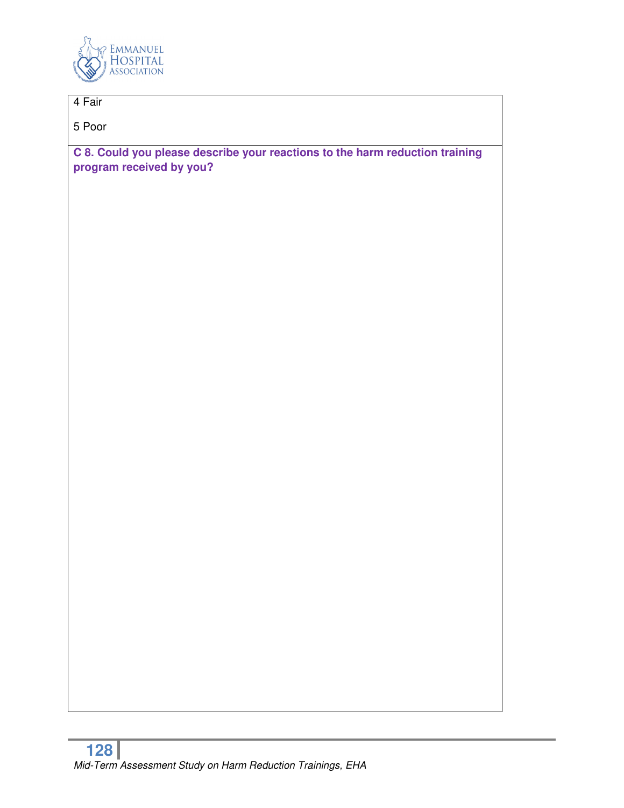

# 4 Fair

5 Poor

**C 8. Could you please describe your reactions to the harm reduction training program received by you?**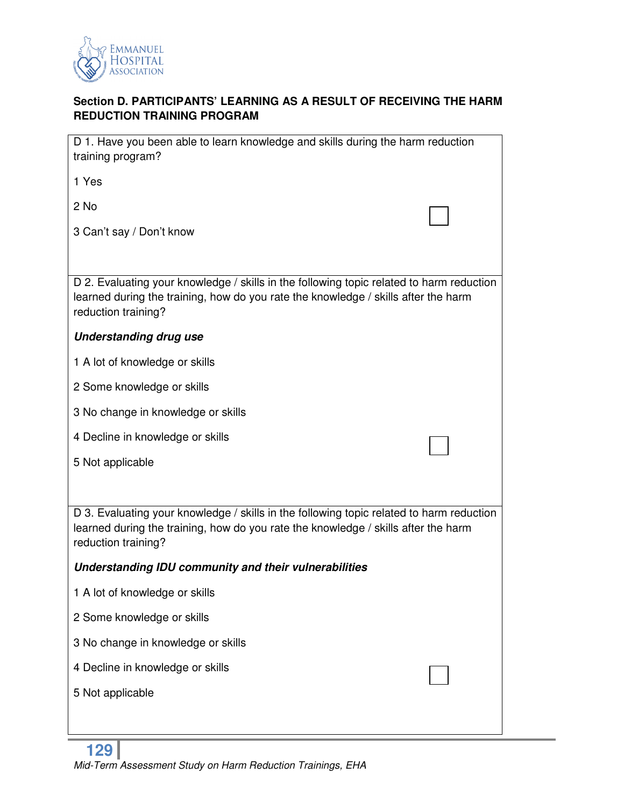

# **Section D. PARTICIPANTS' LEARNING AS A RESULT OF RECEIVING THE HARM REDUCTION TRAINING PROGRAM**

| D 1. Have you been able to learn knowledge and skills during the harm reduction<br>training program?                                                                                                  |  |  |
|-------------------------------------------------------------------------------------------------------------------------------------------------------------------------------------------------------|--|--|
| 1 Yes                                                                                                                                                                                                 |  |  |
| 2 No                                                                                                                                                                                                  |  |  |
| 3 Can't say / Don't know                                                                                                                                                                              |  |  |
|                                                                                                                                                                                                       |  |  |
| D 2. Evaluating your knowledge / skills in the following topic related to harm reduction<br>learned during the training, how do you rate the knowledge / skills after the harm<br>reduction training? |  |  |
| <b>Understanding drug use</b>                                                                                                                                                                         |  |  |
| 1 A lot of knowledge or skills                                                                                                                                                                        |  |  |
| 2 Some knowledge or skills                                                                                                                                                                            |  |  |
| 3 No change in knowledge or skills                                                                                                                                                                    |  |  |
| 4 Decline in knowledge or skills                                                                                                                                                                      |  |  |
| 5 Not applicable                                                                                                                                                                                      |  |  |
|                                                                                                                                                                                                       |  |  |
| D 3. Evaluating your knowledge / skills in the following topic related to harm reduction<br>learned during the training, how do you rate the knowledge / skills after the harm<br>reduction training? |  |  |
| Understanding IDU community and their vulnerabilities                                                                                                                                                 |  |  |
|                                                                                                                                                                                                       |  |  |
| 1 A lot of knowledge or skills                                                                                                                                                                        |  |  |
| 2 Some knowledge or skills                                                                                                                                                                            |  |  |
| 3 No change in knowledge or skills                                                                                                                                                                    |  |  |
| 4 Decline in knowledge or skills                                                                                                                                                                      |  |  |
| 5 Not applicable                                                                                                                                                                                      |  |  |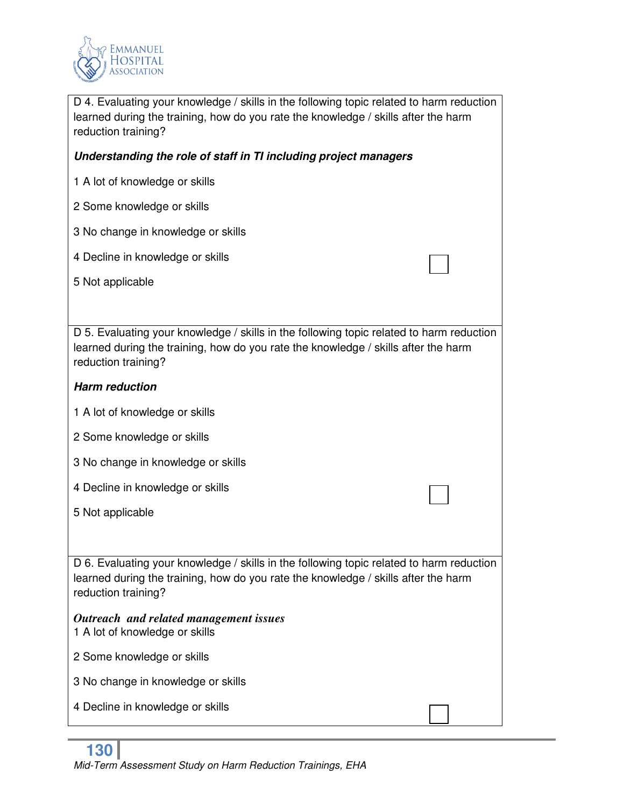

| D 4. Evaluating your knowledge / skills in the following topic related to harm reduction<br>learned during the training, how do you rate the knowledge / skills after the harm<br>reduction training? |  |  |
|-------------------------------------------------------------------------------------------------------------------------------------------------------------------------------------------------------|--|--|
| Understanding the role of staff in TI including project managers                                                                                                                                      |  |  |
| 1 A lot of knowledge or skills                                                                                                                                                                        |  |  |
| 2 Some knowledge or skills                                                                                                                                                                            |  |  |
| 3 No change in knowledge or skills                                                                                                                                                                    |  |  |
| 4 Decline in knowledge or skills                                                                                                                                                                      |  |  |
| 5 Not applicable                                                                                                                                                                                      |  |  |
|                                                                                                                                                                                                       |  |  |
| D 5. Evaluating your knowledge / skills in the following topic related to harm reduction<br>learned during the training, how do you rate the knowledge / skills after the harm<br>reduction training? |  |  |
| <b>Harm reduction</b>                                                                                                                                                                                 |  |  |
| 1 A lot of knowledge or skills                                                                                                                                                                        |  |  |
| 2 Some knowledge or skills                                                                                                                                                                            |  |  |
| 3 No change in knowledge or skills                                                                                                                                                                    |  |  |
| 4 Decline in knowledge or skills                                                                                                                                                                      |  |  |
| 5 Not applicable                                                                                                                                                                                      |  |  |
|                                                                                                                                                                                                       |  |  |
| D 6. Evaluating your knowledge / skills in the following topic related to harm reduction<br>learned during the training, how do you rate the knowledge / skills after the harm<br>reduction training? |  |  |
| Outreach and related management issues<br>1 A lot of knowledge or skills                                                                                                                              |  |  |
| 2 Some knowledge or skills                                                                                                                                                                            |  |  |
| 3 No change in knowledge or skills                                                                                                                                                                    |  |  |
| 4 Decline in knowledge or skills                                                                                                                                                                      |  |  |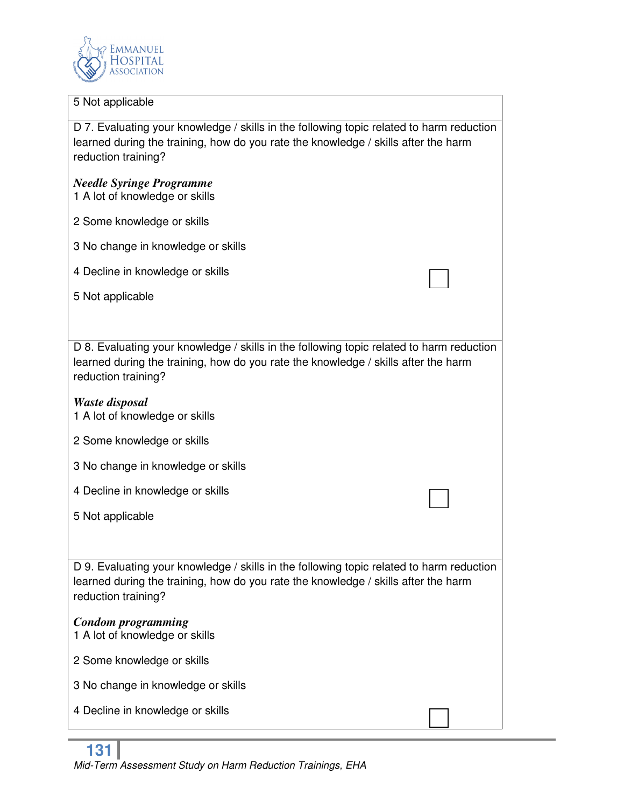

#### 5 Not applicable

D 7. Evaluating your knowledge / skills in the following topic related to harm reduction learned during the training, how do you rate the knowledge / skills after the harm reduction training?

### *Needle Syringe Programme*

1 A lot of knowledge or skills

- 2 Some knowledge or skills
- 3 No change in knowledge or skills
- 4 Decline in knowledge or skills
- 5 Not applicable

D 8. Evaluating your knowledge / skills in the following topic related to harm reduction learned during the training, how do you rate the knowledge / skills after the harm reduction training?

- *Waste disposal*
- 1 A lot of knowledge or skills
- 2 Some knowledge or skills
- 3 No change in knowledge or skills
- 4 Decline in knowledge or skills
- 5 Not applicable

D 9. Evaluating your knowledge / skills in the following topic related to harm reduction learned during the training, how do you rate the knowledge / skills after the harm reduction training?

### *Condom programming*

- 1 A lot of knowledge or skills
- 2 Some knowledge or skills
- 3 No change in knowledge or skills
- 4 Decline in knowledge or skills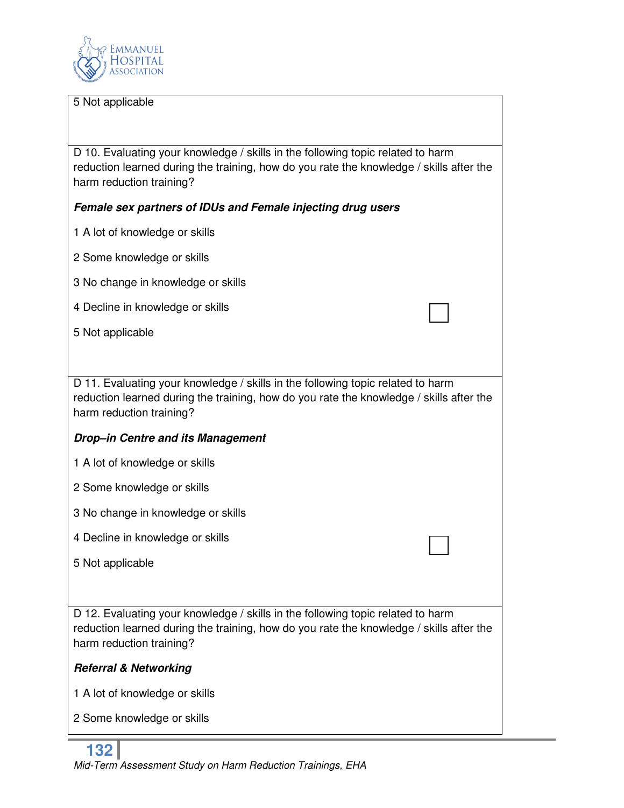

#### 5 Not applicable

D 10. Evaluating your knowledge / skills in the following topic related to harm reduction learned during the training, how do you rate the knowledge / skills after the harm reduction training?

### *Female sex partners of IDUs and Female injecting drug users*

- 1 A lot of knowledge or skills
- 2 Some knowledge or skills
- 3 No change in knowledge or skills
- 4 Decline in knowledge or skills
- 5 Not applicable

D 11. Evaluating your knowledge / skills in the following topic related to harm reduction learned during the training, how do you rate the knowledge / skills after the harm reduction training?

#### *Drop–in Centre and its Management*

- 1 A lot of knowledge or skills
- 2 Some knowledge or skills
- 3 No change in knowledge or skills
- 4 Decline in knowledge or skills
- 5 Not applicable

D 12. Evaluating your knowledge / skills in the following topic related to harm reduction learned during the training, how do you rate the knowledge / skills after the harm reduction training?

#### *Referral & Networking*

1 A lot of knowledge or skills

2 Some knowledge or skills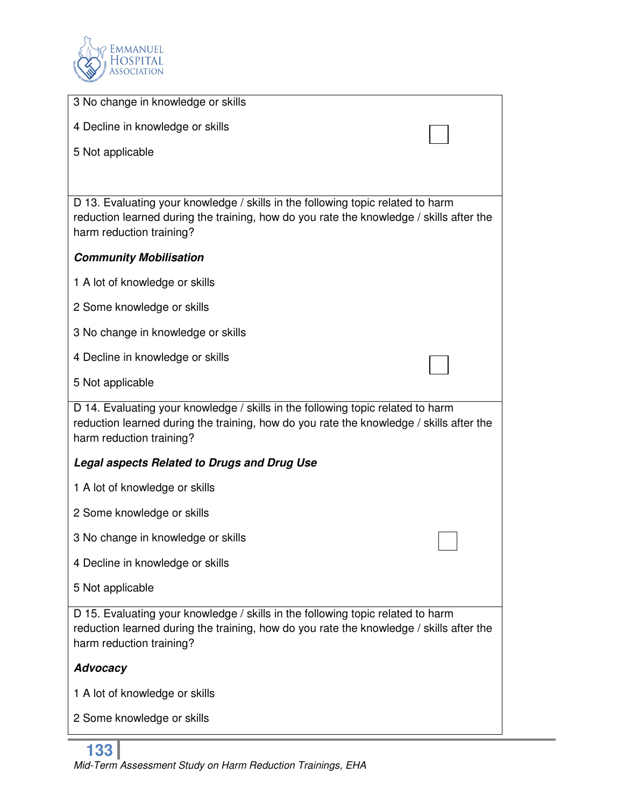

| 3 No change in knowledge or skills                                                                                                                                                                     |
|--------------------------------------------------------------------------------------------------------------------------------------------------------------------------------------------------------|
| 4 Decline in knowledge or skills                                                                                                                                                                       |
| 5 Not applicable                                                                                                                                                                                       |
|                                                                                                                                                                                                        |
| D 13. Evaluating your knowledge / skills in the following topic related to harm<br>reduction learned during the training, how do you rate the knowledge / skills after the<br>harm reduction training? |
| <b>Community Mobilisation</b>                                                                                                                                                                          |
| 1 A lot of knowledge or skills                                                                                                                                                                         |
| 2 Some knowledge or skills                                                                                                                                                                             |
| 3 No change in knowledge or skills                                                                                                                                                                     |
| 4 Decline in knowledge or skills                                                                                                                                                                       |
| 5 Not applicable                                                                                                                                                                                       |
| D 14. Evaluating your knowledge / skills in the following topic related to harm<br>reduction learned during the training, how do you rate the knowledge / skills after the<br>harm reduction training? |
| <b>Legal aspects Related to Drugs and Drug Use</b>                                                                                                                                                     |
| 1 A lot of knowledge or skills                                                                                                                                                                         |
| 2 Some knowledge or skills                                                                                                                                                                             |
| 3 No change in knowledge or skills                                                                                                                                                                     |
| 4 Decline in knowledge or skills                                                                                                                                                                       |
| 5 Not applicable                                                                                                                                                                                       |
| D 15. Evaluating your knowledge / skills in the following topic related to harm<br>reduction learned during the training, how do you rate the knowledge / skills after the<br>harm reduction training? |
| <b>Advocacy</b>                                                                                                                                                                                        |
| 1 A lot of knowledge or skills                                                                                                                                                                         |
| 2 Some knowledge or skills                                                                                                                                                                             |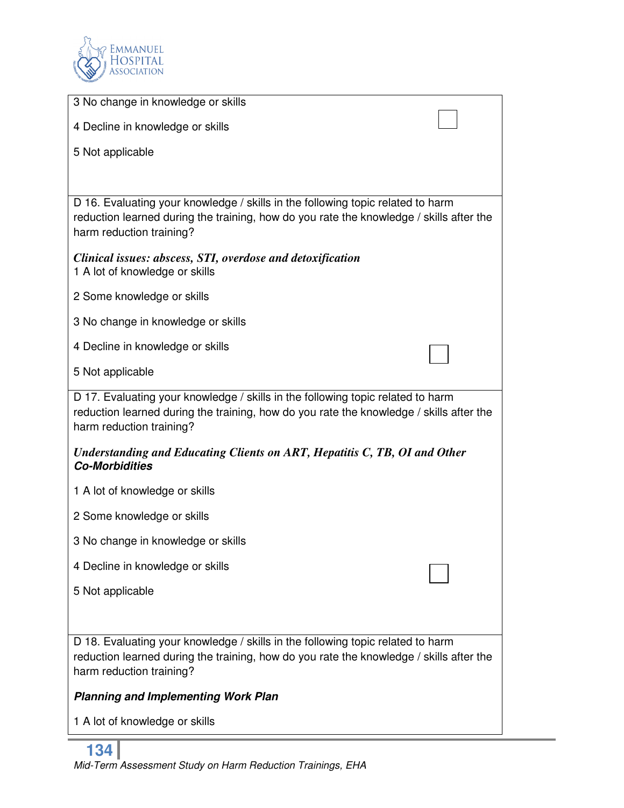

| 3 No change in knowledge or skills                                                                                                                                                                     |  |
|--------------------------------------------------------------------------------------------------------------------------------------------------------------------------------------------------------|--|
| 4 Decline in knowledge or skills                                                                                                                                                                       |  |
| 5 Not applicable                                                                                                                                                                                       |  |
|                                                                                                                                                                                                        |  |
| D 16. Evaluating your knowledge / skills in the following topic related to harm<br>reduction learned during the training, how do you rate the knowledge / skills after the<br>harm reduction training? |  |
| Clinical issues: abscess, STI, overdose and detoxification<br>1 A lot of knowledge or skills                                                                                                           |  |
| 2 Some knowledge or skills                                                                                                                                                                             |  |
| 3 No change in knowledge or skills                                                                                                                                                                     |  |
| 4 Decline in knowledge or skills                                                                                                                                                                       |  |
| 5 Not applicable                                                                                                                                                                                       |  |
| D 17. Evaluating your knowledge / skills in the following topic related to harm<br>reduction learned during the training, how do you rate the knowledge / skills after the<br>harm reduction training? |  |
| Understanding and Educating Clients on ART, Hepatitis C, TB, OI and Other<br><b>Co-Morbidities</b>                                                                                                     |  |
| 1 A lot of knowledge or skills                                                                                                                                                                         |  |
| 2 Some knowledge or skills                                                                                                                                                                             |  |
| 3 No change in knowledge or skills                                                                                                                                                                     |  |
| 4 Decline in knowledge or skills                                                                                                                                                                       |  |
| 5 Not applicable                                                                                                                                                                                       |  |
|                                                                                                                                                                                                        |  |
| D 18. Evaluating your knowledge / skills in the following topic related to harm<br>reduction learned during the training, how do you rate the knowledge / skills after the<br>harm reduction training? |  |
| <b>Planning and Implementing Work Plan</b>                                                                                                                                                             |  |
| 1 A lot of knowledge or skills                                                                                                                                                                         |  |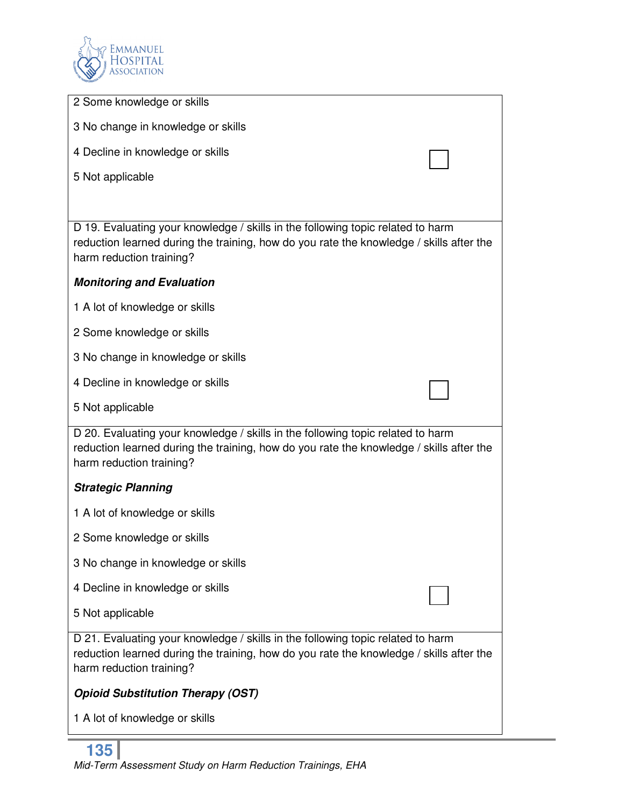

| 2 Some knowledge or skills                                                                                                                                                                             |
|--------------------------------------------------------------------------------------------------------------------------------------------------------------------------------------------------------|
| 3 No change in knowledge or skills                                                                                                                                                                     |
| 4 Decline in knowledge or skills                                                                                                                                                                       |
| 5 Not applicable                                                                                                                                                                                       |
|                                                                                                                                                                                                        |
| D 19. Evaluating your knowledge / skills in the following topic related to harm<br>reduction learned during the training, how do you rate the knowledge / skills after the<br>harm reduction training? |
| <b>Monitoring and Evaluation</b>                                                                                                                                                                       |
| 1 A lot of knowledge or skills                                                                                                                                                                         |
| 2 Some knowledge or skills                                                                                                                                                                             |
| 3 No change in knowledge or skills                                                                                                                                                                     |
| 4 Decline in knowledge or skills                                                                                                                                                                       |
| 5 Not applicable                                                                                                                                                                                       |
| D 20. Evaluating your knowledge / skills in the following topic related to harm<br>reduction learned during the training, how do you rate the knowledge / skills after the<br>harm reduction training? |
| <b>Strategic Planning</b>                                                                                                                                                                              |
| 1 A lot of knowledge or skills                                                                                                                                                                         |
| 2 Some knowledge or skills                                                                                                                                                                             |
| 3 No change in knowledge or skills                                                                                                                                                                     |
| 4 Decline in knowledge or skills                                                                                                                                                                       |
| 5 Not applicable                                                                                                                                                                                       |
| D 21. Evaluating your knowledge / skills in the following topic related to harm<br>reduction learned during the training, how do you rate the knowledge / skills after the<br>harm reduction training? |
| <b>Opioid Substitution Therapy (OST)</b>                                                                                                                                                               |
| 1 A lot of knowledge or skills                                                                                                                                                                         |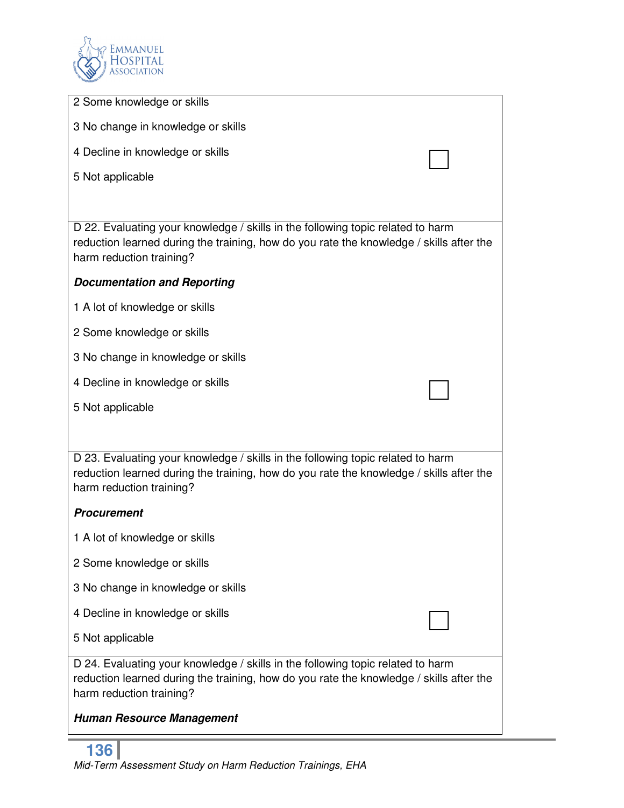

| 2 Some knowledge or skills                                                                                                                                                                             |
|--------------------------------------------------------------------------------------------------------------------------------------------------------------------------------------------------------|
| 3 No change in knowledge or skills                                                                                                                                                                     |
| 4 Decline in knowledge or skills                                                                                                                                                                       |
| 5 Not applicable                                                                                                                                                                                       |
|                                                                                                                                                                                                        |
| D 22. Evaluating your knowledge / skills in the following topic related to harm<br>reduction learned during the training, how do you rate the knowledge / skills after the<br>harm reduction training? |
| <b>Documentation and Reporting</b>                                                                                                                                                                     |
| 1 A lot of knowledge or skills                                                                                                                                                                         |
| 2 Some knowledge or skills                                                                                                                                                                             |
| 3 No change in knowledge or skills                                                                                                                                                                     |
| 4 Decline in knowledge or skills                                                                                                                                                                       |
| 5 Not applicable                                                                                                                                                                                       |
|                                                                                                                                                                                                        |
| D 23. Evaluating your knowledge / skills in the following topic related to harm<br>reduction learned during the training, how do you rate the knowledge / skills after the<br>harm reduction training? |
| <b>Procurement</b>                                                                                                                                                                                     |
| 1 A lot of knowledge or skills                                                                                                                                                                         |
| 2 Some knowledge or skills                                                                                                                                                                             |
| 3 No change in knowledge or skills                                                                                                                                                                     |
| 4 Decline in knowledge or skills                                                                                                                                                                       |
| 5 Not applicable                                                                                                                                                                                       |
| D 24. Evaluating your knowledge / skills in the following topic related to harm<br>reduction learned during the training, how do you rate the knowledge / skills after the<br>harm reduction training? |
| <b>Human Resource Management</b>                                                                                                                                                                       |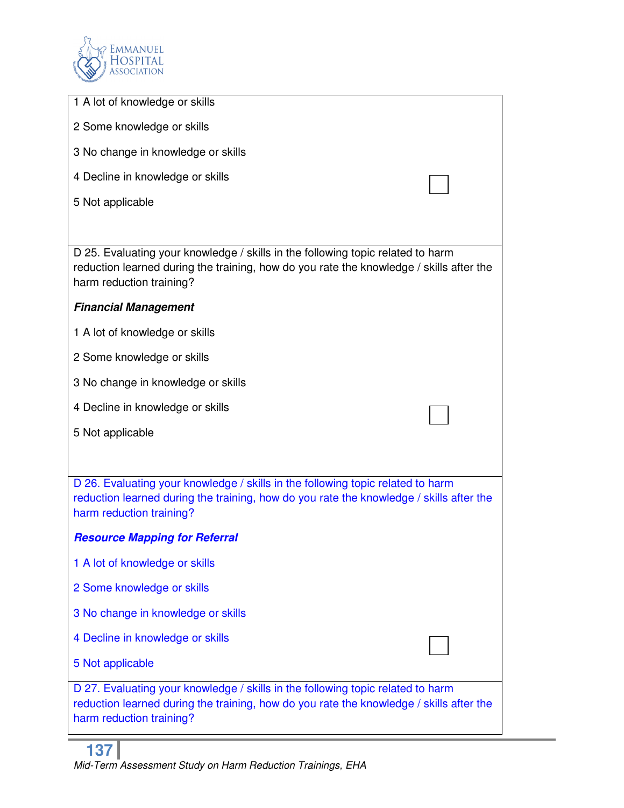

| 1 A lot of knowledge or skills                                                                                                                                                                         |
|--------------------------------------------------------------------------------------------------------------------------------------------------------------------------------------------------------|
| 2 Some knowledge or skills                                                                                                                                                                             |
| 3 No change in knowledge or skills                                                                                                                                                                     |
| 4 Decline in knowledge or skills                                                                                                                                                                       |
| 5 Not applicable                                                                                                                                                                                       |
|                                                                                                                                                                                                        |
| D 25. Evaluating your knowledge / skills in the following topic related to harm<br>reduction learned during the training, how do you rate the knowledge / skills after the<br>harm reduction training? |
| <b>Financial Management</b>                                                                                                                                                                            |
| 1 A lot of knowledge or skills                                                                                                                                                                         |
| 2 Some knowledge or skills                                                                                                                                                                             |
| 3 No change in knowledge or skills                                                                                                                                                                     |
| 4 Decline in knowledge or skills                                                                                                                                                                       |
| 5 Not applicable                                                                                                                                                                                       |
|                                                                                                                                                                                                        |
| D 26. Evaluating your knowledge / skills in the following topic related to harm<br>reduction learned during the training, how do you rate the knowledge / skills after the<br>harm reduction training? |
| <b>Resource Mapping for Referral</b>                                                                                                                                                                   |
| 1 A lot of knowledge or skills                                                                                                                                                                         |
| 2 Some knowledge or skills                                                                                                                                                                             |
| 3 No change in knowledge or skills                                                                                                                                                                     |
| 4 Decline in knowledge or skills                                                                                                                                                                       |
| 5 Not applicable                                                                                                                                                                                       |
| D 27. Evaluating your knowledge / skills in the following topic related to harm<br>reduction learned during the training, how do you rate the knowledge / skills after the<br>harm reduction training? |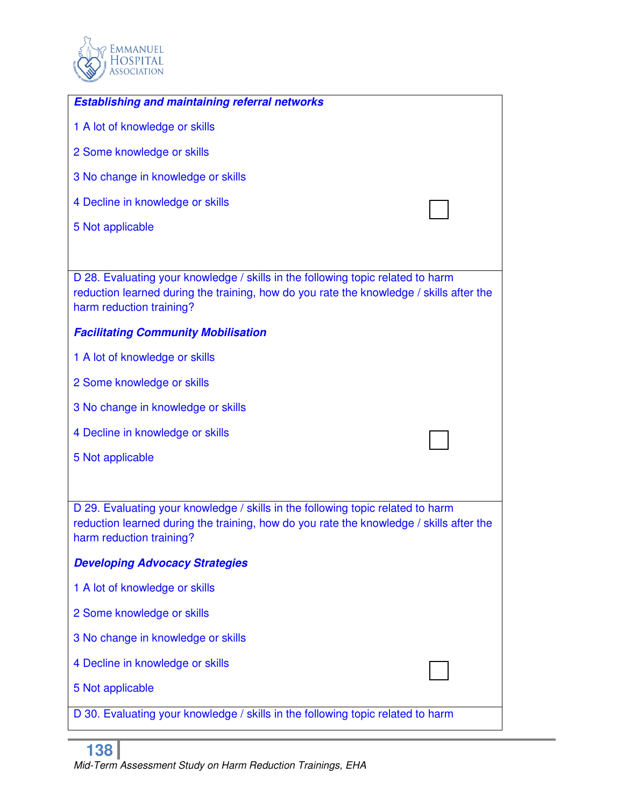

| <b>Establishing and maintaining referral networks</b>                                                                                                                                                  |
|--------------------------------------------------------------------------------------------------------------------------------------------------------------------------------------------------------|
| 1 A lot of knowledge or skills                                                                                                                                                                         |
| 2 Some knowledge or skills                                                                                                                                                                             |
| 3 No change in knowledge or skills                                                                                                                                                                     |
| 4 Decline in knowledge or skills                                                                                                                                                                       |
| 5 Not applicable                                                                                                                                                                                       |
|                                                                                                                                                                                                        |
| D 28. Evaluating your knowledge / skills in the following topic related to harm<br>reduction learned during the training, how do you rate the knowledge / skills after the<br>harm reduction training? |
| <b>Facilitating Community Mobilisation</b>                                                                                                                                                             |
| 1 A lot of knowledge or skills                                                                                                                                                                         |
| 2 Some knowledge or skills                                                                                                                                                                             |
| 3 No change in knowledge or skills                                                                                                                                                                     |
| 4 Decline in knowledge or skills                                                                                                                                                                       |
| 5 Not applicable                                                                                                                                                                                       |
|                                                                                                                                                                                                        |
| D 29. Evaluating your knowledge / skills in the following topic related to harm<br>reduction learned during the training, how do you rate the knowledge / skills after the<br>harm reduction training? |
| <b>Developing Advocacy Strategies</b>                                                                                                                                                                  |
| 1 A lot of knowledge or skills                                                                                                                                                                         |
| 2 Some knowledge or skills                                                                                                                                                                             |
| 3 No change in knowledge or skills                                                                                                                                                                     |
| 4 Decline in knowledge or skills                                                                                                                                                                       |
| 5 Not applicable                                                                                                                                                                                       |
| D 30. Evaluating your knowledge / skills in the following topic related to harm                                                                                                                        |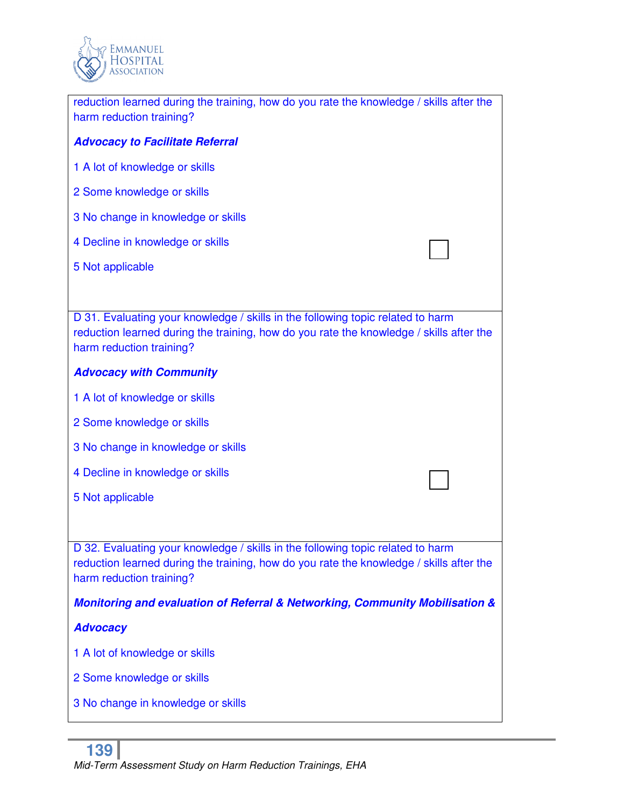

| reduction learned during the training, how do you rate the knowledge / skills after the<br>harm reduction training?                                                                                    |
|--------------------------------------------------------------------------------------------------------------------------------------------------------------------------------------------------------|
| <b>Advocacy to Facilitate Referral</b>                                                                                                                                                                 |
| 1 A lot of knowledge or skills                                                                                                                                                                         |
| 2 Some knowledge or skills                                                                                                                                                                             |
| 3 No change in knowledge or skills                                                                                                                                                                     |
| 4 Decline in knowledge or skills                                                                                                                                                                       |
| 5 Not applicable                                                                                                                                                                                       |
|                                                                                                                                                                                                        |
| D 31. Evaluating your knowledge / skills in the following topic related to harm<br>reduction learned during the training, how do you rate the knowledge / skills after the<br>harm reduction training? |
| <b>Advocacy with Community</b>                                                                                                                                                                         |
| 1 A lot of knowledge or skills                                                                                                                                                                         |
| 2 Some knowledge or skills                                                                                                                                                                             |
| 3 No change in knowledge or skills                                                                                                                                                                     |
| 4 Decline in knowledge or skills                                                                                                                                                                       |
| 5 Not applicable                                                                                                                                                                                       |
|                                                                                                                                                                                                        |
| D 32. Evaluating your knowledge / skills in the following topic related to harm<br>reduction learned during the training, how do you rate the knowledge / skills after the<br>harm reduction training? |
| Monitoring and evaluation of Referral & Networking, Community Mobilisation &                                                                                                                           |
| <b>Advocacy</b>                                                                                                                                                                                        |
| 1 A lot of knowledge or skills                                                                                                                                                                         |
| 2 Some knowledge or skills                                                                                                                                                                             |
| 3 No change in knowledge or skills                                                                                                                                                                     |
|                                                                                                                                                                                                        |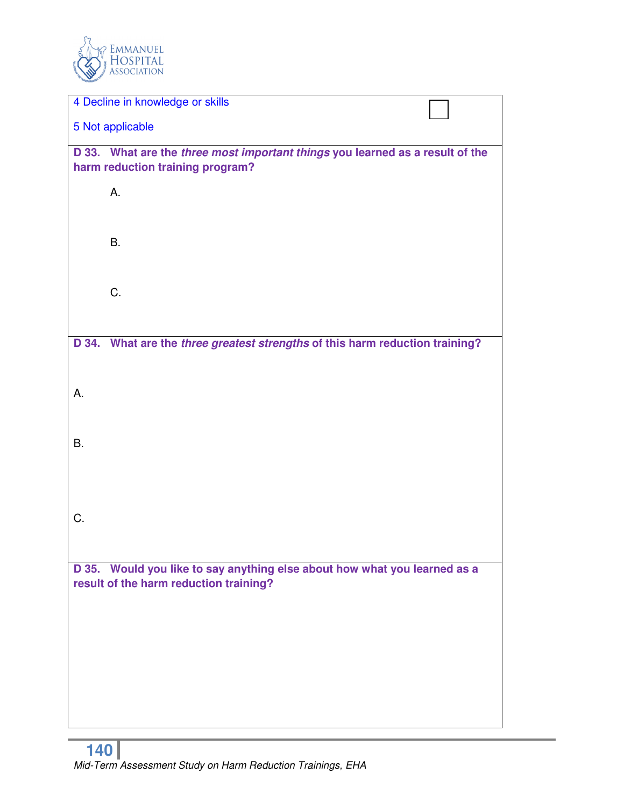

| 4 Decline in knowledge or skills                                              |  |
|-------------------------------------------------------------------------------|--|
| 5 Not applicable                                                              |  |
| D 33. What are the three most important things you learned as a result of the |  |
| harm reduction training program?                                              |  |
| А.                                                                            |  |
|                                                                               |  |
| <b>B.</b>                                                                     |  |
|                                                                               |  |
|                                                                               |  |
| C.                                                                            |  |
|                                                                               |  |
| D 34. What are the three greatest strengths of this harm reduction training?  |  |
|                                                                               |  |
|                                                                               |  |
| А.                                                                            |  |
|                                                                               |  |
| B.                                                                            |  |
|                                                                               |  |
|                                                                               |  |
|                                                                               |  |
| C.                                                                            |  |
|                                                                               |  |
| D 35. Would you like to say anything else about how what you learned as a     |  |
| result of the harm reduction training?                                        |  |
|                                                                               |  |
|                                                                               |  |
|                                                                               |  |
|                                                                               |  |
|                                                                               |  |
|                                                                               |  |
|                                                                               |  |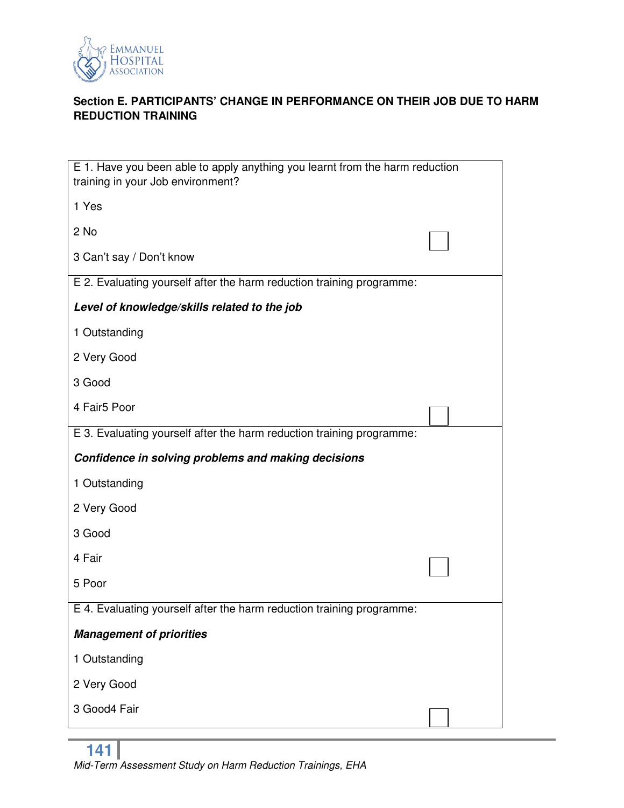

# **Section E. PARTICIPANTS' CHANGE IN PERFORMANCE ON THEIR JOB DUE TO HARM REDUCTION TRAINING**

| E 1. Have you been able to apply anything you learnt from the harm reduction<br>training in your Job environment? |  |
|-------------------------------------------------------------------------------------------------------------------|--|
| 1 Yes                                                                                                             |  |
| 2 No                                                                                                              |  |
| 3 Can't say / Don't know                                                                                          |  |
| E 2. Evaluating yourself after the harm reduction training programme:                                             |  |
| Level of knowledge/skills related to the job                                                                      |  |
| 1 Outstanding                                                                                                     |  |
| 2 Very Good                                                                                                       |  |
| 3 Good                                                                                                            |  |
| 4 Fair5 Poor                                                                                                      |  |
| E 3. Evaluating yourself after the harm reduction training programme:                                             |  |
| Confidence in solving problems and making decisions                                                               |  |
| 1 Outstanding                                                                                                     |  |
|                                                                                                                   |  |
| 2 Very Good                                                                                                       |  |
| 3 Good                                                                                                            |  |
| 4 Fair                                                                                                            |  |
| 5 Poor                                                                                                            |  |
| E 4. Evaluating yourself after the harm reduction training programme:                                             |  |
| <b>Management of priorities</b>                                                                                   |  |
| 1 Outstanding                                                                                                     |  |
| 2 Very Good                                                                                                       |  |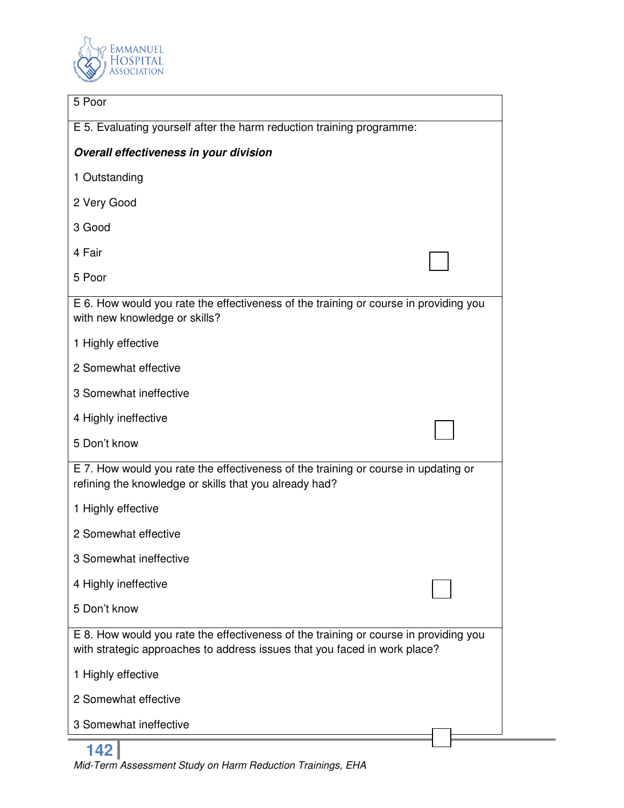

| 5 Poor                                                                                                                                                            |  |
|-------------------------------------------------------------------------------------------------------------------------------------------------------------------|--|
| E 5. Evaluating yourself after the harm reduction training programme:                                                                                             |  |
| Overall effectiveness in your division                                                                                                                            |  |
| 1 Outstanding                                                                                                                                                     |  |
| 2 Very Good                                                                                                                                                       |  |
| 3 Good                                                                                                                                                            |  |
| 4 Fair                                                                                                                                                            |  |
| 5 Poor                                                                                                                                                            |  |
| E 6. How would you rate the effectiveness of the training or course in providing you<br>with new knowledge or skills?                                             |  |
| 1 Highly effective                                                                                                                                                |  |
| 2 Somewhat effective                                                                                                                                              |  |
| 3 Somewhat ineffective                                                                                                                                            |  |
| 4 Highly ineffective                                                                                                                                              |  |
| 5 Don't know                                                                                                                                                      |  |
| E 7. How would you rate the effectiveness of the training or course in updating or<br>refining the knowledge or skills that you already had?                      |  |
| 1 Highly effective                                                                                                                                                |  |
| 2 Somewhat effective                                                                                                                                              |  |
| 3 Somewhat ineffective                                                                                                                                            |  |
| 4 Highly ineffective                                                                                                                                              |  |
| 5 Don't know                                                                                                                                                      |  |
| E 8. How would you rate the effectiveness of the training or course in providing you<br>with strategic approaches to address issues that you faced in work place? |  |
| 1 Highly effective                                                                                                                                                |  |
| 2 Somewhat effective                                                                                                                                              |  |
| 3 Somewhat ineffective                                                                                                                                            |  |
|                                                                                                                                                                   |  |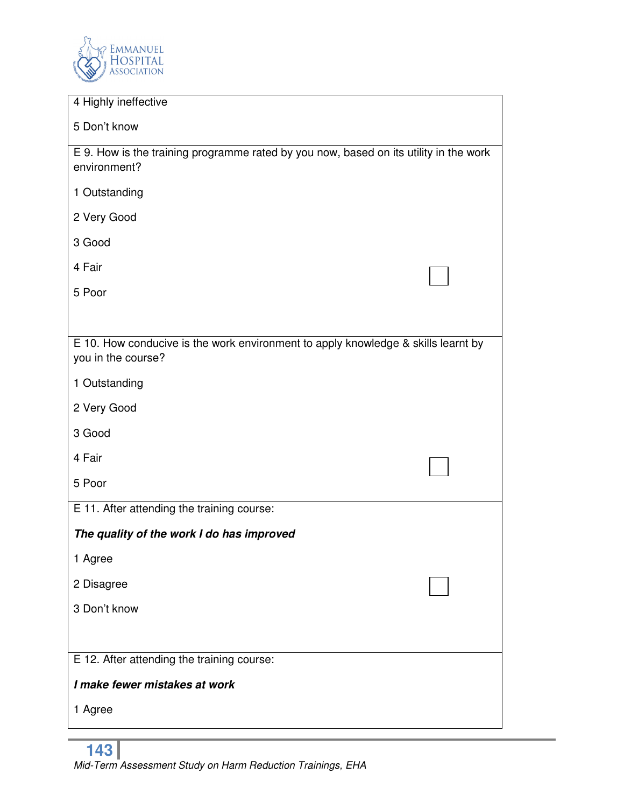

| 4 Highly ineffective                                                                                    |  |
|---------------------------------------------------------------------------------------------------------|--|
| 5 Don't know                                                                                            |  |
| E 9. How is the training programme rated by you now, based on its utility in the work<br>environment?   |  |
| 1 Outstanding                                                                                           |  |
| 2 Very Good                                                                                             |  |
| 3 Good                                                                                                  |  |
| 4 Fair                                                                                                  |  |
| 5 Poor                                                                                                  |  |
|                                                                                                         |  |
| E 10. How conducive is the work environment to apply knowledge & skills learnt by<br>you in the course? |  |
| 1 Outstanding                                                                                           |  |
| 2 Very Good                                                                                             |  |
| 3 Good                                                                                                  |  |
| 4 Fair                                                                                                  |  |
| 5 Poor                                                                                                  |  |
| E 11. After attending the training course:                                                              |  |
| The quality of the work I do has improved                                                               |  |
| 1 Agree                                                                                                 |  |
| 2 Disagree                                                                                              |  |
| 3 Don't know                                                                                            |  |
|                                                                                                         |  |
| E 12. After attending the training course:                                                              |  |
| I make fewer mistakes at work                                                                           |  |
| 1 Agree                                                                                                 |  |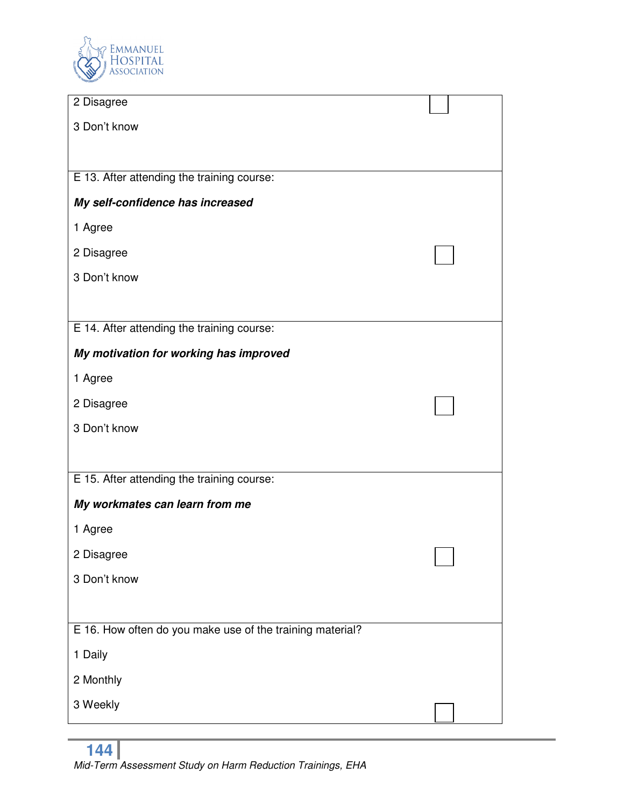

| 2 Disagree                                                |  |
|-----------------------------------------------------------|--|
| 3 Don't know                                              |  |
|                                                           |  |
| E 13. After attending the training course:                |  |
| My self-confidence has increased                          |  |
| 1 Agree                                                   |  |
| 2 Disagree                                                |  |
| 3 Don't know                                              |  |
|                                                           |  |
| E 14. After attending the training course:                |  |
| My motivation for working has improved                    |  |
| 1 Agree                                                   |  |
| 2 Disagree                                                |  |
| 3 Don't know                                              |  |
|                                                           |  |
| E 15. After attending the training course:                |  |
| My workmates can learn from me                            |  |
| 1 Agree                                                   |  |
| 2 Disagree                                                |  |
| 3 Don't know                                              |  |
|                                                           |  |
| E 16. How often do you make use of the training material? |  |
| 1 Daily                                                   |  |
| 2 Monthly                                                 |  |
| 3 Weekly                                                  |  |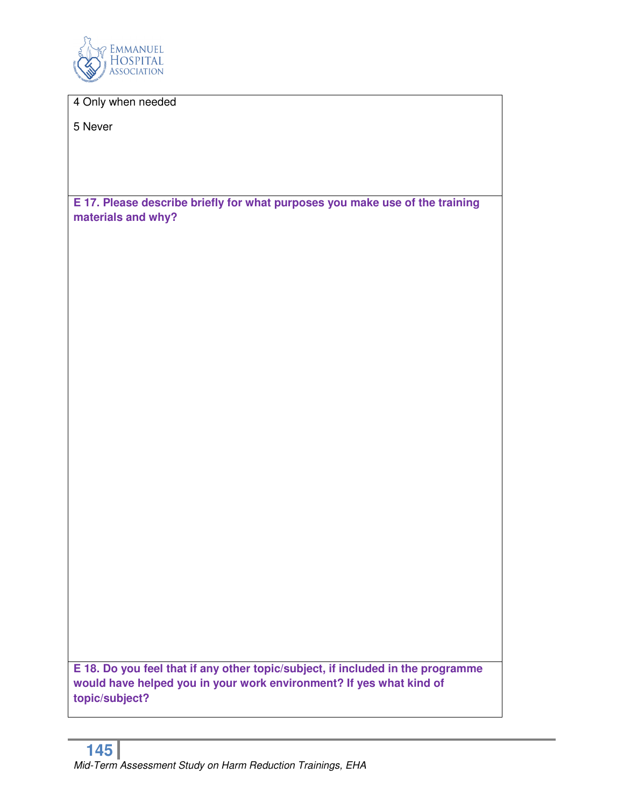

4 Only when needed

5 Never

**E 17. Please describe briefly for what purposes you make use of the training materials and why?** 

**E 18. Do you feel that if any other topic/subject, if included in the programme would have helped you in your work environment? If yes what kind of topic/subject?**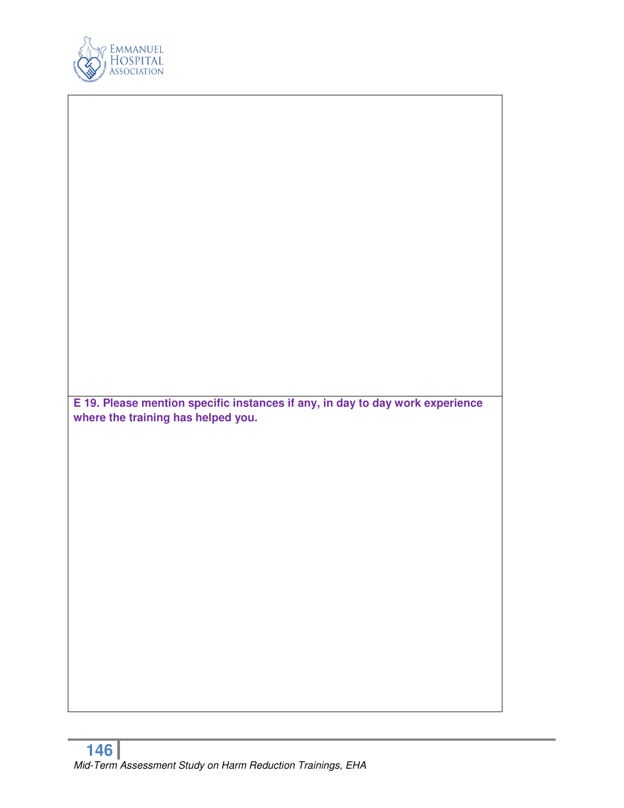

| E 19. Please mention specific instances if any, in day to day work experience<br>where the training has helped you. |  |
|---------------------------------------------------------------------------------------------------------------------|--|
|                                                                                                                     |  |
|                                                                                                                     |  |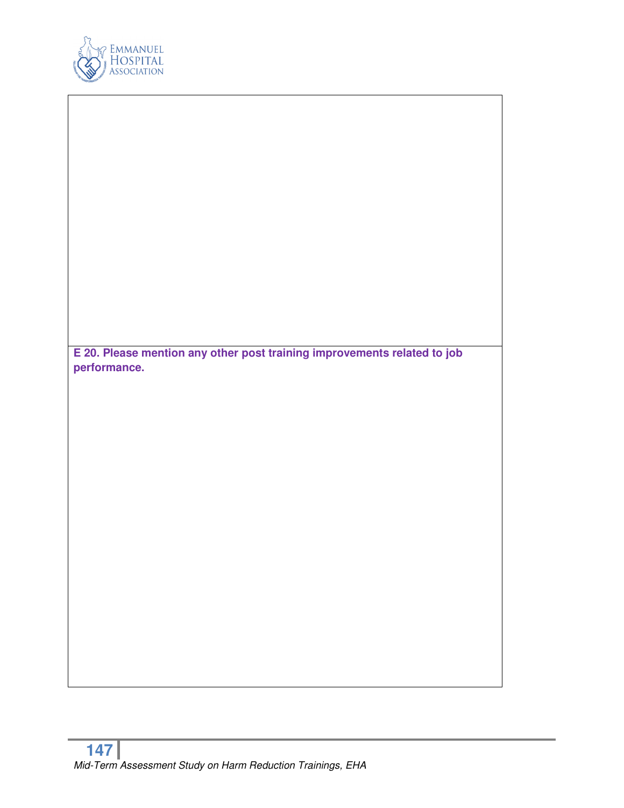

| E 20. Please mention any other post training improvements related to job |
|--------------------------------------------------------------------------|
| performance.                                                             |
|                                                                          |
|                                                                          |
|                                                                          |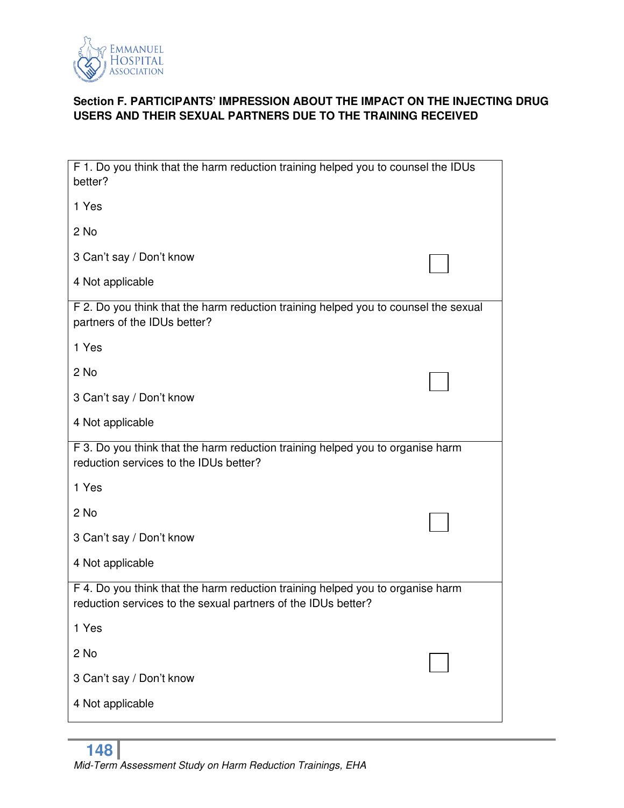

# **Section F. PARTICIPANTS' IMPRESSION ABOUT THE IMPACT ON THE INJECTING DRUG USERS AND THEIR SEXUAL PARTNERS DUE TO THE TRAINING RECEIVED**

| F 1. Do you think that the harm reduction training helped you to counsel the IDUs<br>better?                                                    |  |
|-------------------------------------------------------------------------------------------------------------------------------------------------|--|
| 1 Yes                                                                                                                                           |  |
| 2 No                                                                                                                                            |  |
| 3 Can't say / Don't know                                                                                                                        |  |
| 4 Not applicable                                                                                                                                |  |
| F 2. Do you think that the harm reduction training helped you to counsel the sexual<br>partners of the IDUs better?                             |  |
| 1 Yes                                                                                                                                           |  |
| 2 No                                                                                                                                            |  |
| 3 Can't say / Don't know                                                                                                                        |  |
| 4 Not applicable                                                                                                                                |  |
| F 3. Do you think that the harm reduction training helped you to organise harm<br>reduction services to the IDUs better?                        |  |
| 1 Yes                                                                                                                                           |  |
| 2 No                                                                                                                                            |  |
| 3 Can't say / Don't know                                                                                                                        |  |
| 4 Not applicable                                                                                                                                |  |
| F 4. Do you think that the harm reduction training helped you to organise harm<br>reduction services to the sexual partners of the IDUs better? |  |
| 1 Yes                                                                                                                                           |  |
| 2 No                                                                                                                                            |  |
| 3 Can't say / Don't know                                                                                                                        |  |
| 4 Not applicable                                                                                                                                |  |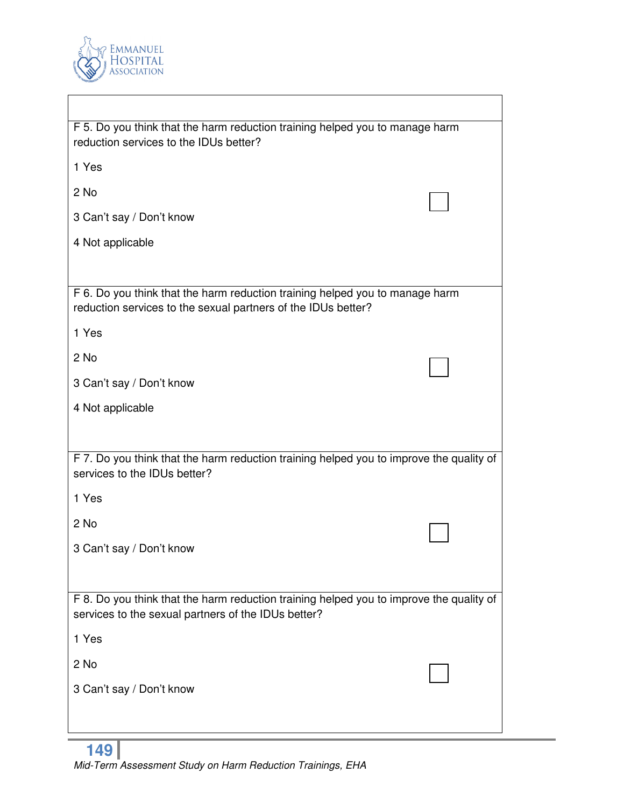

| F 5. Do you think that the harm reduction training helped you to manage harm<br>reduction services to the IDUs better?                         |  |
|------------------------------------------------------------------------------------------------------------------------------------------------|--|
| 1 Yes                                                                                                                                          |  |
| 2 No                                                                                                                                           |  |
| 3 Can't say / Don't know                                                                                                                       |  |
| 4 Not applicable                                                                                                                               |  |
|                                                                                                                                                |  |
| F 6. Do you think that the harm reduction training helped you to manage harm<br>reduction services to the sexual partners of the IDUs better?  |  |
| 1 Yes                                                                                                                                          |  |
| 2 No                                                                                                                                           |  |
| 3 Can't say / Don't know                                                                                                                       |  |
| 4 Not applicable                                                                                                                               |  |
|                                                                                                                                                |  |
| F 7. Do you think that the harm reduction training helped you to improve the quality of<br>services to the IDUs better?                        |  |
| 1 Yes                                                                                                                                          |  |
| 2 No                                                                                                                                           |  |
| 3 Can't say / Don't know                                                                                                                       |  |
|                                                                                                                                                |  |
| F 8. Do you think that the harm reduction training helped you to improve the quality of<br>services to the sexual partners of the IDUs better? |  |
| 1 Yes                                                                                                                                          |  |
| 2 No                                                                                                                                           |  |
| 3 Can't say / Don't know                                                                                                                       |  |
|                                                                                                                                                |  |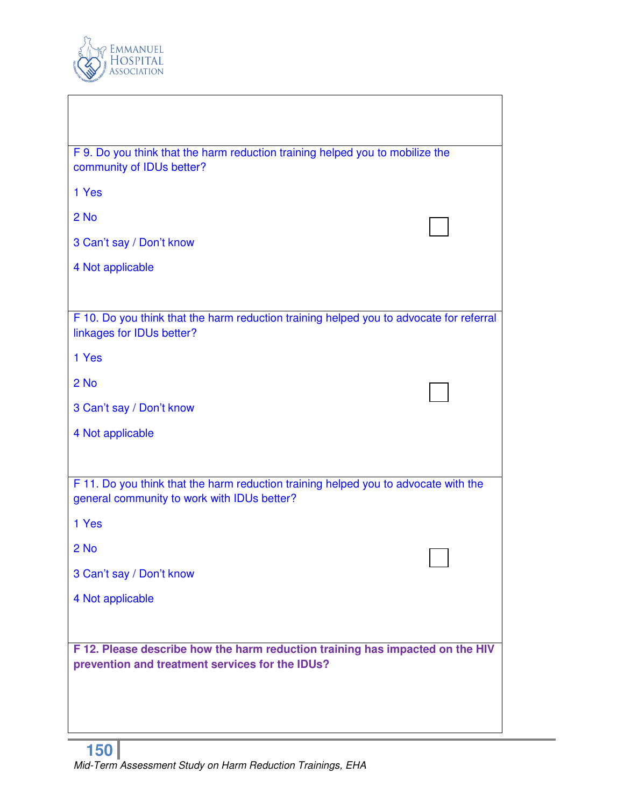

| F 9. Do you think that the harm reduction training helped you to mobilize the<br>community of IDUs better?                         |  |  |
|------------------------------------------------------------------------------------------------------------------------------------|--|--|
| 1 Yes                                                                                                                              |  |  |
| 2 No                                                                                                                               |  |  |
| 3 Can't say / Don't know                                                                                                           |  |  |
| 4 Not applicable                                                                                                                   |  |  |
|                                                                                                                                    |  |  |
| F 10. Do you think that the harm reduction training helped you to advocate for referral<br>linkages for IDUs better?               |  |  |
| 1 Yes                                                                                                                              |  |  |
| 2 No                                                                                                                               |  |  |
| 3 Can't say / Don't know                                                                                                           |  |  |
| 4 Not applicable                                                                                                                   |  |  |
|                                                                                                                                    |  |  |
| F 11. Do you think that the harm reduction training helped you to advocate with the<br>general community to work with IDUs better? |  |  |
| 1 Yes                                                                                                                              |  |  |
| 2 No                                                                                                                               |  |  |
| 3 Can't say / Don't know                                                                                                           |  |  |
| 4 Not applicable                                                                                                                   |  |  |
|                                                                                                                                    |  |  |
| F 12. Please describe how the harm reduction training has impacted on the HIV<br>prevention and treatment services for the IDUs?   |  |  |
|                                                                                                                                    |  |  |
|                                                                                                                                    |  |  |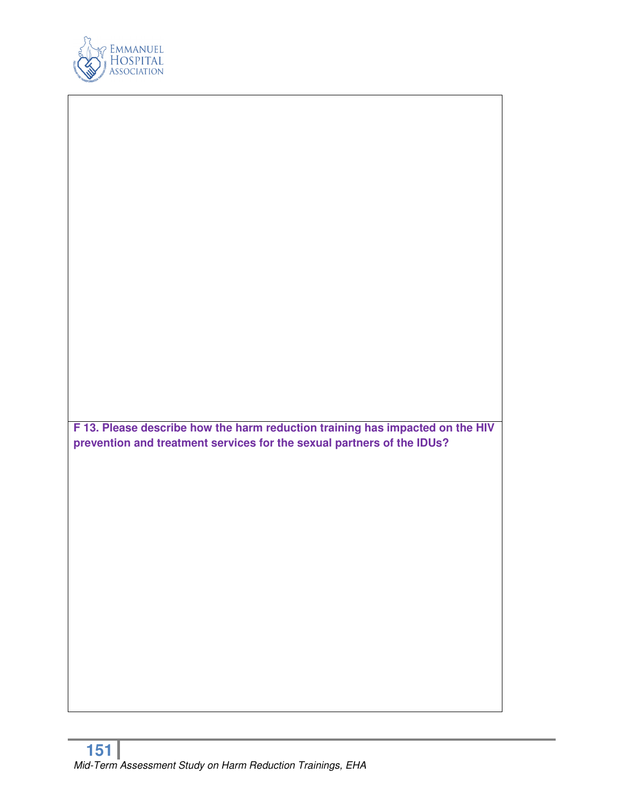

**F 13. Please describe how the harm reduction training has impacted on the HIV prevention and treatment services for the sexual partners of the IDUs?**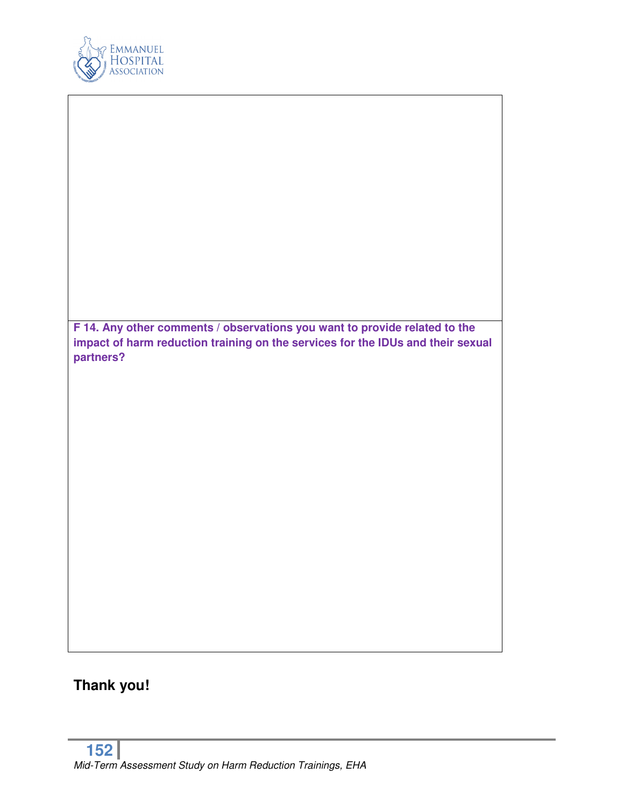

**F 14. Any other comments / observations you want to provide related to the impact of harm reduction training on the services for the IDUs and their sexual partners?** 

# **Thank you!**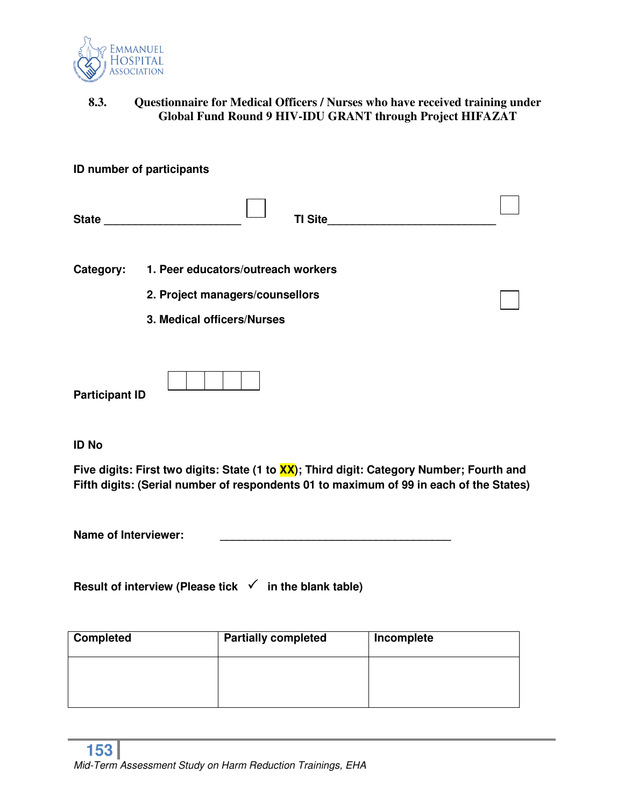

# **8.3. Questionnaire for Medical Officers / Nurses who have received training under Global Fund Round 9 HIV-IDU GRANT through Project HIFAZAT**

|              | ID number of participants          |  |
|--------------|------------------------------------|--|
| <b>State</b> | <b>TI Site</b>                     |  |
| Category:    | 1. Peer educators/outreach workers |  |
|              | 2. Project managers/counsellors    |  |
|              | 3. Medical officers/Nurses         |  |
|              |                                    |  |
|              |                                    |  |

**Participant ID** 

**ID No** 

**Five digits: First two digits: State (1 to XX); Third digit: Category Number; Fourth and Fifth digits: (Serial number of respondents 01 to maximum of 99 in each of the States)** 

Name of Interviewer:

Result of interview (Please tick √ in the blank table)

| <b>Completed</b> | <b>Partially completed</b> | Incomplete |
|------------------|----------------------------|------------|
|                  |                            |            |
|                  |                            |            |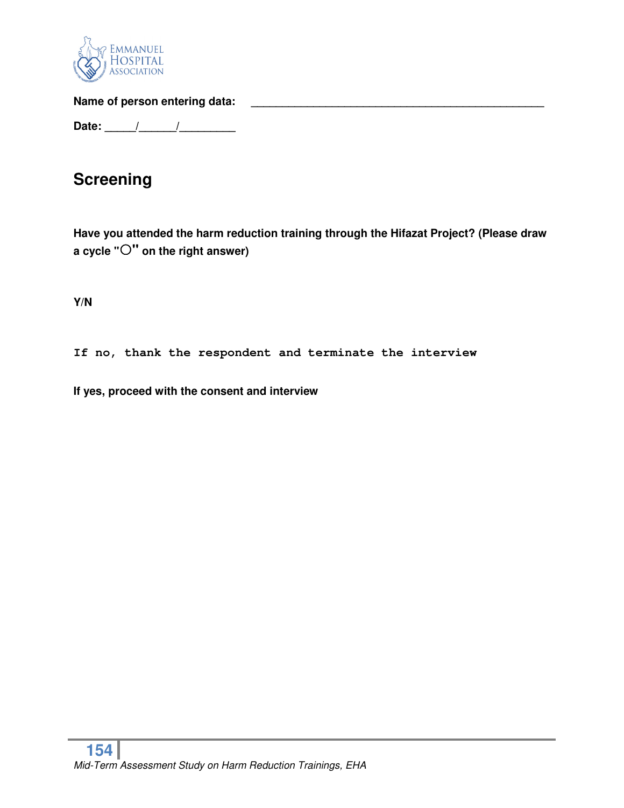

Name of person entering data: **Name of person entering data:** 

**Date: \_\_\_\_\_/\_\_\_\_\_\_/\_\_\_\_\_\_\_\_\_** 

# **Screening**

**Have you attended the harm reduction training through the Hifazat Project? (Please draw a cycle "" on the right answer)** 

**Y/N** 

**If no, thank the respondent and terminate the interview** 

**If yes, proceed with the consent and interview**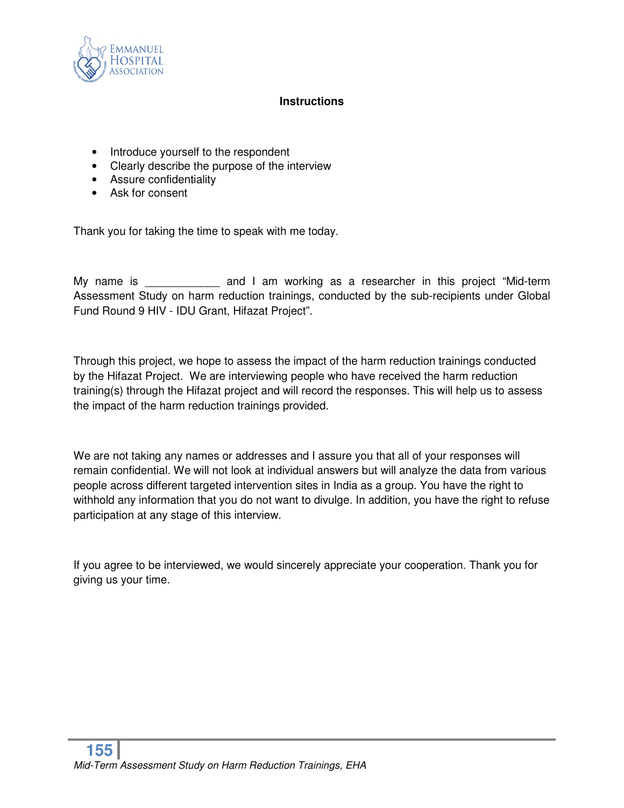

### **Instructions**

- Introduce yourself to the respondent
- Clearly describe the purpose of the interview
- Assure confidentiality
- Ask for consent

Thank you for taking the time to speak with me today.

My name is The same and I am working as a researcher in this project "Mid-term Assessment Study on harm reduction trainings, conducted by the sub-recipients under Global Fund Round 9 HIV - IDU Grant, Hifazat Project".

Through this project, we hope to assess the impact of the harm reduction trainings conducted by the Hifazat Project. We are interviewing people who have received the harm reduction training(s) through the Hifazat project and will record the responses. This will help us to assess the impact of the harm reduction trainings provided.

We are not taking any names or addresses and I assure you that all of your responses will remain confidential. We will not look at individual answers but will analyze the data from various people across different targeted intervention sites in India as a group. You have the right to withhold any information that you do not want to divulge. In addition, you have the right to refuse participation at any stage of this interview.

If you agree to be interviewed, we would sincerely appreciate your cooperation. Thank you for giving us your time.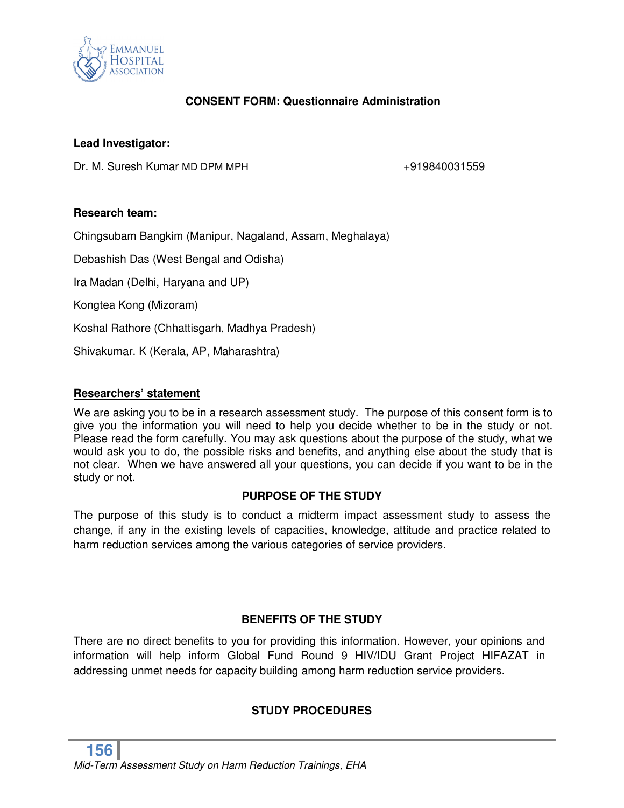

# **CONSENT FORM: Questionnaire Administration**

### **Lead Investigator:**

Dr. M. Suresh Kumar MD DPM MPH  $+919840031559$ 

### **Research team:**

Chingsubam Bangkim (Manipur, Nagaland, Assam, Meghalaya)

Debashish Das (West Bengal and Odisha)

Ira Madan (Delhi, Haryana and UP)

Kongtea Kong (Mizoram)

Koshal Rathore (Chhattisgarh, Madhya Pradesh)

Shivakumar. K (Kerala, AP, Maharashtra)

### **Researchers' statement**

We are asking you to be in a research assessment study. The purpose of this consent form is to give you the information you will need to help you decide whether to be in the study or not. Please read the form carefully. You may ask questions about the purpose of the study, what we would ask you to do, the possible risks and benefits, and anything else about the study that is not clear. When we have answered all your questions, you can decide if you want to be in the study or not.

### **PURPOSE OF THE STUDY**

The purpose of this study is to conduct a midterm impact assessment study to assess the change, if any in the existing levels of capacities, knowledge, attitude and practice related to harm reduction services among the various categories of service providers.

# **BENEFITS OF THE STUDY**

There are no direct benefits to you for providing this information. However, your opinions and information will help inform Global Fund Round 9 HIV/IDU Grant Project HIFAZAT in addressing unmet needs for capacity building among harm reduction service providers.

# **STUDY PROCEDURES**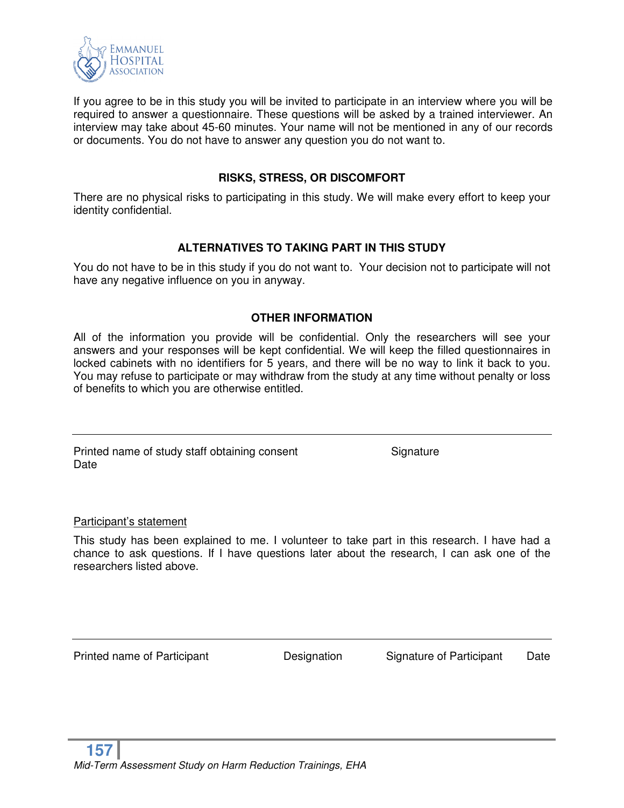

If you agree to be in this study you will be invited to participate in an interview where you will be required to answer a questionnaire. These questions will be asked by a trained interviewer. An interview may take about 45-60 minutes. Your name will not be mentioned in any of our records or documents. You do not have to answer any question you do not want to.

### **RISKS, STRESS, OR DISCOMFORT**

There are no physical risks to participating in this study. We will make every effort to keep your identity confidential.

# **ALTERNATIVES TO TAKING PART IN THIS STUDY**

You do not have to be in this study if you do not want to. Your decision not to participate will not have any negative influence on you in anyway.

# **OTHER INFORMATION**

All of the information you provide will be confidential. Only the researchers will see your answers and your responses will be kept confidential. We will keep the filled questionnaires in locked cabinets with no identifiers for 5 years, and there will be no way to link it back to you. You may refuse to participate or may withdraw from the study at any time without penalty or loss of benefits to which you are otherwise entitled.

Printed name of study staff obtaining consent Signature **Date** 

Participant's statement

This study has been explained to me. I volunteer to take part in this research. I have had a chance to ask questions. If I have questions later about the research, I can ask one of the researchers listed above.

Printed name of Participant **Designation** Signature of Participant Date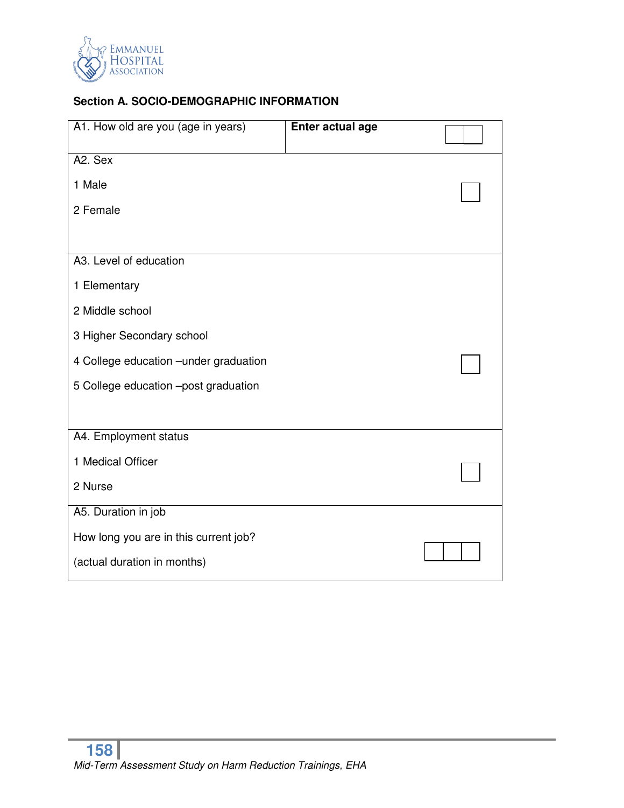

# **Section A. SOCIO-DEMOGRAPHIC INFORMATION**

| A1. How old are you (age in years)     | <b>Enter actual age</b> |  |
|----------------------------------------|-------------------------|--|
| A2. Sex                                |                         |  |
| 1 Male                                 |                         |  |
| 2 Female                               |                         |  |
|                                        |                         |  |
| A3. Level of education                 |                         |  |
| 1 Elementary                           |                         |  |
| 2 Middle school                        |                         |  |
| 3 Higher Secondary school              |                         |  |
| 4 College education - under graduation |                         |  |
| 5 College education -post graduation   |                         |  |
|                                        |                         |  |
| A4. Employment status                  |                         |  |
| 1 Medical Officer                      |                         |  |
| 2 Nurse                                |                         |  |
| A5. Duration in job                    |                         |  |
| How long you are in this current job?  |                         |  |
| (actual duration in months)            |                         |  |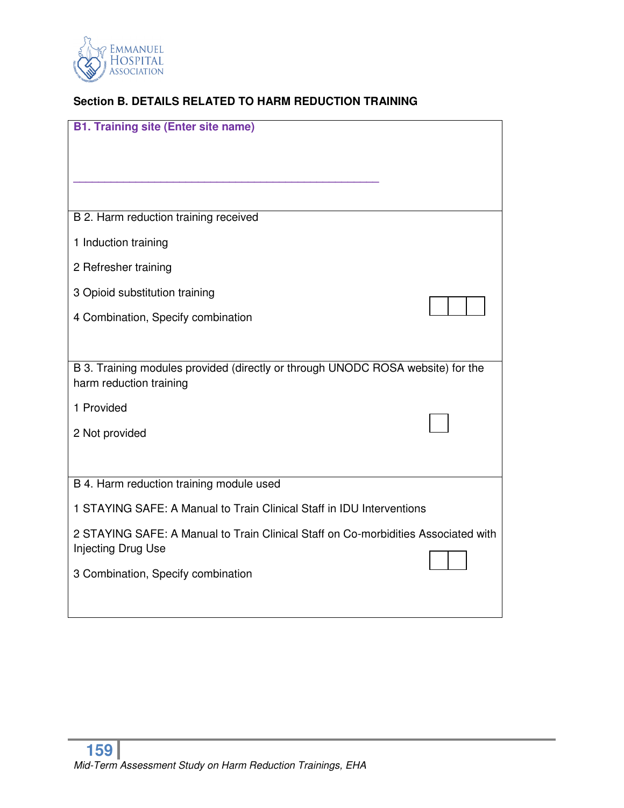

# **Section B. DETAILS RELATED TO HARM REDUCTION TRAINING**

| <b>B1. Training site (Enter site name)</b>                                         |  |
|------------------------------------------------------------------------------------|--|
|                                                                                    |  |
|                                                                                    |  |
|                                                                                    |  |
| B 2. Harm reduction training received                                              |  |
| 1 Induction training                                                               |  |
| 2 Refresher training                                                               |  |
| 3 Opioid substitution training                                                     |  |
| 4 Combination, Specify combination                                                 |  |
|                                                                                    |  |
| B 3. Training modules provided (directly or through UNODC ROSA website) for the    |  |
| harm reduction training                                                            |  |
| 1 Provided                                                                         |  |
| 2 Not provided                                                                     |  |
|                                                                                    |  |
| B 4. Harm reduction training module used                                           |  |
| 1 STAYING SAFE: A Manual to Train Clinical Staff in IDU Interventions              |  |
| 2 STAYING SAFE: A Manual to Train Clinical Staff on Co-morbidities Associated with |  |
| Injecting Drug Use                                                                 |  |
| 3 Combination, Specify combination                                                 |  |
|                                                                                    |  |
|                                                                                    |  |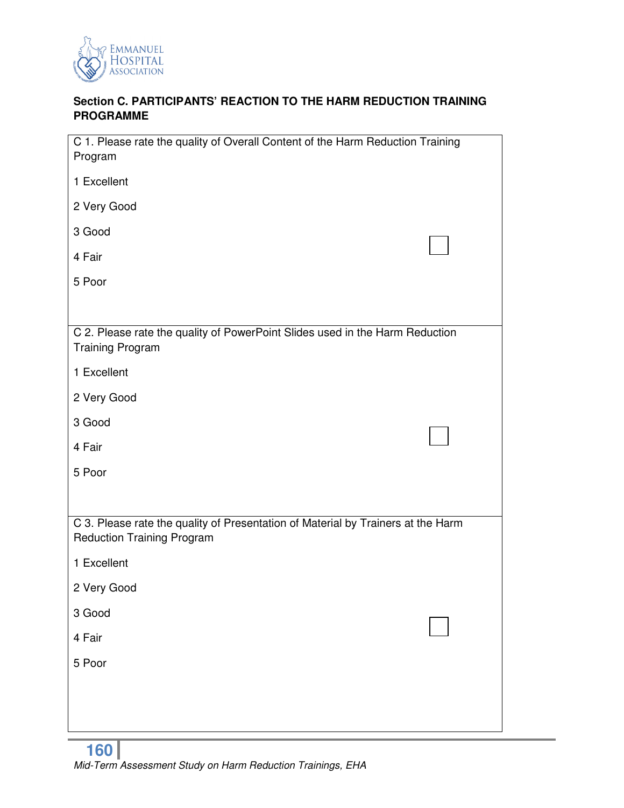

# **Section C. PARTICIPANTS' REACTION TO THE HARM REDUCTION TRAINING PROGRAMME**

| C 1. Please rate the quality of Overall Content of the Harm Reduction Training<br>Program                             |  |
|-----------------------------------------------------------------------------------------------------------------------|--|
| 1 Excellent                                                                                                           |  |
| 2 Very Good                                                                                                           |  |
| 3 Good                                                                                                                |  |
| 4 Fair                                                                                                                |  |
| 5 Poor                                                                                                                |  |
|                                                                                                                       |  |
| C 2. Please rate the quality of PowerPoint Slides used in the Harm Reduction<br><b>Training Program</b>               |  |
| 1 Excellent                                                                                                           |  |
| 2 Very Good                                                                                                           |  |
| 3 Good                                                                                                                |  |
| 4 Fair                                                                                                                |  |
| 5 Poor                                                                                                                |  |
|                                                                                                                       |  |
| C 3. Please rate the quality of Presentation of Material by Trainers at the Harm<br><b>Reduction Training Program</b> |  |
| 1 Excellent                                                                                                           |  |
| 2 Very Good                                                                                                           |  |
| 3 Good                                                                                                                |  |
| 4 Fair                                                                                                                |  |
| 5 Poor                                                                                                                |  |
|                                                                                                                       |  |
|                                                                                                                       |  |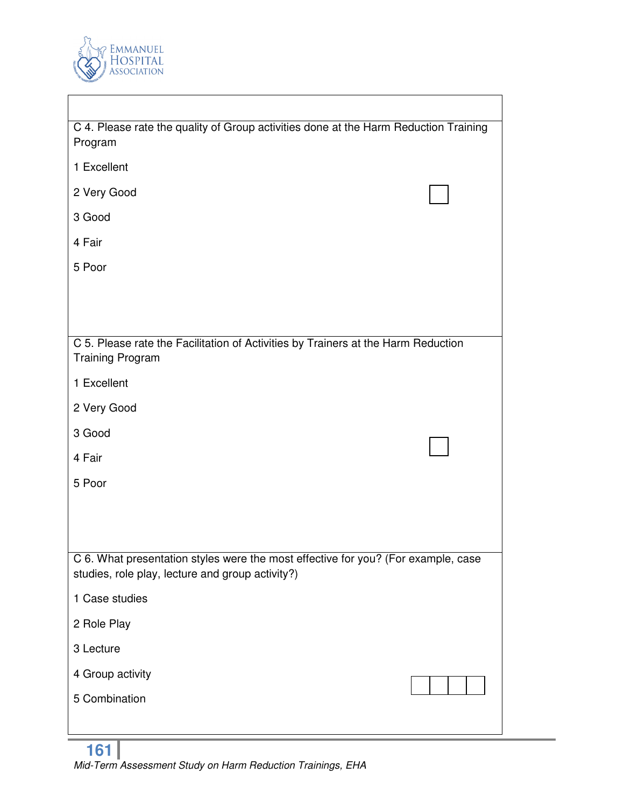

 $\overline{\phantom{a}}$ 

| C 4. Please rate the quality of Group activities done at the Harm Reduction Training<br>Program                                       |
|---------------------------------------------------------------------------------------------------------------------------------------|
|                                                                                                                                       |
| 1 Excellent                                                                                                                           |
| 2 Very Good                                                                                                                           |
| 3 Good                                                                                                                                |
| 4 Fair                                                                                                                                |
| 5 Poor                                                                                                                                |
|                                                                                                                                       |
|                                                                                                                                       |
|                                                                                                                                       |
| C 5. Please rate the Facilitation of Activities by Trainers at the Harm Reduction<br><b>Training Program</b>                          |
| 1 Excellent                                                                                                                           |
| 2 Very Good                                                                                                                           |
| 3 Good                                                                                                                                |
| 4 Fair                                                                                                                                |
| 5 Poor                                                                                                                                |
|                                                                                                                                       |
|                                                                                                                                       |
|                                                                                                                                       |
| C 6. What presentation styles were the most effective for you? (For example, case<br>studies, role play, lecture and group activity?) |
| 1 Case studies                                                                                                                        |
| 2 Role Play                                                                                                                           |
| 3 Lecture                                                                                                                             |
| 4 Group activity                                                                                                                      |
| 5 Combination                                                                                                                         |
|                                                                                                                                       |

٦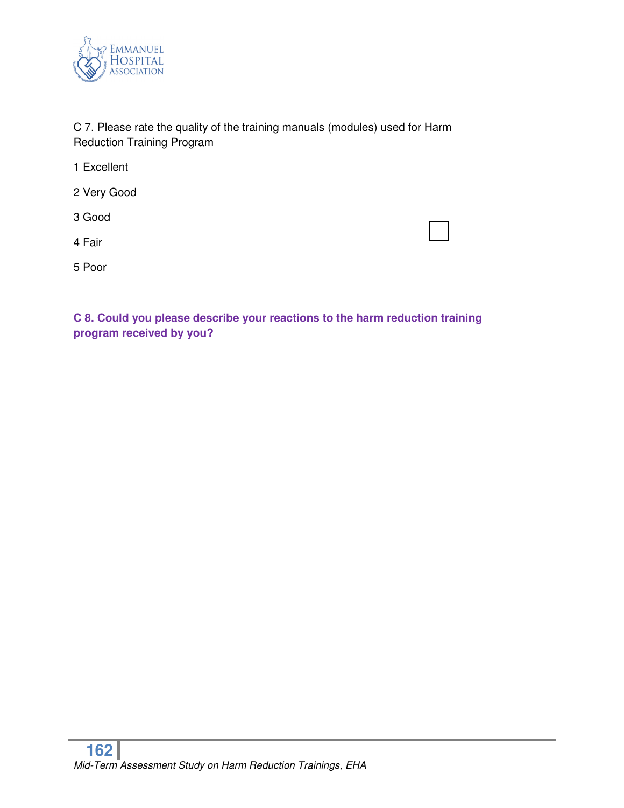

| C 7. Please rate the quality of the training manuals (modules) used for Harm<br><b>Reduction Training Program</b> |  |
|-------------------------------------------------------------------------------------------------------------------|--|
| 1 Excellent                                                                                                       |  |
| 2 Very Good                                                                                                       |  |
| 3 Good                                                                                                            |  |
| 4 Fair                                                                                                            |  |
| 5 Poor                                                                                                            |  |
|                                                                                                                   |  |
| C 8. Could you please describe your reactions to the harm reduction training<br>program received by you?          |  |
|                                                                                                                   |  |
|                                                                                                                   |  |
|                                                                                                                   |  |
|                                                                                                                   |  |
|                                                                                                                   |  |
|                                                                                                                   |  |
|                                                                                                                   |  |
|                                                                                                                   |  |
|                                                                                                                   |  |
|                                                                                                                   |  |
|                                                                                                                   |  |
|                                                                                                                   |  |
|                                                                                                                   |  |
|                                                                                                                   |  |
|                                                                                                                   |  |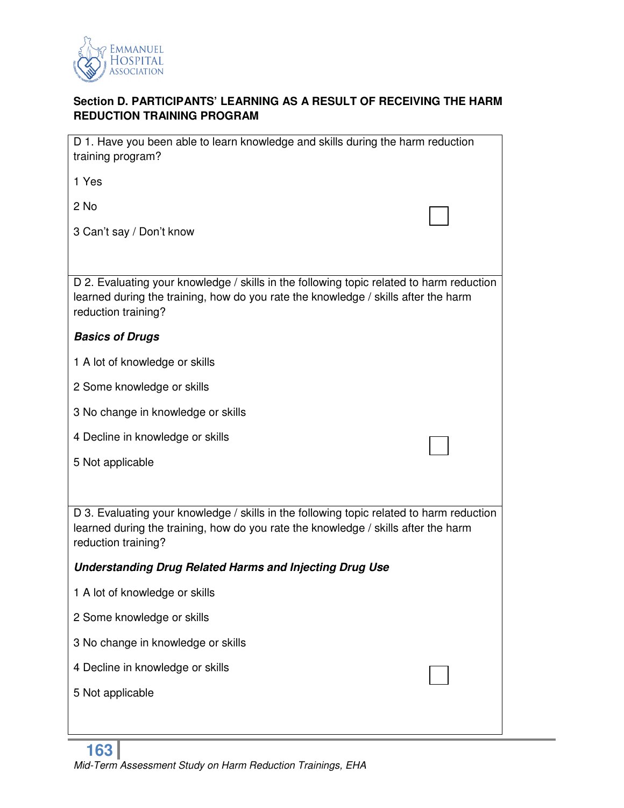

# **Section D. PARTICIPANTS' LEARNING AS A RESULT OF RECEIVING THE HARM REDUCTION TRAINING PROGRAM**

| D 1. Have you been able to learn knowledge and skills during the harm reduction<br>training program?                                                                                                  |  |
|-------------------------------------------------------------------------------------------------------------------------------------------------------------------------------------------------------|--|
| 1 Yes                                                                                                                                                                                                 |  |
| 2 No                                                                                                                                                                                                  |  |
| 3 Can't say / Don't know                                                                                                                                                                              |  |
|                                                                                                                                                                                                       |  |
| D 2. Evaluating your knowledge / skills in the following topic related to harm reduction<br>learned during the training, how do you rate the knowledge / skills after the harm<br>reduction training? |  |
| <b>Basics of Drugs</b>                                                                                                                                                                                |  |
| 1 A lot of knowledge or skills                                                                                                                                                                        |  |
| 2 Some knowledge or skills                                                                                                                                                                            |  |
| 3 No change in knowledge or skills                                                                                                                                                                    |  |
| 4 Decline in knowledge or skills                                                                                                                                                                      |  |
| 5 Not applicable                                                                                                                                                                                      |  |
|                                                                                                                                                                                                       |  |
| D 3. Evaluating your knowledge / skills in the following topic related to harm reduction<br>learned during the training, how do you rate the knowledge / skills after the harm<br>reduction training? |  |
| <b>Understanding Drug Related Harms and Injecting Drug Use</b>                                                                                                                                        |  |
| 1 A lot of knowledge or skills                                                                                                                                                                        |  |
| 2 Some knowledge or skills                                                                                                                                                                            |  |
| 3 No change in knowledge or skills                                                                                                                                                                    |  |
| 4 Decline in knowledge or skills                                                                                                                                                                      |  |
| 5 Not applicable                                                                                                                                                                                      |  |
|                                                                                                                                                                                                       |  |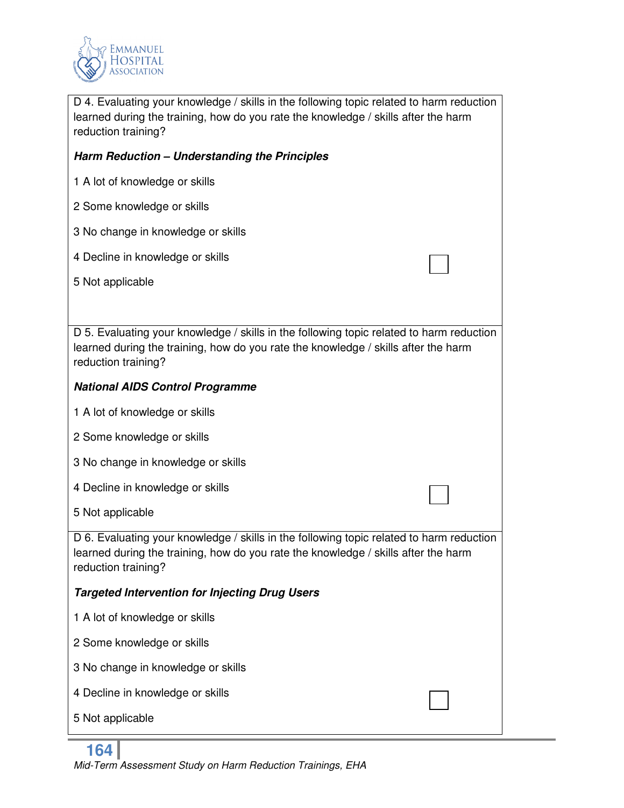

D 4. Evaluating your knowledge / skills in the following topic related to harm reduction learned during the training, how do you rate the knowledge / skills after the harm reduction training?

# *Harm Reduction – Understanding the Principles*

- 1 A lot of knowledge or skills
- 2 Some knowledge or skills
- 3 No change in knowledge or skills
- 4 Decline in knowledge or skills
- 5 Not applicable

D 5. Evaluating your knowledge / skills in the following topic related to harm reduction learned during the training, how do you rate the knowledge / skills after the harm reduction training?

### *National AIDS Control Programme*

- 1 A lot of knowledge or skills
- 2 Some knowledge or skills
- 3 No change in knowledge or skills
- 4 Decline in knowledge or skills
- 5 Not applicable

D 6. Evaluating your knowledge / skills in the following topic related to harm reduction learned during the training, how do you rate the knowledge / skills after the harm reduction training?

### *Targeted Intervention for Injecting Drug Users*

- 1 A lot of knowledge or skills
- 2 Some knowledge or skills
- 3 No change in knowledge or skills
- 4 Decline in knowledge or skills
- 5 Not applicable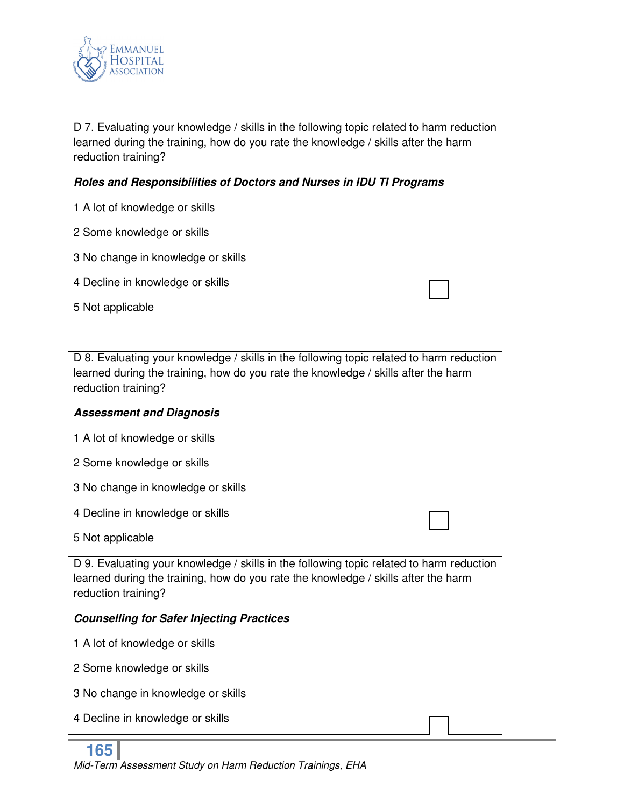

D 7. Evaluating your knowledge / skills in the following topic related to harm reduction learned during the training, how do you rate the knowledge / skills after the harm reduction training?

### *Roles and Responsibilities of Doctors and Nurses in IDU TI Programs*

- 1 A lot of knowledge or skills
- 2 Some knowledge or skills
- 3 No change in knowledge or skills
- 4 Decline in knowledge or skills
- 5 Not applicable

D 8. Evaluating your knowledge / skills in the following topic related to harm reduction learned during the training, how do you rate the knowledge / skills after the harm reduction training?

### *Assessment and Diagnosis*

- 1 A lot of knowledge or skills
- 2 Some knowledge or skills
- 3 No change in knowledge or skills
- 4 Decline in knowledge or skills
- 5 Not applicable

D 9. Evaluating your knowledge / skills in the following topic related to harm reduction learned during the training, how do you rate the knowledge / skills after the harm reduction training?

### *Counselling for Safer Injecting Practices*

- 1 A lot of knowledge or skills
- 2 Some knowledge or skills
- 3 No change in knowledge or skills
- 4 Decline in knowledge or skills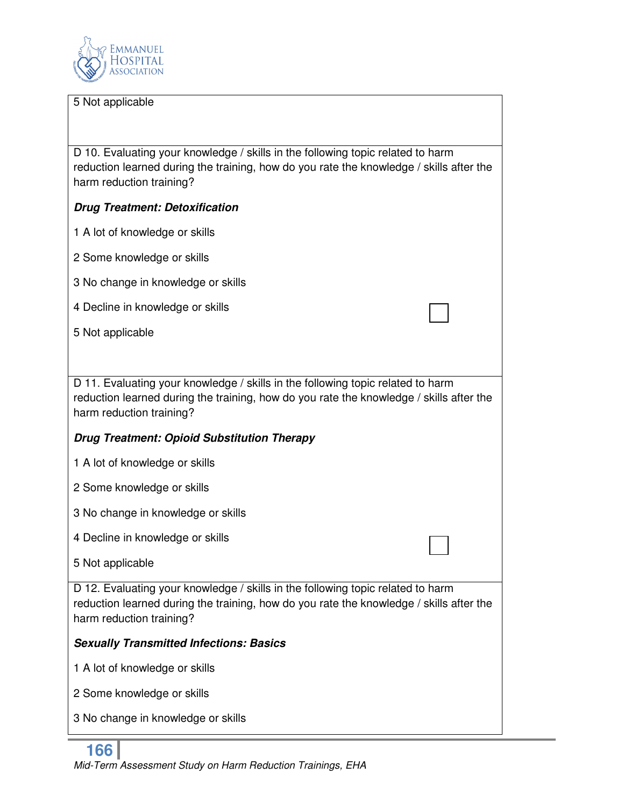

#### 5 Not applicable

D 10. Evaluating your knowledge / skills in the following topic related to harm reduction learned during the training, how do you rate the knowledge / skills after the harm reduction training?

### *Drug Treatment: Detoxification*

- 1 A lot of knowledge or skills
- 2 Some knowledge or skills
- 3 No change in knowledge or skills
- 4 Decline in knowledge or skills
- 5 Not applicable

D 11. Evaluating your knowledge / skills in the following topic related to harm reduction learned during the training, how do you rate the knowledge / skills after the harm reduction training?

### *Drug Treatment: Opioid Substitution Therapy*

- 1 A lot of knowledge or skills
- 2 Some knowledge or skills
- 3 No change in knowledge or skills
- 4 Decline in knowledge or skills
- 5 Not applicable

D 12. Evaluating your knowledge / skills in the following topic related to harm reduction learned during the training, how do you rate the knowledge / skills after the harm reduction training?

#### *Sexually Transmitted Infections: Basics*

- 1 A lot of knowledge or skills
- 2 Some knowledge or skills
- 3 No change in knowledge or skills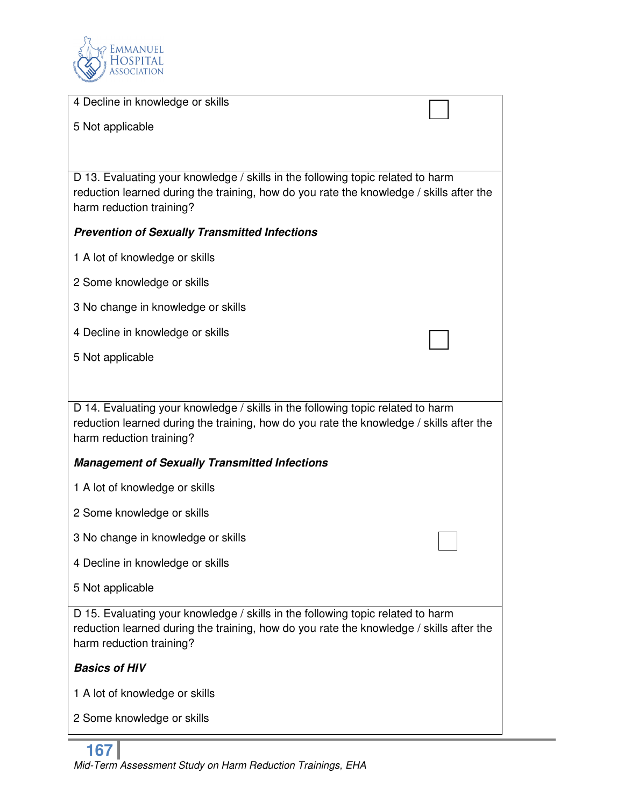

| 4 Decline in knowledge or skills                                                                                                                                                                       |  |
|--------------------------------------------------------------------------------------------------------------------------------------------------------------------------------------------------------|--|
| 5 Not applicable                                                                                                                                                                                       |  |
|                                                                                                                                                                                                        |  |
| D 13. Evaluating your knowledge / skills in the following topic related to harm<br>reduction learned during the training, how do you rate the knowledge / skills after the<br>harm reduction training? |  |
| <b>Prevention of Sexually Transmitted Infections</b>                                                                                                                                                   |  |
| 1 A lot of knowledge or skills                                                                                                                                                                         |  |
| 2 Some knowledge or skills                                                                                                                                                                             |  |
| 3 No change in knowledge or skills                                                                                                                                                                     |  |
| 4 Decline in knowledge or skills                                                                                                                                                                       |  |
| 5 Not applicable                                                                                                                                                                                       |  |
|                                                                                                                                                                                                        |  |
| D 14. Evaluating your knowledge / skills in the following topic related to harm<br>reduction learned during the training, how do you rate the knowledge / skills after the<br>harm reduction training? |  |
| <b>Management of Sexually Transmitted Infections</b>                                                                                                                                                   |  |
| 1 A lot of knowledge or skills                                                                                                                                                                         |  |
| 2 Some knowledge or skills                                                                                                                                                                             |  |
| 3 No change in knowledge or skills                                                                                                                                                                     |  |
| 4 Decline in knowledge or skills                                                                                                                                                                       |  |
| 5 Not applicable                                                                                                                                                                                       |  |
| D 15. Evaluating your knowledge / skills in the following topic related to harm<br>reduction learned during the training, how do you rate the knowledge / skills after the<br>harm reduction training? |  |
| <b>Basics of HIV</b>                                                                                                                                                                                   |  |
| 1 A lot of knowledge or skills                                                                                                                                                                         |  |
| 2 Some knowledge or skills                                                                                                                                                                             |  |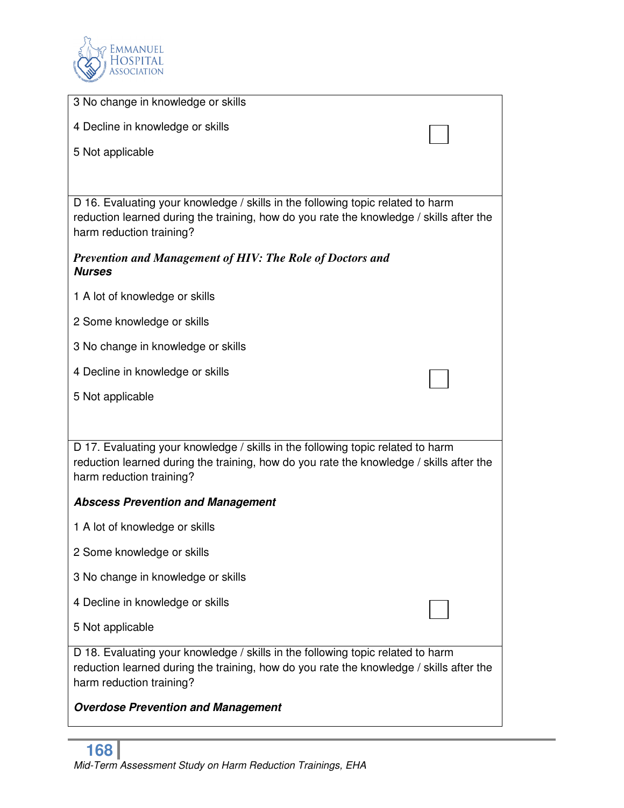

| 3 No change in knowledge or skills                                                                                                                                                                     |
|--------------------------------------------------------------------------------------------------------------------------------------------------------------------------------------------------------|
| 4 Decline in knowledge or skills                                                                                                                                                                       |
| 5 Not applicable                                                                                                                                                                                       |
|                                                                                                                                                                                                        |
|                                                                                                                                                                                                        |
| D 16. Evaluating your knowledge / skills in the following topic related to harm<br>reduction learned during the training, how do you rate the knowledge / skills after the<br>harm reduction training? |
| <b>Prevention and Management of HIV: The Role of Doctors and</b><br><b>Nurses</b>                                                                                                                      |
| 1 A lot of knowledge or skills                                                                                                                                                                         |
| 2 Some knowledge or skills                                                                                                                                                                             |
| 3 No change in knowledge or skills                                                                                                                                                                     |
| 4 Decline in knowledge or skills                                                                                                                                                                       |
| 5 Not applicable                                                                                                                                                                                       |
|                                                                                                                                                                                                        |
| D 17. Evaluating your knowledge / skills in the following topic related to harm<br>reduction learned during the training, how do you rate the knowledge / skills after the<br>harm reduction training? |
| <b>Abscess Prevention and Management</b>                                                                                                                                                               |
| 1 A lot of knowledge or skills                                                                                                                                                                         |
| 2 Some knowledge or skills                                                                                                                                                                             |
| 3 No change in knowledge or skills                                                                                                                                                                     |
| 4 Decline in knowledge or skills                                                                                                                                                                       |
| 5 Not applicable                                                                                                                                                                                       |
| D 18. Evaluating your knowledge / skills in the following topic related to harm<br>reduction learned during the training, how do you rate the knowledge / skills after the<br>harm reduction training? |
| <b>Overdose Prevention and Management</b>                                                                                                                                                              |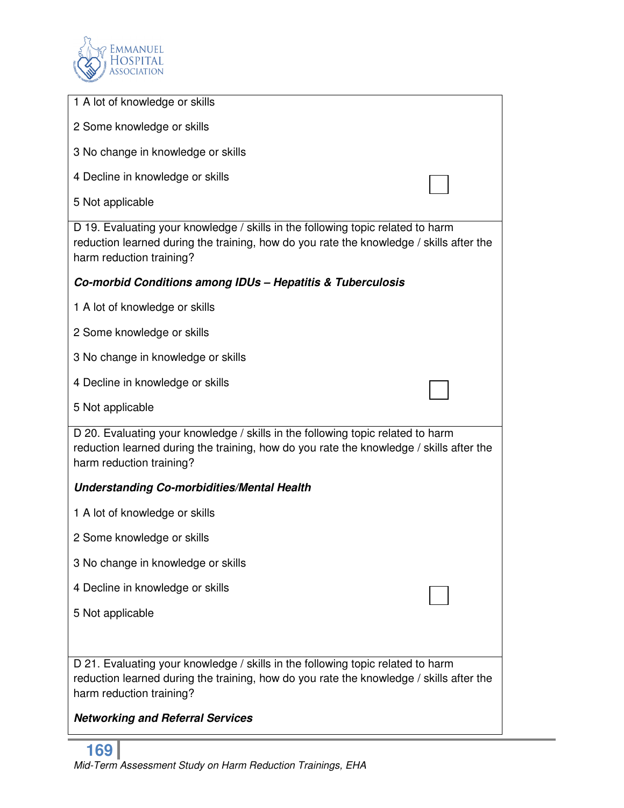

| 1 A lot of knowledge or skills                                                                                                                                                                         |
|--------------------------------------------------------------------------------------------------------------------------------------------------------------------------------------------------------|
| 2 Some knowledge or skills                                                                                                                                                                             |
| 3 No change in knowledge or skills                                                                                                                                                                     |
| 4 Decline in knowledge or skills                                                                                                                                                                       |
| 5 Not applicable                                                                                                                                                                                       |
| D 19. Evaluating your knowledge / skills in the following topic related to harm<br>reduction learned during the training, how do you rate the knowledge / skills after the<br>harm reduction training? |
| Co-morbid Conditions among IDUs - Hepatitis & Tuberculosis                                                                                                                                             |
| 1 A lot of knowledge or skills                                                                                                                                                                         |
| 2 Some knowledge or skills                                                                                                                                                                             |
| 3 No change in knowledge or skills                                                                                                                                                                     |
| 4 Decline in knowledge or skills                                                                                                                                                                       |
| 5 Not applicable                                                                                                                                                                                       |
| D 20. Evaluating your knowledge / skills in the following topic related to harm<br>reduction learned during the training, how do you rate the knowledge / skills after the<br>harm reduction training? |
| <b>Understanding Co-morbidities/Mental Health</b>                                                                                                                                                      |
| 1 A lot of knowledge or skills                                                                                                                                                                         |
| 2 Some knowledge or skills                                                                                                                                                                             |
| 3 No change in knowledge or skills                                                                                                                                                                     |
| 4 Decline in knowledge or skills                                                                                                                                                                       |
| 5 Not applicable                                                                                                                                                                                       |
|                                                                                                                                                                                                        |
| D 21. Evaluating your knowledge / skills in the following topic related to harm<br>reduction learned during the training, how do you rate the knowledge / skills after the<br>harm reduction training? |
| <b>Networking and Referral Services</b>                                                                                                                                                                |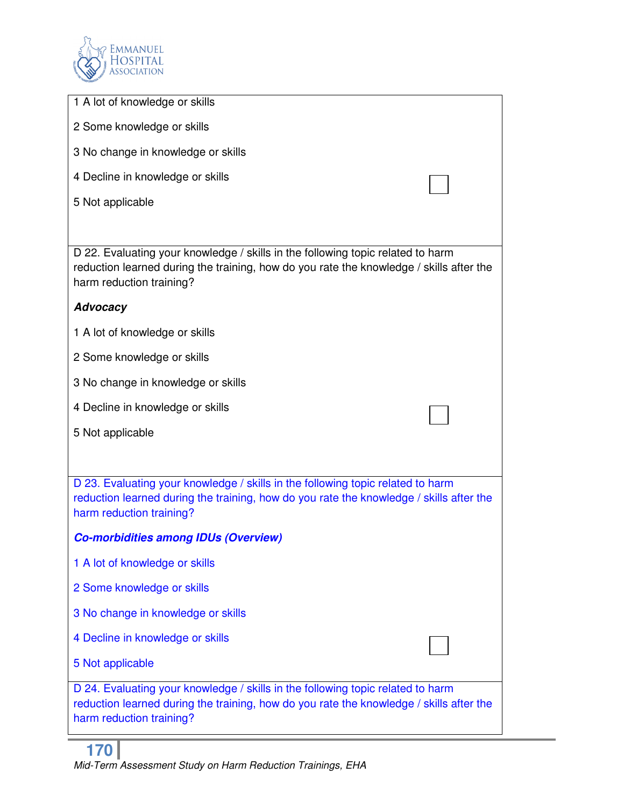

| 1 A lot of knowledge or skills                                                                                                                                                                         |
|--------------------------------------------------------------------------------------------------------------------------------------------------------------------------------------------------------|
| 2 Some knowledge or skills                                                                                                                                                                             |
| 3 No change in knowledge or skills                                                                                                                                                                     |
| 4 Decline in knowledge or skills                                                                                                                                                                       |
| 5 Not applicable                                                                                                                                                                                       |
|                                                                                                                                                                                                        |
| D 22. Evaluating your knowledge / skills in the following topic related to harm<br>reduction learned during the training, how do you rate the knowledge / skills after the<br>harm reduction training? |
| <b>Advocacy</b>                                                                                                                                                                                        |
| 1 A lot of knowledge or skills                                                                                                                                                                         |
| 2 Some knowledge or skills                                                                                                                                                                             |
| 3 No change in knowledge or skills                                                                                                                                                                     |
| 4 Decline in knowledge or skills                                                                                                                                                                       |
| 5 Not applicable                                                                                                                                                                                       |
|                                                                                                                                                                                                        |
| D 23. Evaluating your knowledge / skills in the following topic related to harm<br>reduction learned during the training, how do you rate the knowledge / skills after the<br>harm reduction training? |
| <b>Co-morbidities among IDUs (Overview)</b>                                                                                                                                                            |
| 1 A lot of knowledge or skills                                                                                                                                                                         |
| 2 Some knowledge or skills                                                                                                                                                                             |
| 3 No change in knowledge or skills                                                                                                                                                                     |
| 4 Decline in knowledge or skills                                                                                                                                                                       |
| 5 Not applicable                                                                                                                                                                                       |
| D 24. Evaluating your knowledge / skills in the following topic related to harm<br>reduction learned during the training, how do you rate the knowledge / skills after the<br>harm reduction training? |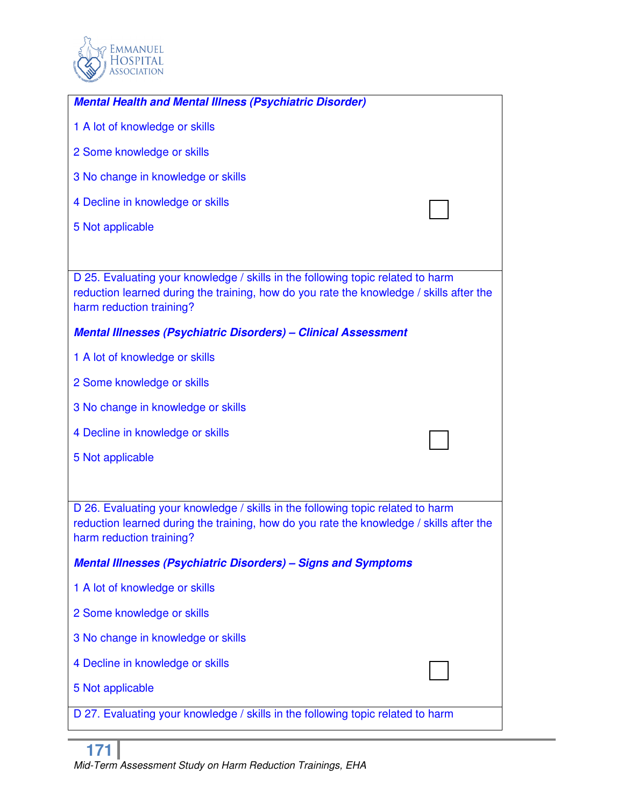

| <b>Mental Health and Mental Illness (Psychiatric Disorder)</b>                                                                                                                                         |
|--------------------------------------------------------------------------------------------------------------------------------------------------------------------------------------------------------|
| 1 A lot of knowledge or skills                                                                                                                                                                         |
| 2 Some knowledge or skills                                                                                                                                                                             |
| 3 No change in knowledge or skills                                                                                                                                                                     |
| 4 Decline in knowledge or skills                                                                                                                                                                       |
| 5 Not applicable                                                                                                                                                                                       |
|                                                                                                                                                                                                        |
| D 25. Evaluating your knowledge / skills in the following topic related to harm<br>reduction learned during the training, how do you rate the knowledge / skills after the<br>harm reduction training? |
| <b>Mental Illnesses (Psychiatric Disorders) - Clinical Assessment</b>                                                                                                                                  |
| 1 A lot of knowledge or skills                                                                                                                                                                         |
| 2 Some knowledge or skills                                                                                                                                                                             |
| 3 No change in knowledge or skills                                                                                                                                                                     |
| 4 Decline in knowledge or skills                                                                                                                                                                       |
| 5 Not applicable                                                                                                                                                                                       |
|                                                                                                                                                                                                        |
| D 26. Evaluating your knowledge / skills in the following topic related to harm<br>reduction learned during the training, how do you rate the knowledge / skills after the<br>harm reduction training? |
| <b>Mental Illnesses (Psychiatric Disorders) - Signs and Symptoms</b>                                                                                                                                   |
| 1 A lot of knowledge or skills                                                                                                                                                                         |
| 2 Some knowledge or skills                                                                                                                                                                             |
| 3 No change in knowledge or skills                                                                                                                                                                     |
| 4 Decline in knowledge or skills                                                                                                                                                                       |
| 5 Not applicable                                                                                                                                                                                       |
| D 27. Evaluating your knowledge / skills in the following topic related to harm                                                                                                                        |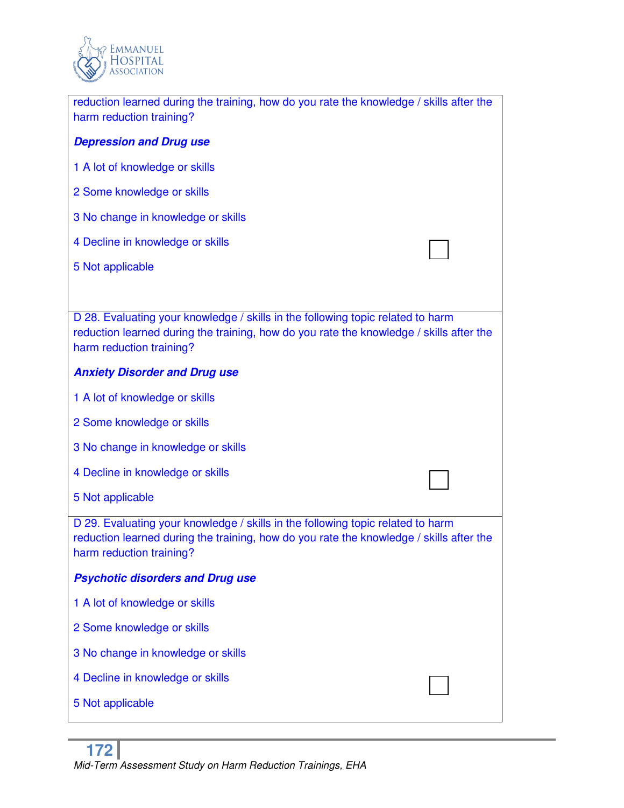

| reduction learned during the training, how do you rate the knowledge / skills after the<br>harm reduction training?                                                                                    |
|--------------------------------------------------------------------------------------------------------------------------------------------------------------------------------------------------------|
| <b>Depression and Drug use</b>                                                                                                                                                                         |
| 1 A lot of knowledge or skills                                                                                                                                                                         |
| 2 Some knowledge or skills                                                                                                                                                                             |
| 3 No change in knowledge or skills                                                                                                                                                                     |
| 4 Decline in knowledge or skills                                                                                                                                                                       |
| 5 Not applicable                                                                                                                                                                                       |
|                                                                                                                                                                                                        |
| D 28. Evaluating your knowledge / skills in the following topic related to harm<br>reduction learned during the training, how do you rate the knowledge / skills after the<br>harm reduction training? |
| <b>Anxiety Disorder and Drug use</b>                                                                                                                                                                   |
| 1 A lot of knowledge or skills                                                                                                                                                                         |
| 2 Some knowledge or skills                                                                                                                                                                             |
| 3 No change in knowledge or skills                                                                                                                                                                     |
| 4 Decline in knowledge or skills                                                                                                                                                                       |
| 5 Not applicable                                                                                                                                                                                       |
| D 29. Evaluating your knowledge / skills in the following topic related to harm<br>reduction learned during the training, how do you rate the knowledge / skills after the<br>harm reduction training? |
| <b>Psychotic disorders and Drug use</b>                                                                                                                                                                |
| 1 A lot of knowledge or skills                                                                                                                                                                         |
| 2 Some knowledge or skills                                                                                                                                                                             |
| 3 No change in knowledge or skills                                                                                                                                                                     |
| 4 Decline in knowledge or skills                                                                                                                                                                       |
| 5 Not applicable                                                                                                                                                                                       |

ı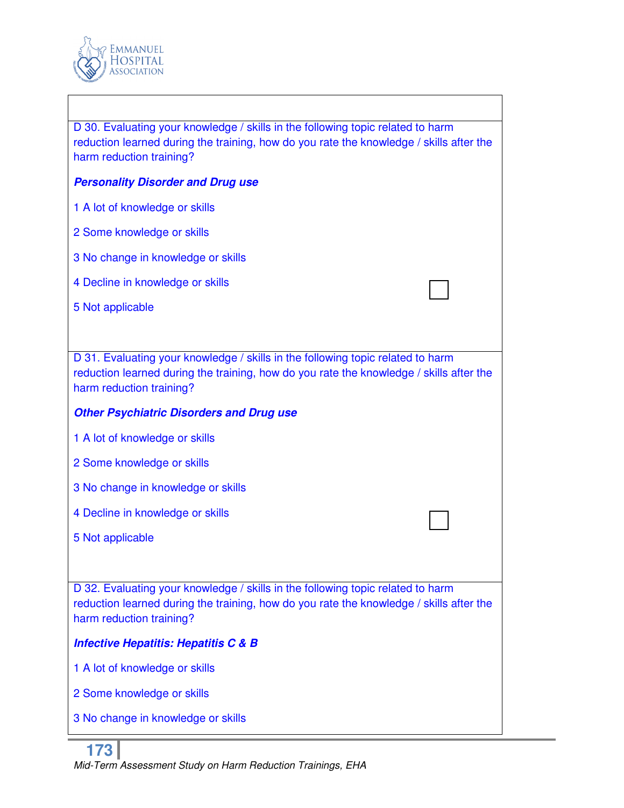

| D 30. Evaluating your knowledge / skills in the following topic related to harm<br>reduction learned during the training, how do you rate the knowledge / skills after the<br>harm reduction training? |
|--------------------------------------------------------------------------------------------------------------------------------------------------------------------------------------------------------|
| <b>Personality Disorder and Drug use</b>                                                                                                                                                               |
| 1 A lot of knowledge or skills                                                                                                                                                                         |
| 2 Some knowledge or skills                                                                                                                                                                             |
| 3 No change in knowledge or skills                                                                                                                                                                     |
| 4 Decline in knowledge or skills                                                                                                                                                                       |
| 5 Not applicable                                                                                                                                                                                       |
|                                                                                                                                                                                                        |
| D 31. Evaluating your knowledge / skills in the following topic related to harm<br>reduction learned during the training, how do you rate the knowledge / skills after the<br>harm reduction training? |
| <b>Other Psychiatric Disorders and Drug use</b>                                                                                                                                                        |
| 1 A lot of knowledge or skills                                                                                                                                                                         |
| 2 Some knowledge or skills                                                                                                                                                                             |
| 3 No change in knowledge or skills                                                                                                                                                                     |
| 4 Decline in knowledge or skills                                                                                                                                                                       |
| 5 Not applicable                                                                                                                                                                                       |
|                                                                                                                                                                                                        |
| D 32. Evaluating your knowledge / skills in the following topic related to harm<br>reduction learned during the training, how do you rate the knowledge / skills after the<br>harm reduction training? |
| <b>Infective Hepatitis: Hepatitis C &amp; B</b>                                                                                                                                                        |
| 1 A lot of knowledge or skills                                                                                                                                                                         |
| 2 Some knowledge or skills                                                                                                                                                                             |

3 No change in knowledge or skills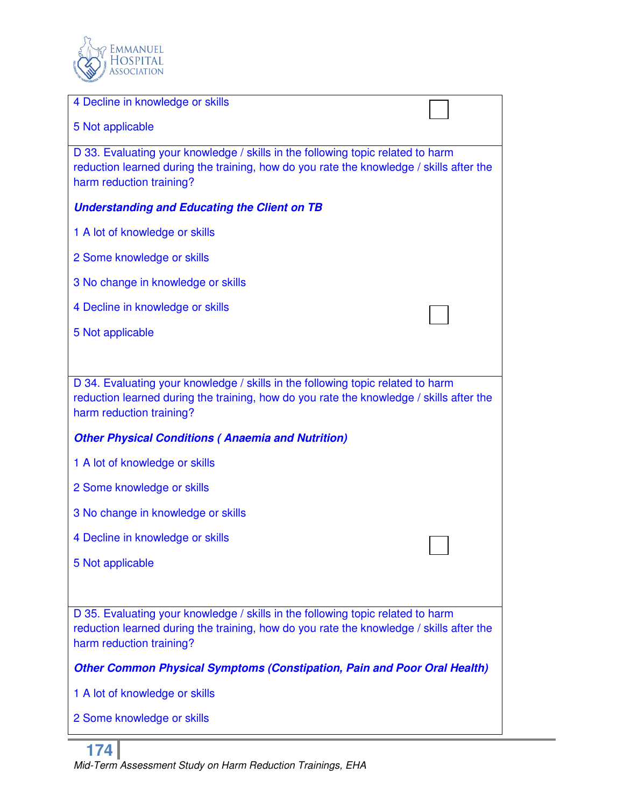

| 4 Decline in knowledge or skills                                                                                                                                                                       |  |
|--------------------------------------------------------------------------------------------------------------------------------------------------------------------------------------------------------|--|
| 5 Not applicable                                                                                                                                                                                       |  |
| D 33. Evaluating your knowledge / skills in the following topic related to harm<br>reduction learned during the training, how do you rate the knowledge / skills after the<br>harm reduction training? |  |
| <b>Understanding and Educating the Client on TB</b>                                                                                                                                                    |  |
| 1 A lot of knowledge or skills                                                                                                                                                                         |  |
| 2 Some knowledge or skills                                                                                                                                                                             |  |
| 3 No change in knowledge or skills                                                                                                                                                                     |  |
| 4 Decline in knowledge or skills                                                                                                                                                                       |  |
| 5 Not applicable                                                                                                                                                                                       |  |
|                                                                                                                                                                                                        |  |
| D 34. Evaluating your knowledge / skills in the following topic related to harm<br>reduction learned during the training, how do you rate the knowledge / skills after the<br>harm reduction training? |  |
| <b>Other Physical Conditions (Anaemia and Nutrition)</b>                                                                                                                                               |  |
| 1 A lot of knowledge or skills                                                                                                                                                                         |  |
| 2 Some knowledge or skills                                                                                                                                                                             |  |
| 3 No change in knowledge or skills                                                                                                                                                                     |  |
| 4 Decline in knowledge or skills                                                                                                                                                                       |  |
| 5 Not applicable                                                                                                                                                                                       |  |
|                                                                                                                                                                                                        |  |
| D 35. Evaluating your knowledge / skills in the following topic related to harm<br>reduction learned during the training, how do you rate the knowledge / skills after the<br>harm reduction training? |  |
| <b>Other Common Physical Symptoms (Constipation, Pain and Poor Oral Health)</b>                                                                                                                        |  |
| 1 A lot of knowledge or skills                                                                                                                                                                         |  |
| 2 Some knowledge or skills                                                                                                                                                                             |  |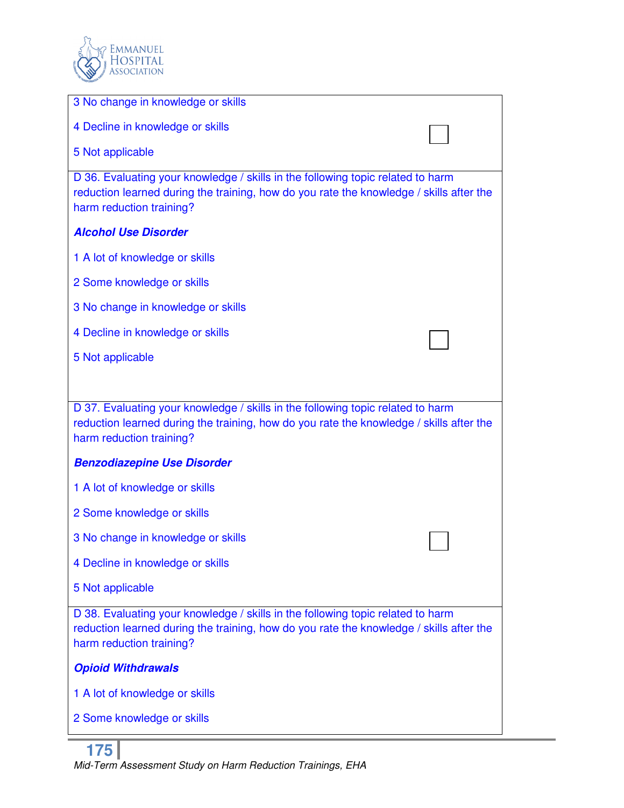

| 3 No change in knowledge or skills                                                                                                                                                                     |
|--------------------------------------------------------------------------------------------------------------------------------------------------------------------------------------------------------|
| 4 Decline in knowledge or skills                                                                                                                                                                       |
| 5 Not applicable                                                                                                                                                                                       |
| D 36. Evaluating your knowledge / skills in the following topic related to harm<br>reduction learned during the training, how do you rate the knowledge / skills after the<br>harm reduction training? |
| <b>Alcohol Use Disorder</b>                                                                                                                                                                            |
| 1 A lot of knowledge or skills                                                                                                                                                                         |
| 2 Some knowledge or skills                                                                                                                                                                             |
| 3 No change in knowledge or skills                                                                                                                                                                     |
| 4 Decline in knowledge or skills                                                                                                                                                                       |
| 5 Not applicable                                                                                                                                                                                       |
|                                                                                                                                                                                                        |
| D 37. Evaluating your knowledge / skills in the following topic related to harm<br>reduction learned during the training, how do you rate the knowledge / skills after the<br>harm reduction training? |
| <b>Benzodiazepine Use Disorder</b>                                                                                                                                                                     |
| 1 A lot of knowledge or skills                                                                                                                                                                         |
| 2 Some knowledge or skills                                                                                                                                                                             |
| 3 No change in knowledge or skills                                                                                                                                                                     |
| 4 Decline in knowledge or skills                                                                                                                                                                       |
| 5 Not applicable                                                                                                                                                                                       |
| D 38. Evaluating your knowledge / skills in the following topic related to harm<br>reduction learned during the training, how do you rate the knowledge / skills after the<br>harm reduction training? |
| <b>Opioid Withdrawals</b>                                                                                                                                                                              |
| 1 A lot of knowledge or skills                                                                                                                                                                         |
| 2 Some knowledge or skills                                                                                                                                                                             |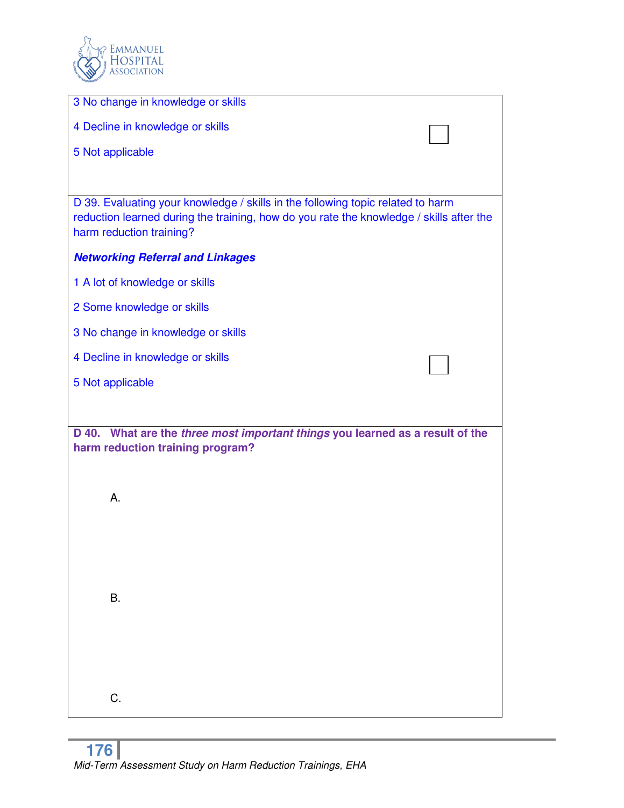

| 3 No change in knowledge or skills                                                                                                                                                                     |
|--------------------------------------------------------------------------------------------------------------------------------------------------------------------------------------------------------|
| 4 Decline in knowledge or skills                                                                                                                                                                       |
| 5 Not applicable                                                                                                                                                                                       |
|                                                                                                                                                                                                        |
| D 39. Evaluating your knowledge / skills in the following topic related to harm<br>reduction learned during the training, how do you rate the knowledge / skills after the<br>harm reduction training? |
| <b>Networking Referral and Linkages</b>                                                                                                                                                                |
| 1 A lot of knowledge or skills                                                                                                                                                                         |
| 2 Some knowledge or skills                                                                                                                                                                             |
| 3 No change in knowledge or skills                                                                                                                                                                     |
| 4 Decline in knowledge or skills                                                                                                                                                                       |
| 5 Not applicable                                                                                                                                                                                       |
|                                                                                                                                                                                                        |
| D 40. What are the three most important things you learned as a result of the<br>harm reduction training program?                                                                                      |
| А.                                                                                                                                                                                                     |
| Β.                                                                                                                                                                                                     |
| C.                                                                                                                                                                                                     |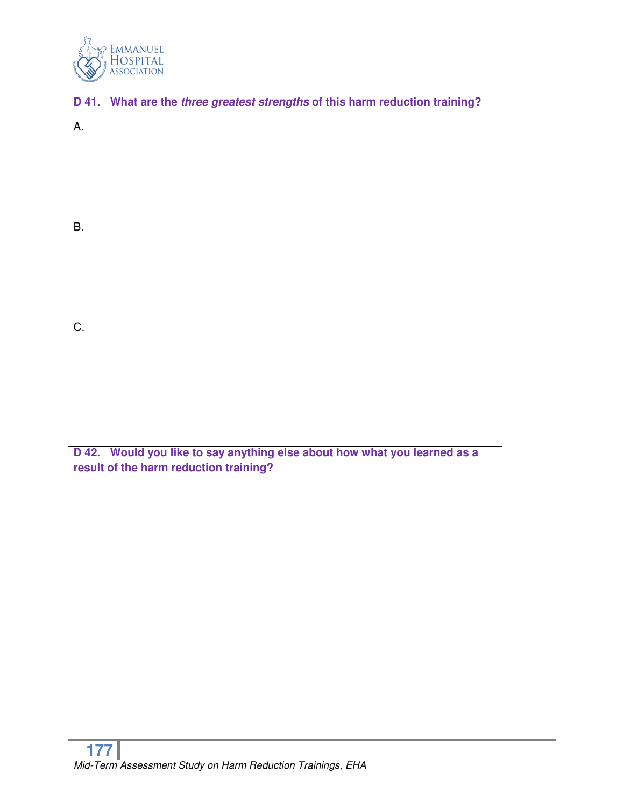

|           | D 41. What are the three greatest strengths of this harm reduction training? |
|-----------|------------------------------------------------------------------------------|
| А.        |                                                                              |
|           |                                                                              |
|           |                                                                              |
|           |                                                                              |
|           |                                                                              |
|           |                                                                              |
|           |                                                                              |
| <b>B.</b> |                                                                              |
|           |                                                                              |
|           |                                                                              |
|           |                                                                              |
|           |                                                                              |
|           |                                                                              |
| C.        |                                                                              |
|           |                                                                              |
|           |                                                                              |
|           |                                                                              |
|           |                                                                              |
|           |                                                                              |
|           |                                                                              |
|           | D 42. Would you like to say anything else about how what you learned as a    |
|           | result of the harm reduction training?                                       |
|           |                                                                              |
|           |                                                                              |
|           |                                                                              |
|           |                                                                              |
|           |                                                                              |
|           |                                                                              |
|           |                                                                              |
|           |                                                                              |
|           |                                                                              |
|           |                                                                              |
|           |                                                                              |
|           |                                                                              |
|           |                                                                              |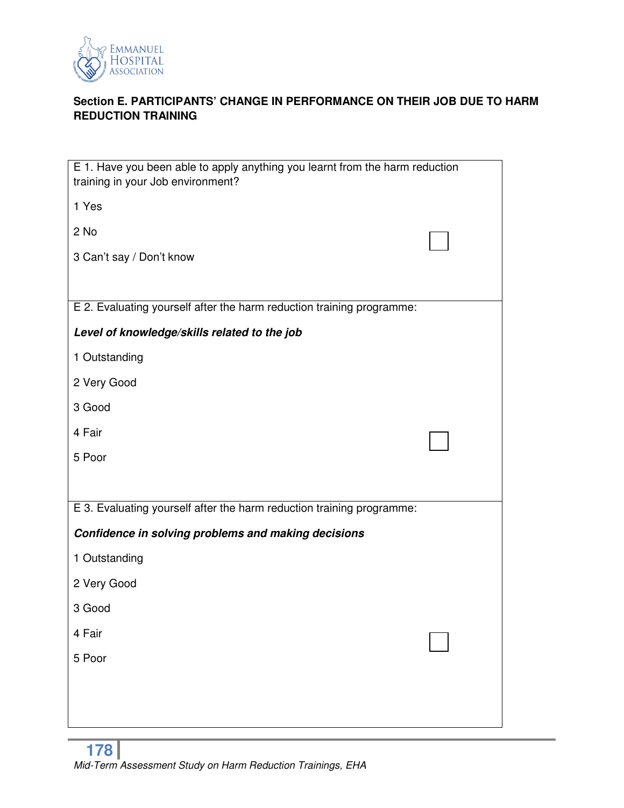

# **Section E. PARTICIPANTS' CHANGE IN PERFORMANCE ON THEIR JOB DUE TO HARM REDUCTION TRAINING**

| E 1. Have you been able to apply anything you learnt from the harm reduction<br>training in your Job environment? |  |
|-------------------------------------------------------------------------------------------------------------------|--|
| 1 Yes                                                                                                             |  |
| 2 No                                                                                                              |  |
| 3 Can't say / Don't know                                                                                          |  |
|                                                                                                                   |  |
| E 2. Evaluating yourself after the harm reduction training programme:                                             |  |
| Level of knowledge/skills related to the job                                                                      |  |
| 1 Outstanding                                                                                                     |  |
| 2 Very Good                                                                                                       |  |
| 3 Good                                                                                                            |  |
| 4 Fair                                                                                                            |  |
| 5 Poor                                                                                                            |  |
|                                                                                                                   |  |
| E 3. Evaluating yourself after the harm reduction training programme:                                             |  |
| Confidence in solving problems and making decisions                                                               |  |
| 1 Outstanding                                                                                                     |  |
| 2 Very Good                                                                                                       |  |
| 3 Good                                                                                                            |  |
| 4 Fair                                                                                                            |  |
| 5 Poor                                                                                                            |  |
|                                                                                                                   |  |
|                                                                                                                   |  |
|                                                                                                                   |  |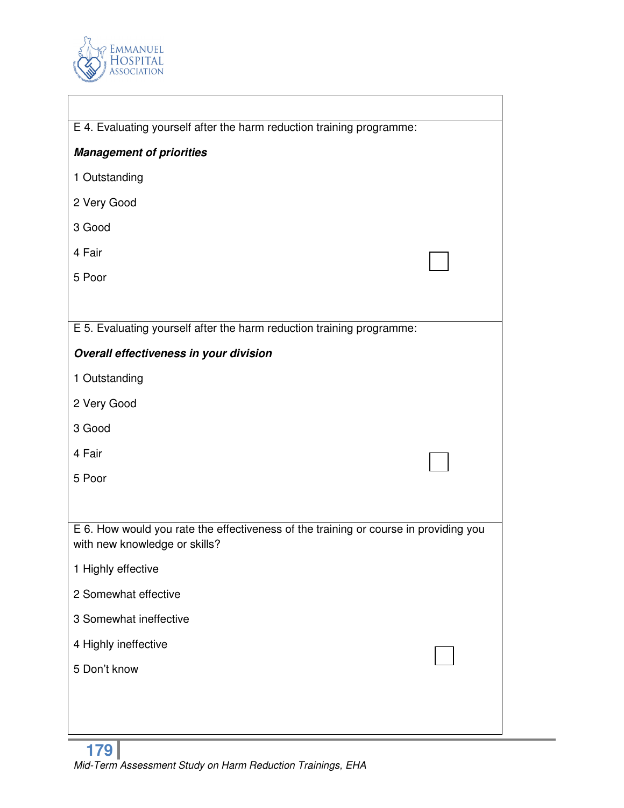

| E 4. Evaluating yourself after the harm reduction training programme:                                                 |  |
|-----------------------------------------------------------------------------------------------------------------------|--|
| <b>Management of priorities</b>                                                                                       |  |
| 1 Outstanding                                                                                                         |  |
| 2 Very Good                                                                                                           |  |
| 3 Good                                                                                                                |  |
| 4 Fair                                                                                                                |  |
| 5 Poor                                                                                                                |  |
|                                                                                                                       |  |
| E 5. Evaluating yourself after the harm reduction training programme:                                                 |  |
| Overall effectiveness in your division                                                                                |  |
| 1 Outstanding                                                                                                         |  |
| 2 Very Good                                                                                                           |  |
| 3 Good                                                                                                                |  |
| 4 Fair                                                                                                                |  |
| 5 Poor                                                                                                                |  |
|                                                                                                                       |  |
| E 6. How would you rate the effectiveness of the training or course in providing you<br>with new knowledge or skills? |  |
| 1 Highly effective                                                                                                    |  |
| 2 Somewhat effective                                                                                                  |  |
| 3 Somewhat ineffective                                                                                                |  |
| 4 Highly ineffective                                                                                                  |  |
| 5 Don't know                                                                                                          |  |
|                                                                                                                       |  |
|                                                                                                                       |  |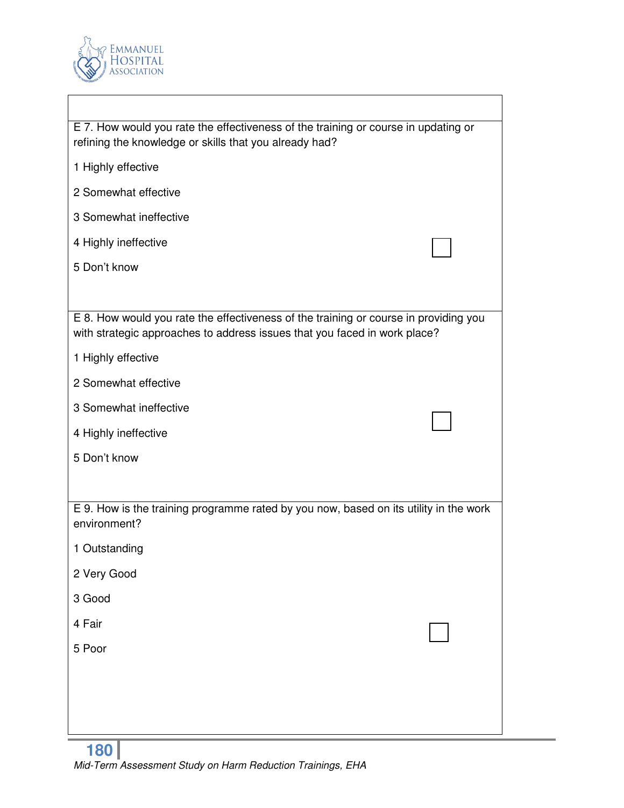

| E 7. How would you rate the effectiveness of the training or course in updating or<br>refining the knowledge or skills that you already had?                      |  |  |
|-------------------------------------------------------------------------------------------------------------------------------------------------------------------|--|--|
| 1 Highly effective                                                                                                                                                |  |  |
| 2 Somewhat effective                                                                                                                                              |  |  |
| 3 Somewhat ineffective                                                                                                                                            |  |  |
| 4 Highly ineffective                                                                                                                                              |  |  |
| 5 Don't know                                                                                                                                                      |  |  |
|                                                                                                                                                                   |  |  |
| E 8. How would you rate the effectiveness of the training or course in providing you<br>with strategic approaches to address issues that you faced in work place? |  |  |
| 1 Highly effective                                                                                                                                                |  |  |
| 2 Somewhat effective                                                                                                                                              |  |  |
| 3 Somewhat ineffective                                                                                                                                            |  |  |
| 4 Highly ineffective                                                                                                                                              |  |  |
| 5 Don't know                                                                                                                                                      |  |  |
|                                                                                                                                                                   |  |  |
| E 9. How is the training programme rated by you now, based on its utility in the work<br>environment?                                                             |  |  |
| 1 Outstanding                                                                                                                                                     |  |  |
| 2 Very Good                                                                                                                                                       |  |  |
| 3 Good                                                                                                                                                            |  |  |
| 4 Fair                                                                                                                                                            |  |  |
| 5 Poor                                                                                                                                                            |  |  |
|                                                                                                                                                                   |  |  |
|                                                                                                                                                                   |  |  |
|                                                                                                                                                                   |  |  |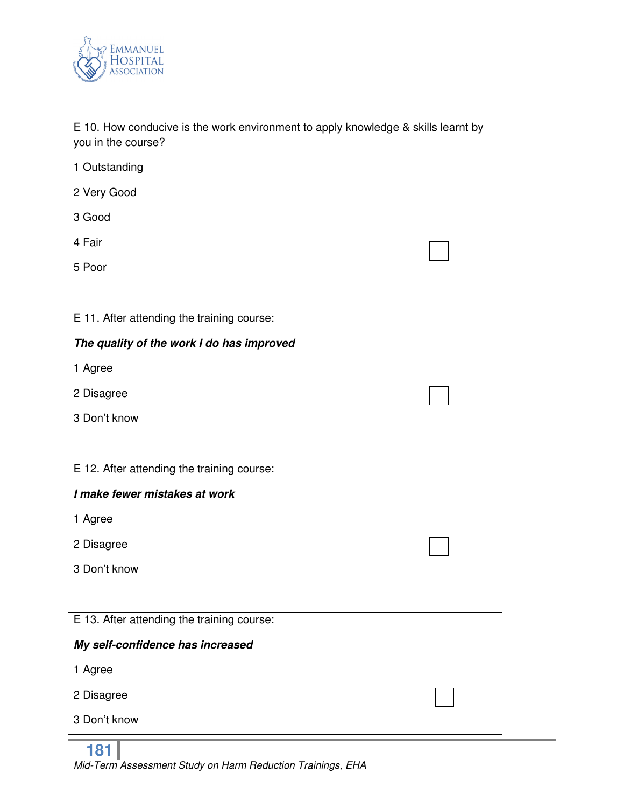

| E 10. How conducive is the work environment to apply knowledge & skills learnt by<br>you in the course? |  |
|---------------------------------------------------------------------------------------------------------|--|
| 1 Outstanding                                                                                           |  |
| 2 Very Good                                                                                             |  |
| 3 Good                                                                                                  |  |
| 4 Fair                                                                                                  |  |
| 5 Poor                                                                                                  |  |
|                                                                                                         |  |
| E 11. After attending the training course:                                                              |  |
| The quality of the work I do has improved                                                               |  |
| 1 Agree                                                                                                 |  |
| 2 Disagree                                                                                              |  |
| 3 Don't know                                                                                            |  |
|                                                                                                         |  |
| E 12. After attending the training course:                                                              |  |
| I make fewer mistakes at work                                                                           |  |
| 1 Agree                                                                                                 |  |
| 2 Disagree                                                                                              |  |
| 3 Don't know                                                                                            |  |
|                                                                                                         |  |
| E 13. After attending the training course:                                                              |  |
| My self-confidence has increased                                                                        |  |
| 1 Agree                                                                                                 |  |
| 2 Disagree                                                                                              |  |
| 3 Don't know                                                                                            |  |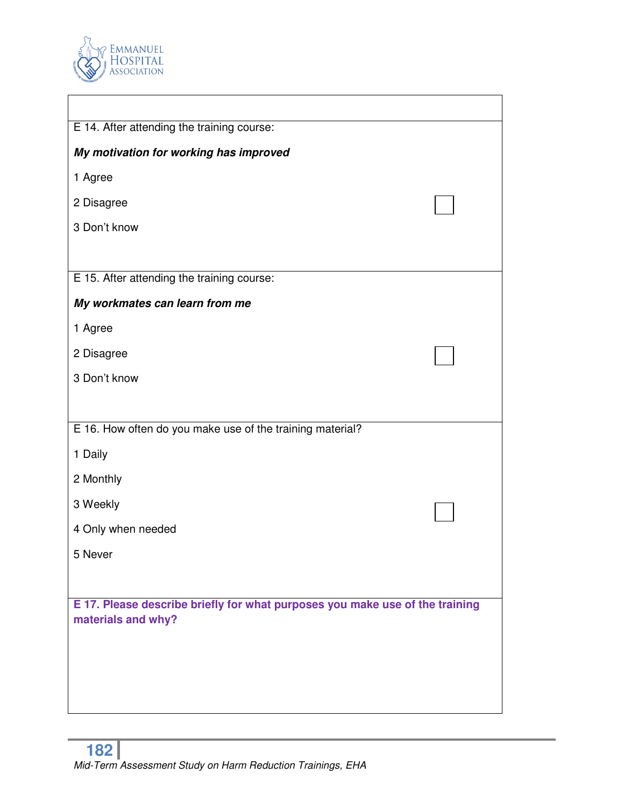

| E 14. After attending the training course:                                   |  |
|------------------------------------------------------------------------------|--|
| My motivation for working has improved                                       |  |
| 1 Agree                                                                      |  |
| 2 Disagree                                                                   |  |
| 3 Don't know                                                                 |  |
|                                                                              |  |
| E 15. After attending the training course:                                   |  |
| My workmates can learn from me                                               |  |
| 1 Agree                                                                      |  |
| 2 Disagree                                                                   |  |
| 3 Don't know                                                                 |  |
|                                                                              |  |
| E 16. How often do you make use of the training material?                    |  |
| 1 Daily                                                                      |  |
| 2 Monthly                                                                    |  |
| 3 Weekly                                                                     |  |
| 4 Only when needed                                                           |  |
| 5 Never                                                                      |  |
|                                                                              |  |
| E 17. Please describe briefly for what purposes you make use of the training |  |
| materials and why?                                                           |  |
|                                                                              |  |
|                                                                              |  |
|                                                                              |  |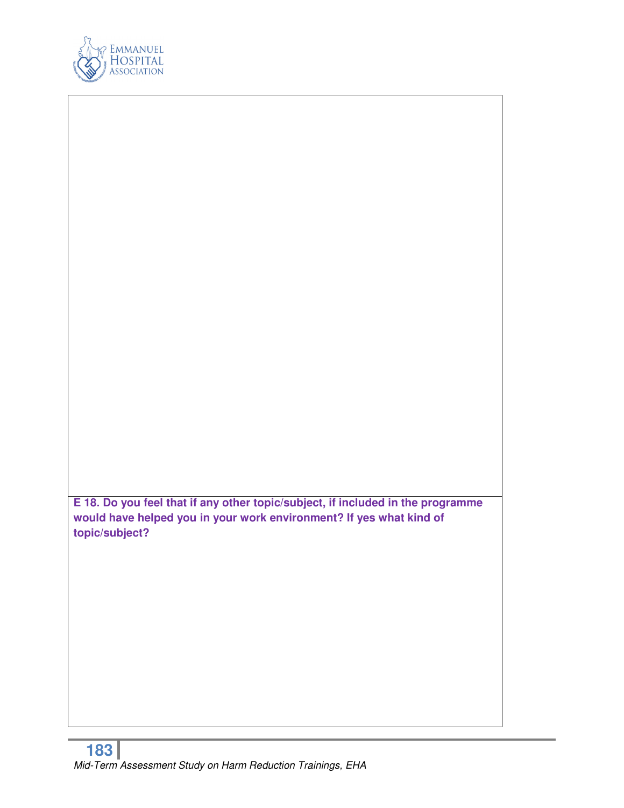

**E 18. Do you feel that if any other topic/subject, if included in the programme would have helped you in your work environment? If yes what kind of topic/subject?**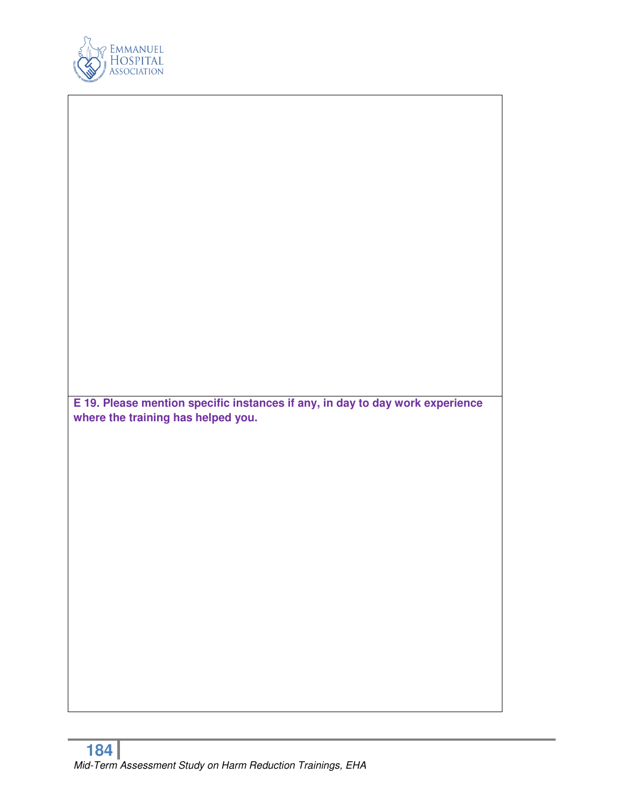

| E 19. Please mention specific instances if any, in day to day work experience<br>where the training has helped you. |  |
|---------------------------------------------------------------------------------------------------------------------|--|
|                                                                                                                     |  |
|                                                                                                                     |  |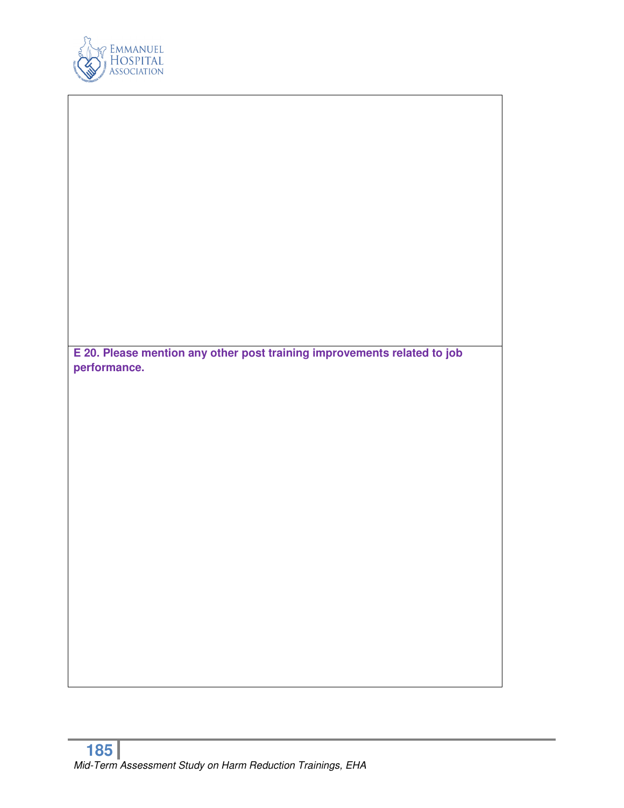

|              | E 20. Please mention any other post training improvements related to job |
|--------------|--------------------------------------------------------------------------|
| performance. |                                                                          |
|              |                                                                          |
|              |                                                                          |
|              |                                                                          |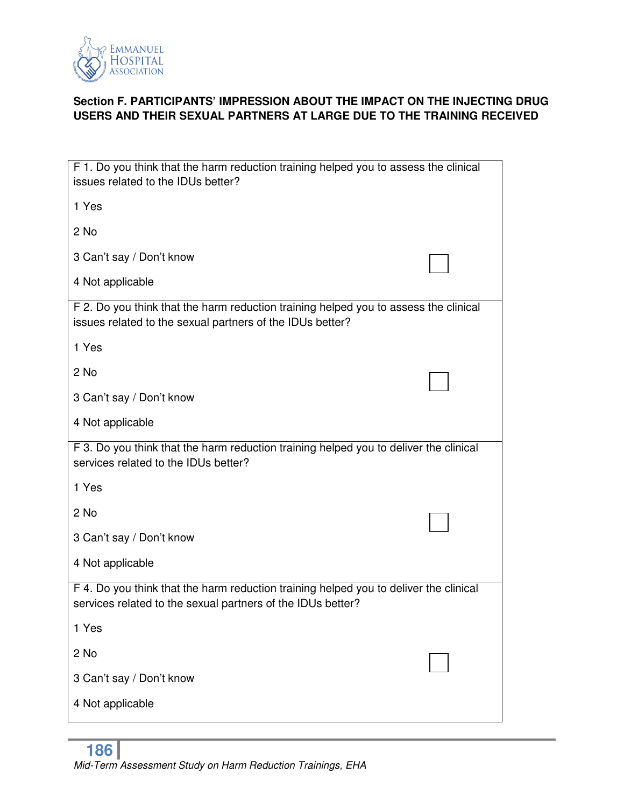

## **Section F. PARTICIPANTS' IMPRESSION ABOUT THE IMPACT ON THE INJECTING DRUG USERS AND THEIR SEXUAL PARTNERS AT LARGE DUE TO THE TRAINING RECEIVED**

| F 1. Do you think that the harm reduction training helped you to assess the clinical<br>issues related to the IDUs better?                           |  |  |
|------------------------------------------------------------------------------------------------------------------------------------------------------|--|--|
| 1 Yes                                                                                                                                                |  |  |
| 2 No                                                                                                                                                 |  |  |
| 3 Can't say / Don't know                                                                                                                             |  |  |
| 4 Not applicable                                                                                                                                     |  |  |
| F 2. Do you think that the harm reduction training helped you to assess the clinical<br>issues related to the sexual partners of the IDUs better?    |  |  |
| 1 Yes                                                                                                                                                |  |  |
| 2 No                                                                                                                                                 |  |  |
| 3 Can't say / Don't know                                                                                                                             |  |  |
| 4 Not applicable                                                                                                                                     |  |  |
| F 3. Do you think that the harm reduction training helped you to deliver the clinical<br>services related to the IDUs better?                        |  |  |
| 1 Yes                                                                                                                                                |  |  |
| 2 No                                                                                                                                                 |  |  |
| 3 Can't say / Don't know                                                                                                                             |  |  |
| 4 Not applicable                                                                                                                                     |  |  |
| F 4. Do you think that the harm reduction training helped you to deliver the clinical<br>services related to the sexual partners of the IDUs better? |  |  |
| 1 Yes                                                                                                                                                |  |  |
| 2 No                                                                                                                                                 |  |  |
| 3 Can't say / Don't know                                                                                                                             |  |  |
| 4 Not applicable                                                                                                                                     |  |  |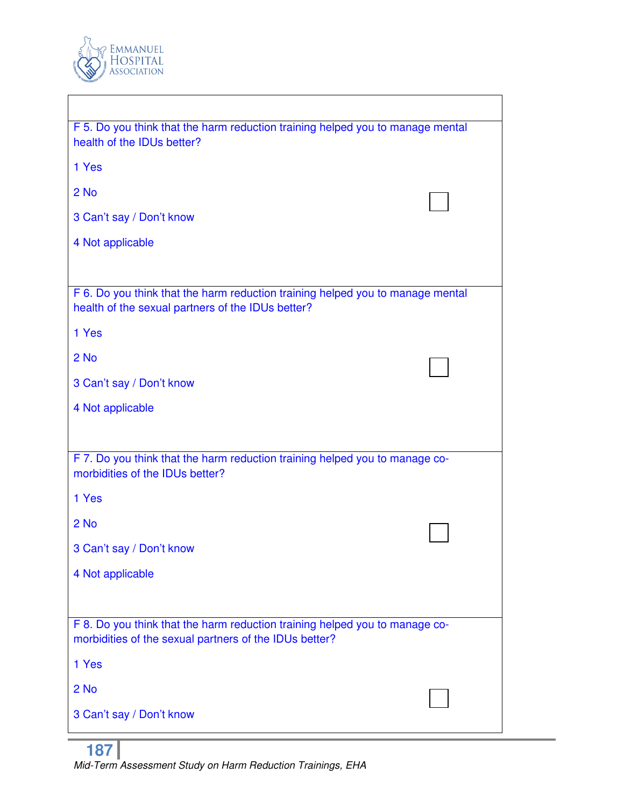

| F 5. Do you think that the harm reduction training helped you to manage mental<br>health of the IDUs better?                          |  |
|---------------------------------------------------------------------------------------------------------------------------------------|--|
| 1 Yes                                                                                                                                 |  |
| $2$ No                                                                                                                                |  |
| 3 Can't say / Don't know                                                                                                              |  |
| 4 Not applicable                                                                                                                      |  |
|                                                                                                                                       |  |
| F 6. Do you think that the harm reduction training helped you to manage mental<br>health of the sexual partners of the IDUs better?   |  |
| 1 Yes                                                                                                                                 |  |
| $2$ No                                                                                                                                |  |
| 3 Can't say / Don't know                                                                                                              |  |
| 4 Not applicable                                                                                                                      |  |
|                                                                                                                                       |  |
| F 7. Do you think that the harm reduction training helped you to manage co-<br>morbidities of the IDUs better?                        |  |
| 1 Yes                                                                                                                                 |  |
| $2$ No                                                                                                                                |  |
| 3 Can't say / Don't know                                                                                                              |  |
| 4 Not applicable                                                                                                                      |  |
|                                                                                                                                       |  |
| F 8. Do you think that the harm reduction training helped you to manage co-<br>morbidities of the sexual partners of the IDUs better? |  |
| 1 Yes                                                                                                                                 |  |
| $2$ No                                                                                                                                |  |
| 3 Can't say / Don't know                                                                                                              |  |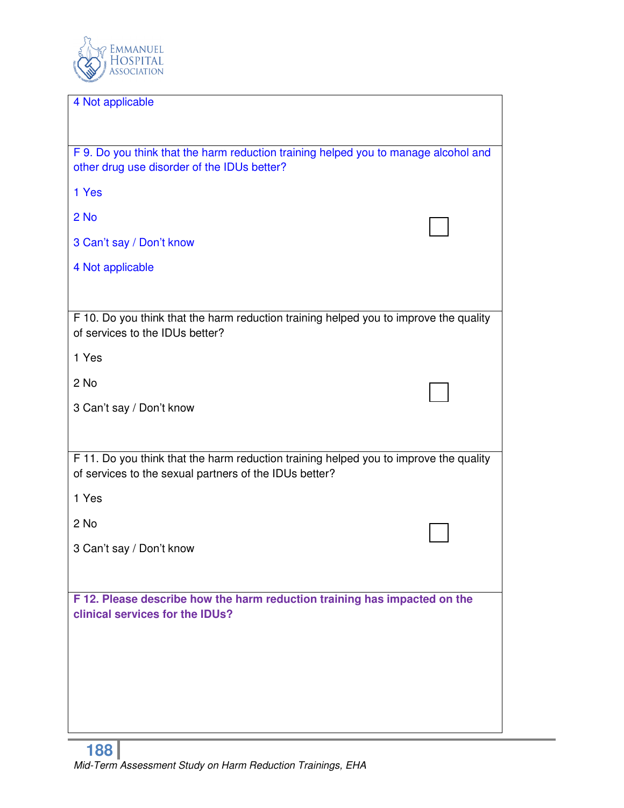

| 4 Not applicable                                                                      |  |
|---------------------------------------------------------------------------------------|--|
|                                                                                       |  |
|                                                                                       |  |
| F 9. Do you think that the harm reduction training helped you to manage alcohol and   |  |
| other drug use disorder of the IDUs better?                                           |  |
|                                                                                       |  |
| 1 Yes                                                                                 |  |
|                                                                                       |  |
|                                                                                       |  |
| 2 No                                                                                  |  |
|                                                                                       |  |
| 3 Can't say / Don't know                                                              |  |
|                                                                                       |  |
| 4 Not applicable                                                                      |  |
|                                                                                       |  |
|                                                                                       |  |
|                                                                                       |  |
| F 10. Do you think that the harm reduction training helped you to improve the quality |  |
| of services to the IDUs better?                                                       |  |
|                                                                                       |  |
| 1 Yes                                                                                 |  |
|                                                                                       |  |
|                                                                                       |  |
| 2 No                                                                                  |  |
|                                                                                       |  |
| 3 Can't say / Don't know                                                              |  |
|                                                                                       |  |
|                                                                                       |  |
|                                                                                       |  |
| F 11. Do you think that the harm reduction training helped you to improve the quality |  |
| of services to the sexual partners of the IDUs better?                                |  |
|                                                                                       |  |
| 1 Yes                                                                                 |  |
|                                                                                       |  |
|                                                                                       |  |
| 2 No                                                                                  |  |
|                                                                                       |  |
| 3 Can't say / Don't know                                                              |  |
|                                                                                       |  |
|                                                                                       |  |
|                                                                                       |  |
| F 12. Please describe how the harm reduction training has impacted on the             |  |
| clinical services for the IDUs?                                                       |  |
|                                                                                       |  |
|                                                                                       |  |
|                                                                                       |  |
|                                                                                       |  |
|                                                                                       |  |
|                                                                                       |  |
|                                                                                       |  |
|                                                                                       |  |
|                                                                                       |  |
|                                                                                       |  |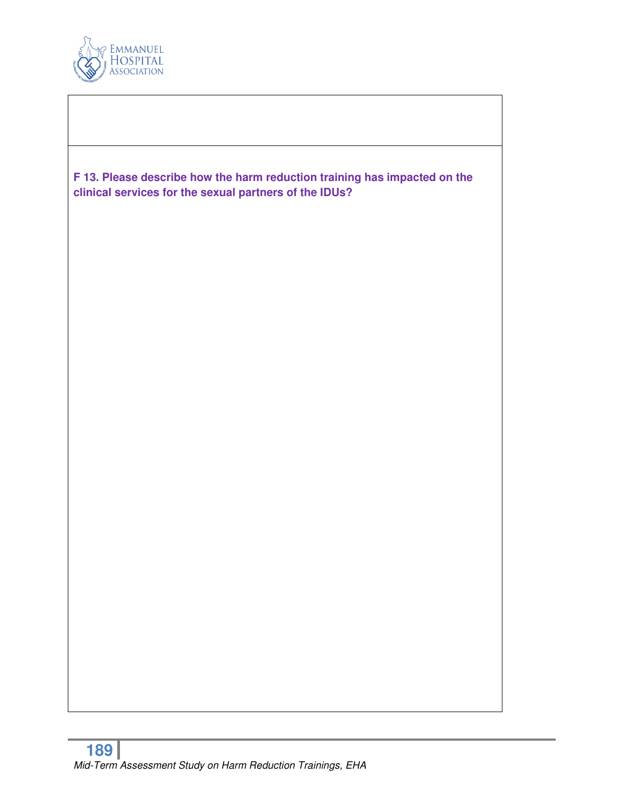

**F 13. Please describe how the harm reduction training has impacted on the clinical services for the sexual partners of the IDUs?**